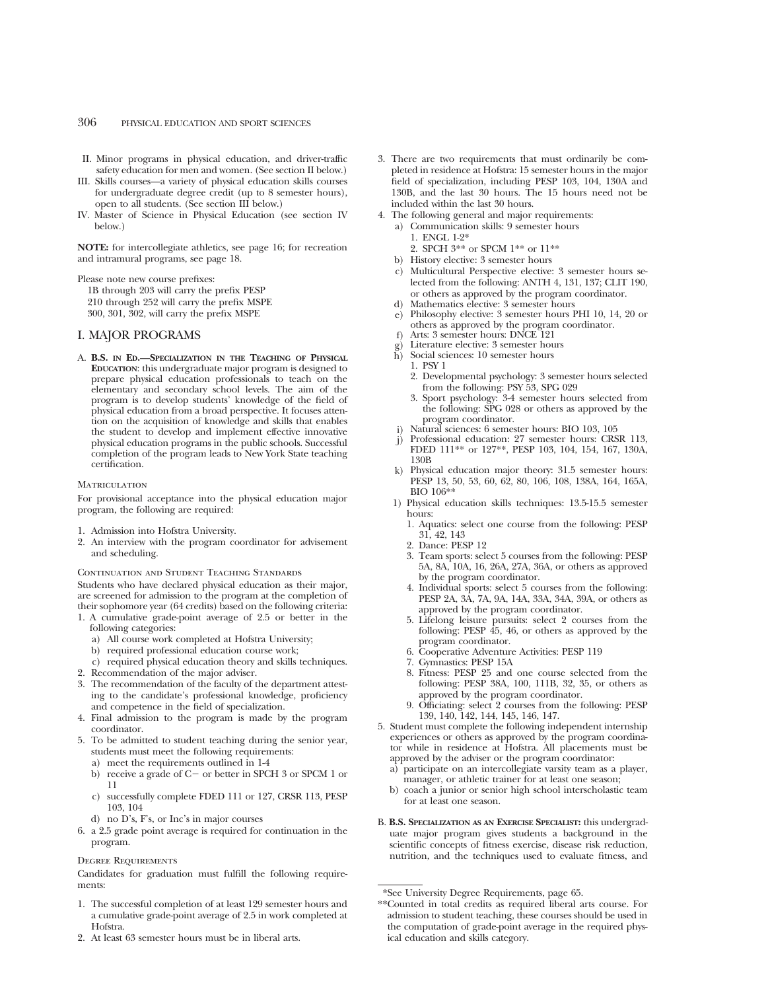- II. Minor programs in physical education, and driver-traffic safety education for men and women. (See section II below.)
- III. Skills courses—a variety of physical education skills courses for undergraduate degree credit (up to 8 semester hours), open to all students. (See section III below.)
- IV. Master of Science in Physical Education (see section IV below.)

**NOTE:** for intercollegiate athletics, see page 16; for recreation and intramural programs, see page 18.

Please note new course prefixes:

1B through 203 will carry the prefix PESP 210 through 252 will carry the prefix MSPE 300, 301, 302, will carry the prefix MSPE

# I. MAJOR PROGRAMS

A. **B.S. IN ED.—SPECIALIZATION IN THE TEACHING OF PHYSICAL EDUCATION**: this undergraduate major program is designed to prepare physical education professionals to teach on the elementary and secondary school levels. The aim of the program is to develop students' knowledge of the field of physical education from a broad perspective. It focuses attention on the acquisition of knowledge and skills that enables the student to develop and implement effective innovative physical education programs in the public schools. Successful completion of the program leads to New York State teaching certification.

#### MATRICULATION

For provisional acceptance into the physical education major program, the following are required:

- 1. Admission into Hofstra University.
- 2. An interview with the program coordinator for advisement and scheduling.

CONTINUATION AND STUDENT TEACHING STANDARDS

Students who have declared physical education as their major, are screened for admission to the program at the completion of their sophomore year (64 credits) based on the following criteria:

- 1. A cumulative grade-point average of 2.5 or better in the following categories:
	- a) All course work completed at Hofstra University;
	- b) required professional education course work;
	- c) required physical education theory and skills techniques.
- 2. Recommendation of the major adviser.
- 3. The recommendation of the faculty of the department attesting to the candidate's professional knowledge, proficiency and competence in the field of specialization.
- 4. Final admission to the program is made by the program coordinator.
- 5. To be admitted to student teaching during the senior year, students must meet the following requirements:
	- a) meet the requirements outlined in 1-4
	- b) receive a grade of  $C-$  or better in SPCH 3 or SPCM 1 or 11
	- c) successfully complete FDED 111 or 127, CRSR 113, PESP 103, 104
	- d) no D's, F's, or Inc's in major courses
- 6. a 2.5 grade point average is required for continuation in the program.

#### Degree Requirements

Candidates for graduation must fulfill the following requirements:

- 1. The successful completion of at least 129 semester hours and a cumulative grade-point average of 2.5 in work completed at **Hofstra**
- 2. At least 63 semester hours must be in liberal arts.
- 3. There are two requirements that must ordinarily be completed in residence at Hofstra: 15 semester hours in the major field of specialization, including PESP 103, 104, 130A and 130B, and the last 30 hours. The 15 hours need not be included within the last 30 hours.
- 4. The following general and major requirements:
	- a) Communication skills: 9 semester hours
		- 1. ENGL 1-2\*
		- 2. SPCH 3\*\* or SPCM 1\*\* or 11\*\*
	- b) History elective: 3 semester hours
	- c) Multicultural Perspective elective: 3 semester hours selected from the following: ANTH 4, 131, 137; CLIT 190, or others as approved by the program coordinator.
	- d) Mathematics elective: 3 semester hours
	- e) Philosophy elective: 3 semester hours PHI 10, 14, 20 or others as approved by the program coordinator.
	- f) Arts: 3 semester hours: DNCE 121
	- g) Literature elective: 3 semester hours
	- h) Social sciences: 10 semester hours
		- 1. PSY 1
		- 2. Developmental psychology: 3 semester hours selected from the following: PSY 53, SPG 029
		- 3. Sport psychology: 3-4 semester hours selected from the following: SPG 028 or others as approved by the program coordinator.
	- i) Natural sciences: 6 semester hours: BIO 103, 105
	- j) Professional education: 27 semester hours: CRSR 113, FDED 111\*\* or 127\*\*, PESP 103, 104, 154, 167, 130A, 130B
	- k) Physical education major theory: 31.5 semester hours: PESP 13, 50, 53, 60, 62, 80, 106, 108, 138A, 164, 165A, BIO 106\*\*
	- 1) Physical education skills techniques: 13.5-15.5 semester hours:
		- 1. Aquatics: select one course from the following: PESP 31, 42, 143
		- 2. Dance: PESP 12
		- 3. Team sports: select 5 courses from the following: PESP 5A, 8A, 10A, 16, 26A, 27A, 36A, or others as approved by the program coordinator.
		- 4. Individual sports: select 5 courses from the following: PESP 2A, 3A, 7A, 9A, 14A, 33A, 34A, 39A, or others as approved by the program coordinator.
		- 5. Lifelong leisure pursuits: select 2 courses from the following: PESP 45, 46, or others as approved by the program coordinator.
		- 6. Cooperative Adventure Activities: PESP 119
		- 7. Gymnastics: PESP 15A
		- 8. Fitness: PESP 25 and one course selected from the following: PESP 38A, 100, 111B, 32, 35, or others as approved by the program coordinator.
		- 9. Officiating: select 2 courses from the following: PESP 139, 140, 142, 144, 145, 146, 147.
- 5. Student must complete the following independent internship experiences or others as approved by the program coordinator while in residence at Hofstra. All placements must be approved by the adviser or the program coordinator:
	- a) participate on an intercollegiate varsity team as a player, manager, or athletic trainer for at least one season;
	- b) coach a junior or senior high school interscholastic team for at least one season.
- B. **B.S. SPECIALIZATION AS AN EXERCISE SPECIALIST:** this undergraduate major program gives students a background in the scientific concepts of fitness exercise, disease risk reduction, nutrition, and the techniques used to evaluate fitness, and

<sup>\*</sup>See University Degree Requirements, page 65.

<sup>\*\*</sup>Counted in total credits as required liberal arts course. For admission to student teaching, these courses should be used in the computation of grade-point average in the required physical education and skills category.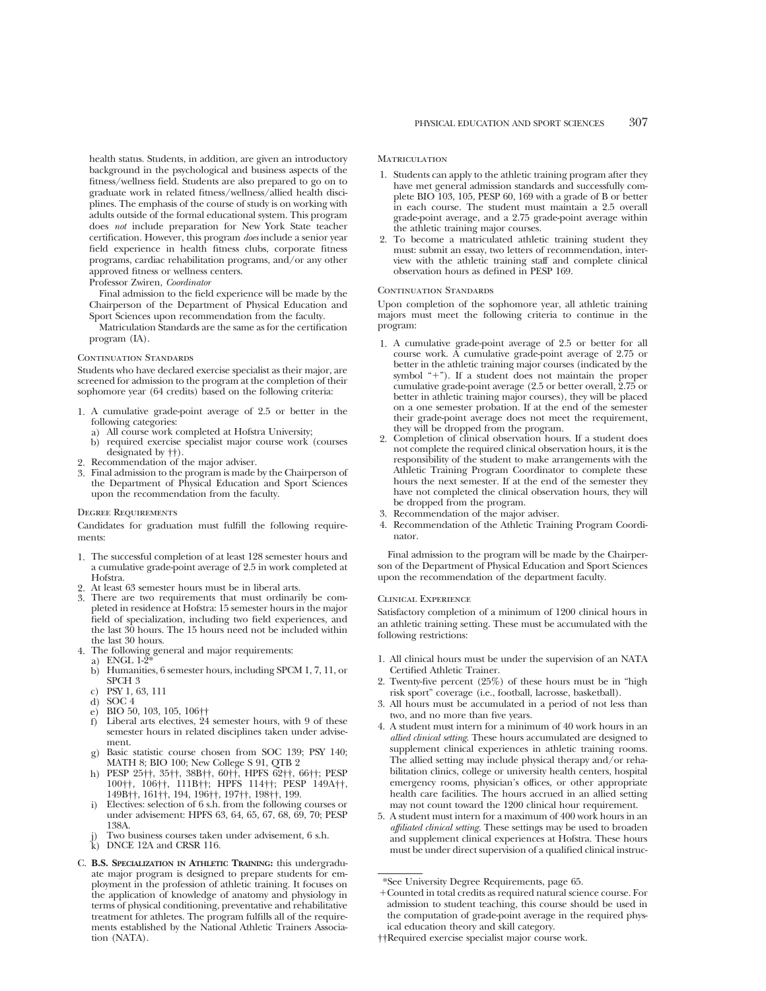health status. Students, in addition, are given an introductory background in the psychological and business aspects of the fitness/wellness field. Students are also prepared to go on to graduate work in related fitness/wellness/allied health disciplines. The emphasis of the course of study is on working with adults outside of the formal educational system. This program does *not* include preparation for New York State teacher certification. However, this program *does* include a senior year field experience in health fitness clubs, corporate fitness programs, cardiac rehabilitation programs, and/or any other approved fitness or wellness centers.

Professor Zwiren, *Coordinator*

Final admission to the field experience will be made by the Chairperson of the Department of Physical Education and Sport Sciences upon recommendation from the faculty.

Matriculation Standards are the same as for the certification program (IA).

# CONTINUATION STANDARDS

Students who have declared exercise specialist as their major, are screened for admission to the program at the completion of their sophomore year (64 credits) based on the following criteria:

- 1. A cumulative grade-point average of 2.5 or better in the following categories:
	- a) All course work completed at Hofstra University;
	- b) required exercise specialist major course work (courses designated by ††).
- 2. Recommendation of the major adviser.
- 3. Final admission to the program is made by the Chairperson of the Department of Physical Education and Sport Sciences upon the recommendation from the faculty.

#### Degree Requirements

Candidates for graduation must fulfill the following requirements:

- 1. The successful completion of at least 128 semester hours and a cumulative grade-point average of 2.5 in work completed at Hofstra.
- 2. At least 63 semester hours must be in liberal arts.
- 3. There are two requirements that must ordinarily be completed in residence at Hofstra: 15 semester hours in the major field of specialization, including two field experiences, and the last 30 hours. The 15 hours need not be included within the last 30 hours.
- 4. The following general and major requirements:
	- a) ENGL  $1-2^5$
	- b) Humanities, 6 semester hours, including SPCM 1, 7, 11, or SPCH 3
	- c) PSY 1, 63, 111
	- d) SOC  $4$
	- e) BIO 50, 103, 105, 106††
	- f) Liberal arts electives, 24 semester hours, with 9 of these semester hours in related disciplines taken under advisement.
	- g) Basic statistic course chosen from SOC 139; PSY 140; MATH 8; BIO 100; New College S 91, QTB 2
	- h) PESP 25††, 35††, 38B††, 60††, HPFS 62††, 66††; PESP 100††, 106††, 111B††; HPFS 114††; PESP 149A††, 149B††, 161††, 194, 196††, 197††, 198††, 199.
	- i) Electives: selection of 6 s.h. from the following courses or under advisement: HPFS 63, 64, 65, 67, 68, 69, 70; PESP 138A.
	- Two business courses taken under advisement, 6 s.h.
	- k) DNCE 12A and CRSR 116.
- C. **B.S. SPECIALIZATION IN ATHLETIC TRAINING:** this undergraduate major program is designed to prepare students for employment in the profession of athletic training. It focuses on the application of knowledge of anatomy and physiology in terms of physical conditioning, preventative and rehabilitative treatment for athletes. The program fulfills all of the requirements established by the National Athletic Trainers Association (NATA).

#### **MATRICULATION**

- 1. Students can apply to the athletic training program after they have met general admission standards and successfully complete BIO 103, 105, PESP 60, 169 with a grade of B or better in each course. The student must maintain a 2.5 overall grade-point average, and a 2.75 grade-point average within the athletic training major courses.
- 2. To become a matriculated athletic training student they must: submit an essay, two letters of recommendation, interview with the athletic training staff and complete clinical observation hours as defined in PESP 169.

#### CONTINUATION STANDARDS

Upon completion of the sophomore year, all athletic training majors must meet the following criteria to continue in the program:

- 1. A cumulative grade-point average of 2.5 or better for all course work. A cumulative grade-point average of 2.75 or better in the athletic training major courses (indicated by the symbol  $+$ "). If a student does not maintain the proper cumulative grade-point average (2.5 or better overall, 2.75 or better in athletic training major courses), they will be placed on a one semester probation. If at the end of the semester their grade-point average does not meet the requirement, they will be dropped from the program.
- 2. Completion of clinical observation hours. If a student does not complete the required clinical observation hours, it is the responsibility of the student to make arrangements with the Athletic Training Program Coordinator to complete these hours the next semester. If at the end of the semester they have not completed the clinical observation hours, they will be dropped from the program.
- 3. Recommendation of the major adviser.
- 4. Recommendation of the Athletic Training Program Coordinator.

Final admission to the program will be made by the Chairperson of the Department of Physical Education and Sport Sciences upon the recommendation of the department faculty.

#### Clinical Experience

Satisfactory completion of a minimum of 1200 clinical hours in an athletic training setting. These must be accumulated with the following restrictions:

- 1. All clinical hours must be under the supervision of an NATA Certified Athletic Trainer.
- 2. Twenty-five percent (25%) of these hours must be in "high risk sport" coverage (i.e., football, lacrosse, basketball).
- 3. All hours must be accumulated in a period of not less than two, and no more than five years.
- 4. A student must intern for a minimum of 40 work hours in an *allied clinical setting*. These hours accumulated are designed to supplement clinical experiences in athletic training rooms. The allied setting may include physical therapy and/or rehabilitation clinics, college or university health centers, hospital emergency rooms, physician's offices, or other appropriate health care facilities. The hours accrued in an allied setting may not count toward the 1200 clinical hour requirement.
- 5. A student must intern for a maximum of 400 work hours in an *affiliated clinical setting*. These settings may be used to broaden and supplement clinical experiences at Hofstra. These hours must be under direct supervision of a qualified clinical instruc-

††Required exercise specialist major course work.

<sup>\*</sup>See University Degree Requirements, page 65.

<sup>1</sup>Counted in total credits as required natural science course. For admission to student teaching, this course should be used in the computation of grade-point average in the required physical education theory and skill category.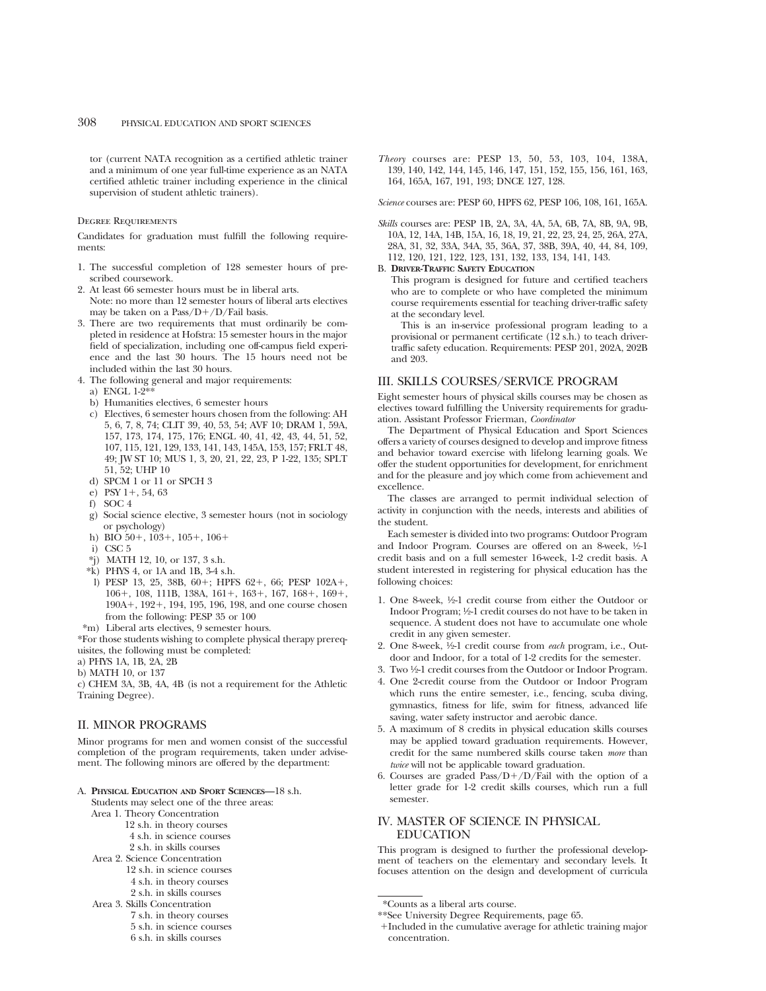tor (current NATA recognition as a certified athletic trainer and a minimum of one year full-time experience as an NATA certified athletic trainer including experience in the clinical supervision of student athletic trainers).

# Degree Requirements

Candidates for graduation must fulfill the following requirements:

- 1. The successful completion of 128 semester hours of prescribed coursework.
- 2. At least 66 semester hours must be in liberal arts.
- Note: no more than 12 semester hours of liberal arts electives may be taken on a  $Pass/D+/D/Fall$  basis.
- 3. There are two requirements that must ordinarily be completed in residence at Hofstra: 15 semester hours in the major field of specialization, including one off-campus field experience and the last 30 hours. The 15 hours need not be included within the last 30 hours.
- 4. The following general and major requirements:
	- a) ENGL 1-2\*\*
- b) Humanities electives, 6 semester hours
- c) Electives, 6 semester hours chosen from the following: AH 5, 6, 7, 8, 74; CLIT 39, 40, 53, 54; AVF 10; DRAM 1, 59A, 157, 173, 174, 175, 176; ENGL 40, 41, 42, 43, 44, 51, 52, 107, 115, 121, 129, 133, 141, 143, 145A, 153, 157; FRLT 48, 49; JW ST 10; MUS 1, 3, 20, 21, 22, 23, P 1-22, 135; SPLT 51, 52; UHP 10
- d) SPCM 1 or 11 or SPCH 3
- e) PSY 1+, 54, 63
- f) SOC 4
- g) Social science elective, 3 semester hours (not in sociology or psychology)
- h) BIO  $50+$ ,  $103+$ ,  $105+$ ,  $106+$
- i) CSC 5
- \*j) MATH 12, 10, or 137, 3 s.h.
- \*k) PHYS 4, or 1A and 1B, 3-4 s.h.
- l) PESP 13, 25, 38B, 60+; HPFS 62+, 66; PESP 102A+, 106+, 108, 111B, 138A, 161+, 163+, 167, 168+, 169+, 190A<sup>+</sup>, 192<sup>+</sup>, 194, 195, 196, 198, and one course chosen from the following: PESP 35 or 100
- \*m) Liberal arts electives, 9 semester hours.

\*For those students wishing to complete physical therapy prerequisites, the following must be completed:

- a) PHYS 1A, 1B, 2A, 2B
- b) MATH 10, or 137

c) CHEM 3A, 3B, 4A, 4B (is not a requirement for the Athletic Training Degree).

# II. MINOR PROGRAMS

Minor programs for men and women consist of the successful completion of the program requirements, taken under advisement. The following minors are offered by the department:

A. **PHYSICAL EDUCATION AND SPORT SCIENCES—**18 s.h.

Students may select one of the three areas:

- Area 1. Theory Concentration
	- 12 s.h. in theory courses 4 s.h. in science courses
	- 2 s.h. in skills courses
- Area 2. Science Concentration
	- 12 s.h. in science courses
		- 4 s.h. in theory courses
		- 2 s.h. in skills courses
- Area 3. Skills Concentration
	- 7 s.h. in theory courses
	- 5 s.h. in science courses
		- 6 s.h. in skills courses

*Theory* courses are: PESP 13, 50, 53, 103, 104, 138A, 139, 140, 142, 144, 145, 146, 147, 151, 152, 155, 156, 161, 163, 164, 165A, 167, 191, 193; DNCE 127, 128.

*Science* courses are: PESP 60, HPFS 62, PESP 106, 108, 161, 165A.

*Skills* courses are: PESP 1B, 2A, 3A, 4A, 5A, 6B, 7A, 8B, 9A, 9B, 10A, 12, 14A, 14B, 15A, 16, 18, 19, 21, 22, 23, 24, 25, 26A, 27A, 28A, 31, 32, 33A, 34A, 35, 36A, 37, 38B, 39A, 40, 44, 84, 109, 112, 120, 121, 122, 123, 131, 132, 133, 134, 141, 143.

# B. **DRIVER-TRAFFIC SAFETY EDUCATION**

This program is designed for future and certified teachers who are to complete or who have completed the minimum course requirements essential for teaching driver-traffic safety at the secondary level.

This is an in-service professional program leading to a provisional or permanent certificate (12 s.h.) to teach drivertraffic safety education. Requirements: PESP 201, 202A, 202B and 203.

# III. SKILLS COURSES/SERVICE PROGRAM

Eight semester hours of physical skills courses may be chosen as electives toward fulfilling the University requirements for graduation. Assistant Professor Frierman, *Coordinator*

The Department of Physical Education and Sport Sciences offers a variety of courses designed to develop and improve fitness and behavior toward exercise with lifelong learning goals. We offer the student opportunities for development, for enrichment and for the pleasure and joy which come from achievement and excellence.

The classes are arranged to permit individual selection of activity in conjunction with the needs, interests and abilities of the student.

Each semester is divided into two programs: Outdoor Program and Indoor Program. Courses are offered on an 8-week, 1/2-1 credit basis and on a full semester 16-week, 1-2 credit basis. A student interested in registering for physical education has the following choices:

- 1. One 8-week, 1⁄2-1 credit course from either the Outdoor or Indoor Program; 1⁄2-1 credit courses do not have to be taken in sequence. A student does not have to accumulate one whole credit in any given semester.
- 2. One 8-week, 1⁄2-1 credit course from *each* program, i.e., Outdoor and Indoor, for a total of 1-2 credits for the semester.
- 3. Two 1⁄2-1 credit courses from the Outdoor or Indoor Program.
- 4. One 2-credit course from the Outdoor or Indoor Program which runs the entire semester, i.e., fencing, scuba diving, gymnastics, fitness for life, swim for fitness, advanced life saving, water safety instructor and aerobic dance.
- 5. A maximum of 8 credits in physical education skills courses may be applied toward graduation requirements. However, credit for the same numbered skills course taken *more* than *twice* will not be applicable toward graduation.
- 6. Courses are graded  $Pass/D+/D/Fail$  with the option of a letter grade for 1-2 credit skills courses, which run a full semester.

# IV. MASTER OF SCIENCE IN PHYSICAL EDUCATION

This program is designed to further the professional development of teachers on the elementary and secondary levels. It focuses attention on the design and development of curricula

1Included in the cumulative average for athletic training major concentration.

<sup>\*</sup>Counts as a liberal arts course.

<sup>\*\*</sup>See University Degree Requirements, page 65.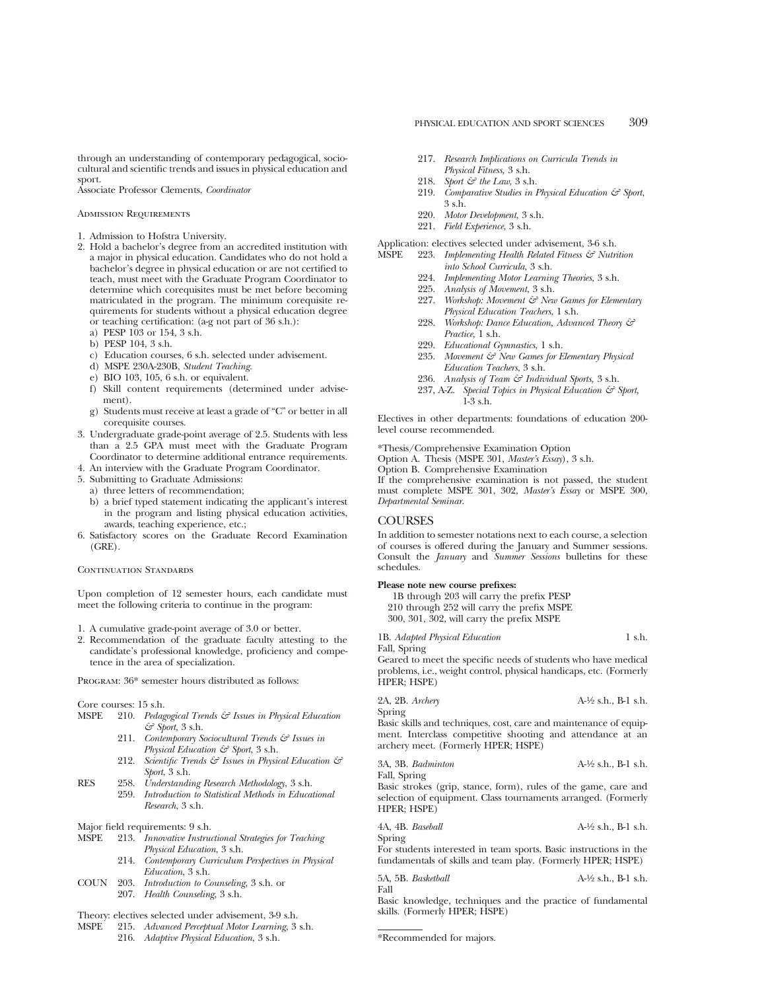through an understanding of contemporary pedagogical, sociocultural and scientific trends and issues in physical education and sport.

Associate Professor Clements, *Coordinator*

Admission Requirements

- 1. Admission to Hofstra University.
- 2. Hold a bachelor's degree from an accredited institution with a major in physical education. Candidates who do not hold a bachelor's degree in physical education or are not certified to teach, must meet with the Graduate Program Coordinator to determine which corequisites must be met before becoming matriculated in the program. The minimum corequisite requirements for students without a physical education degree or teaching certification: (a-g not part of 36 s.h.):
	- a) PESP 103 or 154, 3 s.h.
	- b) PESP 104, 3 s.h.
	- c) Education courses, 6 s.h. selected under advisement.
	- d) MSPE 230A-230B, *Student Teaching.*
	- e) BIO 103, 105, 6 s.h. or equivalent.
	- f) Skill content requirements (determined under advisement).
	- g) Students must receive at least a grade of "C" or better in all corequisite courses.
- 3. Undergraduate grade-point average of 2.5. Students with less than a 2.5 GPA must meet with the Graduate Program Coordinator to determine additional entrance requirements.
- 4. An interview with the Graduate Program Coordinator.
- 5. Submitting to Graduate Admissions:
	- a) three letters of recommendation;
	- b) a brief typed statement indicating the applicant's interest in the program and listing physical education activities, awards, teaching experience, etc.;
- 6. Satisfactory scores on the Graduate Record Examination (GRE).

# CONTINUATION STANDARDS

Upon completion of 12 semester hours, each candidate must meet the following criteria to continue in the program:

- 1. A cumulative grade-point average of 3.0 or better.
- 2. Recommendation of the graduate faculty attesting to the candidate's professional knowledge, proficiency and competence in the area of specialization.

PROGRAM:  $36*$  semester hours distributed as follows:

Core courses: 15 s.h.<br>MSPE 210. Pedag

- 210. Pedagogical Trends & Issues in Physical Education *& Sport*, 3 s.h.
	- 211. *Contemporary Sociocultural Trends & Issues in Physical Education & Sport*, 3 s.h.
	- 212. *Scientific Trends & Issues in Physical Education & Sport*, 3 s.h.
- RES 258. *Understanding Research Methodology*, 3 s.h. 259. *Introduction to Statistical Methods in Educational Research*, 3 s.h.

Major field requirements: 9 s.h.

- MSPE 213. *Innovative Instructional Strategies for Teaching Physical Education*, 3 s.h.
	- 214. *Contemporary Curriculum Perspectives in Physical Education*, 3 s.h.
- COUN 203. *Introduction to Counseling*, 3 s.h. or 207. *Health Counseling*, 3 s.h.
- Theory: electives selected under advisement, 3-9 s.h.<br>MSPE 215. Advanced Perceptual Motor Learning, 3
	- 215. *Advanced Perceptual Motor Learning*, 3 s.h.

216. *Adaptive Physical Education*, 3 s.h.

- 217. *Research Implications on Curricula Trends in Physical Fitness,* 3 s.h.
- 218. *Sport & the Law*, 3 s.h.
- 219. *Comparative Studies in Physical Education & Sport*, 3 s.h.
- 220. *Motor Development*, 3 s.h.
- 221. *Field Experience*, 3 s.h.

Application: electives selected under advisement, 3-6 s.h.

- MSPE 223. *Implementing Health Related Fitness & Nutrition into School Curricula*, 3 s.h.
	- 224. *Implementing Motor Learning Theories*, 3 s.h.
	- 225. *Analysis of Movement*, 3 s.h.
	- 227. *Workshop: Movement & New Games for Elementary Physical Education Teachers*, 1 s.h.
	- 228. *Workshop: Dance Education, Advanced Theory & Practice,* 1 s.h.
	- 229. *Educational Gymnastics*, 1 s.h.
	- 235. *Movement & New Games for Elementary Physical Education Teachers*, 3 s.h.
	- 236. *Analysis of Team & Individual Sports,* 3 s.h.
	- 237, A-Z. *Special Topics in Physical Education & Sport,* 1-3 s.h.

Electives in other departments: foundations of education 200 level course recommended.

\*Thesis/Comprehensive Examination Option

Option A. Thesis (MSPE 301, *Master's Essay*), 3 s.h.

Option B. Comprehensive Examination

If the comprehensive examination is not passed, the student must complete MSPE 301, 302, *Master's Essay* or MSPE 300, *Departmental Seminar*.

# **COURSES**

Fall, Spring

In addition to semester notations next to each course, a selection of courses is offered during the January and Summer sessions. Consult the *January* and *Summer Sessions* bulletins for these schedules.

#### **Please note new course prefixes:**

1B through 203 will carry the prefix PESP 210 through 252 will carry the prefix MSPE 300, 301, 302, will carry the prefix MSPE

# 1B. *Adapted Physical Education* 1 s.h.

Geared to meet the specific needs of students who have medical problems, i.e., weight control, physical handicaps, etc. (Formerly HPER; HSPE)

2A, 2B. *Archery* A-1⁄2 s.h., B-1 s.h. Spring

Basic skills and techniques, cost, care and maintenance of equipment. Interclass competitive shooting and attendance at an archery meet. (Formerly HPER; HSPE)

3A, 3B. *Badminton* A-1⁄2 s.h., B-1 s.h. Fall, Spring

Basic strokes (grip, stance, form), rules of the game, care and selection of equipment. Class tournaments arranged. (Formerly HPER; HSPE)

4A, 4B. *Baseball* A-1⁄2 s.h., B-1 s.h. Spring

For students interested in team sports. Basic instructions in the fundamentals of skills and team play. (Formerly HPER; HSPE)

| 5A, 5B. Basketball | $A-\frac{1}{2}$ s.h., B-1 s.h. |
|--------------------|--------------------------------|
| Fall               |                                |

Basic knowledge, techniques and the practice of fundamental skills. (Formerly HPER; HSPE)

\*Recommended for majors.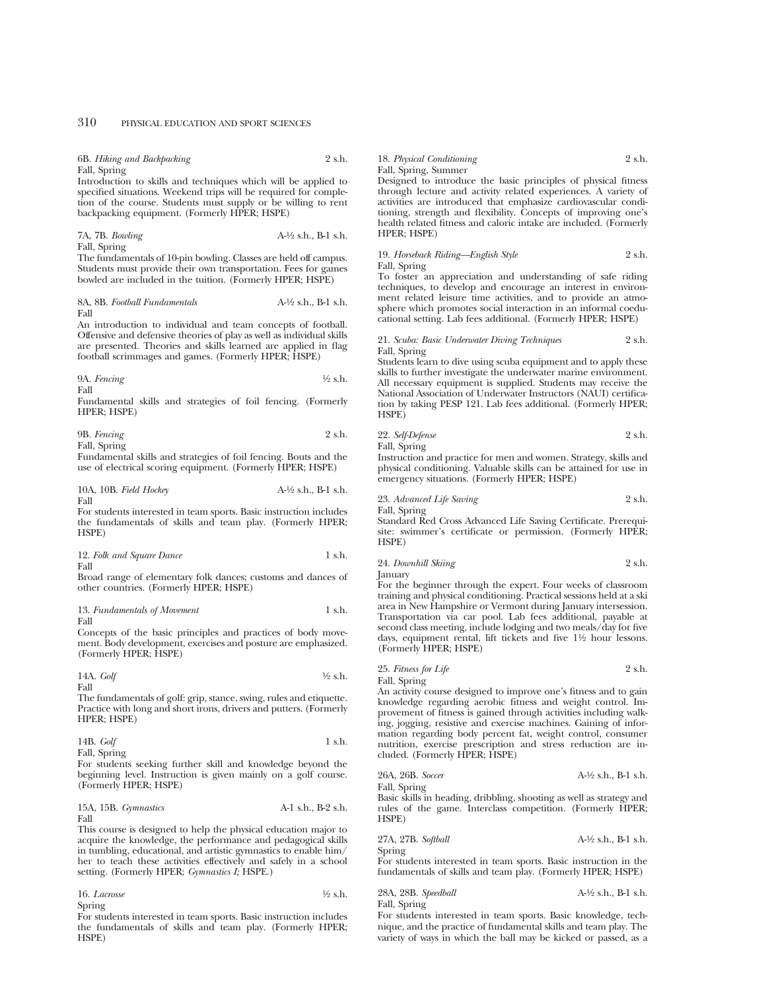6B. *Hiking and Backpacking* 2 s.h. Fall, Spring

Introduction to skills and techniques which will be applied to specified situations. Weekend trips will be required for completion of the course. Students must supply or be willing to rent backpacking equipment. (Formerly HPER; HSPE)

7A, 7B. *Bowling* A-1⁄2 s.h., B-1 s.h. Fall, Spring

The fundamentals of 10-pin bowling. Classes are held off campus. Students must provide their own transportation. Fees for games bowled are included in the tuition. (Formerly HPER; HSPE)

8A, 8B. *Football Fundamentals* A-1⁄2 s.h., B-1 s.h. Fall

An introduction to individual and team concepts of football. Offensive and defensive theories of play as well as individual skills are presented. Theories and skills learned are applied in flag football scrimmages and games. (Formerly HPER; HSPE)

9A. *Fencing* 
$$
\frac{1}{2}
$$
 s.h.

Fall

Fundamental skills and strategies of foil fencing. (Formerly HPER; HSPE)

| 9B. Fencing  | 2 s.h. |
|--------------|--------|
| Fall, Spring |        |

Fundamental skills and strategies of foil fencing. Bouts and the use of electrical scoring equipment. (Formerly HPER; HSPE)

| 10A, 10B. Field Hockey | $A-\frac{1}{2}$ s.h., $B-1$ s.h. |
|------------------------|----------------------------------|
| Fall                   |                                  |

For students interested in team sports. Basic instruction includes the fundamentals of skills and team play. (Formerly HPER; HSPE)

| 12. Folk and Square Dance | 1 s.h. |
|---------------------------|--------|
| Fall                      |        |

Broad range of elementary folk dances; customs and dances of other countries. (Formerly HPER; HSPE)

#### 13. *Fundamentals of Movement* 1 s.h. Fall

Concepts of the basic principles and practices of body movement. Body development, exercises and posture are emphasized. (Formerly HPER; HSPE)

14A. *Golf* 1⁄2 s.h. Fall

The fundamentals of golf: grip, stance, swing, rules and etiquette. Practice with long and short irons, drivers and putters. (Formerly HPER; HSPE)

| 14B. Golf    | 1 s.h. |
|--------------|--------|
| Fall, Spring |        |

For students seeking further skill and knowledge beyond the beginning level. Instruction is given mainly on a golf course. (Formerly HPER; HSPE)

|      | 15A, 15B. Gymnastics | $A-1$ s.h., $B-2$ s.h. |  |
|------|----------------------|------------------------|--|
| Fall |                      |                        |  |

This course is designed to help the physical education major to acquire the knowledge, the performance and pedagogical skills in tumbling, educational, and artistic gymnastics to enable him/ her to teach these activities effectively and safely in a school setting. (Formerly HPER; *Gymnastics I;* HSPE.)

16. *Lacrosse* 1⁄2 s.h. Spring

For students interested in team sports. Basic instruction includes the fundamentals of skills and team play. (Formerly HPER; HSPE)

18. *Physical Conditioning* 2 s.h. Fall, Spring, Summer

Designed to introduce the basic principles of physical fitness through lecture and activity related experiences. A variety of activities are introduced that emphasize cardiovascular conditioning, strength and flexibility. Concepts of improving one's health related fitness and caloric intake are included. (Formerly HPER; HSPE)

19. *Horseback Riding—English Style* 2 s.h.

Fall, Spring

To foster an appreciation and understanding of safe riding techniques, to develop and encourage an interest in environment related leisure time activities, and to provide an atmosphere which promotes social interaction in an informal coeducational setting. Lab fees additional. (Formerly HPER; HSPE)

21. *Scuba: Basic Underwater Diving Techniques* 2 s.h. Fall, Spring

Students learn to dive using scuba equipment and to apply these skills to further investigate the underwater marine environment. All necessary equipment is supplied. Students may receive the National Association of Underwater Instructors (NAUI) certification by taking PESP 121. Lab fees additional. (Formerly HPER; HSPE)

| 22. Self-Defense | 2 s.h. |
|------------------|--------|
| Fall, Spring     |        |

Instruction and practice for men and women. Strategy, skills and physical conditioning. Valuable skills can be attained for use in emergency situations. (Formerly HPER; HSPE)

23. *Advanced Life Saving* 2 s.h. Fall, Spring

Standard Red Cross Advanced Life Saving Certificate. Prerequisite: swimmer's certificate or permission. (Formerly HPER; HSPE)

24. *Downhill Skiing* 2 s.h.

January

For the beginner through the expert. Four weeks of classroom training and physical conditioning. Practical sessions held at a ski area in New Hampshire or Vermont during January intersession. Transportation via car pool. Lab fees additional, payable at second class meeting, include lodging and two meals/day for five days, equipment rental, lift tickets and five 1<sup>1/2</sup> hour lessons. (Formerly HPER; HSPE)

25. *Fitness for Life* 2 s.h. Fall, Spring

An activity course designed to improve one's fitness and to gain knowledge regarding aerobic fitness and weight control. Improvement of fitness is gained through activities including walking, jogging, resistive and exercise machines. Gaining of information regarding body percent fat, weight control, consumer nutrition, exercise prescription and stress reduction are included. (Formerly HPER; HSPE)

26A, 26B. *Soccer* Fall, Spring

$$
A-1/2
$$
 s.h., B-1 s.h.

Basic skills in heading, dribbling, shooting as well as strategy and rules of the game. Interclass competition. (Formerly HPER; HSPE)

27A, 27B. *Softball* A-1⁄2 s.h., B-1 s.h. Spring

For students interested in team sports. Basic instruction in the fundamentals of skills and team play. (Formerly HPER; HSPE)

28A, 28B. *Speedball* A-1⁄2 s.h., B-1 s.h. Fall, Spring

For students interested in team sports. Basic knowledge, technique, and the practice of fundamental skills and team play. The variety of ways in which the ball may be kicked or passed, as a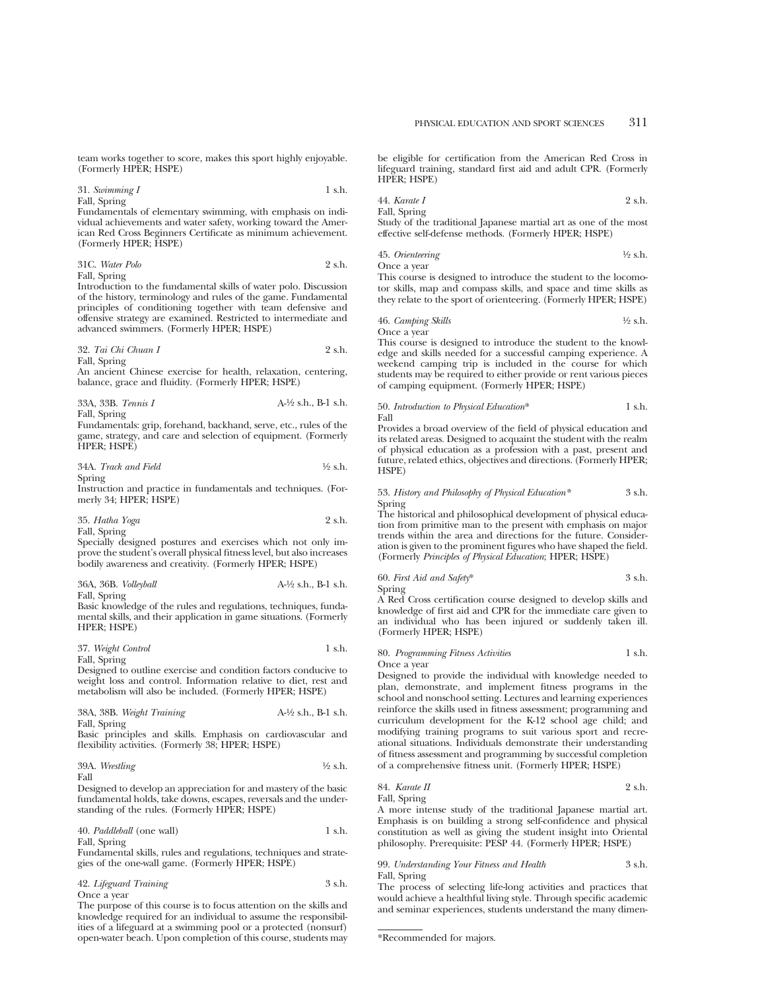team works together to score, makes this sport highly enjoyable. (Formerly HPER; HSPE)

31. *Swimming I* 1 s.h. Fall, Spring

Fundamentals of elementary swimming, with emphasis on individual achievements and water safety, working toward the American Red Cross Beginners Certificate as minimum achievement. (Formerly HPER; HSPE)

31C. *Water Polo* 2 s.h. Fall, Spring

Introduction to the fundamental skills of water polo. Discussion of the history, terminology and rules of the game. Fundamental principles of conditioning together with team defensive and offensive strategy are examined. Restricted to intermediate and advanced swimmers. (Formerly HPER; HSPE)

32. *Tai Chi Chuan I* 2 s.h. Fall, Spring

An ancient Chinese exercise for health, relaxation, centering, balance, grace and fluidity. (Formerly HPER; HSPE)

33A, 33B. *Tennis I* A-1⁄2 s.h., B-1 s.h. Fall, Spring Fundamentals: grip, forehand, backhand, serve, etc., rules of the game, strategy, and care and selection of equipment. (Formerly

HPER; HSPE)

34A. *Track and Field* 1⁄2 s.h. Spring

Instruction and practice in fundamentals and techniques. (Formerly 34; HPER; HSPE)

35. *Hatha Yoga* 2 s.h. Fall, Spring

Specially designed postures and exercises which not only improve the student's overall physical fitness level, but also increases bodily awareness and creativity. (Formerly HPER; HSPE)

36A, 36B. *Volleyball* A-1⁄2 s.h., B-1 s.h. Fall, Spring

Basic knowledge of the rules and regulations, techniques, fundamental skills, and their application in game situations. (Formerly HPER; HSPE)

37. *Weight Control* 1 s.h.

Fall, Spring

Designed to outline exercise and condition factors conducive to weight loss and control. Information relative to diet, rest and metabolism will also be included. (Formerly HPER; HSPE)

| 38A, 38B. Weight Training | A-½ s.h., B-1 s.h. |
|---------------------------|--------------------|
| Fall, Spring              |                    |

Basic principles and skills. Emphasis on cardiovascular and flexibility activities. (Formerly 38; HPER; HSPE)

39A. *Wrestling* 1⁄2 s.h.

Fall

Designed to develop an appreciation for and mastery of the basic fundamental holds, take downs, escapes, reversals and the understanding of the rules. (Formerly HPER; HSPE)

40. *Paddleball* (one wall) 1 s.h. Fall, Spring

Fundamental skills, rules and regulations, techniques and strategies of the one-wall game. (Formerly HPER; HSPE)

| 42. Lifeguard Training | 3 s.h. |
|------------------------|--------|
| Once a year            |        |

The purpose of this course is to focus attention on the skills and knowledge required for an individual to assume the responsibilities of a lifeguard at a swimming pool or a protected (nonsurf) open-water beach. Upon completion of this course, students may

be eligible for certification from the American Red Cross in lifeguard training, standard first aid and adult CPR. (Formerly HPER; HSPE)

44. *Karate I* 2 s.h. Fall, Spring

Study of the traditional Japanese martial art as one of the most effective self-defense methods. (Formerly HPER; HSPE)

45. *Orienteering* 
$$
\frac{1}{2}
$$
 s.h. Once a year

This course is designed to introduce the student to the locomotor skills, map and compass skills, and space and time skills as they relate to the sport of orienteering. (Formerly HPER; HSPE)

# 46. *Camping Skills* 1⁄2 s.h.

Once a year

This course is designed to introduce the student to the knowledge and skills needed for a successful camping experience. A weekend camping trip is included in the course for which students may be required to either provide or rent various pieces of camping equipment. (Formerly HPER; HSPE)

#### 50. *Introduction to Physical Education*\* 1 s.h. Fall

Provides a broad overview of the field of physical education and its related areas. Designed to acquaint the student with the realm of physical education as a profession with a past, present and future, related ethics, objectives and directions. (Formerly HPER; HSPE)

#### 53. *History and Philosophy of Physical Education\** 3 s.h. Spring

The historical and philosophical development of physical education from primitive man to the present with emphasis on major trends within the area and directions for the future. Consideration is given to the prominent figures who have shaped the field. (Formerly *Principles of Physical Education*; HPER; HSPE)

# 60. *First Aid and Safety*\* 3 s.h. Spring

A Red Cross certification course designed to develop skills and knowledge of first aid and CPR for the immediate care given to an individual who has been injured or suddenly taken ill. (Formerly HPER; HSPE)

80. *Programming Fitness Activities* 1 s.h.

Once a year

Designed to provide the individual with knowledge needed to plan, demonstrate, and implement fitness programs in the school and nonschool setting. Lectures and learning experiences reinforce the skills used in fitness assessment; programming and curriculum development for the K-12 school age child; and modifying training programs to suit various sport and recreational situations. Individuals demonstrate their understanding of fitness assessment and programming by successful completion of a comprehensive fitness unit. (Formerly HPER; HSPE)

# 84. *Karate II* 2 s.h. Fall, Spring

A more intense study of the traditional Japanese martial art. Emphasis is on building a strong self-confidence and physical constitution as well as giving the student insight into Oriental philosophy. Prerequisite: PESP 44. (Formerly HPER; HSPE)

# 99. *Understanding Your Fitness and Health* 3 s.h. Fall, Spring

The process of selecting life-long activities and practices that would achieve a healthful living style. Through specific academic and seminar experiences, students understand the many dimen-

<sup>\*</sup>Recommended for majors.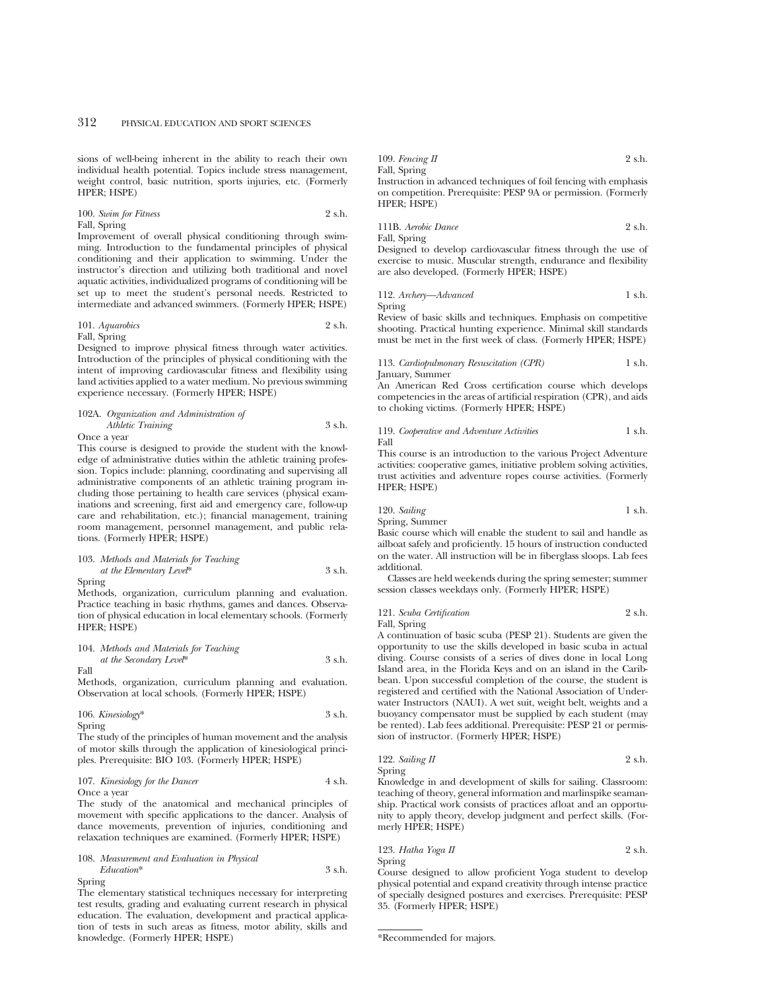sions of well-being inherent in the ability to reach their own individual health potential. Topics include stress management, weight control, basic nutrition, sports injuries, etc. (Formerly HPER; HSPE)

100. *Swim for Fitness* 2 s.h. Fall, Spring

Improvement of overall physical conditioning through swimming. Introduction to the fundamental principles of physical conditioning and their application to swimming. Under the instructor's direction and utilizing both traditional and novel aquatic activities, individualized programs of conditioning will be set up to meet the student's personal needs. Restricted to intermediate and advanced swimmers. (Formerly HPER; HSPE)

101. *Aquarobics* 2 s.h.

Fall, Spring

Designed to improve physical fitness through water activities. Introduction of the principles of physical conditioning with the intent of improving cardiovascular fitness and flexibility using land activities applied to a water medium. No previous swimming experience necessary. (Formerly HPER; HSPE)

#### 102A. *Organization and Administration of Athletic Training* 3 s.h.

Once a year

This course is designed to provide the student with the knowledge of administrative duties within the athletic training profession. Topics include: planning, coordinating and supervising all administrative components of an athletic training program including those pertaining to health care services (physical examinations and screening, first aid and emergency care, follow-up care and rehabilitation, etc.); financial management, training room management, personnel management, and public relations. (Formerly HPER; HSPE)

# 103. *Methods and Materials for Teaching at the Elementary Level*\* 3 s.h.

Spring

Methods, organization, curriculum planning and evaluation. Practice teaching in basic rhythms, games and dances. Observation of physical education in local elementary schools. (Formerly HPER; HSPE)

104. *Methods and Materials for Teaching*

*at the Secondary Level*\* 3 s.h. Fall

Methods, organization, curriculum planning and evaluation. Observation at local schools. (Formerly HPER; HSPE)

106. *Kinesiology*\* 3 s.h. Spring

The study of the principles of human movement and the analysis of motor skills through the application of kinesiological principles. Prerequisite: BIO 103. (Formerly HPER; HSPE)

#### 107. *Kinesiology for the Dancer* 4 s.h. Once a year

The study of the anatomical and mechanical principles of movement with specific applications to the dancer. Analysis of dance movements, prevention of injuries, conditioning and relaxation techniques are examined. (Formerly HPER; HSPE)

# 108. *Measurement and Evaluation in Physical Education*\* 3 s.h.

Spring

The elementary statistical techniques necessary for interpreting test results, grading and evaluating current research in physical education. The evaluation, development and practical application of tests in such areas as fitness, motor ability, skills and knowledge. (Formerly HPER; HSPE)

| 109. Fencing $\Pi$ | 2 s.h. |
|--------------------|--------|
| Fall, Spring       |        |

Instruction in advanced techniques of foil fencing with emphasis on competition. Prerequisite: PESP 9A or permission. (Formerly HPER; HSPE)

111B. *Aerobic Dance* 2 s.h.

Fall, Spring

Designed to develop cardiovascular fitness through the use of exercise to music. Muscular strength, endurance and flexibility are also developed. (Formerly HPER; HSPE)

112. *Archery—Advanced* 1 s.h. Spring

Review of basic skills and techniques. Emphasis on competitive shooting. Practical hunting experience. Minimal skill standards must be met in the first week of class. (Formerly HPER; HSPE)

113. *Cardiopulmonary Resuscitation (CPR)* 1 s.h. January, Summer

An American Red Cross certification course which develops competencies in the areas of artificial respiration (CPR), and aids to choking victims. (Formerly HPER; HSPE)

119. *Cooperative and Adventure Activities* 1 s.h. Fall

This course is an introduction to the various Project Adventure activities: cooperative games, initiative problem solving activities, trust activities and adventure ropes course activities. (Formerly HPER; HSPE)

120. *Sailing* 1 s.h. Spring, Summer

Basic course which will enable the student to sail and handle as ailboat safely and proficiently. 15 hours of instruction conducted on the water. All instruction will be in fiberglass sloops. Lab fees additional.

Classes are held weekends during the spring semester; summer session classes weekdays only. (Formerly HPER; HSPE)

121. *Scuba Certification* 2 s.h. Fall, Spring

A continuation of basic scuba (PESP 21). Students are given the opportunity to use the skills developed in basic scuba in actual diving. Course consists of a series of dives done in local Long Island area, in the Florida Keys and on an island in the Caribbean. Upon successful completion of the course, the student is registered and certified with the National Association of Underwater Instructors (NAUI). A wet suit, weight belt, weights and a buoyancy compensator must be supplied by each student (may be rented). Lab fees additional. Prerequisite: PESP 21 or permission of instructor. (Formerly HPER; HSPE)

122. *Sailing II* 2 s.h. Spring

Knowledge in and development of skills for sailing. Classroom: teaching of theory, general information and marlinspike seamanship. Practical work consists of practices afloat and an opportunity to apply theory, develop judgment and perfect skills. (Formerly HPER; HSPE)

123. *Hatha Yoga II* 2 s.h. Spring

Course designed to allow proficient Yoga student to develop physical potential and expand creativity through intense practice of specially designed postures and exercises. Prerequisite: PESP 35. (Formerly HPER; HSPE)

<sup>\*</sup>Recommended for majors.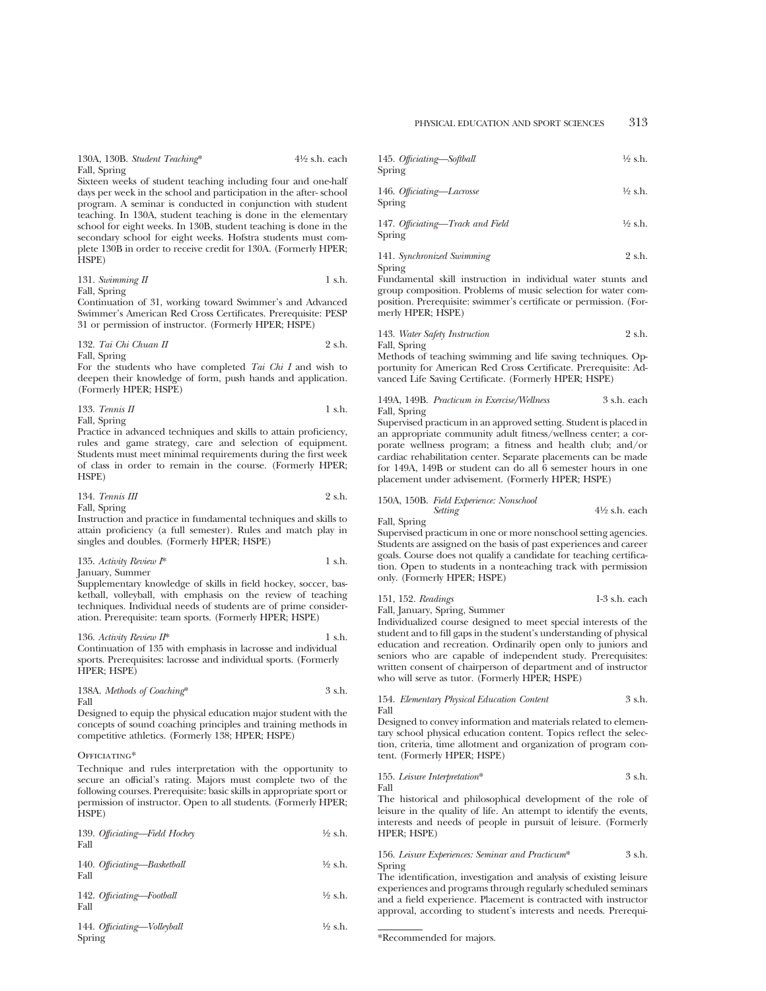130A, 130B. *Student Teaching*\* 4<sup>1</sup>/<sub>2</sub> s.h. each Fall, Spring

Sixteen weeks of student teaching including four and one-half days per week in the school and participation in the after- school program. A seminar is conducted in conjunction with student teaching. In 130A, student teaching is done in the elementary school for eight weeks. In 130B, student teaching is done in the secondary school for eight weeks. Hofstra students must complete 130B in order to receive credit for 130A. (Formerly HPER; HSPE)

131. *Swimming II* 1 s.h. Fall, Spring

Continuation of 31, working toward Swimmer's and Advanced Swimmer's American Red Cross Certificates. Prerequisite: PESP 31 or permission of instructor. (Formerly HPER; HSPE)

# 132. *Tai Chi Chuan II* 2 s.h.

Fall, Spring

For the students who have completed *Tai Chi I* and wish to deepen their knowledge of form, push hands and application. (Formerly HPER; HSPE)

133. *Tennis II* 1 s.h. Fall, Spring

Practice in advanced techniques and skills to attain proficiency, rules and game strategy, care and selection of equipment. Students must meet minimal requirements during the first week of class in order to remain in the course. (Formerly HPER; HSPE)

$$
134. Tennis III \t\t 2 s.h.
$$

Fall, Spring Instruction and practice in fundamental techniques and skills to attain proficiency (a full semester). Rules and match play in singles and doubles. (Formerly HPER; HSPE)

| 135. Activity Review $I^*$ | 1 s.h. |
|----------------------------|--------|
| January, Summer            |        |

Supplementary knowledge of skills in field hockey, soccer, basketball, volleyball, with emphasis on the review of teaching techniques. Individual needs of students are of prime consideration. Prerequisite: team sports. (Formerly HPER; HSPE)

# 136. *Activity Review II*\* 1 s.h. Continuation of 135 with emphasis in lacrosse and individual sports. Prerequisites: lacrosse and individual sports. (Formerly HPER; HSPE)

# 138A. *Methods of Coaching*\* 3 s.h. Fall

Designed to equip the physical education major student with the concepts of sound coaching principles and training methods in competitive athletics. (Formerly 138; HPER; HSPE)

# OFFICIATING\*

Technique and rules interpretation with the opportunity to secure an official's rating. Majors must complete two of the following courses. Prerequisite: basic skills in appropriate sport or permission of instructor. Open to all students. (Formerly HPER; HSPE)

| 139. Officiating-Field Hockey<br>Fall | $\frac{1}{2}$ s.h. |
|---------------------------------------|--------------------|
| 140. Officiating-Basketball           | $\frac{1}{2}$ s.h. |

| Fall |                           |                    |
|------|---------------------------|--------------------|
| Fall | 142. Officiating-Football | $\frac{1}{2}$ s.h. |

```
144. Officiating—Volleyball 1⁄2 s.h.
Spring
```

| 145. Officiating-Softball | $\frac{1}{2}$ s.h. |
|---------------------------|--------------------|
| Spring                    |                    |

146. *Official—Lacrose* 
$$
\frac{1}{2}
$$
 s.h. Spring

147. *Official*—*Track and Field* 
$$
\frac{1}{2}
$$
 s.h. Spring

141. *Synchronized Swimming* 2 s.h. Spring

Fundamental skill instruction in individual water stunts and group composition. Problems of music selection for water composition. Prerequisite: swimmer's certificate or permission. (Formerly HPER; HSPE)

143. *Water Safety Instruction* 2 s.h. Fall, Spring

Methods of teaching swimming and life saving techniques. Opportunity for American Red Cross Certificate. Prerequisite: Advanced Life Saving Certificate. (Formerly HPER; HSPE)

# 149A, 149B. *Practicum in Exercise/Wellness* 3 s.h. each Fall, Spring

Supervised practicum in an approved setting. Student is placed in an appropriate community adult fitness/wellness center; a corporate wellness program; a fitness and health club; and/or cardiac rehabilitation center. Separate placements can be made for 149A, 149B or student can do all 6 semester hours in one placement under advisement. (Formerly HPER; HSPE)

#### 150A, 150B. *Field Experience: Nonschool Setting*  $4\frac{1}{2}$  s.h. each

Fall, Spring

Supervised practicum in one or more nonschool setting agencies. Students are assigned on the basis of past experiences and career goals. Course does not qualify a candidate for teaching certification. Open to students in a nonteaching track with permission only. (Formerly HPER; HSPE)

| 151, 152. Readings | 1-3 s.h. each |
|--------------------|---------------|
|--------------------|---------------|

Fall, January, Spring, Summer Individualized course designed to meet special interests of the student and to fill gaps in the student's understanding of physical education and recreation. Ordinarily open only to juniors and seniors who are capable of independent study. Prerequisites: written consent of chairperson of department and of instructor who will serve as tutor. (Formerly HPER; HSPE)

#### 154. *Elementary Physical Education Content* 3 s.h. Fall

Designed to convey information and materials related to elementary school physical education content. Topics reflect the selection, criteria, time allotment and organization of program content. (Formerly HPER; HSPE)

155. *Leisure Interpretation*\* 3 s.h. Fall

The historical and philosophical development of the role of leisure in the quality of life. An attempt to identify the events, interests and needs of people in pursuit of leisure. (Formerly HPER; HSPE)

# 156. *Leisure Experiences: Seminar and Practicum*\* 3 s.h. Spring

The identification, investigation and analysis of existing leisure experiences and programs through regularly scheduled seminars and a field experience. Placement is contracted with instructor approval, according to student's interests and needs. Prerequi-

\*Recommended for majors.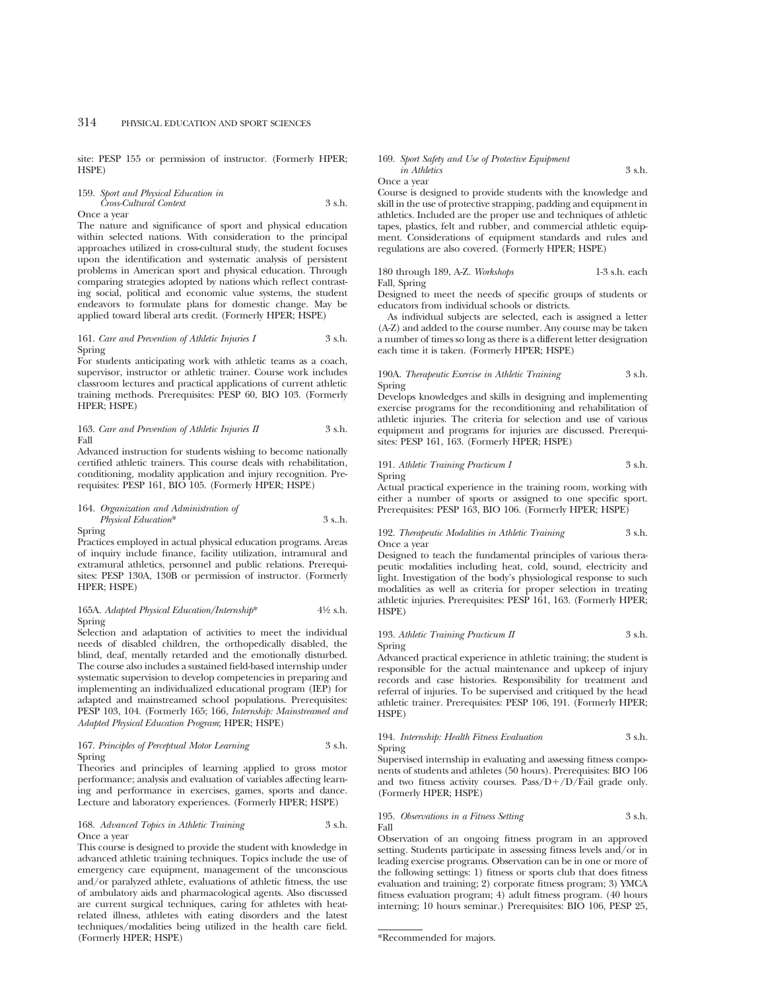site: PESP 155 or permission of instructor. (Formerly HPER; HSPE)

159. *Sport and Physical Education in Cross-Cultural Context* 3 s.h. Once a year

The nature and significance of sport and physical education within selected nations. With consideration to the principal approaches utilized in cross-cultural study, the student focuses upon the identification and systematic analysis of persistent problems in American sport and physical education. Through comparing strategies adopted by nations which reflect contrasting social, political and economic value systems, the student endeavors to formulate plans for domestic change. May be applied toward liberal arts credit. (Formerly HPER; HSPE)

#### 161. *Care and Prevention of Athletic Injuries I* 3 s.h. Spring

For students anticipating work with athletic teams as a coach, supervisor, instructor or athletic trainer. Course work includes classroom lectures and practical applications of current athletic training methods. Prerequisites: PESP 60, BIO 103. (Formerly HPER; HSPE)

#### 163. *Care and Prevention of Athletic Injuries II* 3 s.h. Fall

Advanced instruction for students wishing to become nationally certified athletic trainers. This course deals with rehabilitation, conditioning, modality application and injury recognition. Prerequisites: PESP 161, BIO 105. (Formerly HPER; HSPE)

### 164. *Organization and Administration of Physical Education*\* 3 s..h. Spring

Practices employed in actual physical education programs. Areas of inquiry include finance, facility utilization, intramural and extramural athletics, personnel and public relations. Prerequisites: PESP 130A, 130B or permission of instructor. (Formerly HPER; HSPE)

#### 165A. *Adapted Physical Education/Internship*\* 41⁄2 s.h. Spring

Selection and adaptation of activities to meet the individual needs of disabled children, the orthopedically disabled, the blind, deaf, mentally retarded and the emotionally disturbed. The course also includes a sustained field-based internship under systematic supervision to develop competencies in preparing and implementing an individualized educational program (IEP) for adapted and mainstreamed school populations. Prerequisites: PESP 103, 104. (Formerly 165; 166, *Internship: Mainstreamed and Adapted Physical Education Program*; HPER; HSPE)

#### 167. *Principles of Perceptual Motor Learning* 3 s.h. Spring

Theories and principles of learning applied to gross motor performance; analysis and evaluation of variables affecting learning and performance in exercises, games, sports and dance. Lecture and laboratory experiences. (Formerly HPER; HSPE)

#### 168. *Advanced Topics in Athletic Training* 3 s.h. Once a year

This course is designed to provide the student with knowledge in advanced athletic training techniques. Topics include the use of emergency care equipment, management of the unconscious and/or paralyzed athlete, evaluations of athletic fitness, the use of ambulatory aids and pharmacological agents. Also discussed are current surgical techniques, caring for athletes with heatrelated illness, athletes with eating disorders and the latest techniques/modalities being utilized in the health care field. (Formerly HPER; HSPE)

#### 169. *Sport Safety and Use of Protective Equipment in Athletics* 3 s.h.

Once a year

Course is designed to provide students with the knowledge and skill in the use of protective strapping, padding and equipment in athletics. Included are the proper use and techniques of athletic tapes, plastics, felt and rubber, and commercial athletic equipment. Considerations of equipment standards and rules and regulations are also covered. (Formerly HPER; HSPE)

# 180 through 189, A-Z. *Workshops* 1-3 s.h. each Fall, Spring

Designed to meet the needs of specific groups of students or educators from individual schools or districts.

As individual subjects are selected, each is assigned a letter (A-Z) and added to the course number. Any course may be taken a number of times so long as there is a different letter designation each time it is taken. (Formerly HPER; HSPE)

# 190A. *Therapeutic Exercise in Athletic Training* 3 s.h. Spring

Develops knowledges and skills in designing and implementing exercise programs for the reconditioning and rehabilitation of athletic injuries. The criteria for selection and use of various equipment and programs for injuries are discussed. Prerequisites: PESP 161, 163. (Formerly HPER; HSPE)

#### 191. *Athletic Training Practicum I* 3 s.h. Spring

Actual practical experience in the training room, working with either a number of sports or assigned to one specific sport. Prerequisites: PESP 163, BIO 106. (Formerly HPER; HSPE)

#### 192. *Therapeutic Modalities in Athletic Training* 3 s.h. Once a year

Designed to teach the fundamental principles of various therapeutic modalities including heat, cold, sound, electricity and light. Investigation of the body's physiological response to such modalities as well as criteria for proper selection in treating athletic injuries. Prerequisites: PESP 161, 163. (Formerly HPER; HSPE)

#### 193. *Athletic Training Practicum II* 3 s.h. Spring

Advanced practical experience in athletic training; the student is responsible for the actual maintenance and upkeep of injury records and case histories. Responsibility for treatment and referral of injuries. To be supervised and critiqued by the head athletic trainer. Prerequisites: PESP 106, 191. (Formerly HPER; HSPE)

#### 194. *Internship: Health Fitness Evaluation* 3 s.h. Spring

Supervised internship in evaluating and assessing fitness components of students and athletes (50 hours). Prerequisites: BIO 106 and two fitness activity courses. Pass/ $D+/D/Fail$  grade only. (Formerly HPER; HSPE)

#### 195. *Observations in a Fitness Setting* 3 s.h. Fall

Observation of an ongoing fitness program in an approved setting. Students participate in assessing fitness levels and/or in leading exercise programs. Observation can be in one or more of the following settings: 1) fitness or sports club that does fitness evaluation and training; 2) corporate fitness program; 3) YMCA fitness evaluation program; 4) adult fitness program. (40 hours interning; 10 hours seminar.) Prerequisites: BIO 106, PESP 25,

<sup>\*</sup>Recommended for majors.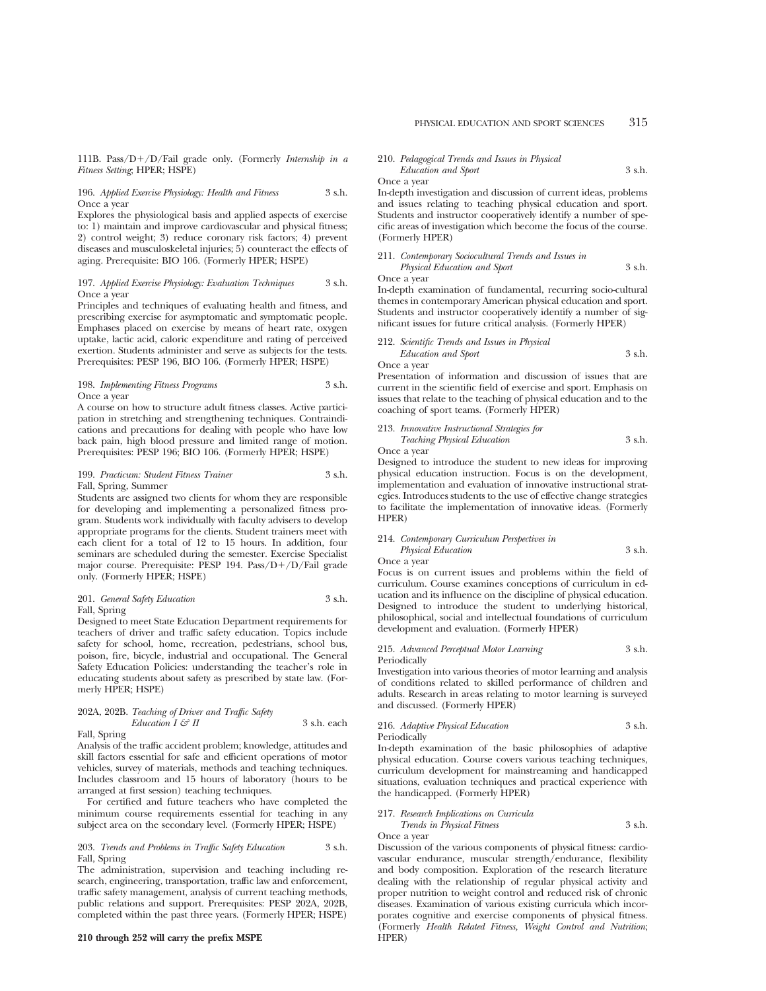111B. Pass/ $D+/D/Fail$  grade only. (Formerly *Internship in a Fitness Setting*; HPER; HSPE)

### 196. *Applied Exercise Physiology: Health and Fitness* 3 s.h. Once a year

Explores the physiological basis and applied aspects of exercise to: 1) maintain and improve cardiovascular and physical fitness; 2) control weight; 3) reduce coronary risk factors; 4) prevent diseases and musculoskeletal injuries; 5) counteract the effects of aging. Prerequisite: BIO 106. (Formerly HPER; HSPE)

# 197. *Applied Exercise Physiology: Evaluation Techniques* 3 s.h. Once a year

Principles and techniques of evaluating health and fitness, and prescribing exercise for asymptomatic and symptomatic people. Emphases placed on exercise by means of heart rate, oxygen uptake, lactic acid, caloric expenditure and rating of perceived exertion. Students administer and serve as subjects for the tests. Prerequisites: PESP 196, BIO 106. (Formerly HPER; HSPE)

## 198. *Implementing Fitness Programs* 3 s.h. Once a year

A course on how to structure adult fitness classes. Active participation in stretching and strengthening techniques. Contraindications and precautions for dealing with people who have low back pain, high blood pressure and limited range of motion. Prerequisites: PESP 196; BIO 106. (Formerly HPER; HSPE)

# 199. *Practicum: Student Fitness Trainer* 3 s.h. Fall, Spring, Summer

Students are assigned two clients for whom they are responsible for developing and implementing a personalized fitness program. Students work individually with faculty advisers to develop appropriate programs for the clients. Student trainers meet with each client for a total of 12 to 15 hours. In addition, four seminars are scheduled during the semester. Exercise Specialist major course. Prerequisite: PESP 194. Pass/ $D+/D/Fail$  grade only. (Formerly HPER; HSPE)

# 201. *General Safety Education* 3 s.h. Fall, Spring

Designed to meet State Education Department requirements for teachers of driver and traffic safety education. Topics include safety for school, home, recreation, pedestrians, school bus, poison, fire, bicycle, industrial and occupational. The General Safety Education Policies: understanding the teacher's role in educating students about safety as prescribed by state law. (Formerly HPER; HSPE)

# 202A, 202B. *Teaching of Driver and Traffic Safety Education I*  $\mathcal{G}$ *<sup>2</sup> II* 3 s.h. each

# Fall, Spring

Analysis of the traffic accident problem; knowledge, attitudes and skill factors essential for safe and efficient operations of motor vehicles, survey of materials, methods and teaching techniques. Includes classroom and 15 hours of laboratory (hours to be arranged at first session) teaching techniques.

For certified and future teachers who have completed the minimum course requirements essential for teaching in any subject area on the secondary level. (Formerly HPER; HSPE)

#### 203. *Trends and Problems in Traffic Safety Education* 3 s.h. Fall, Spring

The administration, supervision and teaching including research, engineering, transportation, traffic law and enforcement, traffic safety management, analysis of current teaching methods, public relations and support. Prerequisites: PESP 202A, 202B, completed within the past three years. (Formerly HPER; HSPE)

## **210 through 252 will carry the prefix MSPE**

#### 210. *Pedagogical Trends and Issues in Physical Education and Sport* 3 s.h.

#### Once a year

In-depth investigation and discussion of current ideas, problems and issues relating to teaching physical education and sport. Students and instructor cooperatively identify a number of specific areas of investigation which become the focus of the course. (Formerly HPER)

211. *Contemporary Sociocultural Trends and Issues in Physical Education and Sport* 3 s.h.

Once a year

In-depth examination of fundamental, recurring socio-cultural themes in contemporary American physical education and sport. Students and instructor cooperatively identify a number of significant issues for future critical analysis. (Formerly HPER)

212. *Scientific Trends and Issues in Physical Education and Sport* 3 s.h.

Once a year

Presentation of information and discussion of issues that are current in the scientific field of exercise and sport. Emphasis on issues that relate to the teaching of physical education and to the coaching of sport teams. (Formerly HPER)

213. *Innovative Instructional Strategies for Teaching Physical Education* 3 s.h.

Once a year

Designed to introduce the student to new ideas for improving physical education instruction. Focus is on the development, implementation and evaluation of innovative instructional strategies. Introduces students to the use of effective change strategies to facilitate the implementation of innovative ideas. (Formerly HPER)

# 214. *Contemporary Curriculum Perspectives in*

*Physical Education* 3 s.h. Once a year

Focus is on current issues and problems within the field of curriculum. Course examines conceptions of curriculum in education and its influence on the discipline of physical education. Designed to introduce the student to underlying historical, philosophical, social and intellectual foundations of curriculum development and evaluation. (Formerly HPER)

215. *Advanced Perceptual Motor Learning* 3 s.h. Periodically

Investigation into various theories of motor learning and analysis of conditions related to skilled performance of children and adults. Research in areas relating to motor learning is surveyed and discussed. (Formerly HPER)

#### 216. *Adaptive Physical Education* 3 s.h. Periodically

In-depth examination of the basic philosophies of adaptive physical education. Course covers various teaching techniques, curriculum development for mainstreaming and handicapped situations, evaluation techniques and practical experience with the handicapped. (Formerly HPER)

### 217. *Research Implications on Curricula Trends in Physical Fitness* 3 s.h. Once a year

Discussion of the various components of physical fitness: cardiovascular endurance, muscular strength/endurance, flexibility and body composition. Exploration of the research literature dealing with the relationship of regular physical activity and proper nutrition to weight control and reduced risk of chronic diseases. Examination of various existing curricula which incorporates cognitive and exercise components of physical fitness. (Formerly *Health Related Fitness, Weight Control and Nutrition*; HPER)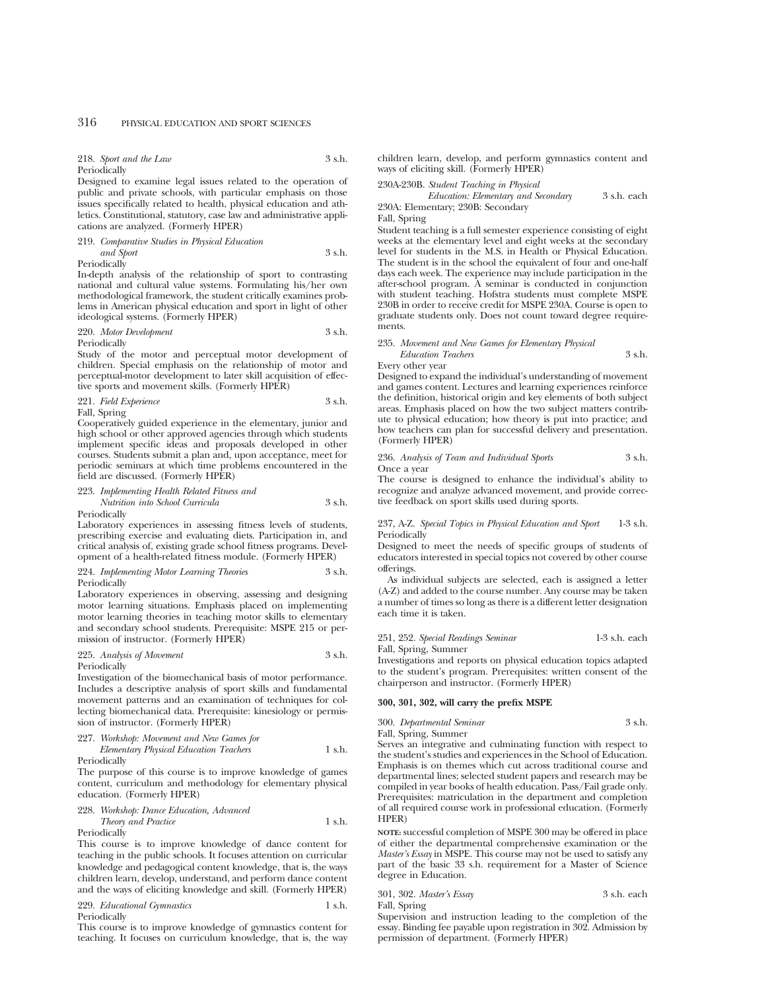218. *Sport and the Law* 3 s.h. Periodically

Designed to examine legal issues related to the operation of public and private schools, with particular emphasis on those issues specifically related to health, physical education and athletics. Constitutional, statutory, case law and administrative applications are analyzed. (Formerly HPER)

#### 219. *Comparative Studies in Physical Education*

*and Sport* 3 s.h. Periodically

In-depth analysis of the relationship of sport to contrasting national and cultural value systems. Formulating his/her own methodological framework, the student critically examines problems in American physical education and sport in light of other ideological systems. (Formerly HPER)

#### 220. *Motor Development* 3 s.h. Periodically

Study of the motor and perceptual motor development of children. Special emphasis on the relationship of motor and perceptual-motor development to later skill acquisition of effective sports and movement skills. (Formerly HPER)

221. *Field Experience* 3 s.h.

Fall, Spring

Cooperatively guided experience in the elementary, junior and high school or other approved agencies through which students implement specific ideas and proposals developed in other courses. Students submit a plan and, upon acceptance, meet for periodic seminars at which time problems encountered in the field are discussed. (Formerly HPER)

# 223. *Implementing Health Related Fitness and*

*Nutrition into School Curricula* 3 s.h. Periodically

Laboratory experiences in assessing fitness levels of students, prescribing exercise and evaluating diets. Participation in, and critical analysis of, existing grade school fitness programs. Development of a health-related fitness module. (Formerly HPER)

#### 224. *Implementing Motor Learning Theories* 3 s.h. Periodically

Laboratory experiences in observing, assessing and designing motor learning situations. Emphasis placed on implementing motor learning theories in teaching motor skills to elementary and secondary school students. Prerequisite: MSPE 215 or permission of instructor. (Formerly HPER)

# 225. *Analysis of Movement* 3 s.h. Periodically

Investigation of the biomechanical basis of motor performance. Includes a descriptive analysis of sport skills and fundamental movement patterns and an examination of techniques for collecting biomechanical data. Prerequisite: kinesiology or permis-

sion of instructor. (Formerly HPER)

227. *Workshop: Movement and New Games for Elementary Physical Education Teachers* 1 s.h.

Periodically

The purpose of this course is to improve knowledge of games content, curriculum and methodology for elementary physical education. (Formerly HPER)

228. *Workshop: Dance Education, Advanced Theory and Practice* 1 s.h. Periodically

This course is to improve knowledge of dance content for teaching in the public schools. It focuses attention on curricular knowledge and pedagogical content knowledge, that is, the ways children learn, develop, understand, and perform dance content and the ways of eliciting knowledge and skill. (Formerly HPER)

229. *Educational Gymnastics* 1 s.h. Periodically

This course is to improve knowledge of gymnastics content for teaching. It focuses on curriculum knowledge, that is, the way children learn, develop, and perform gymnastics content and ways of eliciting skill. (Formerly HPER)

### 230A-230B. *Student Teaching in Physical*

*Education: Elementary and Secondary* 3 s.h. each 230A: Elementary; 230B: Secondary

#### Fall, Spring

Student teaching is a full semester experience consisting of eight weeks at the elementary level and eight weeks at the secondary level for students in the M.S. in Health or Physical Education. The student is in the school the equivalent of four and one-half days each week. The experience may include participation in the after-school program. A seminar is conducted in conjunction with student teaching. Hofstra students must complete MSPE 230B in order to receive credit for MSPE 230A. Course is open to graduate students only. Does not count toward degree requirements.

# 235. *Movement and New Games for Elementary Physical*

*Education Teachers* 3 s.h. Every other year

Designed to expand the individual's understanding of movement and games content. Lectures and learning experiences reinforce the definition, historical origin and key elements of both subject areas. Emphasis placed on how the two subject matters contribute to physical education; how theory is put into practice; and how teachers can plan for successful delivery and presentation. (Formerly HPER)

236. *Analysis of Team and Individual Sports* 3 s.h. Once a year

The course is designed to enhance the individual's ability to recognize and analyze advanced movement, and provide corrective feedback on sport skills used during sports.

237, A-Z. *Special Topics in Physical Education and Sport* 1-3 s.h. Periodically

Designed to meet the needs of specific groups of students of educators interested in special topics not covered by other course offerings.

As individual subjects are selected, each is assigned a letter (A-Z) and added to the course number. Any course may be taken a number of times so long as there is a different letter designation each time it is taken.

# 251, 252. *Special Readings Seminar* 1-3 s.h. each

Fall, Spring, Summer

Investigations and reports on physical education topics adapted to the student's program. Prerequisites: written consent of the chairperson and instructor. (Formerly HPER)

# **300, 301, 302, will carry the prefix MSPE**

300. *Departmental Seminar* 3 s.h. Fall, Spring, Summer

Serves an integrative and culminating function with respect to the student's studies and experiences in the School of Education. Emphasis is on themes which cut across traditional course and departmental lines; selected student papers and research may be compiled in year books of health education. Pass/Fail grade only. Prerequisites: matriculation in the department and completion of all required course work in professional education. (Formerly HPER)

**NOTE:** successful completion of MSPE 300 may be offered in place of either the departmental comprehensive examination or the *Master's Essay* in MSPE. This course may not be used to satisfy any part of the basic 33 s.h. requirement for a Master of Science degree in Education.

301, 302. *Master's Essay* 3 s.h. each Fall, Spring

Supervision and instruction leading to the completion of the essay. Binding fee payable upon registration in 302. Admission by permission of department. (Formerly HPER)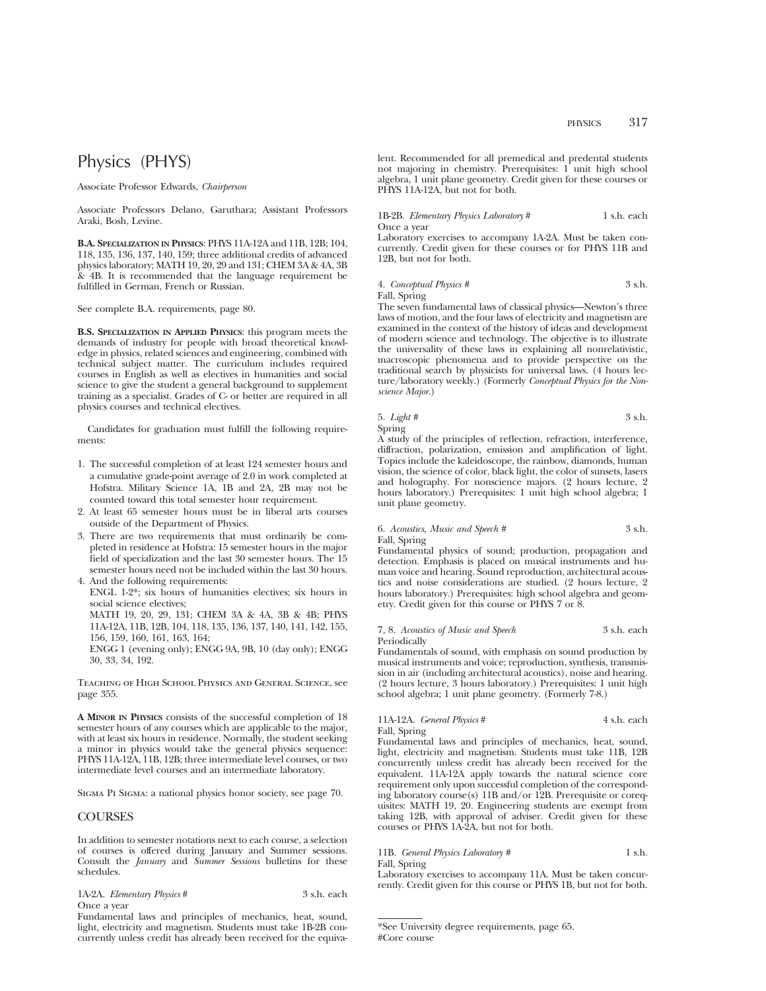# Physics (PHYS)

Associate Professor Edwards, *Chairperson*

Associate Professors Delano, Garuthara; Assistant Professors Araki, Bosh, Levine.

**B.A. SPECIALIZATION IN PHYSICS**: PHYS 11A-12A and 11B, 12B; 104, 118, 135, 136, 137, 140, 159; three additional credits of advanced physics laboratory; MATH 19, 20, 29 and 131; CHEM 3A & 4A, 3B & 4B. It is recommended that the language requirement be fulfilled in German, French or Russian.

See complete B.A. requirements, page 80.

**B.S. SPECIALIZATION IN APPLIED PHYSICS**: this program meets the demands of industry for people with broad theoretical knowledge in physics, related sciences and engineering, combined with technical subject matter. The curriculum includes required courses in English as well as electives in humanities and social science to give the student a general background to supplement training as a specialist. Grades of C- or better are required in all physics courses and technical electives.

Candidates for graduation must fulfill the following requirements:

- 1. The successful completion of at least 124 semester hours and a cumulative grade-point average of 2.0 in work completed at Hofstra. Military Science 1A, 1B and 2A, 2B may not be counted toward this total semester hour requirement.
- 2. At least 65 semester hours must be in liberal arts courses outside of the Department of Physics.
- 3. There are two requirements that must ordinarily be completed in residence at Hofstra: 15 semester hours in the major field of specialization and the last 30 semester hours. The 15 semester hours need not be included within the last 30 hours.

4. And the following requirements: ENGL 1-2\*; six hours of humanities electives; six hours in social science electives;

MATH 19, 20, 29, 131; CHEM 3A & 4A, 3B & 4B; PHYS 11A-12A, 11B, 12B, 104, 118, 135, 136, 137, 140, 141, 142, 155, 156, 159, 160, 161, 163, 164;

ENGG 1 (evening only); ENGG 9A, 9B, 10 (day only); ENGG 30, 33, 34, 192.

Teaching of High School Physics and General Science, see page 355.

**A MINOR IN PHYSICS** consists of the successful completion of 18 semester hours of any courses which are applicable to the major, with at least six hours in residence. Normally, the student seeking a minor in physics would take the general physics sequence: PHYS 11A-12A, 11B, 12B; three intermediate level courses, or two intermediate level courses and an intermediate laboratory.

Sigma Pi Sigma: a national physics honor society, see page 70.

# COURSES

In addition to semester notations next to each course, a selection of courses is offered during January and Summer sessions. Consult the *January* and *Summer Sessions* bulletins for these schedules.

1A-2A. *Elementary Physics* # 3 s.h. each Once a year

Fundamental laws and principles of mechanics, heat, sound, light, electricity and magnetism. Students must take 1B-2B concurrently unless credit has already been received for the equivalent. Recommended for all premedical and predental students not majoring in chemistry. Prerequisites: 1 unit high school algebra, 1 unit plane geometry. Credit given for these courses or PHYS 11A-12A, but not for both.

#### 1B-2B. *Elementary Physics Laboratory* # 1 s.h. each Once a year

Laboratory exercises to accompany 1A-2A. Must be taken concurrently. Credit given for these courses or for PHYS 11B and 12B, but not for both.

|  | 4. Conceptual Physics # | 3 s.h. |  |
|--|-------------------------|--------|--|
|--|-------------------------|--------|--|

Fall, Spring

The seven fundamental laws of classical physics—Newton's three laws of motion, and the four laws of electricity and magnetism are examined in the context of the history of ideas and development of modern science and technology. The objective is to illustrate the universality of these laws in explaining all nonrelativistic, macroscopic phenomena and to provide perspective on the traditional search by physicists for universal laws. (4 hours lecture/laboratory weekly.) (Formerly *Conceptual Physics for the Nonscience Major*.)

5. *Light #* 3 s.h. Spring

A study of the principles of reflection, refraction, interference, diffraction, polarization, emission and amplification of light. Topics include the kaleidoscope, the rainbow, diamonds, human vision, the science of color, black light, the color of sunsets, lasers and holography. For nonscience majors. (2 hours lecture, 2 hours laboratory.) Prerequisites: 1 unit high school algebra; 1 unit plane geometry.

# 6. *Acoustics, Music and Speech #* 3 s.h. Fall, Spring

Fundamental physics of sound; production, propagation and detection. Emphasis is placed on musical instruments and human voice and hearing. Sound reproduction, architectural acoustics and noise considerations are studied. (2 hours lecture, 2 hours laboratory.) Prerequisites: high school algebra and geometry. Credit given for this course or PHYS 7 or 8.

#### 7, 8. *Acoustics of Music and Speech* 3 s.h. each Periodically

Fundamentals of sound, with emphasis on sound production by musical instruments and voice; reproduction, synthesis, transmission in air (including architectural acoustics), noise and hearing. (2 hours lecture, 3 hours laboratory.) Prerequisites: 1 unit high school algebra; 1 unit plane geometry. (Formerly 7-8.)

11A-12A. *General Physics* # 4 s.h. each Fall, Spring

Fundamental laws and principles of mechanics, heat, sound, light, electricity and magnetism. Students must take 11B, 12B concurrently unless credit has already been received for the equivalent. 11A-12A apply towards the natural science core requirement only upon successful completion of the corresponding laboratory course(s) 11B and/or 12B. Prerequisite or corequisites: MATH 19, 20. Engineering students are exempt from taking 12B, with approval of adviser. Credit given for these courses or PHYS 1A-2A, but not for both.

# 11B. *General Physics Laboratory* # 1 s.h. Fall, Spring

Laboratory exercises to accompany 11A. Must be taken concurrently. Credit given for this course or PHYS 1B, but not for both.

<sup>\*</sup>See University degree requirements, page 65. #Core course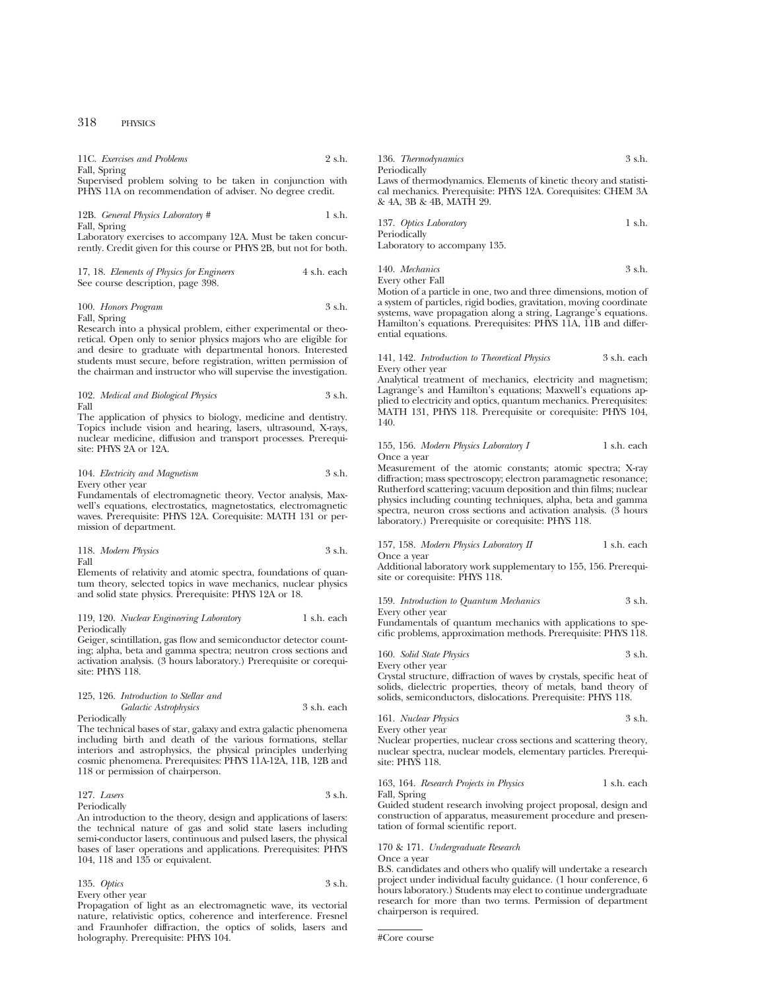11C. *Exercises and Problems* 2 s.h. Fall, Spring Supervised problem solving to be taken in conjunction with

PHYS 11A on recommendation of adviser. No degree credit.

12B. *General Physics Laboratory* # 1 s.h. Fall, Spring

Laboratory exercises to accompany 12A. Must be taken concurrently. Credit given for this course or PHYS 2B, but not for both.

| 17, 18. Elements of Physics for Engineers | 4 s.h. each |
|-------------------------------------------|-------------|
| See course description, page 398.         |             |

100. *Honors Program* 3 s.h. Fall, Spring

Research into a physical problem, either experimental or theoretical. Open only to senior physics majors who are eligible for and desire to graduate with departmental honors. Interested students must secure, before registration, written permission of the chairman and instructor who will supervise the investigation.

102. *Medical and Biological Physics* 3 s.h. Fall

The application of physics to biology, medicine and dentistry. Topics include vision and hearing, lasers, ultrasound, X-rays, nuclear medicine, diffusion and transport processes. Prerequisite: PHYS 2A or 12A.

104. *Electricity and Magnetism* 3 s.h. Every other year

Fundamentals of electromagnetic theory. Vector analysis, Maxwell's equations, electrostatics, magnetostatics, electromagnetic waves. Prerequisite: PHYS 12A. Corequisite: MATH 131 or permission of department.

118. *Modern Physics* 3 s.h. Fall

Elements of relativity and atomic spectra, foundations of quantum theory, selected topics in wave mechanics, nuclear physics and solid state physics. Prerequisite: PHYS 12A or 18.

#### 119, 120. *Nuclear Engineering Laboratory* 1 s.h. each Periodically

Geiger, scintillation, gas flow and semiconductor detector counting; alpha, beta and gamma spectra; neutron cross sections and activation analysis. (3 hours laboratory.) Prerequisite or corequisite: PHYS 118.

### 125, 126. *Introduction to Stellar and Galactic Astrophysics* 3 s.h. each Periodically

The technical bases of star, galaxy and extra galactic phenomena including birth and death of the various formations, stellar interiors and astrophysics, the physical principles underlying cosmic phenomena. Prerequisites: PHYS 11A-12A, 11B, 12B and

118 or permission of chairperson.

# 127. *Lasers* 3 s.h. Periodically

An introduction to the theory, design and applications of lasers: the technical nature of gas and solid state lasers including semi-conductor lasers, continuous and pulsed lasers, the physical bases of laser operations and applications. Prerequisites: PHYS 104, 118 and 135 or equivalent.

135. *Optics* 3 s.h. Every other year

Propagation of light as an electromagnetic wave, its vectorial nature, relativistic optics, coherence and interference. Fresnel and Fraunhofer diffraction, the optics of solids, lasers and holography. Prerequisite: PHYS 104.

| 136. Thermodynamics                                              | 3 s.h. |  |
|------------------------------------------------------------------|--------|--|
| Periodically                                                     |        |  |
| Laws of thermodynamics. Elements of kinetic theory and statisti- |        |  |
| cal mechanics. Prerequisite: PHYS 12A. Corequisites: CHEM 3A     |        |  |
| & 4A, 3B & 4B, MATH 29.                                          |        |  |
|                                                                  |        |  |
|                                                                  |        |  |

| 137. Optics Laboratory       | $1 \text{ s.h.}$ |
|------------------------------|------------------|
| Periodically                 |                  |
| Laboratory to accompany 135. |                  |

140. *Mechanics* 3 s.h. Every other Fall

Motion of a particle in one, two and three dimensions, motion of a system of particles, rigid bodies, gravitation, moving coordinate systems, wave propagation along a string, Lagrange's equations. Hamilton's equations. Prerequisites: PHYS 11A, 11B and differential equations.

141, 142. *Introduction to Theoretical Physics* 3 s.h. each Every other year

Analytical treatment of mechanics, electricity and magnetism; Lagrange's and Hamilton's equations; Maxwell's equations applied to electricity and optics, quantum mechanics. Prerequisites: MATH 131, PHYS 118. Prerequisite or corequisite: PHYS 104, 140.

155, 156. *Modern Physics Laboratory I* 1 s.h. each Once a year

Measurement of the atomic constants; atomic spectra; X-ray diffraction; mass spectroscopy; electron paramagnetic resonance; Rutherford scattering; vacuum deposition and thin films; nuclear physics including counting techniques, alpha, beta and gamma spectra, neuron cross sections and activation analysis. (3 hours laboratory.) Prerequisite or corequisite: PHYS 118.

#### 157, 158. *Modern Physics Laboratory II* 1 s.h. each Once a year

Additional laboratory work supplementary to 155, 156. Prerequisite or corequisite: PHYS 118.

159. *Introduction to Quantum Mechanics* 3 s.h. Every other year

Fundamentals of quantum mechanics with applications to specific problems, approximation methods. Prerequisite: PHYS 118.

|  | 160. Solid State Physics | 3 s.h. |
|--|--------------------------|--------|
|--|--------------------------|--------|

Every other year Crystal structure, diffraction of waves by crystals, specific heat of

solids, dielectric properties, theory of metals, band theory of solids, semiconductors, dislocations. Prerequisite: PHYS 118.

161. *Nuclear Physics* 3 s.h. Every other year

Nuclear properties, nuclear cross sections and scattering theory, nuclear spectra, nuclear models, elementary particles. Prerequisite: PHYS 118.

# 163, 164. *Research Projects in Physics* 1 s.h. each Fall, Spring

Guided student research involving project proposal, design and construction of apparatus, measurement procedure and presentation of formal scientific report.

# 170 & 171. *Undergraduate Research*

Once a year

B.S. candidates and others who qualify will undertake a research project under individual faculty guidance. (1 hour conference, 6 hours laboratory.) Students may elect to continue undergraduate research for more than two terms. Permission of department chairperson is required.

```
#Core course
```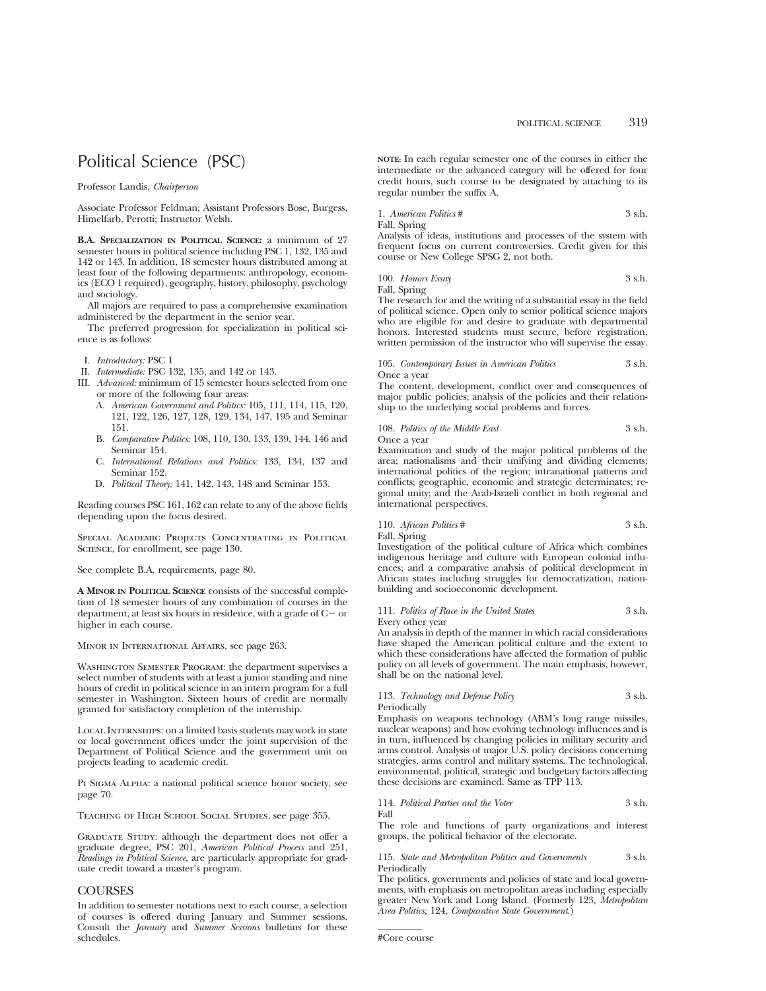# Political Science (PSC)

Professor Landis, *Chairperson*

Associate Professor Feldman; Assistant Professors Bose, Burgess, Himelfarb, Perotti; Instructor Welsh.

**B.A. SPECIALIZATION IN POLITICAL SCIENCE:** a minimum of 27 semester hours in political science including PSC 1, 132, 135 and 142 or 143. In addition, 18 semester hours distributed among at least four of the following departments: anthropology, economics (ECO 1 required), geography, history, philosophy, psychology and sociology.

All majors are required to pass a comprehensive examination administered by the department in the senior year.

The preferred progression for specialization in political science is as follows:

- I. *Introductory:* PSC 1
- II. *Intermediate:* PSC 132, 135, and 142 or 143.
- III. *Advanced:* minimum of 15 semester hours selected from one or more of the following four areas:
	- A. *American Government and Politics:* 105, 111, 114, 115, 120, 121, 122, 126, 127, 128, 129, 134, 147, 195 and Seminar 151.
	- B. *Comparative Politics:* 108, 110, 130, 133, 139, 144, 146 and Seminar 154.
	- C. *International Relations and Politics:* 133, 134, 137 and Seminar 152.
	- D. *Political Theory:* 141, 142, 143, 148 and Seminar 153.

Reading courses PSC 161, 162 can relate to any of the above fields depending upon the focus desired.

Special Academic Projects Concentrating in Political SCIENCE, for enrollment, see page 130.

See complete B.A. requirements, page 80.

**A MINOR IN POLITICAL SCIENCE** consists of the successful completion of 18 semester hours of any combination of courses in the department, at least six hours in residence, with a grade of  $C-$  or higher in each course.

Minor in International Affairs, see page 263.

Washington Semester Program: the department supervises a select number of students with at least a junior standing and nine hours of credit in political science in an intern program for a full semester in Washington. Sixteen hours of credit are normally granted for satisfactory completion of the internship.

Local Internships: on a limited basis students may work in state or local government offices under the joint supervision of the Department of Political Science and the government unit on projects leading to academic credit.

PI SIGMA ALPHA: a national political science honor society, see page 70.

Teaching of High School Social Studies, see page 355.

GRADUATE STUDY: although the department does not offer a graduate degree, PSC 201, *American Political Process* and 251, *Readings in Political Science,* are particularly appropriate for graduate credit toward a master's program.

# **COURSES**

In addition to semester notations next to each course, a selection of courses is offered during January and Summer sessions. Consult the *January* and *Summer Sessions* bulletins for these schedules.

**NOTE:** In each regular semester one of the courses in either the intermediate or the advanced category will be offered for four credit hours, such course to be designated by attaching to its regular number the suffix A.

1. *American Politics* # 3 s.h.

Fall, Spring

Analysis of ideas, institutions and processes of the system with frequent focus on current controversies. Credit given for this course or New College SPSG 2, not both.

100. *Honors Essay* 3 s.h. Fall, Spring

The research for and the writing of a substantial essay in the field of political science. Open only to senior political science majors who are eligible for and desire to graduate with departmental honors. Interested students must secure, before registration, written permission of the instructor who will supervise the essay.

105. *Contemporary Issues in American Politics* 3 s.h. Once a year

The content, development, conflict over and consequences of major public policies; analysis of the policies and their relationship to the underlying social problems and forces.

#### 108. *Politics of the Middle East* 3 s.h. Once a year

Examination and study of the major political problems of the area; nationalisms and their unifying and dividing elements; international politics of the region; intranational patterns and conflicts; geographic, economic and strategic determinates; regional unity; and the Arab-Israeli conflict in both regional and international perspectives.

110. *African Politics* # 3 s.h.

Fall, Spring

Investigation of the political culture of Africa which combines indigenous heritage and culture with European colonial influences; and a comparative analysis of political development in African states including struggles for democratization, nationbuilding and socioeconomic development.

111. *Politics of Race in the United States* 3 s.h. Every other year

An analysis in depth of the manner in which racial considerations have shaped the American political culture and the extent to which these considerations have affected the formation of public policy on all levels of government. The main emphasis, however, shall be on the national level.

#### 113. *Technology and Defense Policy* 3 s.h. Periodically

Emphasis on weapons technology (ABM's long range missiles, nuclear weapons) and how evolving technology influences and is in turn, influenced by changing policies in military security and arms control. Analysis of major U.S. policy decisions concerning strategies, arms control and military systems. The technological, environmental, political, strategic and budgetary factors affecting these decisions are examined. Same as TPP 113.

114. *Political Parties and the Voter* 3 s.h. Fall

The role and functions of party organizations and interest groups, the political behavior of the electorate.

115. *State and Metropolitan Politics and Governments* 3 s.h. Periodically

The politics, governments and policies of state and local governments, with emphasis on metropolitan areas including especially greater New York and Long Island. (Formerly 123, *Metropolitan Area Politics;* 124, *Comparative State Government*.)

<sup>#</sup>Core course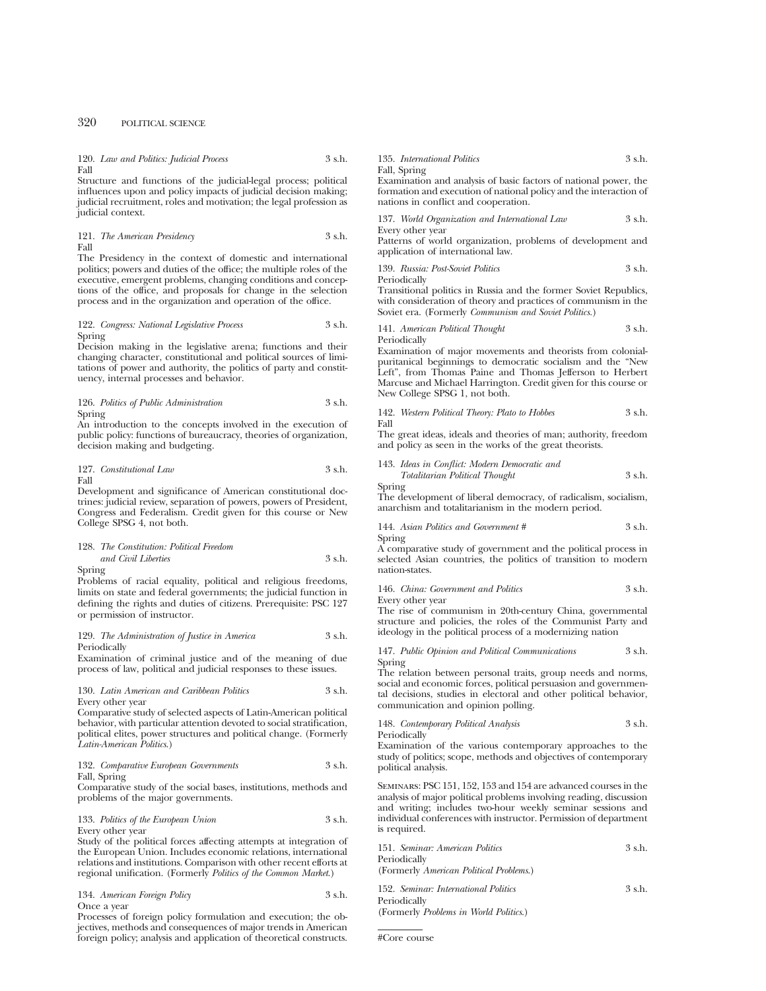320 POLITICAL SCIENCE

|      | 120. Law and Politics: Judicial Process | 3 s.h. |
|------|-----------------------------------------|--------|
| Fall |                                         |        |

Structure and functions of the judicial-legal process; political influences upon and policy impacts of judicial decision making; judicial recruitment, roles and motivation; the legal profession as judicial context.

121. *The American Presidency* 3 s.h. Fall

The Presidency in the context of domestic and international politics; powers and duties of the office; the multiple roles of the executive, emergent problems, changing conditions and conceptions of the office, and proposals for change in the selection process and in the organization and operation of the office.

# 122. *Congress: National Legislative Process* 3 s.h. Spring

Decision making in the legislative arena; functions and their changing character, constitutional and political sources of limitations of power and authority, the politics of party and constituency, internal processes and behavior.

126. *Politics of Public Administration* 3 s.h. Spring

An introduction to the concepts involved in the execution of public policy: functions of bureaucracy, theories of organization, decision making and budgeting.

$$
127. \ \, Constant \, Law \qquad \qquad 3 \; \sh. \qquad
$$

Development and significance of American constitutional doctrines: judicial review, separation of powers, powers of President, Congress and Federalism. Credit given for this course or New College SPSG 4, not both.

# 128. *The Constitution: Political Freedom and Civil Liberties* 3 s.h.

Spring

Problems of racial equality, political and religious freedoms, limits on state and federal governments; the judicial function in defining the rights and duties of citizens. Prerequisite: PSC 127 or permission of instructor.

129. *The Administration of Justice in America* 3 s.h. Periodically

Examination of criminal justice and of the meaning of due process of law, political and judicial responses to these issues.

#### 130. *Latin American and Caribbean Politics* 3 s.h. Every other year

Comparative study of selected aspects of Latin-American political behavior, with particular attention devoted to social stratification, political elites, power structures and political change. (Formerly *Latin-American Politics*.)

# 132. *Comparative European Governments* 3 s.h. Fall, Spring

Comparative study of the social bases, institutions, methods and problems of the major governments.

133. *Politics of the European Union* 3 s.h. Every other year

Study of the political forces affecting attempts at integration of the European Union. Includes economic relations, international relations and institutions. Comparison with other recent efforts at regional unification. (Formerly *Politics of the Common Market*.)

# 134. *American Foreign Policy* 3 s.h. Once a year

Processes of foreign policy formulation and execution; the objectives, methods and consequences of major trends in American foreign policy; analysis and application of theoretical constructs.

#### 135. *International Politics* 3 s.h. Fall, Spring

Examination and analysis of basic factors of national power, the formation and execution of national policy and the interaction of nations in conflict and cooperation.

| 137. World Organization and International Law | 3 s.h. |
|-----------------------------------------------|--------|
| Every other year                              |        |

Patterns of world organization, problems of development and application of international law.

139. *Russia: Post-Soviet Politics* 3 s.h. Periodically

Transitional politics in Russia and the former Soviet Republics, with consideration of theory and practices of communism in the Soviet era. (Formerly *Communism and Soviet Politics.*)

141. *American Political Thought* 3 s.h.

Periodically

Examination of major movements and theorists from colonialpuritanical beginnings to democratic socialism and the "New Left", from Thomas Paine and Thomas Jefferson to Herbert Marcuse and Michael Harrington. Credit given for this course or New College SPSG 1, not both.

142. *Western Political Theory: Plato to Hobbes* 3 s.h. Fall

The great ideas, ideals and theories of man; authority, freedom and policy as seen in the works of the great theorists.

143. *Ideas in Conflict: Modern Democratic and Totalitarian Political Thought* 3 s.h.

Spring

The development of liberal democracy, of radicalism, socialism, anarchism and totalitarianism in the modern period.

144. *Asian Politics and Government #* 3 s.h. Spring

A comparative study of government and the political process in selected Asian countries, the politics of transition to modern nation-states.

#### 146. *China: Government and Politics* 3 s.h. Every other year

The rise of communism in 20th-century China, governmental structure and policies, the roles of the Communist Party and ideology in the political process of a modernizing nation

147. *Public Opinion and Political Communications* 3 s.h. Spring

The relation between personal traits, group needs and norms, social and economic forces, political persuasion and governmental decisions, studies in electoral and other political behavior, communication and opinion polling.

148. *Contemporary Political Analysis* 3 s.h.

Periodically

Examination of the various contemporary approaches to the study of politics; scope, methods and objectives of contemporary political analysis.

Seminars: PSC 151, 152, 153 and 154 are advanced courses in the analysis of major political problems involving reading, discussion and writing; includes two-hour weekly seminar sessions and individual conferences with instructor. Permission of department is required.

| 151. Seminar: American Politics         | $3$ s.h. |
|-----------------------------------------|----------|
| Periodically                            |          |
| (Formerly American Political Problems.) |          |
| 152. Seminar: International Politics    | $3$ s.h. |
| Periodically                            |          |
| (Formerly Problems in World Politics.)  |          |
|                                         |          |

#Core course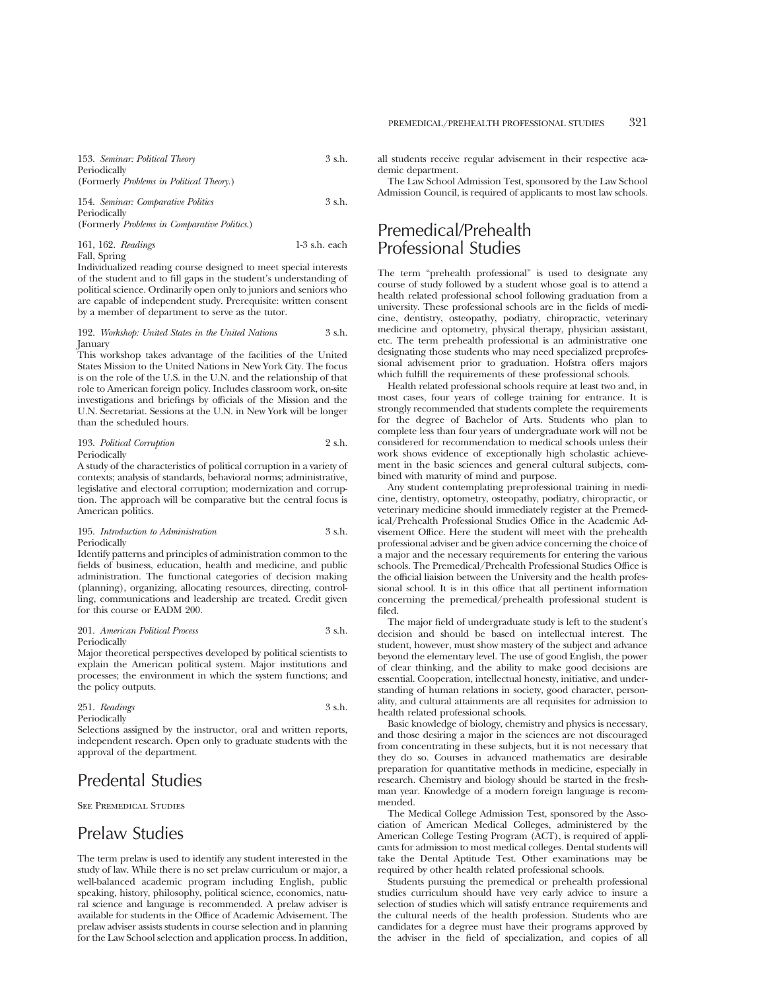| 153. Seminar: Political Theory                   | 3 s.h. |
|--------------------------------------------------|--------|
| Periodically                                     |        |
| (Formerly <i>Problems in Political Theory.</i> ) |        |
| $-1$ $-1$                                        |        |

154. *Seminar: Comparative Politics* 3 s.h. Periodically (Formerly *Problems in Comparative Politics*.)

161, 162. *Readings* 1-3 s.h. each Fall, Spring

Individualized reading course designed to meet special interests of the student and to fill gaps in the student's understanding of political science. Ordinarily open only to juniors and seniors who are capable of independent study. Prerequisite: written consent by a member of department to serve as the tutor.

192. *Workshop: United States in the United Nations* 3 s.h. January

This workshop takes advantage of the facilities of the United States Mission to the United Nations in New York City. The focus is on the role of the U.S. in the U.N. and the relationship of that role to American foreign policy. Includes classroom work, on-site investigations and briefings by officials of the Mission and the U.N. Secretariat. Sessions at the U.N. in New York will be longer than the scheduled hours.

| 193. Political Corruption | 2 s.h. |
|---------------------------|--------|
| Periodically              |        |

A study of the characteristics of political corruption in a variety of contexts; analysis of standards, behavioral norms; administrative, legislative and electoral corruption; modernization and corruption. The approach will be comparative but the central focus is American politics.

# 195. *Introduction to Administration* 3 s.h. Periodically

Identify patterns and principles of administration common to the fields of business, education, health and medicine, and public administration. The functional categories of decision making (planning), organizing, allocating resources, directing, controlling, communications and leadership are treated. Credit given for this course or EADM 200.

201. *American Political Process* 3 s.h. Periodically

Major theoretical perspectives developed by political scientists to explain the American political system. Major institutions and processes; the environment in which the system functions; and the policy outputs.

#### 251. *Readings* 3 s.h. Periodically

Selections assigned by the instructor, oral and written reports, independent research. Open only to graduate students with the approval of the department.

# Predental Studies

See Premedical Studies

# Prelaw Studies

The term prelaw is used to identify any student interested in the study of law. While there is no set prelaw curriculum or major, a well-balanced academic program including English, public speaking, history, philosophy, political science, economics, natural science and language is recommended. A prelaw adviser is available for students in the Office of Academic Advisement. The prelaw adviser assists students in course selection and in planning for the Law School selection and application process. In addition, all students receive regular advisement in their respective academic department.

The Law School Admission Test, sponsored by the Law School Admission Council, is required of applicants to most law schools.

# Premedical/Prehealth Professional Studies

The term "prehealth professional" is used to designate any course of study followed by a student whose goal is to attend a health related professional school following graduation from a university. These professional schools are in the fields of medicine, dentistry, osteopathy, podiatry, chiropractic, veterinary medicine and optometry, physical therapy, physician assistant, etc. The term prehealth professional is an administrative one designating those students who may need specialized preprofessional advisement prior to graduation. Hofstra offers majors which fulfill the requirements of these professional schools.

Health related professional schools require at least two and, in most cases, four years of college training for entrance. It is strongly recommended that students complete the requirements for the degree of Bachelor of Arts. Students who plan to complete less than four years of undergraduate work will not be considered for recommendation to medical schools unless their work shows evidence of exceptionally high scholastic achievement in the basic sciences and general cultural subjects, combined with maturity of mind and purpose.

Any student contemplating preprofessional training in medicine, dentistry, optometry, osteopathy, podiatry, chiropractic, or veterinary medicine should immediately register at the Premedical/Prehealth Professional Studies Office in the Academic Advisement Office. Here the student will meet with the prehealth professional adviser and be given advice concerning the choice of a major and the necessary requirements for entering the various schools. The Premedical/Prehealth Professional Studies Office is the official liaision between the University and the health professional school. It is in this office that all pertinent information concerning the premedical/prehealth professional student is filed.

The major field of undergraduate study is left to the student's decision and should be based on intellectual interest. The student, however, must show mastery of the subject and advance beyond the elementary level. The use of good English, the power of clear thinking, and the ability to make good decisions are essential. Cooperation, intellectual honesty, initiative, and understanding of human relations in society, good character, personality, and cultural attainments are all requisites for admission to health related professional schools.

Basic knowledge of biology, chemistry and physics is necessary, and those desiring a major in the sciences are not discouraged from concentrating in these subjects, but it is not necessary that they do so. Courses in advanced mathematics are desirable preparation for quantitative methods in medicine, especially in research. Chemistry and biology should be started in the freshman year. Knowledge of a modern foreign language is recommended.

The Medical College Admission Test, sponsored by the Association of American Medical Colleges, administered by the American College Testing Program (ACT), is required of applicants for admission to most medical colleges. Dental students will take the Dental Aptitude Test. Other examinations may be required by other health related professional schools.

Students pursuing the premedical or prehealth professional studies curriculum should have very early advice to insure a selection of studies which will satisfy entrance requirements and the cultural needs of the health profession. Students who are candidates for a degree must have their programs approved by the adviser in the field of specialization, and copies of all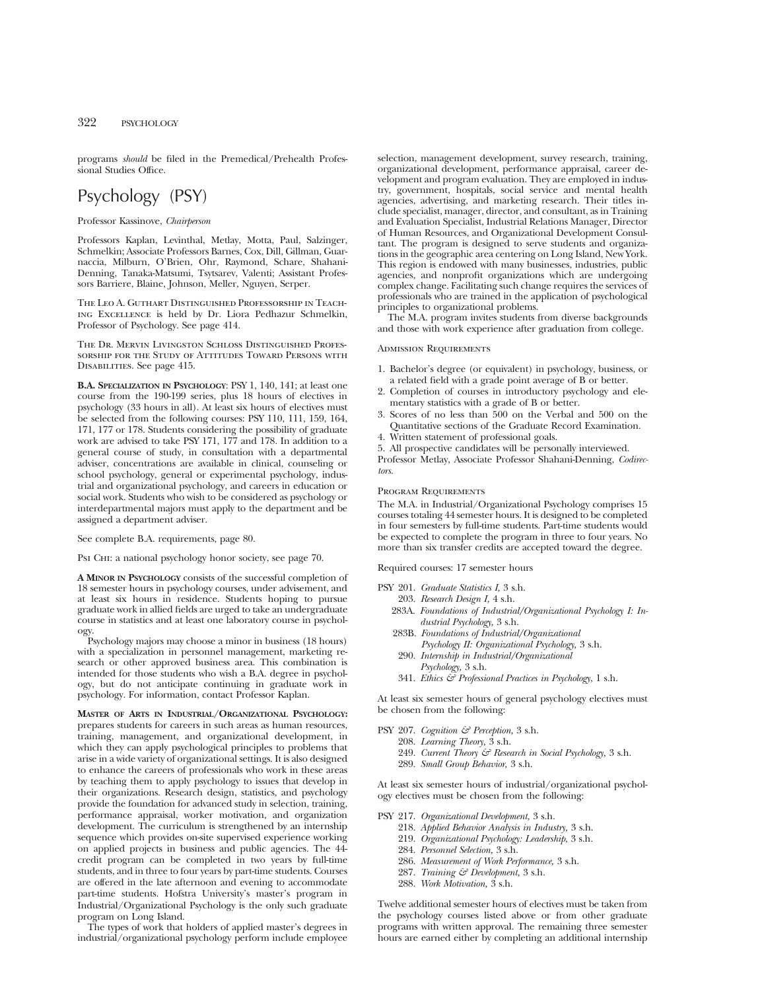programs *should* be filed in the Premedical/Prehealth Professional Studies Office.

# Psychology (PSY)

# Professor Kassinove, *Chairperson*

Professors Kaplan, Levinthal, Metlay, Motta, Paul, Salzinger, Schmelkin; Associate Professors Barnes, Cox, Dill, Gillman, Guarnaccia, Milburn, O'Brien, Ohr, Raymond, Schare, Shahani-Denning, Tanaka-Matsumi, Tsytsarev, Valenti; Assistant Professors Barriere, Blaine, Johnson, Meller, Nguyen, Serper.

The Leo A. Guthart Distinguished Professorship in Teaching Excellence is held by Dr. Liora Pedhazur Schmelkin, Professor of Psychology. See page 414.

The Dr. Mervin Livingston Schloss Distinguished Professorship for the Study of Attitudes Toward Persons with Disabilities. See page 415.

**B.A. SPECIALIZATION IN PSYCHOLOGY**: PSY 1, 140, 141; at least one course from the 190-199 series, plus 18 hours of electives in psychology (33 hours in all). At least six hours of electives must be selected from the following courses: PSY 110, 111, 159, 164, 171, 177 or 178. Students considering the possibility of graduate work are advised to take PSY 171, 177 and 178. In addition to a general course of study, in consultation with a departmental adviser, concentrations are available in clinical, counseling or school psychology, general or experimental psychology, industrial and organizational psychology, and careers in education or social work. Students who wish to be considered as psychology or interdepartmental majors must apply to the department and be assigned a department adviser.

See complete B.A. requirements, page 80.

Psi Chi: a national psychology honor society, see page 70.

**A MINOR IN PSYCHOLOGY** consists of the successful completion of 18 semester hours in psychology courses, under advisement, and at least six hours in residence. Students hoping to pursue graduate work in allied fields are urged to take an undergraduate course in statistics and at least one laboratory course in psychology.

Psychology majors may choose a minor in business (18 hours) with a specialization in personnel management, marketing research or other approved business area. This combination is intended for those students who wish a B.A. degree in psychology, but do not anticipate continuing in graduate work in psychology. For information, contact Professor Kaplan.

**MASTER OF ARTS IN INDUSTRIAL/ORGANIZATIONAL PSYCHOLOGY:** prepares students for careers in such areas as human resources, training, management, and organizational development, in which they can apply psychological principles to problems that arise in a wide variety of organizational settings. It is also designed to enhance the careers of professionals who work in these areas by teaching them to apply psychology to issues that develop in their organizations. Research design, statistics, and psychology provide the foundation for advanced study in selection, training, performance appraisal, worker motivation, and organization development. The curriculum is strengthened by an internship sequence which provides on-site supervised experience working on applied projects in business and public agencies. The 44 credit program can be completed in two years by full-time students, and in three to four years by part-time students. Courses are offered in the late afternoon and evening to accommodate part-time students. Hofstra University's master's program in Industrial/Organizational Psychology is the only such graduate program on Long Island.

The types of work that holders of applied master's degrees in industrial/organizational psychology perform include employee selection, management development, survey research, training, organizational development, performance appraisal, career development and program evaluation. They are employed in industry, government, hospitals, social service and mental health agencies, advertising, and marketing research. Their titles include specialist, manager, director, and consultant, as in Training and Evaluation Specialist, Industrial Relations Manager, Director of Human Resources, and Organizational Development Consultant. The program is designed to serve students and organizations in the geographic area centering on Long Island, New York. This region is endowed with many businesses, industries, public agencies, and nonprofit organizations which are undergoing complex change. Facilitating such change requires the services of professionals who are trained in the application of psychological principles to organizational problems.

The M.A. program invites students from diverse backgrounds and those with work experience after graduation from college.

# Admission Requirements

- 1. Bachelor's degree (or equivalent) in psychology, business, or a related field with a grade point average of B or better.
- 2. Completion of courses in introductory psychology and elementary statistics with a grade of B or better.
- 3. Scores of no less than 500 on the Verbal and 500 on the Quantitative sections of the Graduate Record Examination.
- 4. Written statement of professional goals.
- 5. All prospective candidates will be personally interviewed.

Professor Metlay, Associate Professor Shahani-Denning, *Codirectors.*

#### PROGRAM REQUIREMENTS

The M.A. in Industrial/Organizational Psychology comprises 15 courses totaling 44 semester hours. It is designed to be completed in four semesters by full-time students. Part-time students would be expected to complete the program in three to four years. No more than six transfer credits are accepted toward the degree.

Required courses: 17 semester hours

| PSY 201. <i>Graduate Statistics I</i> , 3 s.h.                   |
|------------------------------------------------------------------|
| 203. Research Design I, 4 s.h.                                   |
| 283A. Foundations of Industrial/Organizational Psychology I: In- |
| dustrial Psychology, 3 s.h.                                      |
| 283B. Foundations of Industrial/Organizational                   |
| Psychology II: Organizational Psychology, 3 s.h.                 |
| 290. Internship in Industrial/Organizational                     |
| Psychology, 3 s.h.                                               |
| 341. Ethics & Professional Practices in Psychology, 1 s.h.       |
|                                                                  |

At least six semester hours of general psychology electives must be chosen from the following:

PSY 207. *Cognition & Perception,* 3 s.h. 208. *Learning Theory,* 3 s.h. 249. *Current Theory & Research in Social Psychology,* 3 s.h. 289. *Small Group Behavior,* 3 s.h.

At least six semester hours of industrial/organizational psychology electives must be chosen from the following:

PSY 217. *Organizational Development,* 3 s.h.

- 218. *Applied Behavior Analysis in Industry,* 3 s.h.
- 219. *Organizational Psychology: Leadership*, 3 s.h.
- 284. *Personnel Selection,* 3 s.h.
- 286. *Measurement of Work Performance,* 3 s.h.
- 287. *Training & Development,* 3 s.h.
- 288. *Work Motivation,* 3 s.h.

Twelve additional semester hours of electives must be taken from the psychology courses listed above or from other graduate programs with written approval. The remaining three semester hours are earned either by completing an additional internship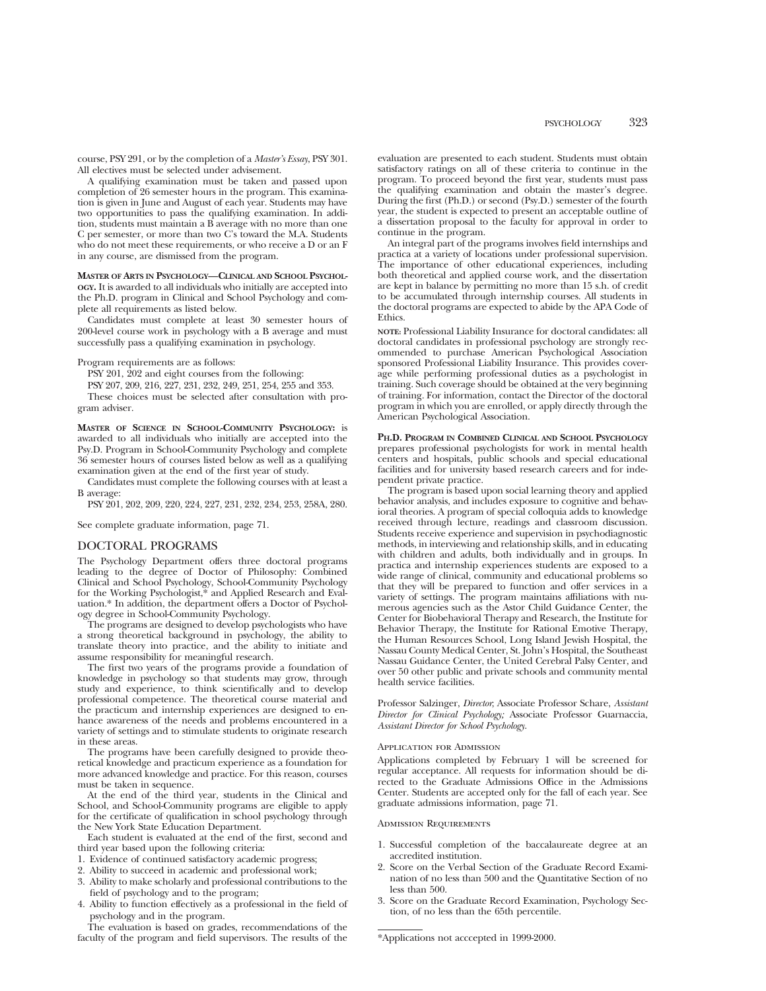course, PSY 291, or by the completion of a *Master's Essay*, PSY 301. All electives must be selected under advisement.

A qualifying examination must be taken and passed upon completion of 26 semester hours in the program. This examination is given in June and August of each year. Students may have two opportunities to pass the qualifying examination. In addition, students must maintain a B average with no more than one C per semester, or more than two C's toward the M.A. Students who do not meet these requirements, or who receive a D or an F in any course, are dismissed from the program.

**MASTER OF ARTS IN PSYCHOLOGY—CLINICAL AND SCHOOL PSYCHOL-OGY.** It is awarded to all individuals who initially are accepted into the Ph.D. program in Clinical and School Psychology and complete all requirements as listed below.

Candidates must complete at least 30 semester hours of 200-level course work in psychology with a B average and must successfully pass a qualifying examination in psychology.

Program requirements are as follows:

PSY 201, 202 and eight courses from the following:

PSY 207, 209, 216, 227, 231, 232, 249, 251, 254, 255 and 353.

These choices must be selected after consultation with program adviser.

**MASTER OF SCIENCE IN SCHOOL-COMMUNITY PSYCHOLOGY:** is awarded to all individuals who initially are accepted into the Psy.D. Program in School-Community Psychology and complete 36 semester hours of courses listed below as well as a qualifying examination given at the end of the first year of study.

Candidates must complete the following courses with at least a B average:

PSY 201, 202, 209, 220, 224, 227, 231, 232, 234, 253, 258A, 280.

See complete graduate information, page 71.

# DOCTORAL PROGRAMS

The Psychology Department offers three doctoral programs leading to the degree of Doctor of Philosophy: Combined Clinical and School Psychology, School-Community Psychology for the Working Psychologist,\* and Applied Research and Evaluation.\* In addition, the department offers a Doctor of Psychology degree in School-Community Psychology.

The programs are designed to develop psychologists who have a strong theoretical background in psychology, the ability to translate theory into practice, and the ability to initiate and assume responsibility for meaningful research.

The first two years of the programs provide a foundation of knowledge in psychology so that students may grow, through study and experience, to think scientifically and to develop professional competence. The theoretical course material and the practicum and internship experiences are designed to enhance awareness of the needs and problems encountered in a variety of settings and to stimulate students to originate research in these areas.

The programs have been carefully designed to provide theoretical knowledge and practicum experience as a foundation for more advanced knowledge and practice. For this reason, courses must be taken in sequence.

At the end of the third year, students in the Clinical and School, and School-Community programs are eligible to apply for the certificate of qualification in school psychology through the New York State Education Department.

Each student is evaluated at the end of the first, second and third year based upon the following criteria:

1. Evidence of continued satisfactory academic progress;

2. Ability to succeed in academic and professional work;

- 3. Ability to make scholarly and professional contributions to the field of psychology and to the program;
- 4. Ability to function effectively as a professional in the field of psychology and in the program.

The evaluation is based on grades, recommendations of the faculty of the program and field supervisors. The results of the

evaluation are presented to each student. Students must obtain satisfactory ratings on all of these criteria to continue in the program. To proceed beyond the first year, students must pass the qualifying examination and obtain the master's degree. During the first (Ph.D.) or second (Psy.D.) semester of the fourth year, the student is expected to present an acceptable outline of a dissertation proposal to the faculty for approval in order to continue in the program.

An integral part of the programs involves field internships and practica at a variety of locations under professional supervision. The importance of other educational experiences, including both theoretical and applied course work, and the dissertation are kept in balance by permitting no more than 15 s.h. of credit to be accumulated through internship courses. All students in the doctoral programs are expected to abide by the APA Code of Ethics.

**NOTE:** Professional Liability Insurance for doctoral candidates: all doctoral candidates in professional psychology are strongly recommended to purchase American Psychological Association sponsored Professional Liability Insurance. This provides coverage while performing professional duties as a psychologist in training. Such coverage should be obtained at the very beginning of training. For information, contact the Director of the doctoral program in which you are enrolled, or apply directly through the American Psychological Association.

**PH.D. PROGRAM IN COMBINED CLINICAL AND SCHOOL PSYCHOLOGY** prepares professional psychologists for work in mental health centers and hospitals, public schools and special educational facilities and for university based research careers and for independent private practice.

The program is based upon social learning theory and applied behavior analysis, and includes exposure to cognitive and behavioral theories. A program of special colloquia adds to knowledge received through lecture, readings and classroom discussion. Students receive experience and supervision in psychodiagnostic methods, in interviewing and relationship skills, and in educating with children and adults, both individually and in groups. In practica and internship experiences students are exposed to a wide range of clinical, community and educational problems so that they will be prepared to function and offer services in a variety of settings. The program maintains affiliations with numerous agencies such as the Astor Child Guidance Center, the Center for Biobehavioral Therapy and Research, the Institute for Behavior Therapy, the Institute for Rational Emotive Therapy, the Human Resources School, Long Island Jewish Hospital, the Nassau County Medical Center, St. John's Hospital, the Southeast Nassau Guidance Center, the United Cerebral Palsy Center, and over 50 other public and private schools and community mental health service facilities.

Professor Salzinger, *Director*; Associate Professor Schare, *Assistant Director for Clinical Psychology;* Associate Professor Guarnaccia, *Assistant Director for School Psychology*.

#### Application for Admission

Applications completed by February 1 will be screened for regular acceptance. All requests for information should be directed to the Graduate Admissions Office in the Admissions Center. Students are accepted only for the fall of each year. See graduate admissions information, page 71.

#### Admission Requirements

- 1. Successful completion of the baccalaureate degree at an accredited institution.
- 2. Score on the Verbal Section of the Graduate Record Examination of no less than 500 and the Quantitative Section of no less than 500.
- 3. Score on the Graduate Record Examination, Psychology Section, of no less than the 65th percentile.

<sup>\*</sup>Applications not acccepted in 1999-2000.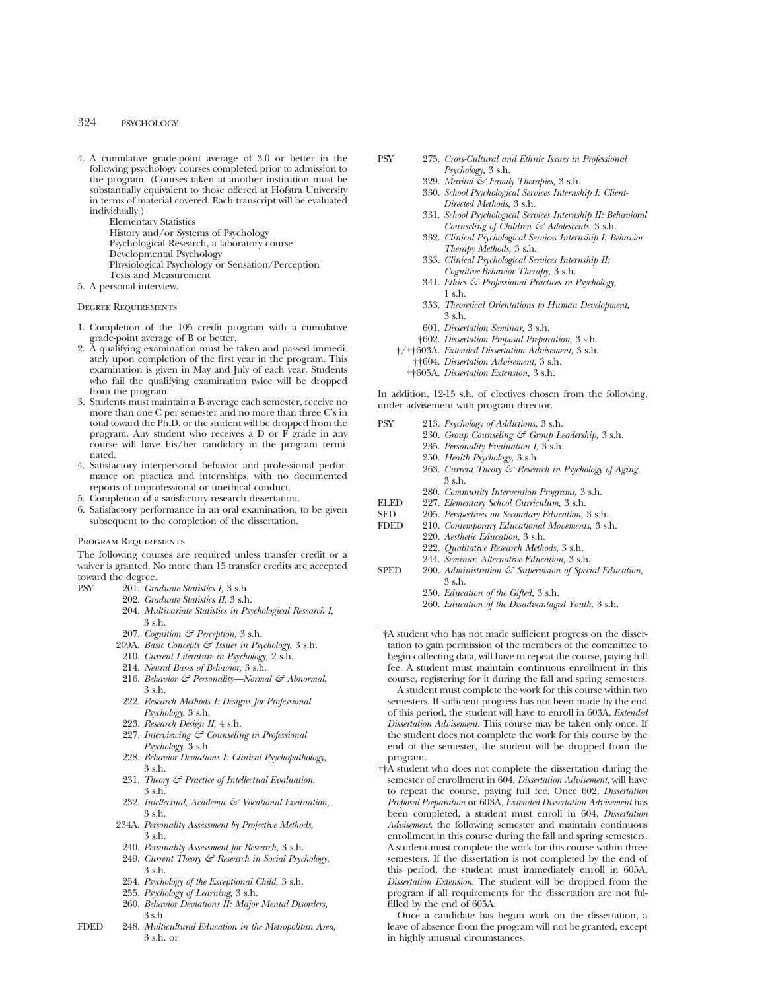4. A cumulative grade-point average of 3.0 or better in the following psychology courses completed prior to admission to the program. (Courses taken at another institution must be substantially equivalent to those offered at Hofstra University in terms of material covered. Each transcript will be evaluated individually.)

> Elementary Statistics History and/or Systems of Psychology

- Psychological Research, a laboratory course
- Developmental Psychology
- Physiological Psychology or Sensation/Perception
- Tests and Measurement
- 5. A personal interview.

# Degree Requirements

- 1. Completion of the 105 credit program with a cumulative grade-point average of B or better.
- 2. A qualifying examination must be taken and passed immediately upon completion of the first year in the program. This examination is given in May and July of each year. Students who fail the qualifying examination twice will be dropped from the program.
- 3. Students must maintain a B average each semester, receive no more than one C per semester and no more than three C's in total toward the Ph.D. or the student will be dropped from the program. Any student who receives a D or F grade in any course will have his/her candidacy in the program terminated.
- 4. Satisfactory interpersonal behavior and professional performance on practica and internships, with no documented reports of unprofessional or unethical conduct.
- 5. Completion of a satisfactory research dissertation.
- 6. Satisfactory performance in an oral examination, to be given subsequent to the completion of the dissertation.

#### Program Requirements

The following courses are required unless transfer credit or a waiver is granted. No more than 15 transfer credits are accepted toward the degree.

- 
- PSY 201. *Graduate Statistics I,* 3 s.h. 202. *Graduate Statistics II,* 3 s.h.
	- 204. *Multivariate Statistics in Psychological Research I,* 3 s.h.
	- 207. *Cognition & Perception,* 3 s.h.
	- 209A. *Basic Concepts & Issues in Psychology,* 3 s.h.
	- 210. *Current Literature in Psychology,* 2 s.h.
	- 214. *Neural Bases of Behavior,* 3 s.h.
	- 216. *Behavior & Personality—Normal & Abnormal*, 3 s.h.
	- 222. *Research Methods I: Designs for Professional Psychology*, 3 s.h.
	- 223. *Research Design II,* 4 s.h.
	- 227. *Interviewing & Counseling in Professional Psychology*, 3 s.h.
	- 228. *Behavior Deviations I: Clinical Psychopathology,* 3 s.h.
	- 231. *Theory & Practice of Intellectual Evaluation,* 3 s.h.
	- 232. *Intellectual, Academic & Vocational Evaluation,* 3 s.h.
	- 234A. *Personality Assessment by Projective Methods,* 3 s.h.
	- 240. *Personality Assessment for Research,* 3 s.h.
	- 249. *Current Theory & Research in Social Psychology,* 3 s.h.
	- 254. *Psychology of the Exceptional Child,* 3 s.h.
	- 255. *Psychology of Learning,* 3 s.h.
	- 260. *Behavior Deviations II: Major Mental Disorders,* 3 s.h.
- FDED 248. *Multicultural Education in the Metropolitan Area,* 3 s.h. or
- PSY 275. *Cross-Cultural and Ethnic Issues in Professional Psychology,* 3 s.h.
	- 329. *Marital & Family Therapies,* 3 s.h.
	- 330. *School Psychological Services Internship I: Client-Directed Methods,* 3 s.h.
	- 331. *School Psychological Services Internship II: Behavioral Counseling of Children & Adolescents,* 3 s.h.
	- 332. *Clinical Psychological Services Internship I: Behavior Therapy Methods,* 3 s.h.
	- 333. *Clinical Psychological Services Internship II: Cognitive-Behavior Therapy,* 3 s.h.
	- 341. *Ethics & Professional Practices in Psychology,* 1 s.h.
	- 353. *Theoretical Orientations to Human Development,*  $3$  sh.
	- 601. *Dissertation Seminar,* 3 s.h.
	- †602. *Dissertation Proposal Preparation,* 3 s.h.
	- †/††603A. *Extended Dissertation Advisement,* 3 s.h.
		- ††604. *Dissertation Advisement,* 3 s.h. ††605A. *Dissertation Extension,* 3 s.h.

In addition, 12-15 s.h. of electives chosen from the following, under advisement with program director.

| PSY         | 213. Psychology of Addictions, 3 s.h.                               |
|-------------|---------------------------------------------------------------------|
|             | 230. Group Counseling & Group Leadership, 3 s.h.                    |
|             | 235. Personality Evaluation I, 3 s.h.                               |
|             | 250. Health Psychology, 3 s.h.                                      |
|             | 263. Current Theory & Research in Psychology of Aging,              |
|             | 3 s.h.                                                              |
|             | 280. Community Intervention Programs, 3 s.h.                        |
| <b>ELED</b> | 227. Elementary School Curriculum, 3 s.h.                           |
| <b>SED</b>  | 205. Perspectives on Secondary Education, 3 s.h.                    |
| FDED        | 210. Contemporary Educational Movements, 3 s.h.                     |
|             | 220. Aesthetic Education, 3 s.h.                                    |
|             | 222. Qualitative Research Methods, 3 s.h.                           |
|             | 244. Seminar: Alternative Education, 3 s.h.                         |
| SPED        | 200. Administration $\mathcal{C}$ Supervision of Special Education, |
|             | 3 s.h.                                                              |
|             | 250. Education of the Gifted, 3 s.h.                                |
|             | $\sim$ $\sim$ $\sim$ $\sim$ $\sim$ $\sim$                           |

260. *Education of the Disadvantaged Youth,* 3 s.h.

†A student who has not made sufficient progress on the dissertation to gain permission of the members of the committee to begin collecting data, will have to repeat the course, paying full fee. A student must maintain continuous enrollment in this course, registering for it during the fall and spring semesters.

A student must complete the work for this course within two semesters. If sufficient progress has not been made by the end of this period, the student will have to enroll in 603A, *Extended Dissertation Advisement.* This course may be taken only once. If the student does not complete the work for this course by the end of the semester, the student will be dropped from the program.

††A student who does not complete the dissertation during the semester of enrollment in 604, *Dissertation Advisement*, will have to repeat the course, paying full fee. Once 602, *Dissertation Proposal Preparation* or 603A, *Extended Dissertation Advisement* has been completed, a student must enroll in 604, *Dissertation Advisement*, the following semester and maintain continuous enrollment in this course during the fall and spring semesters. A student must complete the work for this course within three semesters. If the dissertation is not completed by the end of this period, the student must immediately enroll in 605A, *Dissertation Extension*. The student will be dropped from the program if all requirements for the dissertation are not fulfilled by the end of 605A.

Once a candidate has begun work on the dissertation, a leave of absence from the program will not be granted, except in highly unusual circumstances.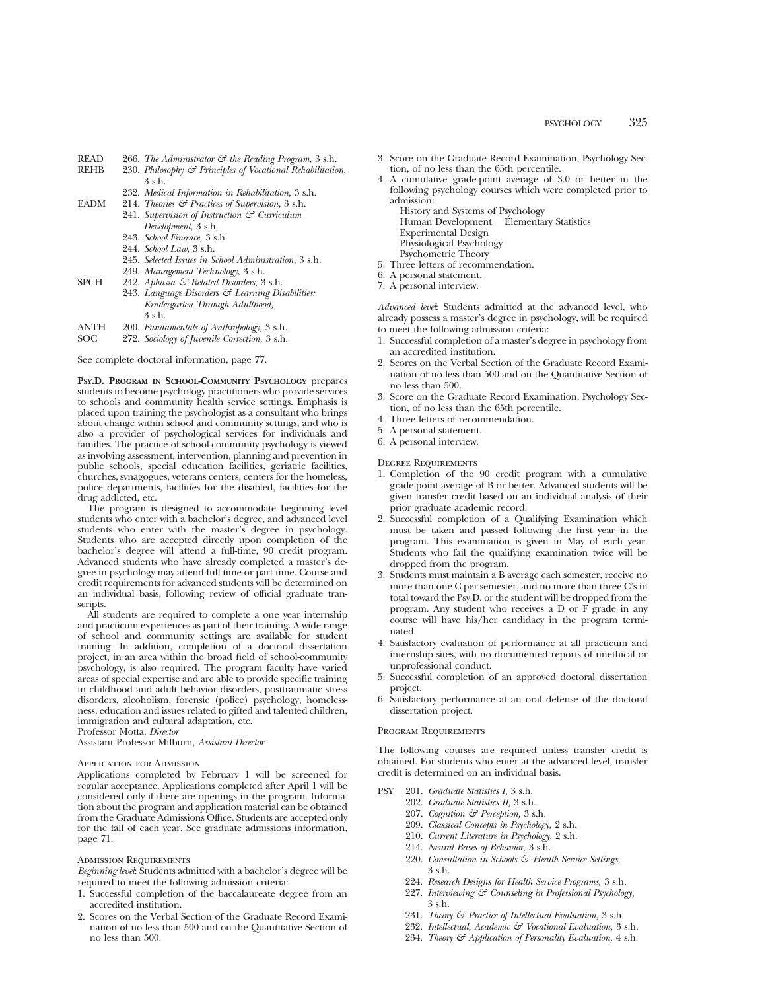- READ 266. *The Administrator & the Reading Program*, 3 s.h.<br>REHB 230. *Philosophy & Principles of Vocational Rehabilitation* 
	- 230. *Philosophy & Principles of Vocational Rehabilitation.* 3 s.h.
		- 232. *Medical Information in Rehabilitation,* 3 s.h.
- EADM 214. *Theories & Practices of Supervision*, 3 s.h. 241. *Supervision of Instruction & Curriculum*
	- *Development*, 3 s.h.
	- 243. *School Finance,* 3 s.h.
	- 244. *School Law,* 3 s.h.
	- 245. *Selected Issues in School Administration*, 3 s.h.
	- 249. *Management Technology*, 3 s.h.
- SPCH 242. *Aphasia & Related Disorders,* 3 s.h.
	- 243. *Language Disorders & Learning Disabilities: Kindergarten Through Adulthood,* 3 s.h.
- ANTH 200. *Fundamentals of Anthropology,* 3 s.h.
- SOC 272. *Sociology of Juvenile Correction,* 3 s.h.

See complete doctoral information, page 77.

**PSY.D. PROGRAM IN SCHOOL-COMMUNITY PSYCHOLOGY** prepares students to become psychology practitioners who provide services to schools and community health service settings. Emphasis is placed upon training the psychologist as a consultant who brings about change within school and community settings, and who is also a provider of psychological services for individuals and families. The practice of school-community psychology is viewed as involving assessment, intervention, planning and prevention in public schools, special education facilities, geriatric facilities, churches, synagogues, veterans centers, centers for the homeless, police departments, facilities for the disabled, facilities for the drug addicted, etc.

The program is designed to accommodate beginning level students who enter with a bachelor's degree, and advanced level students who enter with the master's degree in psychology. Students who are accepted directly upon completion of the bachelor's degree will attend a full-time, 90 credit program. Advanced students who have already completed a master's degree in psychology may attend full time or part time. Course and credit requirements for advanced students will be determined on an individual basis, following review of official graduate transcripts.

All students are required to complete a one year internship and practicum experiences as part of their training. A wide range of school and community settings are available for student training. In addition, completion of a doctoral dissertation project, in an area within the broad field of school-community psychology, is also required. The program faculty have varied areas of special expertise and are able to provide specific training in childhood and adult behavior disorders, posttraumatic stress disorders, alcoholism, forensic (police) psychology, homelessness, education and issues related to gifted and talented children, immigration and cultural adaptation, etc.

Professor Motta, *Director*

Assistant Professor Milburn, *Assistant Director*

#### Application for Admission

Applications completed by February 1 will be screened for regular acceptance. Applications completed after April 1 will be considered only if there are openings in the program. Information about the program and application material can be obtained from the Graduate Admissions Office. Students are accepted only for the fall of each year. See graduate admissions information, page 71.

#### Admission Requirements

*Beginning level*: Students admitted with a bachelor's degree will be required to meet the following admission criteria:

- 1. Successful completion of the baccalaureate degree from an accredited institution.
- 2. Scores on the Verbal Section of the Graduate Record Examination of no less than 500 and on the Quantitative Section of no less than 500.
- 3. Score on the Graduate Record Examination, Psychology Section, of no less than the 65th percentile.
- 4. A cumulative grade-point average of 3.0 or better in the following psychology courses which were completed prior to admission:
- History and Systems of Psychology Human Development Elementary Statistics Experimental Design Physiological Psychology Psychometric Theory 5. Three letters of recommendation.
- 
- 6. A personal statement.
- 7. A personal interview.

*Advanced level*: Students admitted at the advanced level, who already possess a master's degree in psychology, will be required to meet the following admission criteria:

- 1. Successful completion of a master's degree in psychology from an accredited institution.
- 2. Scores on the Verbal Section of the Graduate Record Examination of no less than 500 and on the Quantitative Section of no less than 500.
- 3. Score on the Graduate Record Examination, Psychology Section, of no less than the 65th percentile.
- 4. Three letters of recommendation.
- 5. A personal statement.
- 6. A personal interview.

Degree Requirements

- 1. Completion of the 90 credit program with a cumulative grade-point average of B or better. Advanced students will be given transfer credit based on an individual analysis of their prior graduate academic record.
- 2. Successful completion of a Qualifying Examination which must be taken and passed following the first year in the program. This examination is given in May of each year. Students who fail the qualifying examination twice will be dropped from the program.
- 3. Students must maintain a B average each semester, receive no more than one C per semester, and no more than three C's in total toward the Psy.D. or the student will be dropped from the program. Any student who receives a D or F grade in any course will have his/her candidacy in the program terminated.
- 4. Satisfactory evaluation of performance at all practicum and internship sites, with no documented reports of unethical or unprofessional conduct.
- 5. Successful completion of an approved doctoral dissertation project.
- 6. Satisfactory performance at an oral defense of the doctoral dissertation project.

#### Program Requirements

The following courses are required unless transfer credit is obtained. For students who enter at the advanced level, transfer credit is determined on an individual basis.

- PSY 201. *Graduate Statistics I,* 3 s.h.
	- 202. *Graduate Statistics II,* 3 s.h.
	- 207. *Cognition & Perception,* 3 s.h.
	- 209. *Classical Concepts in Psychology,* 2 s.h.
	- 210. *Current Literature in Psychology,* 2 s.h.
	- 214. *Neural Bases of Behavior,* 3 s.h.
	- 220. *Consultation in Schools & Health Service Settings,* 3 s.h.
	- 224. *Research Designs for Health Service Programs,* 3 s.h.
	- 227. *Interviewing & Counseling in Professional Psychology,* 3 s.h.
	- 231. *Theory & Practice of Intellectual Evaluation,* 3 s.h.
	- 232. *Intellectual, Academic & Vocational Evaluation,* 3 s.h.
	- 234. *Theory & Application of Personality Evaluation,* 4 s.h.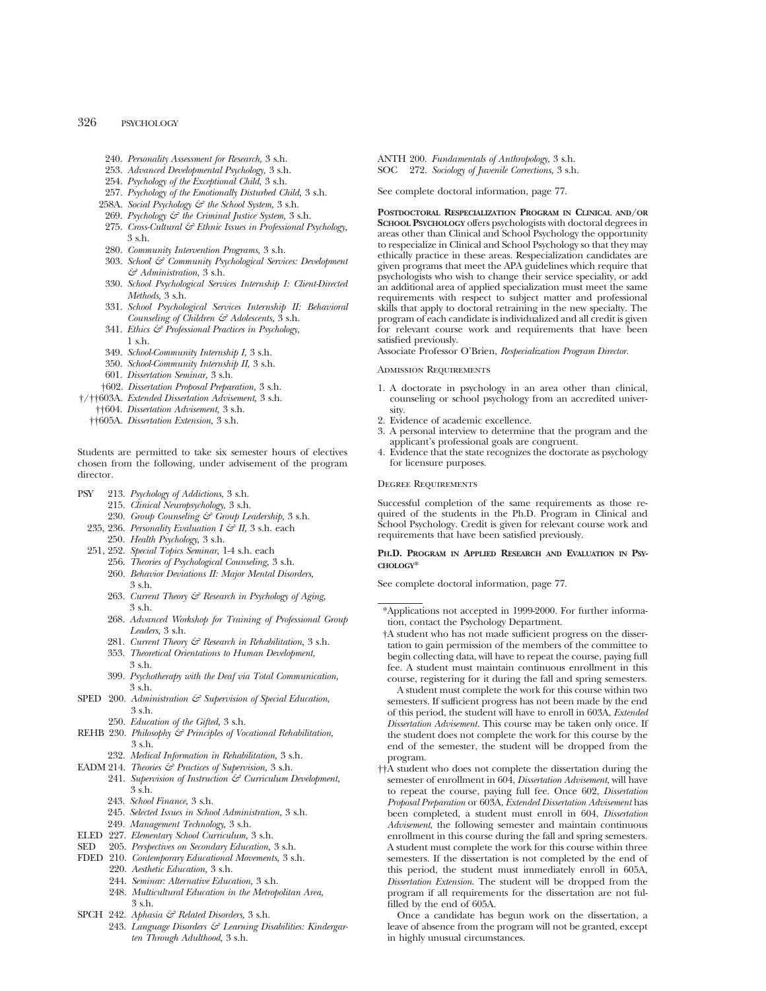- 240. *Personality Assessment for Research,* 3 s.h.
- 253. *Advanced Developmental Psychology,* 3 s.h.
- 254. *Psychology of the Exceptional Child,* 3 s.h.
- 257. *Psychology of the Emotionally Disturbed Child,* 3 s.h.
- 258A. *Social Psychology & the School System,* 3 s.h.
- 269. *Psychology & the Criminal Justice System,* 3 s.h.
- 275. *Cross-Cultural & Ethnic Issues in Professional Psychology,* 3 s.h.
- 280. *Community Intervention Programs,* 3 s.h.
- 303. *School & Community Psychological Services: Development & Administration,* 3 s.h.
- 330. *School Psychological Services Internship I: Client-Directed Methods,* 3 s.h.
- 331. *School Psychological Services Internship II: Behavioral Counseling of Children & Adolescents,* 3 s.h.
- 341. *Ethics & Professional Practices in Psychology,* 1 s.h.
- 349. *School-Community Internship I,* 3 s.h.
- 350. *School-Community Internship II,* 3 s.h.
- 601. *Dissertation Seminar,* 3 s.h.
- †602. *Dissertation Proposal Preparation,* 3 s.h.
- †/††603A. *Extended Dissertation Advisement,* 3 s.h.
	- ††604. *Dissertation Advisement,* 3 s.h.
	- ††605A. *Dissertation Extension,* 3 s.h.

Students are permitted to take six semester hours of electives chosen from the following, under advisement of the program director.

- PSY 213. *Psychology of Addictions,* 3 s.h.
	- 215. *Clinical Neuropsychology,* 3 s.h.
	- 230. *Group Counseling & Group Leadership,* 3 s.h.
	- 235, 236. *Personality Evaluation I & II,* 3 s.h. each 250. *Health Psychology,* 3 s.h.
	- 251, 252. *Special Topics Seminar,* 1-4 s.h. each
		- 256. *Theories of Psychological Counseling,* 3 s.h.
		- 260. *Behavior Deviations II: Major Mental Disorders,* 3 s.h.
		- 263. *Current Theory & Research in Psychology of Aging,* 3 s.h.
		- 268. *Advanced Workshop for Training of Professional Group Leaders,* 3 s.h.
		- 281. *Current Theory & Research in Rehabilitation,* 3 s.h.
		- 353. *Theoretical Orientations to Human Development,* 3 s.h.
		- 399. *Psychotherapy with the Deaf via Total Communication,* 3 s.h.
- SPED 200. Administration  $\mathcal{F}$  Supervision of Special Education, 3 s.h.
	- 250. *Education of the Gifted,* 3 s.h.
- REHB 230. *Philosophy & Principles of Vocational Rehabilitation,* 3 s.h.
	- 232. *Medical Information in Rehabilitation,* 3 s.h.
- EADM 214. *Theories & Practices of Supervision,* 3 s.h.
	- 241. *Supervision of Instruction & Curriculum Development,* 3 s.h.
	- 243. *School Finance,* 3 s.h.
	- 245. *Selected Issues in School Administration,* 3 s.h.
	- 249. *Management Technology,* 3 s.h.
- ELED 227. *Elementary School Curriculum,* 3 s.h.
- SED 205. *Perspectives on Secondary Education,* 3 s.h.
- FDED 210. *Contemporary Educational Movements,* 3 s.h.
	- 220. *Aesthetic Education,* 3 s.h.
	- 244. *Seminar: Alternative Education,* 3 s.h.
	- 248. *Multicultural Education in the Metropolitan Area,* 3 s.h.
- SPCH 242. *Aphasia & Related Disorders,* 3 s.h.
	- 243. *Language Disorders & Learning Disabilities: Kindergarten Through Adulthood,* 3 s.h.

ANTH 200. *Fundamentals of Anthropology,* 3 s.h. SOC 272. *Sociology of Juvenile Corrections,* 3 s.h.

See complete doctoral information, page 77.

**POSTDOCTORAL RESPECIALIZATION PROGRAM IN CLINICAL AND/OR SCHOOL PSYCHOLOGY** offers psychologists with doctoral degrees in areas other than Clinical and School Psychology the opportunity to respecialize in Clinical and School Psychology so that they may ethically practice in these areas. Respecialization candidates are given programs that meet the APA guidelines which require that psychologists who wish to change their service speciality, or add an additional area of applied specialization must meet the same requirements with respect to subject matter and professional skills that apply to doctoral retraining in the new specialty. The program of each candidate is individualized and all credit is given for relevant course work and requirements that have been satisfied previously.

Associate Professor O'Brien, *Respecialization Program Director.*

# Admission Requirements

- 1. A doctorate in psychology in an area other than clinical, counseling or school psychology from an accredited university.
- 2. Evidence of academic excellence.
- 3. A personal interview to determine that the program and the applicant's professional goals are congruent.
- 4. Evidence that the state recognizes the doctorate as psychology for licensure purposes.

### Degree Requirements

Successful completion of the same requirements as those required of the students in the Ph.D. Program in Clinical and School Psychology. Credit is given for relevant course work and requirements that have been satisfied previously.

# **PH.D. PROGRAM IN APPLIED RESEARCH AND EVALUATION IN PSY-CHOLOGY**\*

See complete doctoral information, page 77.

†A student who has not made sufficient progress on the dissertation to gain permission of the members of the committee to begin collecting data, will have to repeat the course, paying full fee. A student must maintain continuous enrollment in this course, registering for it during the fall and spring semesters.

A student must complete the work for this course within two semesters. If sufficient progress has not been made by the end of this period, the student will have to enroll in 603A, *Extended Dissertation Advisement.* This course may be taken only once. If the student does not complete the work for this course by the end of the semester, the student will be dropped from the program.

††A student who does not complete the dissertation during the semester of enrollment in 604, *Dissertation Advisement*, will have to repeat the course, paying full fee. Once 602, *Dissertation Proposal Preparation* or 603A, *Extended Dissertation Advisement* has been completed, a student must enroll in 604, *Dissertation Advisement*, the following semester and maintain continuous enrollment in this course during the fall and spring semesters. A student must complete the work for this course within three semesters. If the dissertation is not completed by the end of this period, the student must immediately enroll in 605A, *Dissertation Extension*. The student will be dropped from the program if all requirements for the dissertation are not fulfilled by the end of 605A.

Once a candidate has begun work on the dissertation, a leave of absence from the program will not be granted, except in highly unusual circumstances.

<sup>\*</sup>Applications not accepted in 1999-2000. For further information, contact the Psychology Department.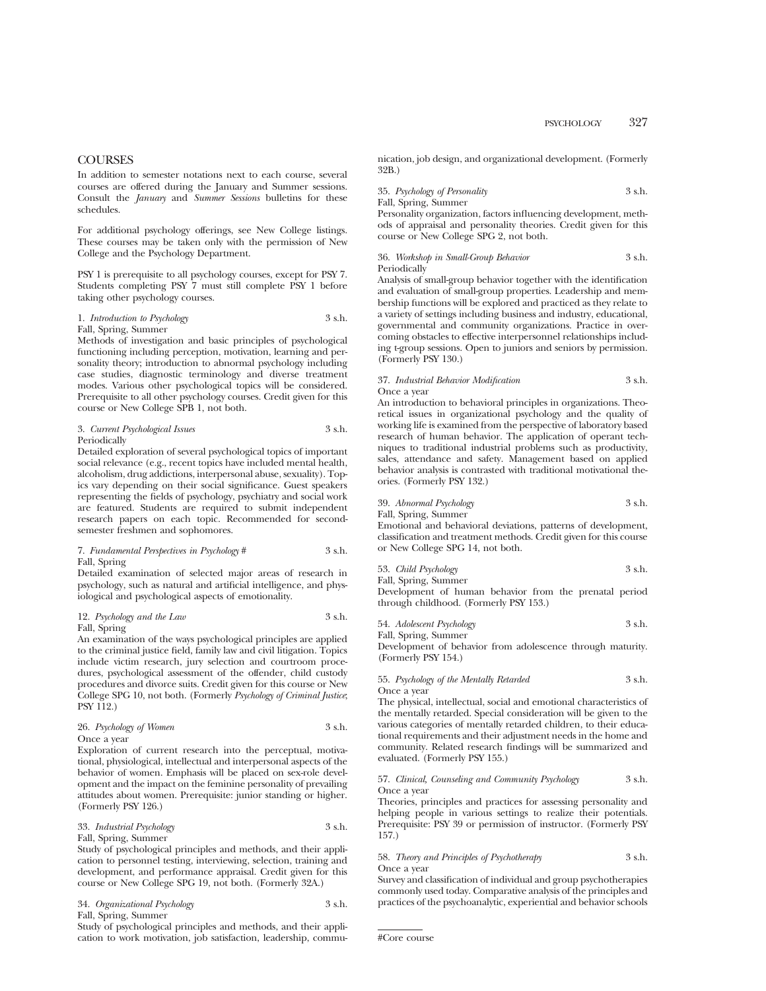# **COURSES**

In addition to semester notations next to each course, several courses are offered during the January and Summer sessions. Consult the *January* and *Summer Sessions* bulletins for these schedules.

For additional psychology offerings, see New College listings. These courses may be taken only with the permission of New College and the Psychology Department.

PSY 1 is prerequisite to all psychology courses, except for PSY 7. Students completing PSY 7 must still complete PSY 1 before taking other psychology courses.

# 1. *Introduction to Psychology* 3 s.h. Fall, Spring, Summer

Methods of investigation and basic principles of psychological functioning including perception, motivation, learning and personality theory; introduction to abnormal psychology including case studies, diagnostic terminology and diverse treatment modes. Various other psychological topics will be considered. Prerequisite to all other psychology courses. Credit given for this course or New College SPB 1, not both.

#### 3. *Current Psychological Issues* 3 s.h. **Periodically**

Detailed exploration of several psychological topics of important social relevance (e.g., recent topics have included mental health, alcoholism, drug addictions, interpersonal abuse, sexuality). Topics vary depending on their social significance. Guest speakers representing the fields of psychology, psychiatry and social work are featured. Students are required to submit independent research papers on each topic. Recommended for secondsemester freshmen and sophomores.

### 7. *Fundamental Perspectives in Psychology* # 3 s.h. Fall, Spring

Detailed examination of selected major areas of research in psychology, such as natural and artificial intelligence, and physiological and psychological aspects of emotionality.

# 12. *Psychology and the Law* 3 s.h. Fall, Spring

An examination of the ways psychological principles are applied to the criminal justice field, family law and civil litigation. Topics include victim research, jury selection and courtroom procedures, psychological assessment of the offender, child custody procedures and divorce suits. Credit given for this course or New College SPG 10, not both. (Formerly *Psychology of Criminal Justice*; PSY 112.)

# 26. *Psychology of Women* 3 s.h. Once a year

Exploration of current research into the perceptual, motivational, physiological, intellectual and interpersonal aspects of the behavior of women. Emphasis will be placed on sex-role development and the impact on the feminine personality of prevailing attitudes about women. Prerequisite: junior standing or higher. (Formerly PSY 126.)

# 33. *Industrial Psychology* 3 s.h. Fall, Spring, Summer

Study of psychological principles and methods, and their application to personnel testing, interviewing, selection, training and development, and performance appraisal. Credit given for this course or New College SPG 19, not both. (Formerly 32A.)

| 34. Organizational Psychology | 3 s.h. |
|-------------------------------|--------|
| Fall, Spring, Summer          |        |

Study of psychological principles and methods, and their application to work motivation, job satisfaction, leadership, communication, job design, and organizational development. (Formerly 32B.)

35. *Psychology of Personality* 3 s.h. Fall, Spring, Summer

Personality organization, factors influencing development, methods of appraisal and personality theories. Credit given for this course or New College SPG 2, not both.

36. *Workshop in Small-Group Behavior* 3 s.h. Periodically

Analysis of small-group behavior together with the identification and evaluation of small-group properties. Leadership and membership functions will be explored and practiced as they relate to a variety of settings including business and industry, educational, governmental and community organizations. Practice in overcoming obstacles to effective interpersonnel relationships including t-group sessions. Open to juniors and seniors by permission. (Formerly PSY 130.)

### 37. *Industrial Behavior Modification* 3 s.h. Once a year

An introduction to behavioral principles in organizations. Theoretical issues in organizational psychology and the quality of working life is examined from the perspective of laboratory based research of human behavior. The application of operant techniques to traditional industrial problems such as productivity, sales, attendance and safety. Management based on applied behavior analysis is contrasted with traditional motivational theories. (Formerly PSY 132.)

39. *Abnormal Psychology* 3 s.h.

Fall, Spring, Summer

Emotional and behavioral deviations, patterns of development, classification and treatment methods. Credit given for this course or New College SPG 14, not both.

53. *Child Psychology* 3 s.h.

Fall, Spring, Summer Development of human behavior from the prenatal period through childhood. (Formerly PSY 153.)

| 54. Adolescent Psychology | 3 s.h. |
|---------------------------|--------|
| Fall, Spring, Summer      |        |

Development of behavior from adolescence through maturity. (Formerly PSY 154.)

55. *Psychology of the Mentally Retarded* 3 s.h. Once a year

The physical, intellectual, social and emotional characteristics of the mentally retarded. Special consideration will be given to the various categories of mentally retarded children, to their educational requirements and their adjustment needs in the home and community. Related research findings will be summarized and evaluated. (Formerly PSY 155.)

# 57. *Clinical, Counseling and Community Psychology* 3 s.h. Once a year

Theories, principles and practices for assessing personality and helping people in various settings to realize their potentials. Prerequisite: PSY 39 or permission of instructor. (Formerly PSY 157.)

# 58. *Theory and Principles of Psychotherapy* 3 s.h. Once a year

Survey and classification of individual and group psychotherapies commonly used today. Comparative analysis of the principles and practices of the psychoanalytic, experiential and behavior schools

```
#Core course
```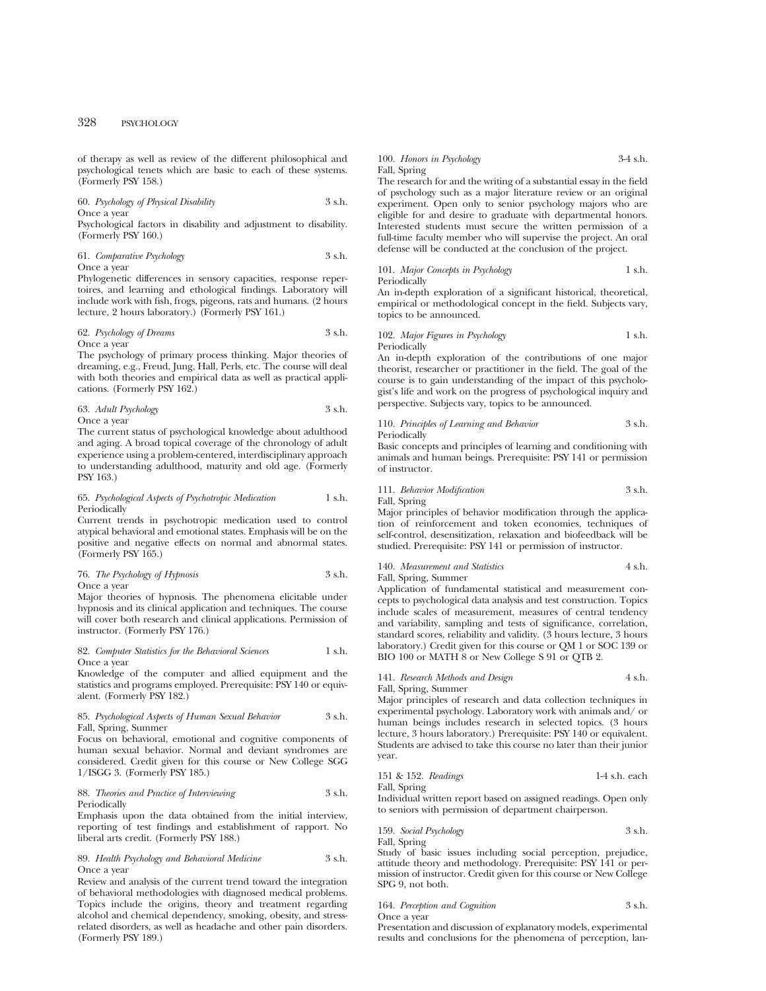of therapy as well as review of the different philosophical and psychological tenets which are basic to each of these systems. (Formerly PSY 158.)

# 60. *Psychology of Physical Disability* 3 s.h. Once a year

Psychological factors in disability and adjustment to disability. (Formerly PSY 160.)

# 61. *Comparative Psychology* 3 s.h. Once a year

Phylogenetic differences in sensory capacities, response repertoires, and learning and ethological findings. Laboratory will include work with fish, frogs, pigeons, rats and humans. (2 hours lecture, 2 hours laboratory.) (Formerly PSY 161.)

# 62. *Psychology of Dreams* 3 s.h. Once a year

The psychology of primary process thinking. Major theories of dreaming, e.g., Freud, Jung, Hall, Perls, etc. The course will deal with both theories and empirical data as well as practical applications. (Formerly PSY 162.)

# 63. *Adult Psychology* 3 s.h. Once a year

The current status of psychological knowledge about adulthood and aging. A broad topical coverage of the chronology of adult experience using a problem-centered, interdisciplinary approach to understanding adulthood, maturity and old age. (Formerly PSY 163.)

### 65. *Psychological Aspects of Psychotropic Medication* 1 s.h. Periodically

Current trends in psychotropic medication used to control atypical behavioral and emotional states. Emphasis will be on the positive and negative effects on normal and abnormal states. (Formerly PSY 165.)

# 76. *The Psychology of Hypnosis* 3 s.h. Once a year

Major theories of hypnosis. The phenomena elicitable under hypnosis and its clinical application and techniques. The course will cover both research and clinical applications. Permission of instructor. (Formerly PSY 176.)

# 82. *Computer Statistics for the Behavioral Sciences* 1 s.h. Once a year

Knowledge of the computer and allied equipment and the statistics and programs employed. Prerequisite: PSY 140 or equivalent. (Formerly PSY 182.)

# 85. *Psychological Aspects of Human Sexual Behavior* 3 s.h. Fall, Spring, Summer

Focus on behavioral, emotional and cognitive components of human sexual behavior. Normal and deviant syndromes are considered. Credit given for this course or New College SGG 1/ISGG 3. (Formerly PSY 185.)

# 88. *Theories and Practice of Interviewing* 3 s.h. **Periodically**

Emphasis upon the data obtained from the initial interview, reporting of test findings and establishment of rapport. No liberal arts credit. (Formerly PSY 188.)

#### 89. *Health Psychology and Behavioral Medicine* 3 s.h. Once a year

Review and analysis of the current trend toward the integration of behavioral methodologies with diagnosed medical problems. Topics include the origins, theory and treatment regarding alcohol and chemical dependency, smoking, obesity, and stressrelated disorders, as well as headache and other pain disorders. (Formerly PSY 189.)

# 100. *Honors in Psychology* 3-4 s.h. Fall, Spring

The research for and the writing of a substantial essay in the field of psychology such as a major literature review or an original experiment. Open only to senior psychology majors who are eligible for and desire to graduate with departmental honors. Interested students must secure the written permission of a full-time faculty member who will supervise the project. An oral defense will be conducted at the conclusion of the project.

#### 101. *Major Concepts in Psychology* 1 s.h. Periodically

An in-depth exploration of a significant historical, theoretical, empirical or methodological concept in the field. Subjects vary, topics to be announced.

# 102. *Major Figures in Psychology* 1 s.h. Periodically

An in-depth exploration of the contributions of one major theorist, researcher or practitioner in the field. The goal of the course is to gain understanding of the impact of this psychologist's life and work on the progress of psychological inquiry and perspective. Subjects vary, topics to be announced.

#### 110. *Principles of Learning and Behavior* 3 s.h. Periodically

Basic concepts and principles of learning and conditioning with animals and human beings. Prerequisite: PSY 141 or permission of instructor.

# 111. *Behavior Modification* 3 s.h.

Fall, Spring

Major principles of behavior modification through the application of reinforcement and token economies, techniques of self-control, desensitization, relaxation and biofeedback will be studied. Prerequisite: PSY 141 or permission of instructor.

# 140. *Measurement and Statistics* 4 s.h. Fall, Spring, Summer

Application of fundamental statistical and measurement concepts to psychological data analysis and test construction. Topics include scales of measurement, measures of central tendency and variability, sampling and tests of significance, correlation, standard scores, reliability and validity. (3 hours lecture, 3 hours laboratory.) Credit given for this course or QM 1 or SOC 139 or BIO 100 or MATH 8 or New College S 91 or QTB 2.

# 141. *Research Methods and Design* 4 s.h.

Fall, Spring, Summer

Major principles of research and data collection techniques in experimental psychology. Laboratory work with animals and/ or human beings includes research in selected topics. (3 hours lecture, 3 hours laboratory.) Prerequisite: PSY 140 or equivalent. Students are advised to take this course no later than their junior year.

151 & 152. *Readings* 1-4 s.h. each Fall, Spring

Individual written report based on assigned readings. Open only to seniors with permission of department chairperson.

159. *Social Psychology* 3 s.h. Fall, Spring

Study of basic issues including social perception, prejudice, attitude theory and methodology. Prerequisite: PSY 141 or permission of instructor. Credit given for this course or New College SPG 9, not both.

# 164. *Perception and Cognition* 3 s.h.

Once a year

Presentation and discussion of explanatory models, experimental results and conclusions for the phenomena of perception, lan-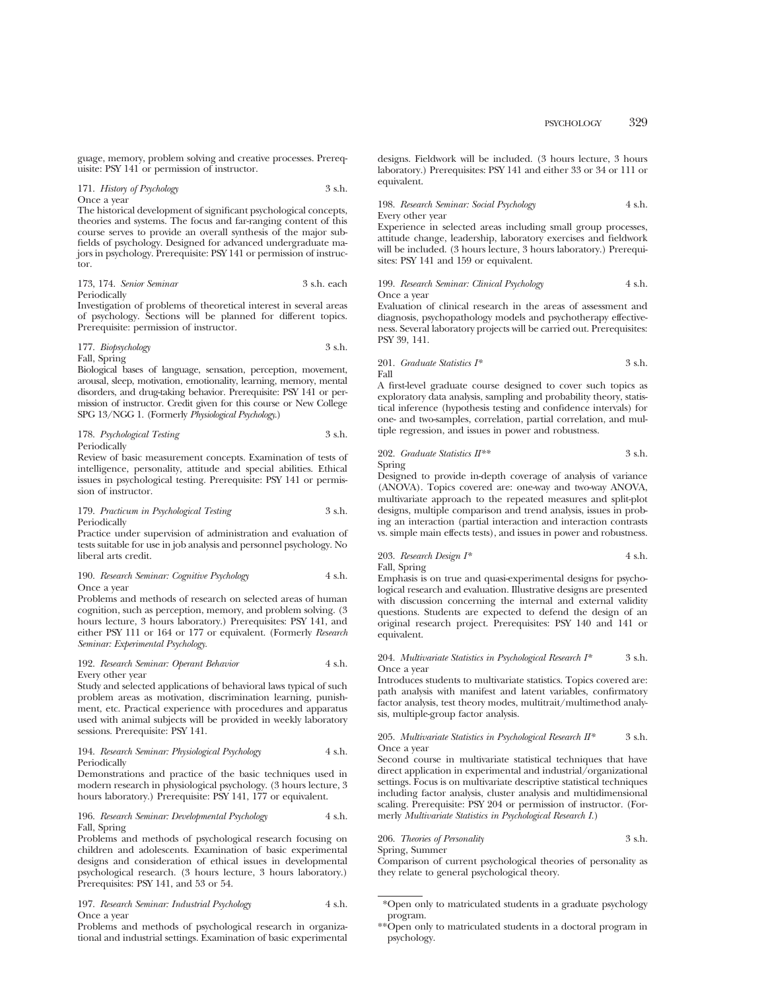guage, memory, problem solving and creative processes. Prerequisite: PSY 141 or permission of instructor.

#### 171. *History of Psychology* 3 s.h. Once a year

The historical development of significant psychological concepts, theories and systems. The focus and far-ranging content of this course serves to provide an overall synthesis of the major subfields of psychology. Designed for advanced undergraduate majors in psychology. Prerequisite: PSY 141 or permission of instructor.

173, 174. *Senior Seminar* 3 s.h. each Periodically

Investigation of problems of theoretical interest in several areas of psychology. Sections will be planned for different topics. Prerequisite: permission of instructor.

#### 177. *Biopsychology* 3 s.h. Fall, Spring

Biological bases of language, sensation, perception, movement, arousal, sleep, motivation, emotionality, learning, memory, mental disorders, and drug-taking behavior. Prerequisite: PSY 141 or permission of instructor. Credit given for this course or New College SPG 13/NGG 1. (Formerly *Physiological Psychology*.)

178. *Psychological Testing* 3 s.h. Periodically

Review of basic measurement concepts. Examination of tests of intelligence, personality, attitude and special abilities. Ethical issues in psychological testing. Prerequisite: PSY 141 or permission of instructor.

179. *Practicum in Psychological Testing* 3 s.h. Periodically

Practice under supervision of administration and evaluation of tests suitable for use in job analysis and personnel psychology. No liberal arts credit.

# 190. *Research Seminar: Cognitive Psychology* 4 s.h. Once a year

Problems and methods of research on selected areas of human cognition, such as perception, memory, and problem solving. (3 hours lecture, 3 hours laboratory.) Prerequisites: PSY 141, and either PSY 111 or 164 or 177 or equivalent. (Formerly *Research Seminar: Experimental Psychology.*

#### 192. *Research Seminar: Operant Behavior* 4 s.h. Every other year

Study and selected applications of behavioral laws typical of such problem areas as motivation, discrimination learning, punishment, etc. Practical experience with procedures and apparatus used with animal subjects will be provided in weekly laboratory sessions. Prerequisite: PSY 141.

#### 194. *Research Seminar: Physiological Psychology* 4 s.h. Periodically

Demonstrations and practice of the basic techniques used in modern research in physiological psychology. (3 hours lecture, 3 hours laboratory.) Prerequisite: PSY 141, 177 or equivalent.

#### 196. *Research Seminar: Developmental Psychology* 4 s.h. Fall, Spring

Problems and methods of psychological research focusing on children and adolescents. Examination of basic experimental designs and consideration of ethical issues in developmental psychological research. (3 hours lecture, 3 hours laboratory.) Prerequisites: PSY 141, and 53 or 54.

# 197. *Research Seminar: Industrial Psychology* 4 s.h. Once a year

Problems and methods of psychological research in organizational and industrial settings. Examination of basic experimental designs. Fieldwork will be included. (3 hours lecture, 3 hours laboratory.) Prerequisites: PSY 141 and either 33 or 34 or 111 or equivalent.

198. *Research Seminar: Social Psychology* 4 s.h. Every other year

Experience in selected areas including small group processes, attitude change, leadership, laboratory exercises and fieldwork will be included. (3 hours lecture, 3 hours laboratory.) Prerequisites: PSY 141 and 159 or equivalent.

#### 199. *Research Seminar: Clinical Psychology* 4 s.h. Once a year

Evaluation of clinical research in the areas of assessment and diagnosis, psychopathology models and psychotherapy effectiveness. Several laboratory projects will be carried out. Prerequisites: PSY 39, 141.

201. *Graduate Statistics* 
$$
I^*
$$
  $3 \, \text{s.h.}$  Fall

A first-level graduate course designed to cover such topics as exploratory data analysis, sampling and probability theory, statistical inference (hypothesis testing and confidence intervals) for one- and two-samples, correlation, partial correlation, and multiple regression, and issues in power and robustness.

# 202. *Graduate Statistics II\*\** 3 s.h. Spring

Designed to provide in-depth coverage of analysis of variance (ANOVA). Topics covered are: one-way and two-way ANOVA, multivariate approach to the repeated measures and split-plot designs, multiple comparison and trend analysis, issues in probing an interaction (partial interaction and interaction contrasts vs. simple main effects tests), and issues in power and robustness.

# 203. *Research Design I\** 4 s.h.

Fall, Spring

Emphasis is on true and quasi-experimental designs for psychological research and evaluation. Illustrative designs are presented with discussion concerning the internal and external validity questions. Students are expected to defend the design of an original research project. Prerequisites: PSY 140 and 141 or equivalent.

# 204. *Multivariate Statistics in Psychological Research I\** 3 s.h. Once a year

Introduces students to multivariate statistics. Topics covered are: path analysis with manifest and latent variables, confirmatory factor analysis, test theory modes, multitrait/multimethod analysis, multiple-group factor analysis.

# 205. *Multivariate Statistics in Psychological Research II\** 3 s.h. Once a year

Second course in multivariate statistical techniques that have direct application in experimental and industrial/organizational settings. Focus is on multivariate descriptive statistical techniques including factor analysis, cluster analysis and multidimensional scaling. Prerequisite: PSY 204 or permission of instructor. (Formerly *Multivariate Statistics in Psychological Research I.*)

206. *Theories of Personality* 3 s.h. Spring, Summer

Comparison of current psychological theories of personality as they relate to general psychological theory.

<sup>\*</sup>Open only to matriculated students in a graduate psychology program.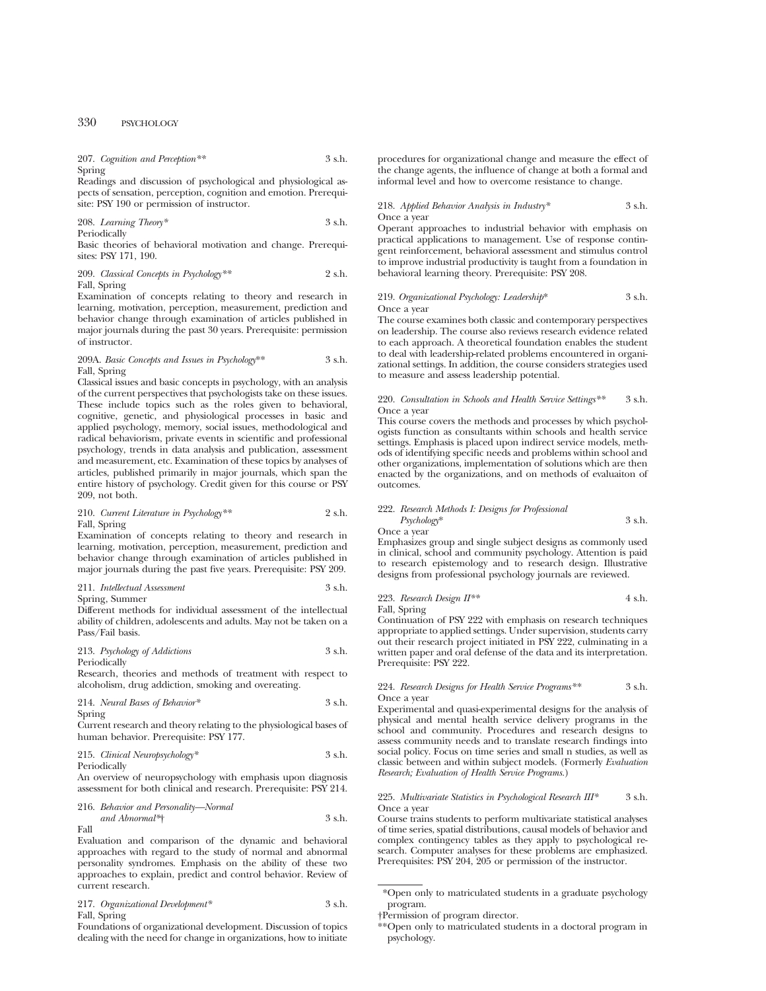207. *Cognition and Perception\*\** 3 s.h. Spring

Readings and discussion of psychological and physiological aspects of sensation, perception, cognition and emotion. Prerequisite: PSY 190 or permission of instructor.

208. *Learning Theory\** 3 s.h. Periodically

Basic theories of behavioral motivation and change. Prerequisites: PSY 171, 190.

209. *Classical Concepts in Psychology\*\** 2 s.h. Fall, Spring

Examination of concepts relating to theory and research in learning, motivation, perception, measurement, prediction and behavior change through examination of articles published in major journals during the past 30 years. Prerequisite: permission of instructor.

# 209A. *Basic Concepts and Issues in Psychology*\*\* 3 s.h. Fall, Spring

Classical issues and basic concepts in psychology, with an analysis of the current perspectives that psychologists take on these issues. These include topics such as the roles given to behavioral, cognitive, genetic, and physiological processes in basic and applied psychology, memory, social issues, methodological and radical behaviorism, private events in scientific and professional psychology, trends in data analysis and publication, assessment and measurement, etc. Examination of these topics by analyses of articles, published primarily in major journals, which span the entire history of psychology. Credit given for this course or PSY 209, not both.

210. *Current Literature in Psychology\*\** 2 s.h. Fall, Spring

Examination of concepts relating to theory and research in learning, motivation, perception, measurement, prediction and behavior change through examination of articles published in major journals during the past five years. Prerequisite: PSY 209.

211. *Intellectual Assessment* 3 s.h. Spring, Summer

Different methods for individual assessment of the intellectual ability of children, adolescents and adults. May not be taken on a Pass/Fail basis.

213. *Psychology of Addictions* 3 s.h. Periodically

Research, theories and methods of treatment with respect to alcoholism, drug addiction, smoking and overeating.

214. *Neural Bases of Behavior\** 3 s.h. Spring

Current research and theory relating to the physiological bases of human behavior. Prerequisite: PSY 177.

#### 215. *Clinical Neuropsychology\** 3 s.h. Periodically

An overview of neuropsychology with emphasis upon diagnosis assessment for both clinical and research. Prerequisite: PSY 214.

216. *Behavior and Personality—Normal and Abnormal\**† 3 s.h. Fall

Evaluation and comparison of the dynamic and behavioral approaches with regard to the study of normal and abnormal personality syndromes. Emphasis on the ability of these two approaches to explain, predict and control behavior. Review of current research.

| 217. Organizational Development* | 3 s.h. |
|----------------------------------|--------|
| Fall, Spring                     |        |

Foundations of organizational development. Discussion of topics dealing with the need for change in organizations, how to initiate

procedures for organizational change and measure the effect of the change agents, the influence of change at both a formal and informal level and how to overcome resistance to change.

#### 218. *Applied Behavior Analysis in Industry\** 3 s.h. Once a year

Operant approaches to industrial behavior with emphasis on practical applications to management. Use of response contingent reinforcement, behavioral assessment and stimulus control to improve industrial productivity is taught from a foundation in behavioral learning theory. Prerequisite: PSY 208.

#### 219. *Organizational Psychology: Leadership*\* 3 s.h. Once a year

The course examines both classic and contemporary perspectives on leadership. The course also reviews research evidence related to each approach. A theoretical foundation enables the student to deal with leadership-related problems encountered in organizational settings. In addition, the course considers strategies used to measure and assess leadership potential.

### 220. *Consultation in Schools and Health Service Settings\*\** 3 s.h. Once a year

This course covers the methods and processes by which psychologists function as consultants within schools and health service settings. Emphasis is placed upon indirect service models, methods of identifying specific needs and problems within school and other organizations, implementation of solutions which are then enacted by the organizations, and on methods of evaluaiton of outcomes.

|        | 222. Research Methods I: Designs for Professional |  |  |  |        |
|--------|---------------------------------------------------|--|--|--|--------|
|        | $P$ sychology*                                    |  |  |  | 3 s.h. |
| $\sim$ | Once a year                                       |  |  |  |        |

Emphasizes group and single subject designs as commonly used in clinical, school and community psychology. Attention is paid to research epistemology and to research design. Illustrative designs from professional psychology journals are reviewed.

223. Research Design 
$$
II^{**}
$$
 4 s.h.

Fall, Spring

Continuation of PSY 222 with emphasis on research techniques appropriate to applied settings. Under supervision, students carry out their research project initiated in PSY 222, culminating in a written paper and oral defense of the data and its interpretation. Prerequisite: PSY 222.

#### 224. *Research Designs for Health Service Programs\**\* 3 s.h. Once a year

Experimental and quasi-experimental designs for the analysis of physical and mental health service delivery programs in the school and community. Procedures and research designs to assess community needs and to translate research findings into social policy. Focus on time series and small n studies, as well as classic between and within subject models. (Formerly *Evaluation Research; Evaluation of Health Service Programs.*)

225. *Multivariate Statistics in Psychological Research III\** 3 s.h. Once a year

Course trains students to perform multivariate statistical analyses of time series, spatial distributions, causal models of behavior and complex contingency tables as they apply to psychological research. Computer analyses for these problems are emphasized. Prerequisites: PSY 204, 205 or permission of the instructor.

<sup>\*</sup>Open only to matriculated students in a graduate psychology program.

<sup>†</sup>Permission of program director.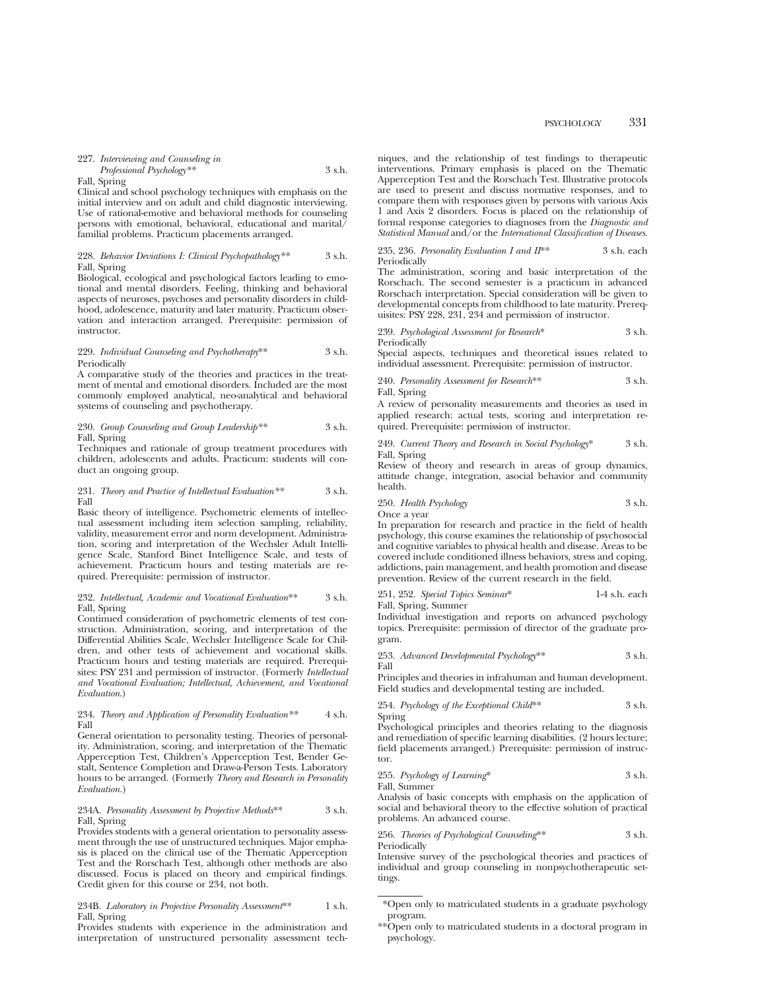#### Fall, Spring

Clinical and school psychology techniques with emphasis on the initial interview and on adult and child diagnostic interviewing. Use of rational-emotive and behavioral methods for counseling persons with emotional, behavioral, educational and marital/ familial problems. Practicum placements arranged.

# 228. *Behavior Deviations I: Clinical Psychopathology\*\** 3 s.h. Fall, Spring

Biological, ecological and psychological factors leading to emotional and mental disorders. Feeling, thinking and behavioral aspects of neuroses, psychoses and personality disorders in childhood, adolescence, maturity and later maturity. Practicum observation and interaction arranged. Prerequisite: permission of instructor.

#### 229. *Individual Counseling and Psychotherapy*\*\* 3 s.h. Periodically

A comparative study of the theories and practices in the treatment of mental and emotional disorders. Included are the most commonly employed analytical, neo-analytical and behavioral systems of counseling and psychotherapy.

# 230. *Group Counseling and Group Leadership\*\** 3 s.h. Fall, Spring

Techniques and rationale of group treatment procedures with children, adolescents and adults. Practicum: students will conduct an ongoing group.

#### 231. *Theory and Practice of Intellectual Evaluation\*\** 3 s.h. Fall

Basic theory of intelligence. Psychometric elements of intellectual assessment including item selection sampling, reliability, validity, measurement error and norm development. Administration, scoring and interpretation of the Wechsler Adult Intelligence Scale, Stanford Binet Intelligence Scale, and tests of achievement. Practicum hours and testing materials are required. Prerequisite: permission of instructor.

#### 232. *Intellectual, Academic and Vocational Evaluation*\*\* 3 s.h. Fall, Spring

Continued consideration of psychometric elements of test construction. Administration, scoring, and interpretation of the Differential Abilities Scale, Wechsler Intelligence Scale for Children, and other tests of achievement and vocational skills. Practicum hours and testing materials are required. Prerequisites: PSY 231 and permission of instructor. (Formerly *Intellectual and Vocational Evaluation; Intellectual, Achievement, and Vocational Evaluation*.)

#### 234. *Theory and Application of Personality Evaluation\*\** 4 s.h. Fall

General orientation to personality testing. Theories of personality. Administration, scoring, and interpretation of the Thematic Apperception Test, Children's Apperception Test, Bender Gestalt, Sentence Completion and Draw-a-Person Tests. Laboratory hours to be arranged. (Formerly *Theory and Research in Personality Evaluation.*)

#### 234A. *Personality Assessment by Projective Methods*\*\* 3 s.h. Fall, Spring

Provides students with a general orientation to personality assessment through the use of unstructured techniques. Major emphasis is placed on the clinical use of the Thematic Apperception Test and the Rorschach Test, although other methods are also discussed. Focus is placed on theory and empirical findings. Credit given for this course or 234, not both.

#### 234B. *Laboratory in Projective Personality Assessment*\*\* 1 s.h. Fall, Spring

Provides students with experience in the administration and interpretation of unstructured personality assessment tech-

niques, and the relationship of test findings to therapeutic interventions. Primary emphasis is placed on the Thematic Apperception Test and the Rorschach Test. Illustrative protocols are used to present and discuss normative responses, and to compare them with responses given by persons with various Axis 1 and Axis 2 disorders. Focus is placed on the relationship of formal response categories to diagnoses from the *Diagnostic and Statistical Manual* and/or the *International Classification of Diseases.*

#### 235, 236. *Personality Evaluation I and II*\*\* 3 s.h. each Periodically

The administration, scoring and basic interpretation of the Rorschach. The second semester is a practicum in advanced Rorschach interpretation. Special consideration will be given to developmental concepts from childhood to late maturity. Prerequisites: PSY 228, 231, 234 and permission of instructor.

239. *Psychological Assessment for Research*\* 3 s.h. Periodically

Special aspects, techniques and theoretical issues related to individual assessment. Prerequisite: permission of instructor.

240. *Personality Assessment for Research*\*\* 3 s.h. Fall, Spring

A review of personality measurements and theories as used in applied research: actual tests, scoring and interpretation required. Prerequisite: permission of instructor.

249. *Current Theory and Research in Social Psychology*\* 3 s.h. Fall, Spring

Review of theory and research in areas of group dynamics, attitude change, integration, asocial behavior and community health.

250. *Health Psychology* 3 s.h.

Once a year

In preparation for research and practice in the field of health psychology, this course examines the relationship of psychosocial and cognitive variables to physical health and disease. Areas to be covered include conditioned illness behaviors, stress and coping, addictions, pain management, and health promotion and disease prevention. Review of the current research in the field.

251, 252. *Special Topics Seminar*\* 1-4 s.h. each Fall, Spring, Summer

Individual investigation and reports on advanced psychology topics. Prerequisite: permission of director of the graduate program.

253. *Advanced Developmental Psychology*\*\* 3 s.h. Fall

Principles and theories in infrahuman and human development. Field studies and developmental testing are included.

254. *Psychology of the Exceptional Child*\*\* 3 s.h.

Spring

Psychological principles and theories relating to the diagnosis and remediation of specific learning disabilities. (2 hours lecture; field placements arranged.) Prerequisite: permission of instructor.

255. *Psychology of Learning*\* 3 s.h.

Fall, Summer

Analysis of basic concepts with emphasis on the application of social and behavioral theory to the effective solution of practical problems. An advanced course.

256. *Theories of Psychological Counseling*\*\* 3 s.h. Periodically

Intensive survey of the psychological theories and practices of individual and group counseling in nonpsychotherapeutic settings.

<sup>\*</sup>Open only to matriculated students in a graduate psychology program.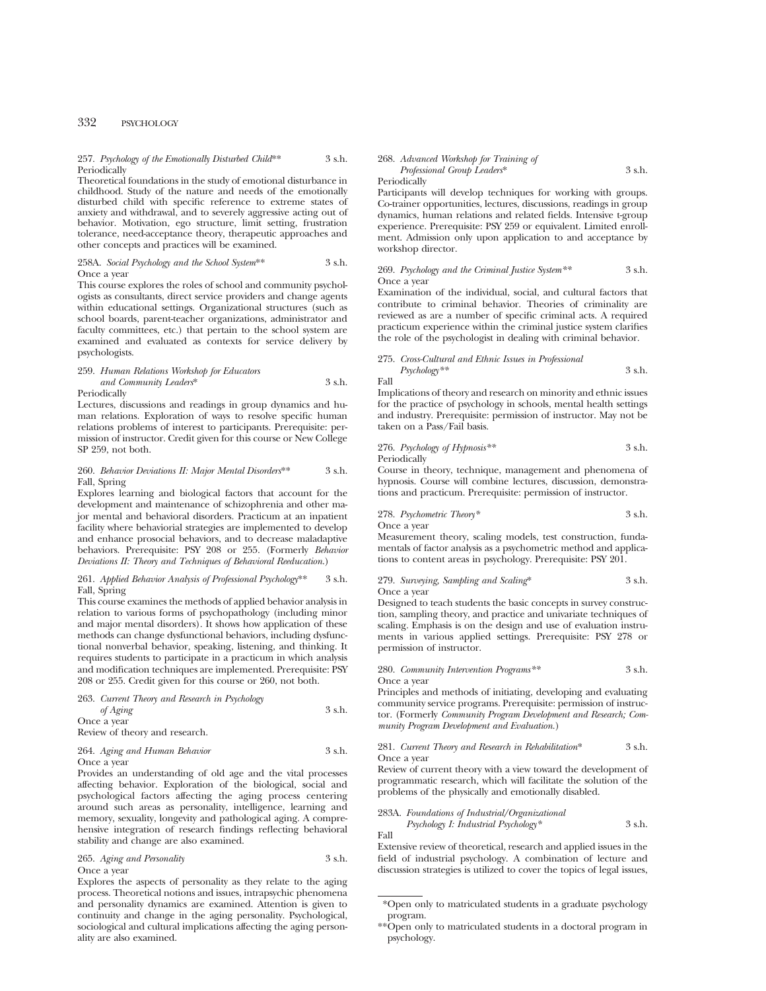# 257. *Psychology of the Emotionally Disturbed Child*\*\* 3 s.h. **Periodically**

Theoretical foundations in the study of emotional disturbance in childhood. Study of the nature and needs of the emotionally disturbed child with specific reference to extreme states of anxiety and withdrawal, and to severely aggressive acting out of behavior. Motivation, ego structure, limit setting, frustration tolerance, need-acceptance theory, therapeutic approaches and other concepts and practices will be examined.

#### 258A. *Social Psychology and the School System*\*\* 3 s.h. Once a year

This course explores the roles of school and community psychologists as consultants, direct service providers and change agents within educational settings. Organizational structures (such as school boards, parent-teacher organizations, administrator and faculty committees, etc.) that pertain to the school system are examined and evaluated as contexts for service delivery by psychologists.

#### 259. *Human Relations Workshop for Educators and Community Leaders*\* 3 s.h. Periodically

Lectures, discussions and readings in group dynamics and human relations. Exploration of ways to resolve specific human relations problems of interest to participants. Prerequisite: permission of instructor. Credit given for this course or New College SP 259, not both.

#### 260. *Behavior Deviations II: Major Mental Disorders*\*\* 3 s.h. Fall, Spring

Explores learning and biological factors that account for the development and maintenance of schizophrenia and other major mental and behavioral disorders. Practicum at an inpatient facility where behaviorial strategies are implemented to develop and enhance prosocial behaviors, and to decrease maladaptive behaviors. Prerequisite: PSY 208 or 255. (Formerly *Behavior Deviations II: Theory and Techniques of Behavioral Reeducation*.)

# 261. *Applied Behavior Analysis of Professional Psychology*\*\* 3 s.h. Fall, Spring

This course examines the methods of applied behavior analysis in relation to various forms of psychopathology (including minor and major mental disorders). It shows how application of these methods can change dysfunctional behaviors, including dysfunctional nonverbal behavior, speaking, listening, and thinking. It requires students to participate in a practicum in which analysis and modification techniques are implemented. Prerequisite: PSY 208 or 255. Credit given for this course or 260, not both.

263. *Current Theory and Research in Psychology of Aging* 3 s.h. Once a year Review of theory and research.

# 264. *Aging and Human Behavior* 3 s.h. Once a year

Provides an understanding of old age and the vital processes affecting behavior. Exploration of the biological, social and psychological factors affecting the aging process centering around such areas as personality, intelligence, learning and memory, sexuality, longevity and pathological aging. A comprehensive integration of research findings reflecting behavioral stability and change are also examined.

265. *Aging and Personality* 3 s.h. Once a year

Explores the aspects of personality as they relate to the aging process. Theoretical notions and issues, intrapsychic phenomena and personality dynamics are examined. Attention is given to continuity and change in the aging personality. Psychological, sociological and cultural implications affecting the aging personality are also examined.

268. *Advanced Workshop for Training of Professional Group Leaders*\* 3 s.h.

#### Periodically

Participants will develop techniques for working with groups. Co-trainer opportunities, lectures, discussions, readings in group dynamics, human relations and related fields. Intensive t-group experience. Prerequisite: PSY 259 or equivalent. Limited enrollment. Admission only upon application to and acceptance by workshop director.

# 269. *Psychology and the Criminal Justice System\*\** 3 s.h. Once a year

Examination of the individual, social, and cultural factors that contribute to criminal behavior. Theories of criminality are reviewed as are a number of specific criminal acts. A required practicum experience within the criminal justice system clarifies the role of the psychologist in dealing with criminal behavior.

## 275. *Cross-Cultural and Ethnic Issues in Professional Psychology\*\** 3 s.h.

Fall

Implications of theory and research on minority and ethnic issues for the practice of psychology in schools, mental health settings and industry. Prerequisite: permission of instructor. May not be taken on a Pass/Fail basis.

276. *Psychology of Hypnosis\*\** 3 s.h. Periodically

Course in theory, technique, management and phenomena of hypnosis. Course will combine lectures, discussion, demonstrations and practicum. Prerequisite: permission of instructor.

278. *Psychometric Theory\** 3 s.h.

Once a year

Measurement theory, scaling models, test construction, fundamentals of factor analysis as a psychometric method and applications to content areas in psychology. Prerequisite: PSY 201.

#### 279. *Surveying, Sampling and Scaling*\* 3 s.h. Once a year

Designed to teach students the basic concepts in survey construction, sampling theory, and practice and univariate techniques of scaling. Emphasis is on the design and use of evaluation instruments in various applied settings. Prerequisite: PSY 278 or permission of instructor.

280. *Community Intervention Programs\*\** 3 s.h. Once a year

Principles and methods of initiating, developing and evaluating community service programs. Prerequisite: permission of instructor. (Formerly *Community Program Development and Research; Community Program Development and Evaluation.*)

#### 281. *Current Theory and Research in Rehabilitation*\* 3 s.h. Once a year

Review of current theory with a view toward the development of programmatic research, which will facilitate the solution of the problems of the physically and emotionally disabled.

283A. *Foundations of Industrial/Organizational Psychology I: Industrial Psychology\** 3 s.h. Fall

Extensive review of theoretical, research and applied issues in the field of industrial psychology. A combination of lecture and discussion strategies is utilized to cover the topics of legal issues,

<sup>\*</sup>Open only to matriculated students in a graduate psychology program.

<sup>\*\*</sup>Open only to matriculated students in a doctoral program in psychology.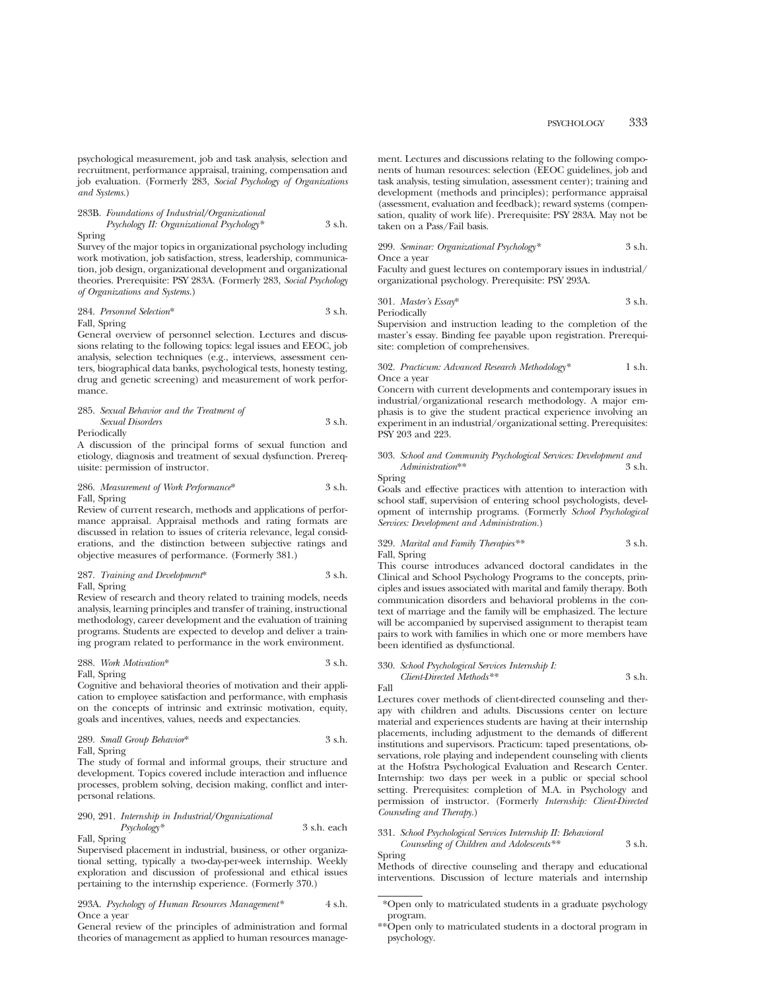psychological measurement, job and task analysis, selection and recruitment, performance appraisal, training, compensation and job evaluation. (Formerly 283, *Social Psychology of Organizations and Systems.*)

283B. *Foundations of Industrial/Organizational Psychology II: Organizational Psychology\** 3 s.h. Spring

Survey of the major topics in organizational psychology including work motivation, job satisfaction, stress, leadership, communication, job design, organizational development and organizational theories. Prerequisite: PSY 283A. (Formerly 283, *Social Psychology of Organizations and Systems.*)

284. *Personnel Selection*\* 3 s.h. Fall, Spring

General overview of personnel selection. Lectures and discussions relating to the following topics: legal issues and EEOC, job analysis, selection techniques (e.g., interviews, assessment centers, biographical data banks, psychological tests, honesty testing, drug and genetic screening) and measurement of work performance.

#### 285. *Sexual Behavior and the Treatment of Sexual Disorders* 3 s.h. Periodically

A discussion of the principal forms of sexual function and etiology, diagnosis and treatment of sexual dysfunction. Prerequisite: permission of instructor.

286. *Measurement of Work Performance*\* 3 s.h. Fall, Spring

Review of current research, methods and applications of performance appraisal. Appraisal methods and rating formats are discussed in relation to issues of criteria relevance, legal considerations, and the distinction between subjective ratings and objective measures of performance. (Formerly 381.)

# 287. *Training and Development*\* 3 s.h. Fall, Spring

Review of research and theory related to training models, needs analysis, learning principles and transfer of training, instructional methodology, career development and the evaluation of training programs. Students are expected to develop and deliver a training program related to performance in the work environment.

288. *Work Motivation*\* 3 s.h. Fall, Spring

Cognitive and behavioral theories of motivation and their application to employee satisfaction and performance, with emphasis on the concepts of intrinsic and extrinsic motivation, equity, goals and incentives, values, needs and expectancies.

289. *Small Group Behavior*\* 3 s.h. Fall, Spring

The study of formal and informal groups, their structure and development. Topics covered include interaction and influence processes, problem solving, decision making, conflict and interpersonal relations.

290, 291. *Internship in Industrial/Organizational Psychology\** 3 s.h. each Fall, Spring

Supervised placement in industrial, business, or other organizational setting, typically a two-day-per-week internship. Weekly exploration and discussion of professional and ethical issues pertaining to the internship experience. (Formerly 370.)

# 293A. *Psychology of Human Resources Management\** 4 s.h. Once a year

General review of the principles of administration and formal theories of management as applied to human resources management. Lectures and discussions relating to the following components of human resources: selection (EEOC guidelines, job and task analysis, testing simulation, assessment center); training and development (methods and principles); performance appraisal (assessment, evaluation and feedback); reward systems (compensation, quality of work life). Prerequisite: PSY 283A. May not be taken on a Pass/Fail basis.

299. *Seminar: Organizational Psychology\** 3 s.h.

Once a year

Faculty and guest lectures on contemporary issues in industrial/ organizational psychology. Prerequisite: PSY 293A.

301. *Master's Essay*\* 3 s.h. Periodically

Supervision and instruction leading to the completion of the master's essay. Binding fee payable upon registration. Prerequisite: completion of comprehensives.

302. *Practicum: Advanced Research Methodology\** 1 s.h. Once a year

Concern with current developments and contemporary issues in industrial/organizational research methodology. A major emphasis is to give the student practical experience involving an experiment in an industrial/organizational setting. Prerequisites: PSY 203 and 223.

### 303. *School and Community Psychological Services: Development and Administration*\*\* 3 s.h. Spring

Goals and effective practices with attention to interaction with school staff, supervision of entering school psychologists, development of internship programs. (Formerly *School Psychological Services: Development and Administration.*)

# 329. *Marital and Family Therapies\*\** 3 s.h. Fall, Spring

This course introduces advanced doctoral candidates in the Clinical and School Psychology Programs to the concepts, principles and issues associated with marital and family therapy. Both communication disorders and behavioral problems in the context of marriage and the family will be emphasized. The lecture will be accompanied by supervised assignment to therapist team pairs to work with families in which one or more members have been identified as dysfunctional.

330. *School Psychological Services Internship I: Client-Directed Methods\*\** 3 s.h.

Fall

Lectures cover methods of client-directed counseling and therapy with children and adults. Discussions center on lecture material and experiences students are having at their internship placements, including adjustment to the demands of different institutions and supervisors. Practicum: taped presentations, observations, role playing and independent counseling with clients at the Hofstra Psychological Evaluation and Research Center. Internship: two days per week in a public or special school setting. Prerequisites: completion of M.A. in Psychology and permission of instructor. (Formerly *Internship: Client-Directed Counseling and Therapy.*)

# 331. *School Psychological Services Internship II: Behavioral Counseling of Children and Adolescents\*\** 3 s.h.

Spring

Methods of directive counseling and therapy and educational interventions. Discussion of lecture materials and internship

<sup>\*</sup>Open only to matriculated students in a graduate psychology program.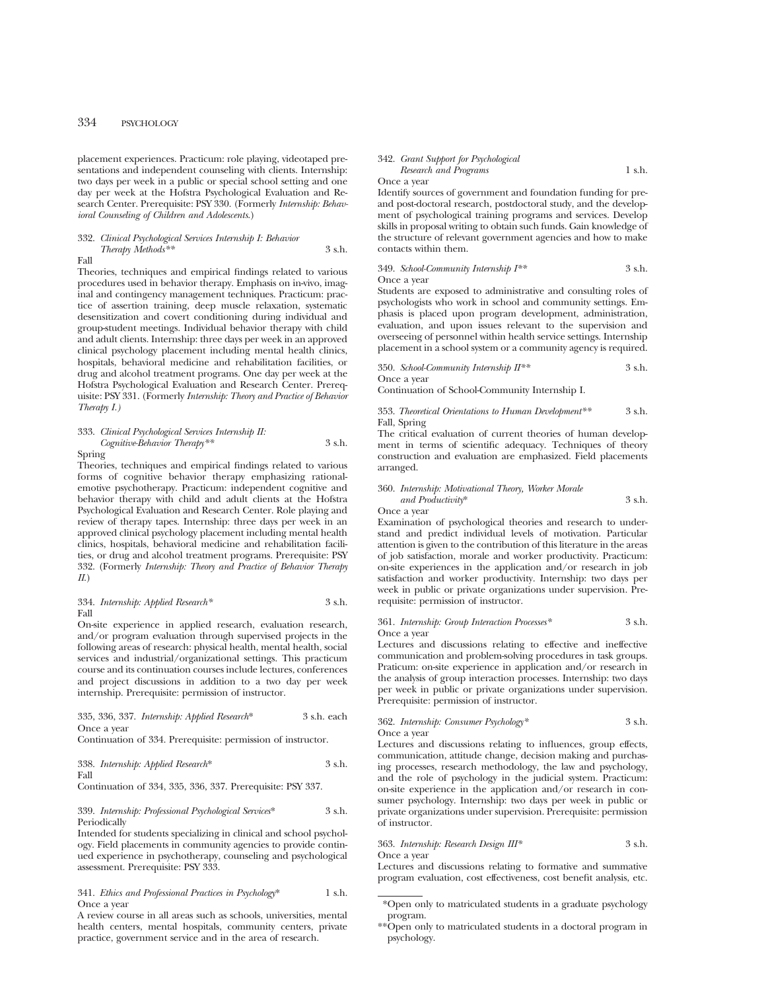placement experiences. Practicum: role playing, videotaped presentations and independent counseling with clients. Internship: two days per week in a public or special school setting and one day per week at the Hofstra Psychological Evaluation and Research Center. Prerequisite: PSY 330. (Formerly *Internship: Behavioral Counseling of Children and Adolescents*.)

# 332. *Clinical Psychological Services Internship I: Behavior Therapy Methods\*\** 3 s.h.

Fall

Theories, techniques and empirical findings related to various procedures used in behavior therapy. Emphasis on in-vivo, imaginal and contingency management techniques. Practicum: practice of assertion training, deep muscle relaxation, systematic desensitization and covert conditioning during individual and group-student meetings. Individual behavior therapy with child and adult clients. Internship: three days per week in an approved clinical psychology placement including mental health clinics, hospitals, behavioral medicine and rehabilitation facilities, or drug and alcohol treatment programs. One day per week at the Hofstra Psychological Evaluation and Research Center. Prerequisite: PSY 331. (Formerly *Internship: Theory and Practice of Behavior Therapy I.)*

333. *Clinical Psychological Services Internship II: Cognitive-Behavior Therapy\*\** 3 s.h. Spring

Theories, techniques and empirical findings related to various forms of cognitive behavior therapy emphasizing rationalemotive psychotherapy. Practicum: independent cognitive and behavior therapy with child and adult clients at the Hofstra Psychological Evaluation and Research Center. Role playing and review of therapy tapes. Internship: three days per week in an approved clinical psychology placement including mental health clinics, hospitals, behavioral medicine and rehabilitation facilities, or drug and alcohol treatment programs. Prerequisite: PSY 332. (Formerly *Internship: Theory and Practice of Behavior Therapy II*.)

334. *Internship: Applied Research\** 3 s.h. Fall

On-site experience in applied research, evaluation research, and/or program evaluation through supervised projects in the following areas of research: physical health, mental health, social services and industrial/organizational settings. This practicum course and its continuation courses include lectures, conferences and project discussions in addition to a two day per week internship. Prerequisite: permission of instructor.

335, 336, 337. *Internship: Applied Research*\* 3 s.h. each Once a year

Continuation of 334. Prerequisite: permission of instructor.

338. *Internship: Applied Research*\* 3 s.h. Fall

Continuation of 334, 335, 336, 337. Prerequisite: PSY 337.

# 339. *Internship: Professional Psychological Services*\* 3 s.h. Periodically

Intended for students specializing in clinical and school psychology. Field placements in community agencies to provide continued experience in psychotherapy, counseling and psychological assessment. Prerequisite: PSY 333.

## 341. *Ethics and Professional Practices in Psychology*\* 1 s.h. Once a year

A review course in all areas such as schools, universities, mental health centers, mental hospitals, community centers, private practice, government service and in the area of research.

# 342. *Grant Support for Psychological Research and Programs* 1 s.h.

Once a year

Identify sources of government and foundation funding for preand post-doctoral research, postdoctoral study, and the development of psychological training programs and services. Develop skills in proposal writing to obtain such funds. Gain knowledge of the structure of relevant government agencies and how to make contacts within them.

#### 349. *School-Community Internship I\*\** 3 s.h. Once a year

Students are exposed to administrative and consulting roles of psychologists who work in school and community settings. Emphasis is placed upon program development, administration, evaluation, and upon issues relevant to the supervision and overseeing of personnel within health service settings. Internship placement in a school system or a community agency is required.

350. *School-Community Internship II\*\** 3 s.h. Once a year

Continuation of School-Community Internship I.

353. *Theoretical Orientations to Human Development\*\** 3 s.h. Fall, Spring

The critical evaluation of current theories of human development in terms of scientific adequacy. Techniques of theory construction and evaluation are emphasized. Field placements arranged.

#### 360. *Internship: Motivational Theory, Worker Morale and Productivity*\* 3 s.h. Once a year

Examination of psychological theories and research to understand and predict individual levels of motivation. Particular attention is given to the contribution of this literature in the areas of job satisfaction, morale and worker productivity. Practicum: on-site experiences in the application and/or research in job satisfaction and worker productivity. Internship: two days per week in public or private organizations under supervision. Prerequisite: permission of instructor.

# 361. *Internship: Group Interaction Processes\** 3 s.h. Once a year

Lectures and discussions relating to effective and ineffective communication and problem-solving procedures in task groups. Praticum: on-site experience in application and/or research in the analysis of group interaction processes. Internship: two days per week in public or private organizations under supervision. Prerequisite: permission of instructor.

362. *Internship: Consumer Psychology\** 3 s.h. Once a year

Lectures and discussions relating to influences, group effects, communication, attitude change, decision making and purchasing processes, research methodology, the law and psychology, and the role of psychology in the judicial system. Practicum: on-site experience in the application and/or research in consumer psychology. Internship: two days per week in public or private organizations under supervision. Prerequisite: permission of instructor.

# 363. *Internship: Research Design III\** 3 s.h.

Once a year

Lectures and discussions relating to formative and summative program evaluation, cost effectiveness, cost benefit analysis, etc.

<sup>\*</sup>Open only to matriculated students in a graduate psychology program.

<sup>\*\*</sup>Open only to matriculated students in a doctoral program in psychology.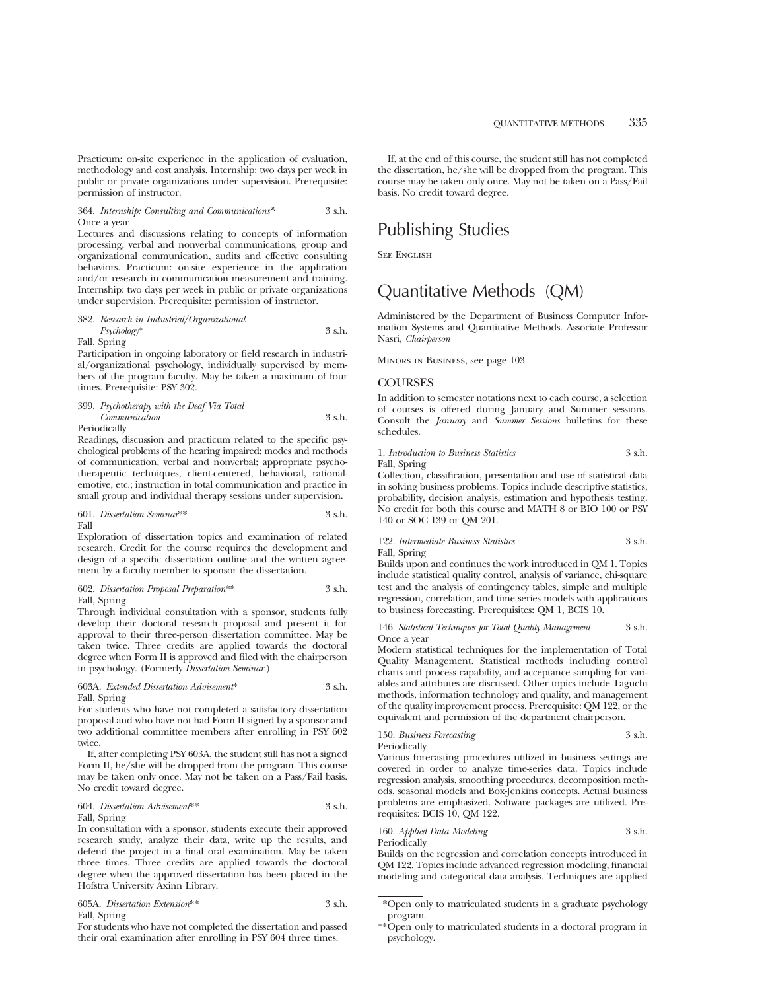Practicum: on-site experience in the application of evaluation, methodology and cost analysis. Internship: two days per week in public or private organizations under supervision. Prerequisite: permission of instructor.

#### 364. *Internship: Consulting and Communications\** 3 s.h. Once a year

Lectures and discussions relating to concepts of information processing, verbal and nonverbal communications, group and organizational communication, audits and effective consulting behaviors. Practicum: on-site experience in the application and/or research in communication measurement and training. Internship: two days per week in public or private organizations under supervision. Prerequisite: permission of instructor.

#### 382. *Research in Industrial/Organizational Psychology*\* 3 s.h.

Fall, Spring

Participation in ongoing laboratory or field research in industrial/organizational psychology, individually supervised by members of the program faculty. May be taken a maximum of four times. Prerequisite: PSY 302.

#### 399. *Psychotherapy with the Deaf Via Total Communication* 3 s.h. **Periodically**

Readings, discussion and practicum related to the specific psychological problems of the hearing impaired; modes and methods of communication, verbal and nonverbal; appropriate psychotherapeutic techniques, client-centered, behavioral, rationalemotive, etc.; instruction in total communication and practice in small group and individual therapy sessions under supervision.

601. *Dissertation Seminar*\*\* 3 s.h. Fall

Exploration of dissertation topics and examination of related research. Credit for the course requires the development and design of a specific dissertation outline and the written agreement by a faculty member to sponsor the dissertation.

602. *Dissertation Proposal Preparation*\*\* 3 s.h. Fall, Spring

Through individual consultation with a sponsor, students fully develop their doctoral research proposal and present it for approval to their three-person dissertation committee. May be taken twice. Three credits are applied towards the doctoral degree when Form II is approved and filed with the chairperson in psychology. (Formerly *Dissertation Seminar.*)

# 603A. *Extended Dissertation Advisement*\* 3 s.h. Fall, Spring

For students who have not completed a satisfactory dissertation proposal and who have not had Form II signed by a sponsor and two additional committee members after enrolling in PSY 602 twice.

If, after completing PSY 603A, the student still has not a signed Form II, he/she will be dropped from the program. This course may be taken only once. May not be taken on a Pass/Fail basis. No credit toward degree.

#### 604. *Dissertation Advisement*\*\* 3 s.h. Fall, Spring

In consultation with a sponsor, students execute their approved research study, analyze their data, write up the results, and defend the project in a final oral examination. May be taken three times. Three credits are applied towards the doctoral degree when the approved dissertation has been placed in the Hofstra University Axinn Library.

|              | 605A. Dissertation Extension** | 3 s.h. |
|--------------|--------------------------------|--------|
| Fall, Spring |                                |        |

For students who have not completed the dissertation and passed their oral examination after enrolling in PSY 604 three times.

If, at the end of this course, the student still has not completed the dissertation, he/she will be dropped from the program. This course may be taken only once. May not be taken on a Pass/Fail basis. No credit toward degree.

# Publishing Studies

**SEE ENGLISH** 

# Quantitative Methods (QM)

Administered by the Department of Business Computer Information Systems and Quantitative Methods. Associate Professor Nasri, *Chairperson*

Minors in Business, see page 103.

# **COURSES**

In addition to semester notations next to each course, a selection of courses is offered during January and Summer sessions. Consult the *January* and *Summer Sessions* bulletins for these schedules.

# 1. *Introduction to Business Statistics* 3 s.h. Fall, Spring

Collection, classification, presentation and use of statistical data in solving business problems. Topics include descriptive statistics, probability, decision analysis, estimation and hypothesis testing. No credit for both this course and MATH 8 or BIO 100 or PSY 140 or SOC 139 or QM 201.

#### 122. *Intermediate Business Statistics* 3 s.h. Fall, Spring

Builds upon and continues the work introduced in QM 1. Topics include statistical quality control, analysis of variance, chi-square test and the analysis of contingency tables, simple and multiple regression, correlation, and time series models with applications to business forecasting. Prerequisites: QM 1, BCIS 10.

146. *Statistical Techniques for Total Quality Management* 3 s.h. Once a year

Modern statistical techniques for the implementation of Total Quality Management. Statistical methods including control charts and process capability, and acceptance sampling for variables and attributes are discussed. Other topics include Taguchi methods, information technology and quality, and management of the quality improvement process. Prerequisite: QM 122, or the equivalent and permission of the department chairperson.

# 150. *Business Forecasting* 3 s.h. Periodically

Various forecasting procedures utilized in business settings are covered in order to analyze time-series data. Topics include regression analysis, smoothing procedures, decomposition methods, seasonal models and Box-Jenkins concepts. Actual business problems are emphasized. Software packages are utilized. Prerequisites: BCIS 10, QM 122.

160. *Applied Data Modeling* 3 s.h. Periodically

Builds on the regression and correlation concepts introduced in QM 122. Topics include advanced regression modeling, financial modeling and categorical data analysis. Techniques are applied

<sup>\*</sup>Open only to matriculated students in a graduate psychology program.

<sup>\*\*</sup>Open only to matriculated students in a doctoral program in psychology.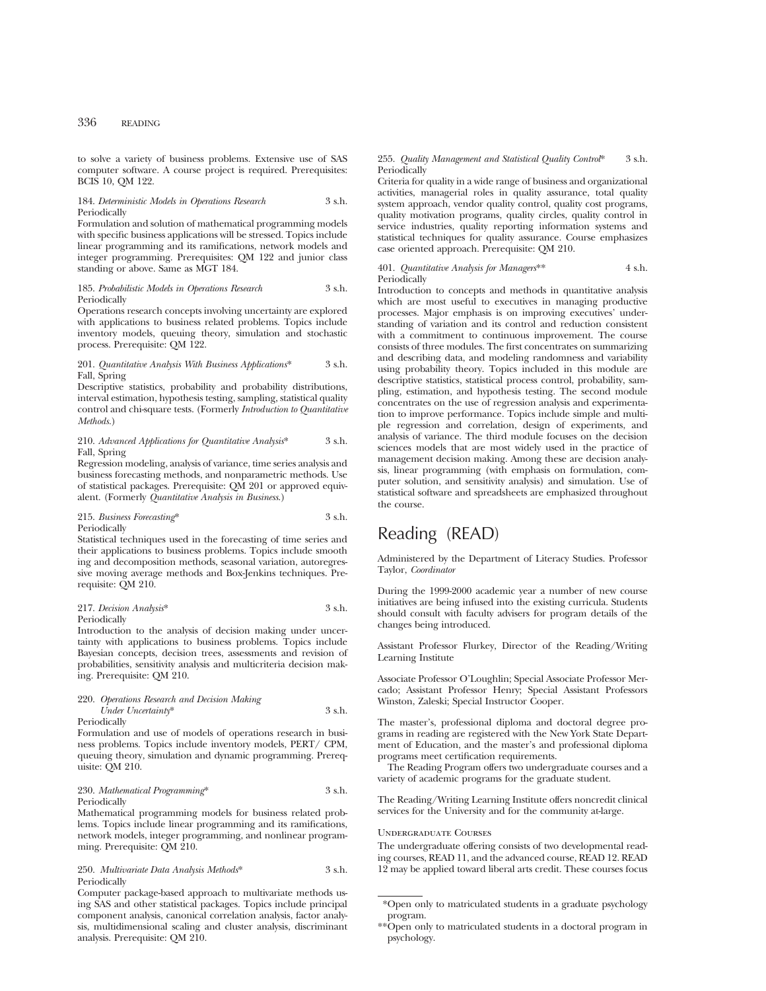to solve a variety of business problems. Extensive use of SAS computer software. A course project is required. Prerequisites: BCIS 10, QM 122.

# 184. *Deterministic Models in Operations Research* 3 s.h. Periodically

Formulation and solution of mathematical programming models with specific business applications will be stressed. Topics include linear programming and its ramifications, network models and integer programming. Prerequisites: QM 122 and junior class standing or above. Same as MGT 184.

#### 185. *Probabilistic Models in Operations Research* 3 s.h. Periodically

Operations research concepts involving uncertainty are explored with applications to business related problems. Topics include inventory models, queuing theory, simulation and stochastic process. Prerequisite: QM 122.

#### 201. *Quantitative Analysis With Business Applications*\* 3 s.h. Fall, Spring

Descriptive statistics, probability and probability distributions, interval estimation, hypothesis testing, sampling, statistical quality control and chi-square tests. (Formerly *Introduction to Quantitative Methods.*)

#### 210. *Advanced Applications for Quantitative Analysis*\* 3 s.h. Fall, Spring

Regression modeling, analysis of variance, time series analysis and business forecasting methods, and nonparametric methods. Use of statistical packages. Prerequisite: QM 201 or approved equivalent. (Formerly *Quantitative Analysis in Business*.)

# 215. *Business Forecasting*\* 3 s.h. Periodically

Statistical techniques used in the forecasting of time series and their applications to business problems. Topics include smooth ing and decomposition methods, seasonal variation, autoregressive moving average methods and Box-Jenkins techniques. Prerequisite: QM 210.

#### 217. *Decision Analysis*\* 3 s.h. Periodically

Introduction to the analysis of decision making under uncertainty with applications to business problems. Topics include Bayesian concepts, decision trees, assessments and revision of probabilities, sensitivity analysis and multicriteria decision making. Prerequisite: QM 210.

#### 220. *Operations Research and Decision Making Under Uncertainty*\* 3 s.h. Periodically

Formulation and use of models of operations research in business problems. Topics include inventory models, PERT/ CPM, queuing theory, simulation and dynamic programming. Prerequisite: QM 210.

# 230. *Mathematical Programming*\* 3 s.h. Periodically

Mathematical programming models for business related problems. Topics include linear programming and its ramifications, network models, integer programming, and nonlinear programming. Prerequisite: QM 210.

# 250. *Multivariate Data Analysis Methods*\* 3 s.h. Periodically

Computer package-based approach to multivariate methods using SAS and other statistical packages. Topics include principal component analysis, canonical correlation analysis, factor analysis, multidimensional scaling and cluster analysis, discriminant analysis. Prerequisite: QM 210.

### 255. *Quality Management and Statistical Quality Control*\* 3 s.h. **Periodically**

Criteria for quality in a wide range of business and organizational activities, managerial roles in quality assurance, total quality system approach, vendor quality control, quality cost programs, quality motivation programs, quality circles, quality control in service industries, quality reporting information systems and statistical techniques for quality assurance. Course emphasizes case oriented approach. Prerequisite: QM 210.

#### 401. *Quantitative Analysis for Managers*\*\* 4 s.h. Periodically

Introduction to concepts and methods in quantitative analysis which are most useful to executives in managing productive processes. Major emphasis is on improving executives' understanding of variation and its control and reduction consistent with a commitment to continuous improvement. The course consists of three modules. The first concentrates on summarizing and describing data, and modeling randomness and variability using probability theory. Topics included in this module are descriptive statistics, statistical process control, probability, sampling, estimation, and hypothesis testing. The second module concentrates on the use of regression analysis and experimentation to improve performance. Topics include simple and multiple regression and correlation, design of experiments, and analysis of variance. The third module focuses on the decision sciences models that are most widely used in the practice of management decision making. Among these are decision analysis, linear programming (with emphasis on formulation, computer solution, and sensitivity analysis) and simulation. Use of statistical software and spreadsheets are emphasized throughout the course.

# Reading (READ)

Administered by the Department of Literacy Studies. Professor Taylor, *Coordinator*

During the 1999-2000 academic year a number of new course initiatives are being infused into the existing curricula. Students should consult with faculty advisers for program details of the changes being introduced.

Assistant Professor Flurkey, Director of the Reading/Writing Learning Institute

Associate Professor O'Loughlin; Special Associate Professor Mercado; Assistant Professor Henry; Special Assistant Professors Winston, Zaleski; Special Instructor Cooper.

The master's, professional diploma and doctoral degree programs in reading are registered with the New York State Department of Education, and the master's and professional diploma programs meet certification requirements.

The Reading Program offers two undergraduate courses and a variety of academic programs for the graduate student.

The Reading/Writing Learning Institute offers noncredit clinical services for the University and for the community at-large.

# Undergraduate Courses

The undergraduate offering consists of two developmental reading courses, READ 11, and the advanced course, READ 12. READ 12 may be applied toward liberal arts credit. These courses focus

<sup>\*</sup>Open only to matriculated students in a graduate psychology program.

<sup>\*\*</sup>Open only to matriculated students in a doctoral program in psychology.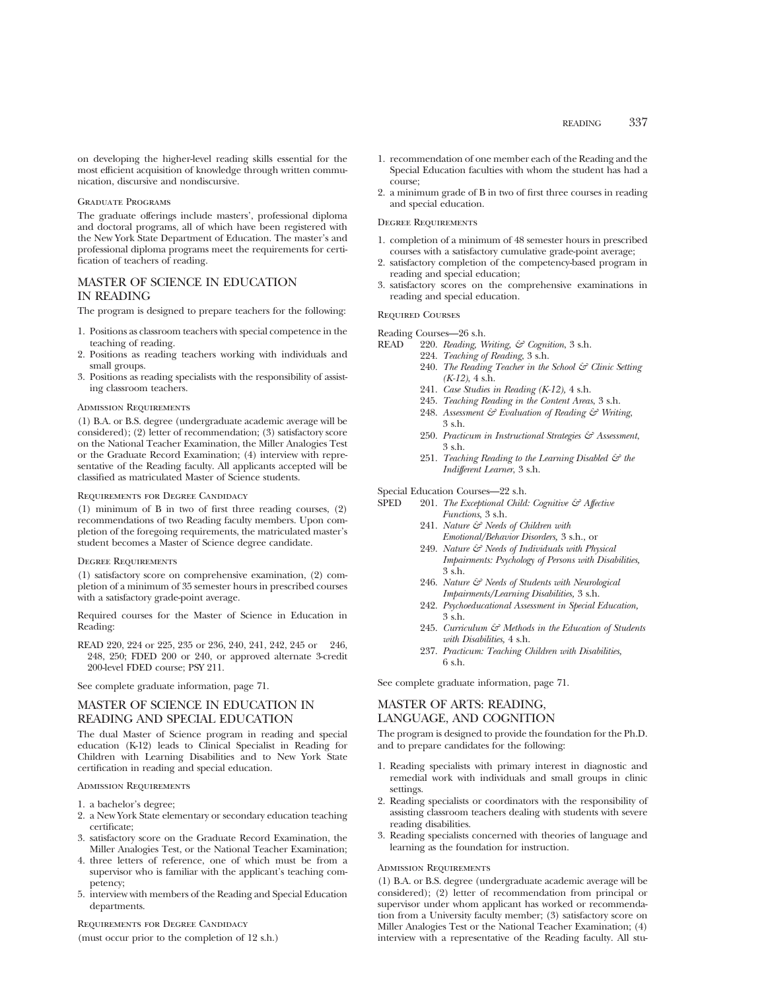on developing the higher-level reading skills essential for the most efficient acquisition of knowledge through written communication, discursive and nondiscursive.

# Graduate Programs

The graduate offerings include masters', professional diploma and doctoral programs, all of which have been registered with the New York State Department of Education. The master's and professional diploma programs meet the requirements for certification of teachers of reading.

# MASTER OF SCIENCE IN EDUCATION IN READING

The program is designed to prepare teachers for the following:

- 1. Positions as classroom teachers with special competence in the teaching of reading.
- 2. Positions as reading teachers working with individuals and small groups.
- 3. Positions as reading specialists with the responsibility of assisting classroom teachers.

#### Admission Requirements

(1) B.A. or B.S. degree (undergraduate academic average will be considered); (2) letter of recommendation; (3) satisfactory score on the National Teacher Examination, the Miller Analogies Test or the Graduate Record Examination; (4) interview with representative of the Reading faculty. All applicants accepted will be classified as matriculated Master of Science students.

### Requirements for Degree Candidacy

(1) minimum of B in two of first three reading courses, (2) recommendations of two Reading faculty members. Upon completion of the foregoing requirements, the matriculated master's student becomes a Master of Science degree candidate.

#### Degree Requirements

(1) satisfactory score on comprehensive examination, (2) completion of a minimum of 35 semester hours in prescribed courses with a satisfactory grade-point average.

Required courses for the Master of Science in Education in Reading:

READ 220, 224 or 225, 235 or 236, 240, 241, 242, 245 or 246, 248, 250; FDED 200 or 240, or approved alternate 3-credit 200-level FDED course; PSY 211.

See complete graduate information, page 71.

# MASTER OF SCIENCE IN EDUCATION IN READING AND SPECIAL EDUCATION

The dual Master of Science program in reading and special education (K-12) leads to Clinical Specialist in Reading for Children with Learning Disabilities and to New York State certification in reading and special education.

# Admission Requirements

- 1. a bachelor's degree;
- 2. a New York State elementary or secondary education teaching certificate;
- 3. satisfactory score on the Graduate Record Examination, the Miller Analogies Test, or the National Teacher Examination;
- 4. three letters of reference, one of which must be from a supervisor who is familiar with the applicant's teaching competency;
- 5. interview with members of the Reading and Special Education departments.

Requirements for Degree Candidacy

(must occur prior to the completion of 12 s.h.)

- 1. recommendation of one member each of the Reading and the Special Education faculties with whom the student has had a course;
- 2. a minimum grade of B in two of first three courses in reading and special education.

# Degree Requirements

- 1. completion of a minimum of 48 semester hours in prescribed courses with a satisfactory cumulative grade-point average;
- 2. satisfactory completion of the competency-based program in reading and special education;
- 3. satisfactory scores on the comprehensive examinations in reading and special education.

# Required Courses

Reading Courses—26 s.h.<br>READ 220. Reading V

- 220. *Reading, Writing, & Cognition*, 3 s.h.
- 224. *Teaching of Reading*, 3 s.h.
	- 240. *The Reading Teacher in the School & Clinic Setting (K-12)*, 4 s.h.
	- 241. *Case Studies in Reading (K-12),* 4 s.h.
	- 245. *Teaching Reading in the Content Areas*, 3 s.h.
	- 248. *Assessment & Evaluation of Reading & Writing*, 3 s.h.
	- 250. *Practicum in Instructional Strategies & Assessment*, 3 s.h.
	- 251. *Teaching Reading to the Learning Disabled & the Indifferent Learner*, 3 s.h.

Special Education Courses—22 s.h.

- SPED 201. *The Exceptional Child: Cognitive & Affective Functions*, 3 s.h.
	- 241. *Nature & Needs of Children with Emotional/Behavior Disorders,* 3 s.h., or
	- 249. *Nature & Needs of Individuals with Physical Impairments: Psychology of Persons with Disabilities,* 3 s.h.
	- 246. *Nature & Needs of Students with Neurological Impairments/Learning Disabilities,* 3 s.h.
	- 242. *Psychoeducational Assessment in Special Education,* 3 s.h.
	- 245. *Curriculum & Methods in the Education of Students with Disabilities,* 4 s.h.
	- 237. *Practicum: Teaching Children with Disabilities,* 6 s.h.

See complete graduate information, page 71.

# MASTER OF ARTS: READING, LANGUAGE, AND COGNITION

The program is designed to provide the foundation for the Ph.D. and to prepare candidates for the following:

- 1. Reading specialists with primary interest in diagnostic and remedial work with individuals and small groups in clinic settings.
- 2. Reading specialists or coordinators with the responsibility of assisting classroom teachers dealing with students with severe reading disabilities.
- 3. Reading specialists concerned with theories of language and learning as the foundation for instruction.

# Admission Requirements

(1) B.A. or B.S. degree (undergraduate academic average will be considered); (2) letter of recommendation from principal or supervisor under whom applicant has worked or recommendation from a University faculty member; (3) satisfactory score on Miller Analogies Test or the National Teacher Examination; (4) interview with a representative of the Reading faculty. All stu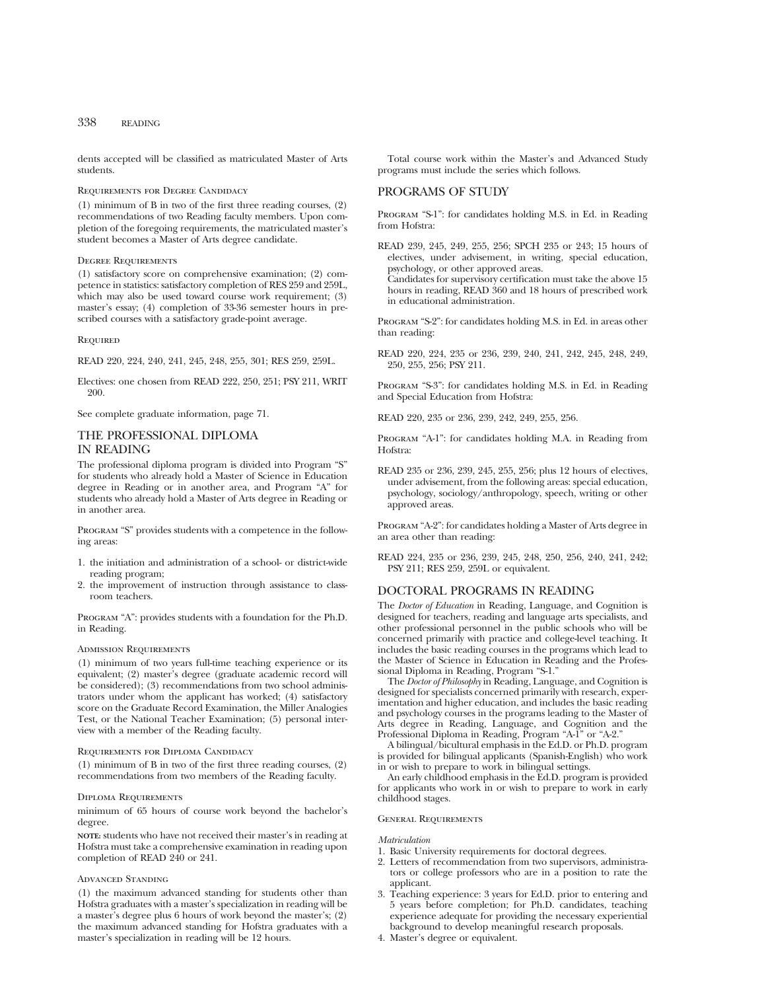dents accepted will be classified as matriculated Master of Arts students.

### Requirements for Degree Candidacy

(1) minimum of B in two of the first three reading courses, (2) recommendations of two Reading faculty members. Upon completion of the foregoing requirements, the matriculated master's student becomes a Master of Arts degree candidate.

# Degree Requirements

(1) satisfactory score on comprehensive examination; (2) competence in statistics: satisfactory completion of RES 259 and 259L, which may also be used toward course work requirement; (3) master's essay; (4) completion of 33-36 semester hours in prescribed courses with a satisfactory grade-point average.

#### Required

READ 220, 224, 240, 241, 245, 248, 255, 301; RES 259, 259L.

Electives: one chosen from READ 222, 250, 251; PSY 211, WRIT 200.

See complete graduate information, page 71.

# THE PROFESSIONAL DIPLOMA IN READING

The professional diploma program is divided into Program "S" for students who already hold a Master of Science in Education degree in Reading or in another area, and Program "A" for students who already hold a Master of Arts degree in Reading or in another area.

PROGRAM "S" provides students with a competence in the following areas:

- 1. the initiation and administration of a school- or district-wide reading program;
- 2. the improvement of instruction through assistance to classroom teachers.

Program "A": provides students with a foundation for the Ph.D. in Reading.

# Admission Requirements

(1) minimum of two years full-time teaching experience or its equivalent; (2) master's degree (graduate academic record will be considered); (3) recommendations from two school administrators under whom the applicant has worked; (4) satisfactory score on the Graduate Record Examination, the Miller Analogies Test, or the National Teacher Examination; (5) personal interview with a member of the Reading faculty.

# Requirements for Diploma Candidacy

(1) minimum of B in two of the first three reading courses, (2) recommendations from two members of the Reading faculty.

# Diploma Requirements

minimum of 65 hours of course work beyond the bachelor's degree.

**NOTE:** students who have not received their master's in reading at Hofstra must take a comprehensive examination in reading upon completion of READ 240 or 241.

# Advanced Standing

(1) the maximum advanced standing for students other than Hofstra graduates with a master's specialization in reading will be a master's degree plus 6 hours of work beyond the master's; (2) the maximum advanced standing for Hofstra graduates with a master's specialization in reading will be 12 hours.

Total course work within the Master's and Advanced Study programs must include the series which follows.

# PROGRAMS OF STUDY

Program "S-1": for candidates holding M.S. in Ed. in Reading from Hofstra:

READ 239, 245, 249, 255, 256; SPCH 235 or 243; 15 hours of electives, under advisement, in writing, special education, psychology, or other approved areas. Candidates for supervisory certification must take the above 15 hours in reading, READ 360 and 18 hours of prescribed work in educational administration.

Program "S-2": for candidates holding M.S. in Ed. in areas other than reading:

READ 220, 224, 235 or 236, 239, 240, 241, 242, 245, 248, 249, 250, 255, 256; PSY 211.

Program "S-3": for candidates holding M.S. in Ed. in Reading and Special Education from Hofstra:

READ 220, 235 or 236, 239, 242, 249, 255, 256.

PROGRAM "A-1": for candidates holding M.A. in Reading from Hofstra:

READ 235 or 236, 239, 245, 255, 256; plus 12 hours of electives, under advisement, from the following areas: special education, psychology, sociology/anthropology, speech, writing or other approved areas.

Program "A-2": for candidates holding a Master of Arts degree in an area other than reading:

READ 224, 235 or 236, 239, 245, 248, 250, 256, 240, 241, 242; PSY 211; RES 259, 259L or equivalent.

# DOCTORAL PROGRAMS IN READING

The *Doctor of Education* in Reading, Language, and Cognition is designed for teachers, reading and language arts specialists, and other professional personnel in the public schools who will be concerned primarily with practice and college-level teaching. It includes the basic reading courses in the programs which lead to the Master of Science in Education in Reading and the Professional Diploma in Reading, Program "S-1."

The *Doctor of Philosophy* in Reading, Language, and Cognition is designed for specialists concerned primarily with research, experimentation and higher education, and includes the basic reading and psychology courses in the programs leading to the Master of Arts degree in Reading, Language, and Cognition and the Professional Diploma in Reading, Program "A-1" or "A-2."

A bilingual/bicultural emphasis in the Ed.D. or Ph.D. program is provided for bilingual applicants (Spanish-English) who work in or wish to prepare to work in bilingual settings.

An early childhood emphasis in the Ed.D. program is provided for applicants who work in or wish to prepare to work in early childhood stages.

# General Requirements

# *Matriculation*

- 1. Basic University requirements for doctoral degrees.
- 2. Letters of recommendation from two supervisors, administrators or college professors who are in a position to rate the applicant.
- 3. Teaching experience: 3 years for Ed.D. prior to entering and 5 years before completion; for Ph.D. candidates, teaching experience adequate for providing the necessary experiential background to develop meaningful research proposals.
- 4. Master's degree or equivalent.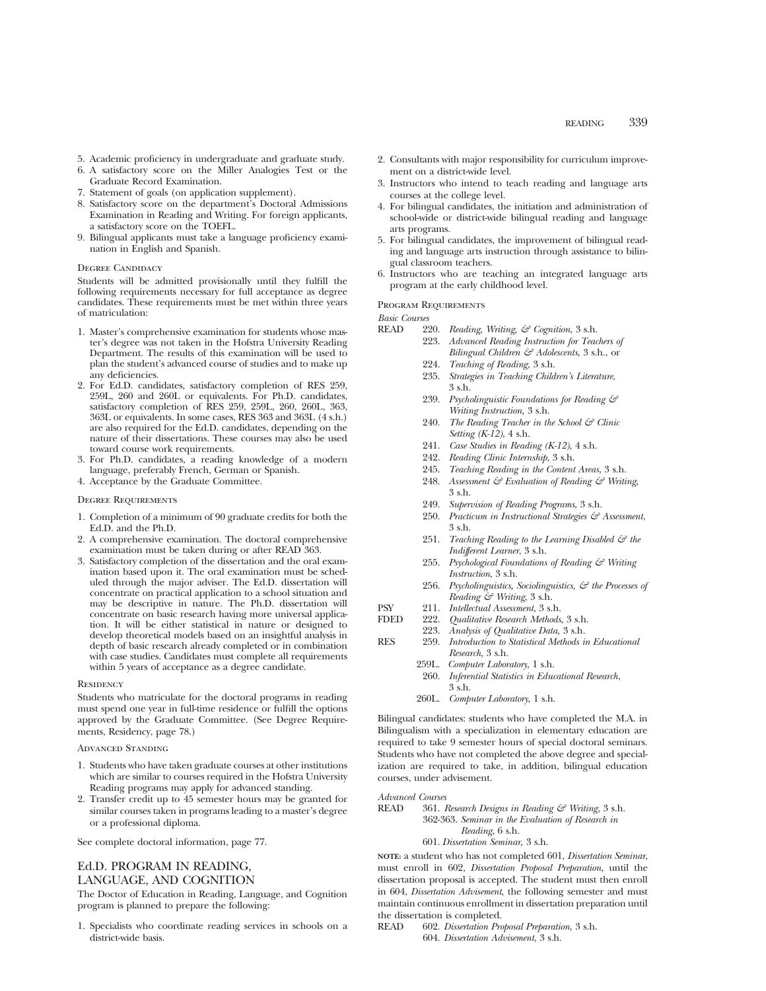- 5. Academic proficiency in undergraduate and graduate study.
- 6. A satisfactory score on the Miller Analogies Test or the Graduate Record Examination.
- 7. Statement of goals (on application supplement).
- 8. Satisfactory score on the department's Doctoral Admissions Examination in Reading and Writing. For foreign applicants, a satisfactory score on the TOEFL.
- 9. Bilingual applicants must take a language proficiency examination in English and Spanish.

#### DEGREE CANDIDACY

Students will be admitted provisionally until they fulfill the following requirements necessary for full acceptance as degree candidates. These requirements must be met within three years of matriculation:

- 1. Master's comprehensive examination for students whose master's degree was not taken in the Hofstra University Reading Department. The results of this examination will be used to plan the student's advanced course of studies and to make up any deficiencies.
- 2. For Ed.D. candidates, satisfactory completion of RES 259, 259L, 260 and 260L or equivalents. For Ph.D. candidates, satisfactory completion of RES 259, 259L, 260, 260L, 363, 363L or equivalents. In some cases, RES 363 and 363L (4 s.h.) are also required for the Ed.D. candidates, depending on the nature of their dissertations. These courses may also be used toward course work requirements.
- 3. For Ph.D. candidates, a reading knowledge of a modern language, preferably French, German or Spanish.
- 4. Acceptance by the Graduate Committee.

## Degree Requirements

- 1. Completion of a minimum of 90 graduate credits for both the Ed.D. and the Ph.D.
- 2. A comprehensive examination. The doctoral comprehensive examination must be taken during or after READ 363.
- 3. Satisfactory completion of the dissertation and the oral examination based upon it. The oral examination must be scheduled through the major adviser. The Ed.D. dissertation will concentrate on practical application to a school situation and may be descriptive in nature. The Ph.D. dissertation will concentrate on basic research having more universal application. It will be either statistical in nature or designed to develop theoretical models based on an insightful analysis in depth of basic research already completed or in combination with case studies. Candidates must complete all requirements within 5 years of acceptance as a degree candidate.

#### **RESIDENCY**

Students who matriculate for the doctoral programs in reading must spend one year in full-time residence or fulfill the options approved by the Graduate Committee. (See Degree Requirements, Residency, page 78.)

#### Advanced Standing

- 1. Students who have taken graduate courses at other institutions which are similar to courses required in the Hofstra University Reading programs may apply for advanced standing.
- 2. Transfer credit up to 45 semester hours may be granted for similar courses taken in programs leading to a master's degree or a professional diploma.

See complete doctoral information, page 77.

# Ed.D. PROGRAM IN READING, LANGUAGE, AND COGNITION

The Doctor of Education in Reading, Language, and Cognition program is planned to prepare the following:

1. Specialists who coordinate reading services in schools on a district-wide basis.

- 2. Consultants with major responsibility for curriculum improvement on a district-wide level.
- 3. Instructors who intend to teach reading and language arts courses at the college level.
- 4. For bilingual candidates, the initiation and administration of school-wide or district-wide bilingual reading and language arts programs.
- 5. For bilingual candidates, the improvement of bilingual reading and language arts instruction through assistance to bilingual classroom teachers.
- 6. Instructors who are teaching an integrated language arts program at the early childhood level.

# Program Requirements

*Basic Courses*

- READ 220. *Reading, Writing, & Cognition*, 3 s.h.
	- 223. *Advanced Reading Instruction for Teachers of Bilingual Children & Adolescents*, 3 s.h., or
		- 224. *Teaching of Reading*, 3 s.h.
		- 235. *Strategies in Teaching Children's Literature*, 3 s.h.
		- 239. *Psycholinguistic Foundations for Reading & Writing Instruction,* 3 s.h.
		- 240. *The Reading Teacher in the School & Clinic Setting (K-12)*, 4 s.h.
		- 241. *Case Studies in Reading (K-12)*, 4 s.h.
		- 242. *Reading Clinic Internship*, 3 s.h.
		- 245. *Teaching Reading in the Content Areas*, 3 s.h.
		- 248. *Assessment & Evaluation of Reading & Writing*, 3 s.h.
		- 249. *Supervision of Reading Programs*, 3 s.h.
		- 250. *Practicum in Instructional Strategies & Assessment*, 3 s.h.
		- 251. *Teaching Reading to the Learning Disabled & the Indifferent Learner*, 3 s.h.
	- 255. *Psychological Foundations of Reading & Writing Instruction*, 3 s.h.
	- 256. *Psycholinguistics, Sociolinguistics, & the Processes of Reading & Writing*, 3 s.h.
- PSY 211. *Intellectual Assessment*, 3 s.h.
- FDED 222. *Qualitative Research Methods*, 3 s.h.
	- 223. *Analysis of Qualitative Data,* 3 s.h.
- RES 259. *Introduction to Statistical Methods in Educational Research*, 3 s.h.
	- 259L. *Computer Laboratory*, 1 s.h.
		- 260. *Inferential Statistics in Educational Research*, 3 s.h.
		- 260L. *Computer Laboratory*, 1 s.h.

Bilingual candidates: students who have completed the M.A. in Bilingualism with a specialization in elementary education are required to take 9 semester hours of special doctoral seminars. Students who have not completed the above degree and specialization are required to take, in addition, bilingual education courses, under advisement.

# *Advanced Courses*

READ 361. *Research Designs in Reading & Writing*, 3 s.h. 362-363. *Seminar in the Evaluation of Research in Reading*, 6 s.h.

# 601. *Dissertation Seminar,* 3 s.h.

**NOTE:** a student who has not completed 601, *Dissertation Seminar*, must enroll in 602, *Dissertation Proposal Preparation*, until the dissertation proposal is accepted. The student must then enroll in 604, *Dissertation Advisement*, the following semester and must maintain continuous enrollment in dissertation preparation until the dissertation is completed.

- READ 602. *Dissertation Proposal Preparation*, 3 s.h.
	- 604. *Dissertation Advisement*, 3 s.h.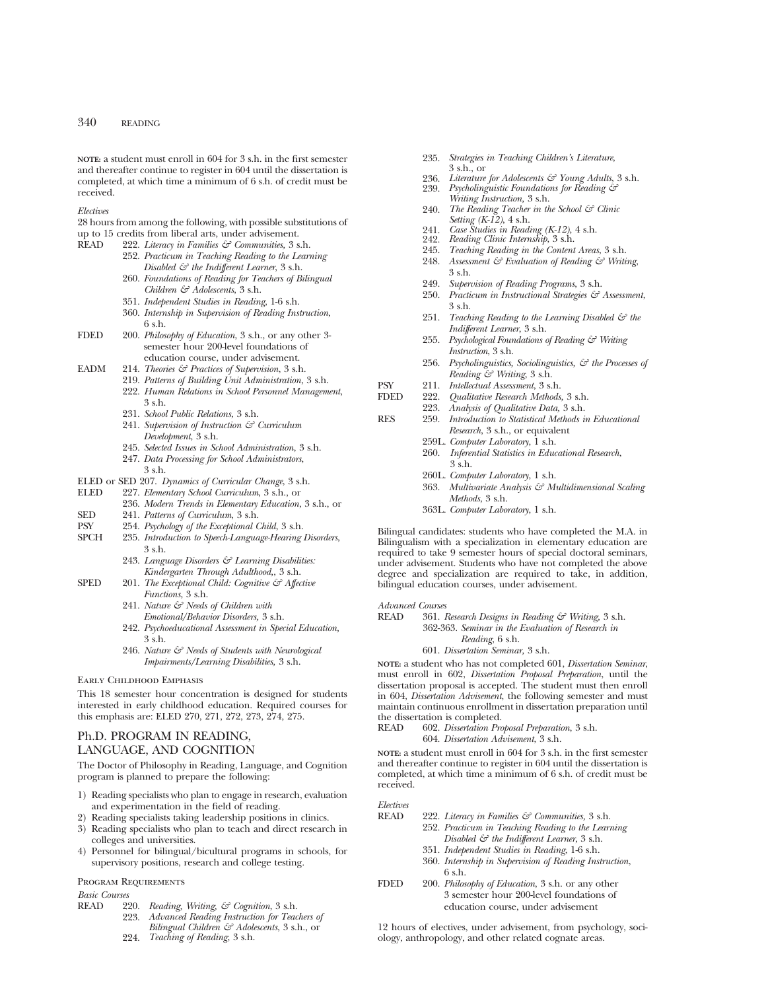**NOTE:** a student must enroll in 604 for 3 s.h. in the first semester and thereafter continue to register in 604 until the dissertation is completed, at which time a minimum of 6 s.h. of credit must be received.

#### *Electives*

28 hours from among the following, with possible substitutions of up to 15 credits from liberal arts, under advisement.<br>READ 222 *Literacy in Families*  $\zeta \vec{\tau}$  Communities 3.8

- READ 222. *Literacy in Families & Communities,* 3 s.h.
	- 252. *Practicum in Teaching Reading to the Learning Disabled & the Indifferent Learner*, 3 s.h.
		- 260. *Foundations of Reading for Teachers of Bilingual Children & Adolescents*, 3 s.h.
		- 351. *Independent Studies in Reading*, 1-6 s.h.
		- 360. *Internship in Supervision of Reading Instruction*, 6 s.h.
- FDED 200. *Philosophy of Education*, 3 s.h., or any other 3 semester hour 200-level foundations of education course, under advisement.
- EADM 214. *Theories & Practices of Supervision*, 3 s.h.
	- 219. *Patterns of Building Unit Administration*, 3 s.h.
		- 222. *Human Relations in School Personnel Management*,  $3$  sh.
		- 231. *School Public Relations*, 3 s.h.
		- 241. *Supervision of Instruction & Curriculum Development*, 3 s.h.
		- 245. *Selected Issues in School Administration*, 3 s.h.
		- 247. *Data Processing for School Administrators*, 3 s.h.
- ELED or SED 207. *Dynamics of Curricular Change*, 3 s.h.
- 227. *Elementary School Curriculum*, 3 s.h., or
	- 236. *Modern Trends in Elementary Education*, 3 s.h., or
- SED 241. *Patterns of Curriculum*, 3 s.h.
- PSY 254. *Psychology of the Exceptional Child*, 3 s.h.
- 235. *Introduction to Speech-Language-Hearing Disorders*, 3 s.h.
	- 243. *Language Disorders & Learning Disabilities: Kindergarten Through Adulthood,*, 3 s.h.
- SPED 201. *The Exceptional Child: Cognitive & Affective Functions*, 3 s.h.
	- 241. *Nature & Needs of Children with Emotional/Behavior Disorders,* 3 s.h.
	- 242. *Psychoeducational Assessment in Special Education,* 3 s.h.
	- 246. *Nature & Needs of Students with Neurological Impairments/Learning Disabilities,* 3 s.h.

# Early Childhood Emphasis

This 18 semester hour concentration is designed for students interested in early childhood education. Required courses for this emphasis are: ELED 270, 271, 272, 273, 274, 275.

# Ph.D. PROGRAM IN READING, LANGUAGE, AND COGNITION

The Doctor of Philosophy in Reading, Language, and Cognition program is planned to prepare the following:

- 1) Reading specialists who plan to engage in research, evaluation and experimentation in the field of reading.
- Reading specialists taking leadership positions in clinics.
- 3) Reading specialists who plan to teach and direct research in colleges and universities.
- 4) Personnel for bilingual/bicultural programs in schools, for supervisory positions, research and college testing.

# Program Requirements

# *Basic Courses*

- 220. *Reading, Writing, & Cognition, 3 s.h.* 223. *Advanced Reading Instruction for Teac* 
	- Advanced Reading Instruction for Teachers of *Bilingual Children & Adolescents*, 3 s.h., or
	- 224. *Teaching of Reading*, 3 s.h.
- 235. *Strategies in Teaching Children's Literature*,  $3 \,$ s $\,$ h $\,$ or
- 236. *Literature for Adolescents & Young Adults*, 3 s.h.<br>239. *Psycholinguistic Foundations for Reading &*
- 239. *Psycholinguistic Foundations for Reading & Writing Instruction,* 3 s.h.
- 240. *The Reading Teacher in the School & Clinic Setting (K-12)*, 4 s.h.
- 241. *Case Studies in Reading (K-12)*, 4 s.h.
- 242. *Reading Clinic Internship*, 3 s.h.
- 245. *Teaching Reading in the Content Areas*, 3 s.h.
- 248. *Assessment & Evaluation of Reading & Writing*, 3 s.h.
- 249. *Supervision of Reading Programs*, 3 s.h.
- 250. *Practicum in Instructional Strategies & Assessment*, 3 s.h.
- 251. *Teaching Reading to the Learning Disabled & the Indifferent Learner*, 3 s.h.
- 255. *Psychological Foundations of Reading & Writing Instruction*, 3 s.h.
- 256. *Psycholinguistics, Sociolinguistics, & the Processes of Reading & Writing*, 3 s.h.
- PSY 211. *Intellectual Assessment*, 3 s.h.
	- FDED 222. *Qualitative Research Methods,* 3 s.h.
	- 223. *Analysis of Qualitative Data,* 3 s.h.
- RES 259. *Introduction to Statistical Methods in Educational Research*, 3 s.h., or equivalent
	- 259L. *Computer Laboratory*, 1 s.h.
	- 260. *Inferential Statistics in Educational Research*,  $3 \,$ s $\,$ h.
	- 260L. *Computer Laboratory*, 1 s.h.
	- 363. *Multivariate Analysis & Multidimensional Scaling Methods*, 3 s.h.
	- 363L. *Computer Laboratory*, 1 s.h.

Bilingual candidates: students who have completed the M.A. in Bilingualism with a specialization in elementary education are required to take 9 semester hours of special doctoral seminars, under advisement. Students who have not completed the above degree and specialization are required to take, in addition, bilingual education courses, under advisement.

# *Advanced Courses*

READ 361. *Research Designs in Reading & Writing,* 3 s.h. 362-363. *Seminar in the Evaluation of Research in Reading*, 6 s.h.

601. *Dissertation Seminar,* 3 s.h.

**NOTE:** a student who has not completed 601, *Dissertation Seminar*, must enroll in 602, *Dissertation Proposal Preparation*, until the dissertation proposal is accepted. The student must then enroll in 604, *Dissertation Advisement*, the following semester and must maintain continuous enrollment in dissertation preparation until the dissertation is completed.<br>READ 602. Dissertation Pro

602. *Dissertation Proposal Preparation*, 3 s.h. 604. *Dissertation Advisement*, 3 s.h.

**NOTE:** a student must enroll in 604 for 3 s.h. in the first semester and thereafter continue to register in 604 until the dissertation is completed, at which time a minimum of 6 s.h. of credit must be received.

# *Electives*

- READ 222. *Literacy in Families & Communities,* 3 s.h.
	- 252. *Practicum in Teaching Reading to the Learning Disabled & the Indifferent Learner*, 3 s.h.
		- 351. *Independent Studies in Reading*, 1-6 s.h.
	- 360. *Internship in Supervision of Reading Instruction*, 6 s.h.
- FDED 200. *Philosophy of Education*, 3 s.h. or any other 3 semester hour 200-level foundations of education course, under advisement

12 hours of electives, under advisement, from psychology, sociology, anthropology, and other related cognate areas.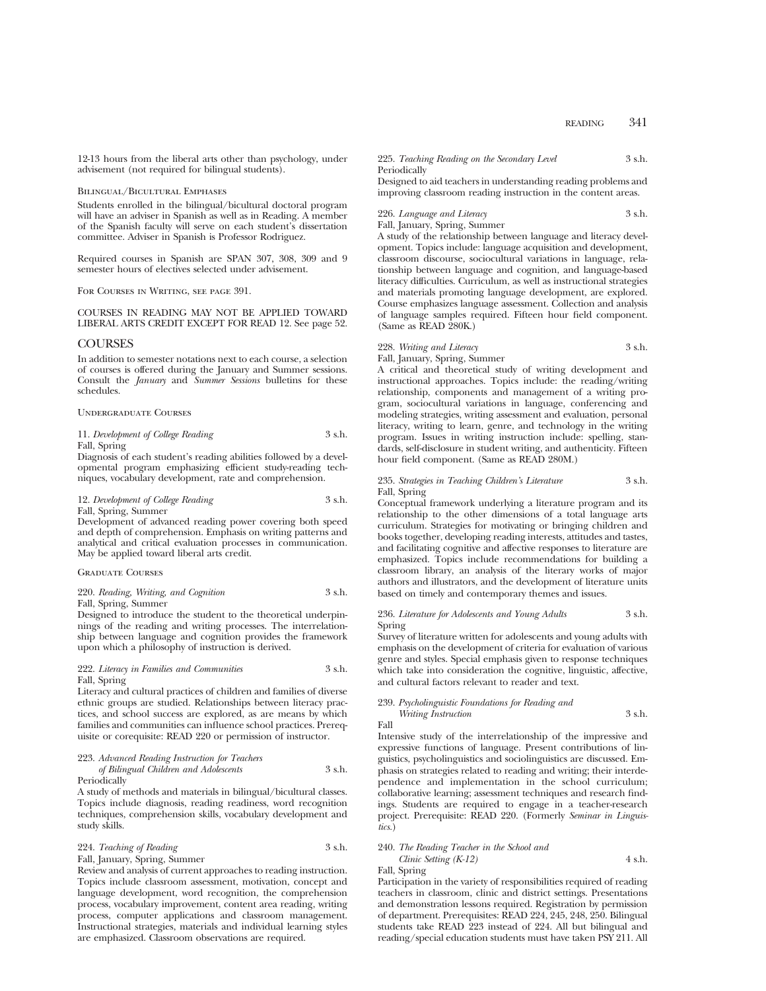12-13 hours from the liberal arts other than psychology, under advisement (not required for bilingual students).

#### Bilingual/Bicultural Emphases

Students enrolled in the bilingual/bicultural doctoral program will have an adviser in Spanish as well as in Reading. A member of the Spanish faculty will serve on each student's dissertation committee. Adviser in Spanish is Professor Rodriguez.

Required courses in Spanish are SPAN 307, 308, 309 and 9 semester hours of electives selected under advisement.

For Courses in Writing, see page 391.

# COURSES IN READING MAY NOT BE APPLIED TOWARD LIBERAL ARTS CREDIT EXCEPT FOR READ 12. See page 52.

### COURSES

In addition to semester notations next to each course, a selection of courses is offered during the January and Summer sessions. Consult the *January* and *Summer Sessions* bulletins for these schedules.

#### Undergraduate Courses

# 11. *Development of College Reading* 3 s.h. Fall, Spring

Diagnosis of each student's reading abilities followed by a developmental program emphasizing efficient study-reading techniques, vocabulary development, rate and comprehension.

# 12. *Development of College Reading* 3 s.h. Fall, Spring, Summer

Development of advanced reading power covering both speed and depth of comprehension. Emphasis on writing patterns and analytical and critical evaluation processes in communication. May be applied toward liberal arts credit.

# Graduate Courses

# 220. *Reading, Writing, and Cognition* 3 s.h. Fall, Spring, Summer

Designed to introduce the student to the theoretical underpinnings of the reading and writing processes. The interrelationship between language and cognition provides the framework upon which a philosophy of instruction is derived.

# 222. *Literacy in Families and Communities* 3 s.h. Fall, Spring

Literacy and cultural practices of children and families of diverse ethnic groups are studied. Relationships between literacy practices, and school success are explored, as are means by which families and communities can influence school practices. Prerequisite or corequisite: READ 220 or permission of instructor.

#### 223. *Advanced Reading Instruction for Teachers of Bilingual Children and Adolescents* 3 s.h.

Periodically

A study of methods and materials in bilingual/bicultural classes. Topics include diagnosis, reading readiness, word recognition techniques, comprehension skills, vocabulary development and study skills.

# 224. *Teaching of Reading* 3 s.h. Fall, January, Spring, Summer

Review and analysis of current approaches to reading instruction. Topics include classroom assessment, motivation, concept and language development, word recognition, the comprehension process, vocabulary improvement, content area reading, writing process, computer applications and classroom management. Instructional strategies, materials and individual learning styles are emphasized. Classroom observations are required.

### 225. *Teaching Reading on the Secondary Level* 3 s.h. Periodically

Designed to aid teachers in understanding reading problems and improving classroom reading instruction in the content areas.

226. *Language and Literacy* 3 s.h.

Fall, January, Spring, Summer

A study of the relationship between language and literacy development. Topics include: language acquisition and development, classroom discourse, sociocultural variations in language, relationship between language and cognition, and language-based literacy difficulties. Curriculum, as well as instructional strategies and materials promoting language development, are explored. Course emphasizes language assessment. Collection and analysis of language samples required. Fifteen hour field component. (Same as READ 280K.)

#### 228. *Writing and Literacy* 3 s.h.

Fall, January, Spring, Summer

A critical and theoretical study of writing development and instructional approaches. Topics include: the reading/writing relationship, components and management of a writing program, sociocultural variations in language, conferencing and modeling strategies, writing assessment and evaluation, personal literacy, writing to learn, genre, and technology in the writing program. Issues in writing instruction include: spelling, standards, self-disclosure in student writing, and authenticity. Fifteen hour field component. (Same as READ 280M.)

# 235. *Strategies in Teaching Children's Literature* 3 s.h. Fall, Spring

Conceptual framework underlying a literature program and its relationship to the other dimensions of a total language arts curriculum. Strategies for motivating or bringing children and books together, developing reading interests, attitudes and tastes, and facilitating cognitive and affective responses to literature are emphasized. Topics include recommendations for building a classroom library, an analysis of the literary works of major authors and illustrators, and the development of literature units based on timely and contemporary themes and issues.

# 236. *Literature for Adolescents and Young Adults* 3 s.h. Spring

Survey of literature written for adolescents and young adults with emphasis on the development of criteria for evaluation of various genre and styles. Special emphasis given to response techniques which take into consideration the cognitive, linguistic, affective, and cultural factors relevant to reader and text.

# 239. *Psycholinguistic Foundations for Reading and Writing Instruction* 3 s.h.

Fall

Intensive study of the interrelationship of the impressive and expressive functions of language. Present contributions of linguistics, psycholinguistics and sociolinguistics are discussed. Emphasis on strategies related to reading and writing; their interdependence and implementation in the school curriculum; collaborative learning; assessment techniques and research findings. Students are required to engage in a teacher-research project. Prerequisite: READ 220. (Formerly *Seminar in Linguistics.*)

# 240. *The Reading Teacher in the School and Clinic Setting (K-12)* 4 s.h.

Fall, Spring

Participation in the variety of responsibilities required of reading teachers in classroom, clinic and district settings. Presentations and demonstration lessons required. Registration by permission of department. Prerequisites: READ 224, 245, 248, 250. Bilingual students take READ 223 instead of 224. All but bilingual and reading/special education students must have taken PSY 211. All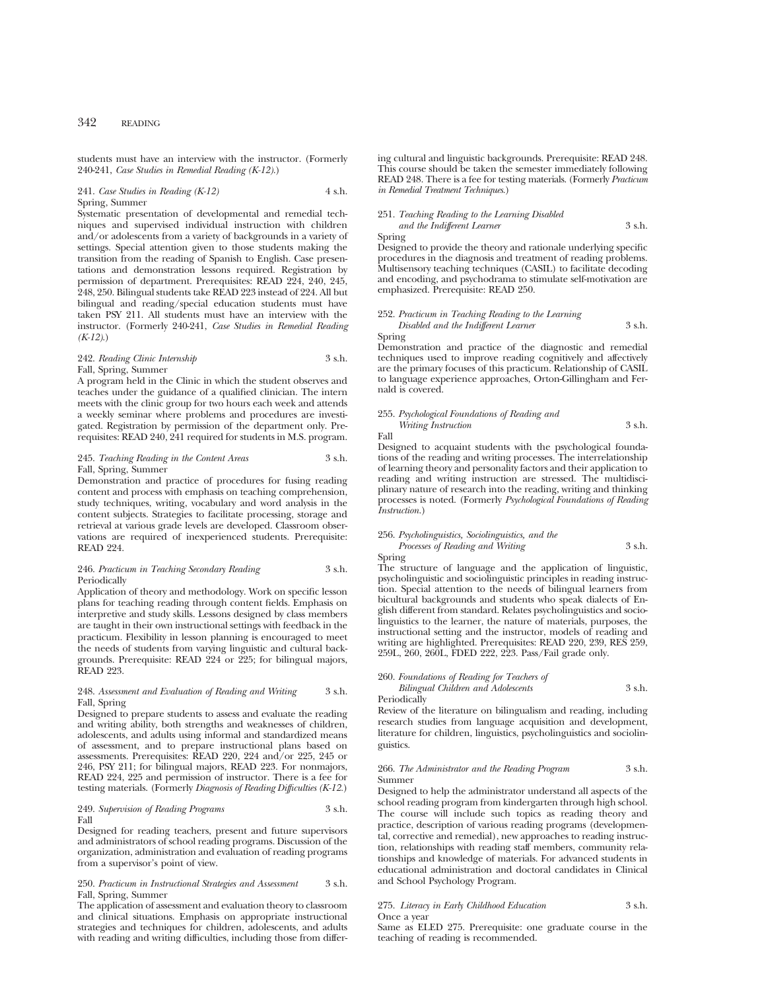students must have an interview with the instructor. (Formerly 240-241, *Case Studies in Remedial Reading (K-12)*.)

# 241. *Case Studies in Reading (K-12)* 4 s.h. Spring, Summer

Systematic presentation of developmental and remedial techniques and supervised individual instruction with children and/or adolescents from a variety of backgrounds in a variety of settings. Special attention given to those students making the transition from the reading of Spanish to English. Case presentations and demonstration lessons required. Registration by permission of department. Prerequisites: READ 224, 240, 245, 248, 250. Bilingual students take READ 223 instead of 224. All but bilingual and reading/special education students must have taken PSY 211. All students must have an interview with the instructor. (Formerly 240-241, *Case Studies in Remedial Reading (K-12)*.)

# 242. *Reading Clinic Internship* 3 s.h. Fall, Spring, Summer

A program held in the Clinic in which the student observes and teaches under the guidance of a qualified clinician. The intern meets with the clinic group for two hours each week and attends a weekly seminar where problems and procedures are investigated. Registration by permission of the department only. Prerequisites: READ 240, 241 required for students in M.S. program.

# 245. *Teaching Reading in the Content Areas* 3 s.h. Fall, Spring, Summer

Demonstration and practice of procedures for fusing reading content and process with emphasis on teaching comprehension, study techniques, writing, vocabulary and word analysis in the content subjects. Strategies to facilitate processing, storage and retrieval at various grade levels are developed. Classroom observations are required of inexperienced students. Prerequisite: READ 224.

### 246. *Practicum in Teaching Secondary Reading* 3 s.h. Periodically

Application of theory and methodology. Work on specific lesson plans for teaching reading through content fields. Emphasis on interpretive and study skills. Lessons designed by class members are taught in their own instructional settings with feedback in the practicum. Flexibility in lesson planning is encouraged to meet the needs of students from varying linguistic and cultural backgrounds. Prerequisite: READ 224 or 225; for bilingual majors, READ 993.

## 248. *Assessment and Evaluation of Reading and Writing* 3 s.h. Fall, Spring

Designed to prepare students to assess and evaluate the reading and writing ability, both strengths and weaknesses of children, adolescents, and adults using informal and standardized means of assessment, and to prepare instructional plans based on assessments. Prerequisites: READ 220, 224 and/or 225, 245 or 246, PSY 211; for bilingual majors, READ 223. For nonmajors, READ 224, 225 and permission of instructor. There is a fee for testing materials. (Formerly *Diagnosis of Reading Difficulties (K-12.*)

## 249. *Supervision of Reading Programs* 3 s.h. Fall

Designed for reading teachers, present and future supervisors and administrators of school reading programs. Discussion of the organization, administration and evaluation of reading programs from a supervisor's point of view.

#### 250. *Practicum in Instructional Strategies and Assessment* 3 s.h. Fall, Spring, Summer

The application of assessment and evaluation theory to classroom and clinical situations. Emphasis on appropriate instructional strategies and techniques for children, adolescents, and adults with reading and writing difficulties, including those from differing cultural and linguistic backgrounds. Prerequisite: READ 248. This course should be taken the semester immediately following READ 248. There is a fee for testing materials. (Formerly *Practicum in Remedial Treatment Techniques.*)

# 251. *Teaching Reading to the Learning Disabled*

# *and the Indifferent Learner* 3 s.h.

Spring Designed to provide the theory and rationale underlying specific procedures in the diagnosis and treatment of reading problems. Multisensory teaching techniques (CASIL) to facilitate decoding and encoding, and psychodrama to stimulate self-motivation are emphasized. Prerequisite: READ 250.

252. *Practicum in Teaching Reading to the Learning Disabled and the Indifferent Learner* 3 s.h.

Spring

Demonstration and practice of the diagnostic and remedial techniques used to improve reading cognitively and affectively are the primary focuses of this practicum. Relationship of CASIL to language experience approaches, Orton-Gillingham and Fernald is covered.

# 255. *Psychological Foundations of Reading and Writing Instruction* 3 s.h.

Fall

Designed to acquaint students with the psychological foundations of the reading and writing processes. The interrelationship of learning theory and personality factors and their application to reading and writing instruction are stressed. The multidisciplinary nature of research into the reading, writing and thinking processes is noted. (Formerly *Psychological Foundations of Reading Instruction.*)

256. *Psycholinguistics, Sociolinguistics, and the Processes of Reading and Writing* 3 s.h.

Spring

The structure of language and the application of linguistic, psycholinguistic and sociolinguistic principles in reading instruction. Special attention to the needs of bilingual learners from bicultural backgrounds and students who speak dialects of English different from standard. Relates psycholinguistics and sociolinguistics to the learner, the nature of materials, purposes, the instructional setting and the instructor, models of reading and writing are highlighted. Prerequisites: READ 220, 239, RES 259, 259L, 260, 260L, FDED 222, 223. Pass/Fail grade only.

## 260. *Foundations of Reading for Teachers of Bilingual Children and Adolescents* 3 s.h.

Periodically

Review of the literature on bilingualism and reading, including research studies from language acquisition and development, literature for children, linguistics, psycholinguistics and sociolinguistics.

#### 266. *The Administrator and the Reading Program* 3 s.h. Summer

Designed to help the administrator understand all aspects of the school reading program from kindergarten through high school. The course will include such topics as reading theory and practice, description of various reading programs (developmental, corrective and remedial), new approaches to reading instruction, relationships with reading staff members, community relationships and knowledge of materials. For advanced students in educational administration and doctoral candidates in Clinical and School Psychology Program.

#### 275. *Literacy in Early Childhood Education* 3 s.h. Once a year

Same as ELED 275. Prerequisite: one graduate course in the teaching of reading is recommended.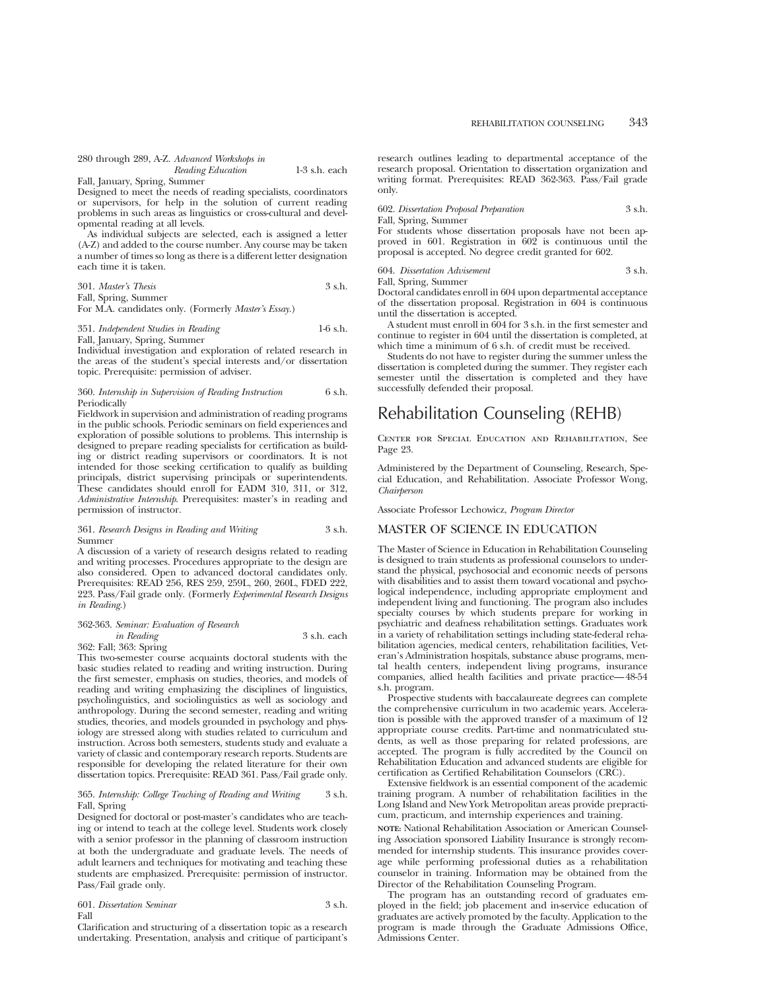## 280 through 289, A-Z. *Advanced Workshops in Reading Education* 1-3 s.h. each

Fall, January, Spring, Summer

Designed to meet the needs of reading specialists, coordinators or supervisors, for help in the solution of current reading problems in such areas as linguistics or cross-cultural and developmental reading at all levels.

As individual subjects are selected, each is assigned a letter (A-Z) and added to the course number. Any course may be taken a number of times so long as there is a different letter designation each time it is taken.

| 301. Master's Thesis | 3 s.h. |
|----------------------|--------|
| Fall, Spring, Summer |        |

For M.A. candidates only. (Formerly *Master's Essay.*)

351. *Independent Studies in Reading* 1-6 s.h.

Fall, January, Spring, Summer

Individual investigation and exploration of related research in the areas of the student's special interests and/or dissertation topic. Prerequisite: permission of adviser.

#### 360. *Internship in Supervision of Reading Instruction* 6 s.h. Periodically

Fieldwork in supervision and administration of reading programs in the public schools. Periodic seminars on field experiences and exploration of possible solutions to problems. This internship is designed to prepare reading specialists for certification as building or district reading supervisors or coordinators. It is not intended for those seeking certification to qualify as building principals, district supervising principals or superintendents. These candidates should enroll for EADM 310, 311, or 312, *Administrative Internship*. Prerequisites: master's in reading and permission of instructor.

#### 361. *Research Designs in Reading and Writing* 3 s.h. Summer

A discussion of a variety of research designs related to reading and writing processes. Procedures appropriate to the design are also considered. Open to advanced doctoral candidates only. Prerequisites: READ 256, RES 259, 259L, 260, 260L, FDED 222, 223. Pass/Fail grade only. (Formerly *Experimental Research Designs in Reading*.)

# 362-363. *Seminar: Evaluation of Research*

*in Reading* 3 s.h. each

362: Fall; 363: Spring

This two-semester course acquaints doctoral students with the basic studies related to reading and writing instruction. During the first semester, emphasis on studies, theories, and models of reading and writing emphasizing the disciplines of linguistics, psycholinguistics, and sociolinguistics as well as sociology and anthropology. During the second semester, reading and writing studies, theories, and models grounded in psychology and physiology are stressed along with studies related to curriculum and instruction. Across both semesters, students study and evaluate a variety of classic and contemporary research reports. Students are responsible for developing the related literature for their own dissertation topics. Prerequisite: READ 361. Pass/Fail grade only.

#### 365. *Internship: College Teaching of Reading and Writing* 3 s.h. Fall, Spring

Designed for doctoral or post-master's candidates who are teaching or intend to teach at the college level. Students work closely with a senior professor in the planning of classroom instruction at both the undergraduate and graduate levels. The needs of adult learners and techniques for motivating and teaching these students are emphasized. Prerequisite: permission of instructor. Pass/Fail grade only.

# 601. *Dissertation Seminar* 3 s.h. Fall

Clarification and structuring of a dissertation topic as a research undertaking. Presentation, analysis and critique of participant's

research outlines leading to departmental acceptance of the research proposal. Orientation to dissertation organization and writing format. Prerequisites: READ 362-363. Pass/Fail grade only.

602. *Dissertation Proposal Preparation* 3 s.h.

Fall, Spring, Summer

For students whose dissertation proposals have not been approved in 601. Registration in 602 is continuous until the proposal is accepted. No degree credit granted for 602.

## 604. *Dissertation Advisement* 3 s.h. Fall, Spring, Summer

Doctoral candidates enroll in 604 upon departmental acceptance of the dissertation proposal. Registration in 604 is continuous until the dissertation is accepted.

A student must enroll in 604 for 3 s.h. in the first semester and continue to register in 604 until the dissertation is completed, at which time a minimum of 6 s.h. of credit must be received.

Students do not have to register during the summer unless the dissertation is completed during the summer. They register each semester until the dissertation is completed and they have successfully defended their proposal.

# Rehabilitation Counseling (REHB)

Center for Special Education and Rehabilitation, See Page 23.

Administered by the Department of Counseling, Research, Special Education, and Rehabilitation. Associate Professor Wong, *Chairperson*

Associate Professor Lechowicz, *Program Director*

# MASTER OF SCIENCE IN EDUCATION

The Master of Science in Education in Rehabilitation Counseling is designed to train students as professional counselors to understand the physical, psychosocial and economic needs of persons with disabilities and to assist them toward vocational and psychological independence, including appropriate employment and independent living and functioning. The program also includes specialty courses by which students prepare for working in psychiatric and deafness rehabilitation settings. Graduates work in a variety of rehabilitation settings including state-federal rehabilitation agencies, medical centers, rehabilitation facilities, Veteran's Administration hospitals, substance abuse programs, mental health centers, independent living programs, insurance companies, allied health facilities and private practice—48-54 s.h. program.

Prospective students with baccalaureate degrees can complete the comprehensive curriculum in two academic years. Acceleration is possible with the approved transfer of a maximum of 12 appropriate course credits. Part-time and nonmatriculated students, as well as those preparing for related professions, are accepted. The program is fully accredited by the Council on Rehabilitation Education and advanced students are eligible for certification as Certified Rehabilitation Counselors (CRC).

Extensive fieldwork is an essential component of the academic training program. A number of rehabilitation facilities in the Long Island and New York Metropolitan areas provide prepracticum, practicum, and internship experiences and training.

**NOTE:** National Rehabilitation Association or American Counseling Association sponsored Liability Insurance is strongly recommended for internship students. This insurance provides coverage while performing professional duties as a rehabilitation counselor in training. Information may be obtained from the Director of the Rehabilitation Counseling Program.

The program has an outstanding record of graduates employed in the field; job placement and in-service education of graduates are actively promoted by the faculty. Application to the program is made through the Graduate Admissions Office, Admissions Center.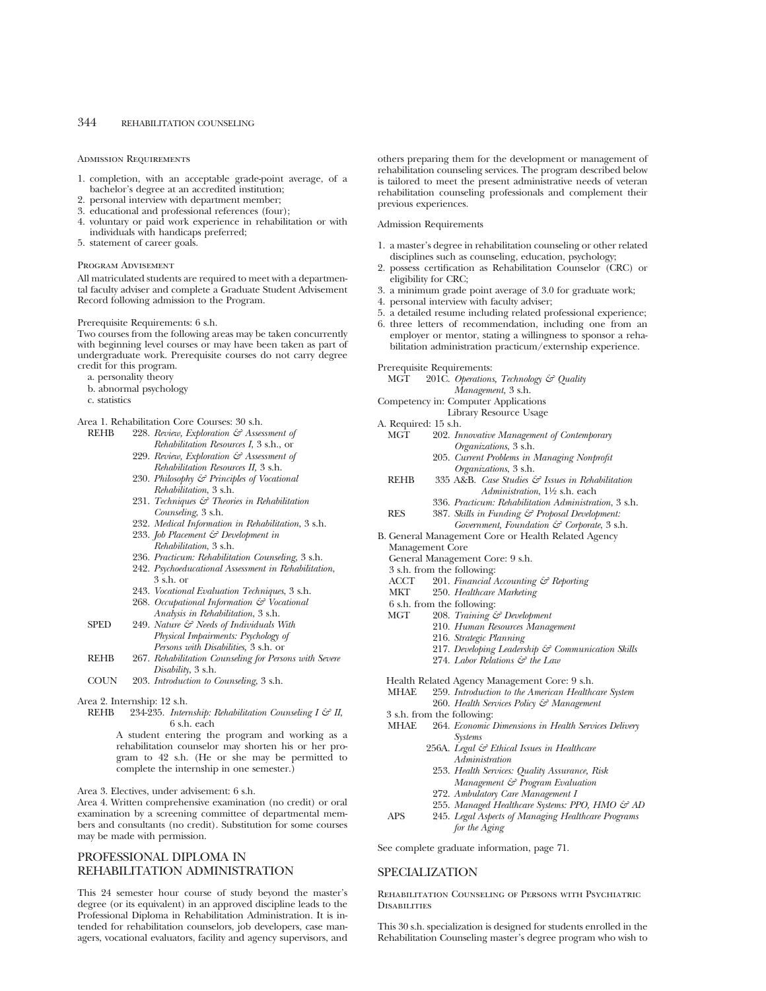#### Admission Requirements

- 1. completion, with an acceptable grade-point average, of a bachelor's degree at an accredited institution;
- personal interview with department member;
- 3. educational and professional references (four);
- 4. voluntary or paid work experience in rehabilitation or with individuals with handicaps preferred;
- 5. statement of career goals.

#### Program Advisement

All matriculated students are required to meet with a departmental faculty adviser and complete a Graduate Student Advisement Record following admission to the Program.

Prerequisite Requirements: 6 s.h.

Two courses from the following areas may be taken concurrently with beginning level courses or may have been taken as part of undergraduate work. Prerequisite courses do not carry degree credit for this program.

- a. personality theory
- b. abnormal psychology
- c. statistics

Area 1. Rehabilitation Core Courses: 30 s.h.<br>REHB 228 Review Exploration  $\zeta_{\mathcal{F}}$  Asset

- 228. Review, Exploration  $\mathcal{C}$  Assessment of *Rehabilitation Resources I*, 3 s.h., or
	- 229. *Review, Exploration & Assessment of Rehabilitation Resources II,* 3 s.h.
	- 230. *Philosophy & Principles of Vocational Rehabilitation*, 3 s.h.
	- 231. *Techniques & Theories in Rehabilitation Counseling*, 3 s.h.
	- 232. *Medical Information in Rehabilitation*, 3 s.h.
	- 233. *Job Placement & Development in Rehabilitation*, 3 s.h.
	- 236. *Practicum: Rehabilitation Counseling*, 3 s.h.
	- 242. *Psychoeducational Assessment in Rehabilitation*, 3 s.h. or
	- 243. *Vocational Evaluation Techniques*, 3 s.h.
	- 268. *Occupational Information & Vocational Analysis in Rehabilitation*, 3 s.h.
- SPED 249. *Nature & Needs of Individuals With Physical Impairments: Psychology of Persons with Disabilities,* 3 s.h. or
- REHB 267. *Rehabilitation Counseling for Persons with Severe Disability*, 3 s.h.
- COUN 203. *Introduction to Counseling*, 3 s.h.

#### Area 2. Internship: 12 s.h.

REHB 234-235. *Internship: Rehabilitation Counseling I & II*, 6 s.h. each

A student entering the program and working as a rehabilitation counselor may shorten his or her program to 42 s.h. (He or she may be permitted to complete the internship in one semester.)

Area 3. Electives, under advisement: 6 s.h.

Area 4. Written comprehensive examination (no credit) or oral examination by a screening committee of departmental members and consultants (no credit). Substitution for some courses may be made with permission.

# PROFESSIONAL DIPLOMA IN REHABILITATION ADMINISTRATION

This 24 semester hour course of study beyond the master's degree (or its equivalent) in an approved discipline leads to the Professional Diploma in Rehabilitation Administration. It is intended for rehabilitation counselors, job developers, case managers, vocational evaluators, facility and agency supervisors, and others preparing them for the development or management of rehabilitation counseling services. The program described below is tailored to meet the present administrative needs of veteran rehabilitation counseling professionals and complement their previous experiences.

#### Admission Requirements

- 1. a master's degree in rehabilitation counseling or other related disciplines such as counseling, education, psychology;
- 2. possess certification as Rehabilitation Counselor (CRC) or eligibility for CRC;
- 3. a minimum grade point average of 3.0 for graduate work;
- 4. personal interview with faculty adviser;
- 5. a detailed resume including related professional experience;
- 6. three letters of recommendation, including one from an employer or mentor, stating a willingness to sponsor a rehabilitation administration practicum/externship experience.

Prerequisite Requirements:

- MGT 201C. *Operations, Technology & Quality Management,* 3 s.h.
- Competency in: Computer Applications
	- Library Resource Usage
- 
- A. Required: 15 s.h.<br>MGT 202. In 202. *Innovative Management of Contemporary Organizations*, 3 s.h.
	- 205. *Current Problems in Managing Nonprofit Organizations*, 3 s.h.
	- REHB 335 A&B. *Case Studies & Issues in Rehabilitation Administration*, 11⁄2 s.h. each
	- 336. *Practicum: Rehabilitation Administration*, 3 s.h. RES 387. *Skills in Funding & Proposal Development:*
		- *Government, Foundation & Corporate*, 3 s.h.
- B. General Management Core or Health Related Agency Management Core
	- General Management Core: 9 s.h.
	- 3 s.h. from the following:
	- ACCT 201. *Financial Accounting & Reporting*
	- MKT 250. *Healthcare Marketing*
	- 6 s.h. from the following:
	- MGT 208. *Training & Development*
		- 210. *Human Resources Management*
		- 216. *Strategic Planning*
		- 217. *Developing Leadership & Communication Skills*
		- 274. *Labor Relations & the Law*
		-
	- Health Related Agency Management Core: 9 s.h.<br>MHAE 959 Introduction to the American Health 259. *Introduction to the American Healthcare System* 260. *Health Services Policy & Management*
	- 3 s.h. from the following:<br>MHAE 264. *Economic* 
		- 264. *Economic Dimensions in Health Services Delivery Systems*
			- 256A. *Legal & Ethical Issues in Healthcare Administration*
			- 253. *Health Services: Quality Assurance, Risk Management & Program Evaluation*
			- 272. *Ambulatory Care Management I*
	- 255. *Managed Healthcare Systems: PPO, HMO & AD* APS 245. *Legal Aspects of Managing Healthcare Programs*
		- *for the Aging*

See complete graduate information, page 71.

# SPECIALIZATION

Rehabilitation Counseling of Persons with Psychiatric **DISABILITIES** 

This 30 s.h. specialization is designed for students enrolled in the Rehabilitation Counseling master's degree program who wish to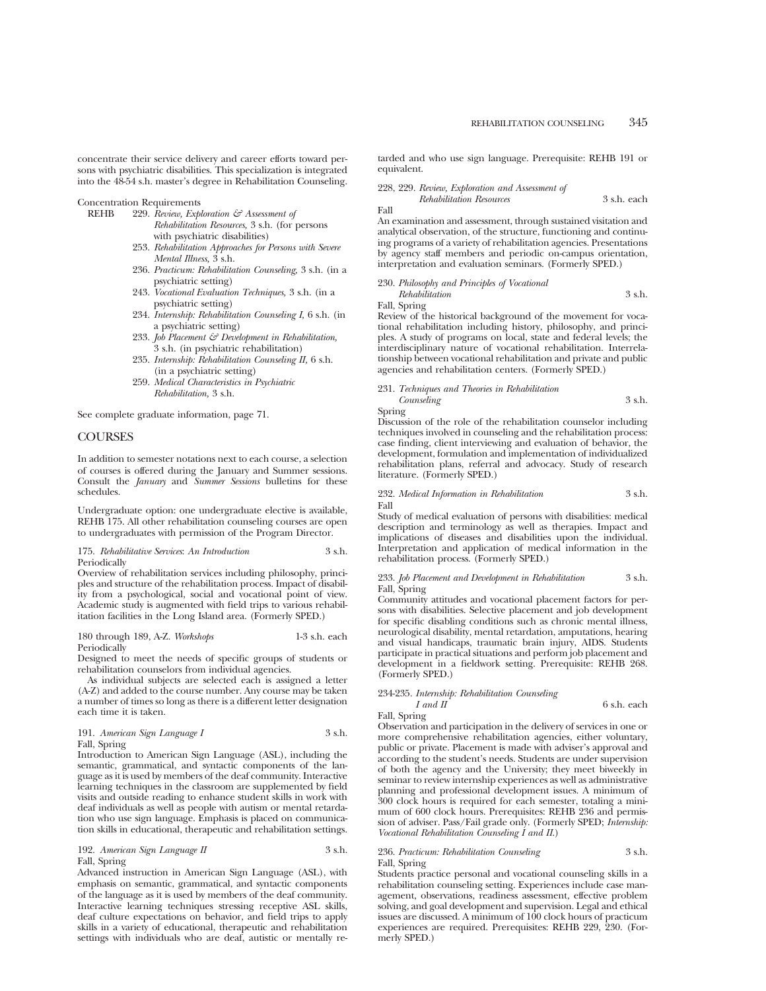concentrate their service delivery and career efforts toward persons with psychiatric disabilities. This specialization is integrated into the 48-54 s.h. master's degree in Rehabilitation Counseling.

#### Concentration Requirements

REHB 229. *Review, Exploration & Assessment of*

- *Rehabilitation Resources,* 3 s.h. (for persons with psychiatric disabilities)
- 253. *Rehabilitation Approaches for Persons with Severe Mental Illness,* 3 s.h.
- 236. *Practicum: Rehabilitation Counseling,* 3 s.h. (in a psychiatric setting)
- 243. *Vocational Evaluation Techniques,* 3 s.h. (in a psychiatric setting)
- 234. *Internship: Rehabilitation Counseling I,* 6 s.h. (in a psychiatric setting)
- 233. *Job Placement & Development in Rehabilitation,* 3 s.h. (in psychiatric rehabilitation)
- 235. *Internship: Rehabilitation Counseling II,* 6 s.h. (in a psychiatric setting)
- 259. *Medical Characteristics in Psychiatric Rehabilitation,* 3 s.h.

See complete graduate information, page 71.

# COURSES

In addition to semester notations next to each course, a selection of courses is offered during the January and Summer sessions. Consult the *January* and *Summer Sessions* bulletins for these schedules.

Undergraduate option: one undergraduate elective is available, REHB 175. All other rehabilitation counseling courses are open to undergraduates with permission of the Program Director.

#### 175. *Rehabilitative Services*: *An Introduction* 3 s.h. Periodically

Overview of rehabilitation services including philosophy, principles and structure of the rehabilitation process. Impact of disability from a psychological, social and vocational point of view. Academic study is augmented with field trips to various rehabilitation facilities in the Long Island area. (Formerly SPED.)

#### 180 through 189, A-Z. *Workshops* 1-3 s.h. each Periodically

Designed to meet the needs of specific groups of students or rehabilitation counselors from individual agencies.

As individual subjects are selected each is assigned a letter (A-Z) and added to the course number. Any course may be taken a number of times so long as there is a different letter designation each time it is taken.

| 191. American Sign Language I | 3 s.h. |
|-------------------------------|--------|
| Fall, Spring                  |        |

Introduction to American Sign Language (ASL), including the semantic, grammatical, and syntactic components of the language as it is used by members of the deaf community. Interactive learning techniques in the classroom are supplemented by field visits and outside reading to enhance student skills in work with deaf individuals as well as people with autism or mental retardation who use sign language. Emphasis is placed on communication skills in educational, therapeutic and rehabilitation settings.

192. *American Sign Language II* 3 s.h. Fall, Spring

Advanced instruction in American Sign Language (ASL), with emphasis on semantic, grammatical, and syntactic components of the language as it is used by members of the deaf community. Interactive learning techniques stressing receptive ASL skills, deaf culture expectations on behavior, and field trips to apply skills in a variety of educational, therapeutic and rehabilitation settings with individuals who are deaf, autistic or mentally retarded and who use sign language. Prerequisite: REHB 191 or equivalent.

#### 228, 229. *Review, Exploration and Assessment of Rehabilitation Resources* 3 s.h. each

Fall

An examination and assessment, through sustained visitation and analytical observation, of the structure, functioning and continuing programs of a variety of rehabilitation agencies. Presentations by agency staff members and periodic on-campus orientation, interpretation and evaluation seminars. (Formerly SPED.)

230. *Philosophy and Principles of Vocational Rehabilitation* 3 s.h. Fall, Spring

Review of the historical background of the movement for vocational rehabilitation including history, philosophy, and principles. A study of programs on local, state and federal levels; the interdisciplinary nature of vocational rehabilitation. Interrelationship between vocational rehabilitation and private and public agencies and rehabilitation centers. (Formerly SPED.)

#### 231. *Techniques and Theories in Rehabilitation Counseling* 3 s.h.

Spring

Discussion of the role of the rehabilitation counselor including techniques involved in counseling and the rehabilitation process: case finding, client interviewing and evaluation of behavior, the development, formulation and implementation of individualized rehabilitation plans, referral and advocacy. Study of research literature. (Formerly SPED.)

#### 232. *Medical Information in Rehabilitation* 3 s.h. Fall

Study of medical evaluation of persons with disabilities: medical description and terminology as well as therapies. Impact and implications of diseases and disabilities upon the individual. Interpretation and application of medical information in the rehabilitation process. (Formerly SPED.)

233. *Job Placement and Development in Rehabilitation* 3 s.h. Fall, Spring

Community attitudes and vocational placement factors for persons with disabilities. Selective placement and job development for specific disabling conditions such as chronic mental illness, neurological disability, mental retardation, amputations, hearing and visual handicaps, traumatic brain injury, AIDS. Students participate in practical situations and perform job placement and development in a fieldwork setting. Prerequisite: REHB 268. (Formerly SPED.)

# 234-235. *Internship: Rehabilitation Counseling*

*I and II* 6 s.h. each

Fall, Spring

Observation and participation in the delivery of services in one or more comprehensive rehabilitation agencies, either voluntary, public or private. Placement is made with adviser's approval and according to the student's needs. Students are under supervision of both the agency and the University; they meet biweekly in seminar to review internship experiences as well as administrative planning and professional development issues. A minimum of 300 clock hours is required for each semester, totaling a minimum of 600 clock hours. Prerequisites: REHB 236 and permission of adviser. Pass/Fail grade only. (Formerly SPED; *Internship: Vocational Rehabilitation Counseling I and II*.)

## 236. *Practicum: Rehabilitation Counseling* 3 s.h. Fall, Spring

Students practice personal and vocational counseling skills in a rehabilitation counseling setting. Experiences include case management, observations, readiness assessment, effective problem solving, and goal development and supervision. Legal and ethical issues are discussed. A minimum of 100 clock hours of practicum experiences are required. Prerequisites: REHB 229, 230. (Formerly SPED.)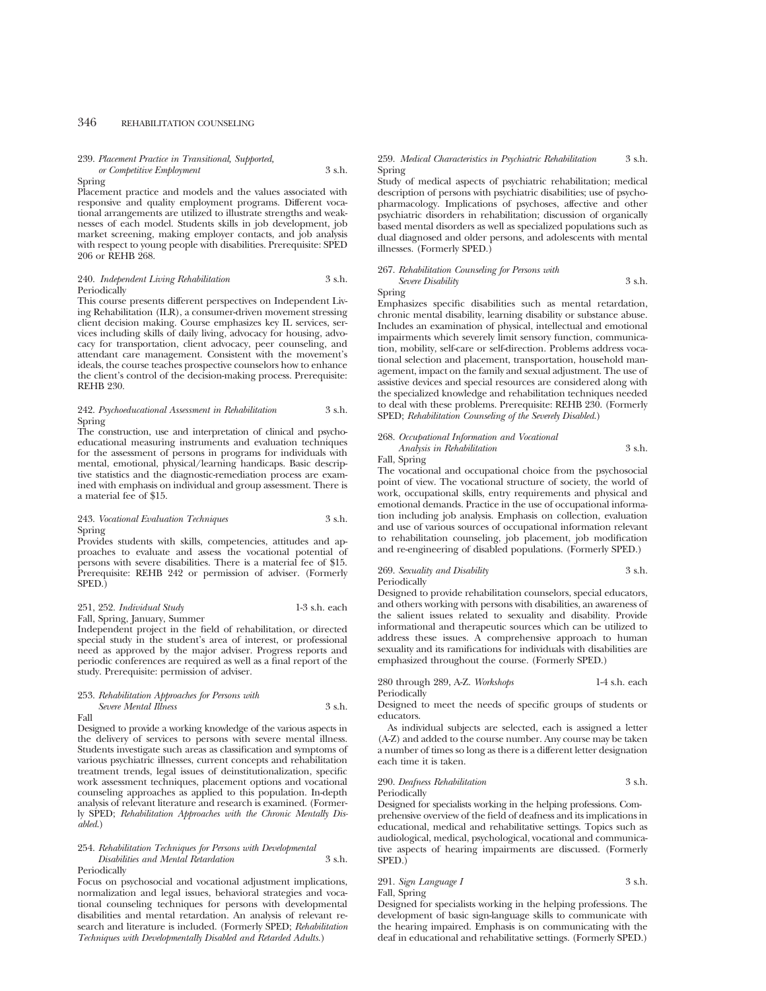# 239. *Placement Practice in Transitional, Supported, or Competitive Employment* 3 s.h.

#### Spring

Placement practice and models and the values associated with responsive and quality employment programs. Different vocational arrangements are utilized to illustrate strengths and weaknesses of each model. Students skills in job development, job market screening, making employer contacts, and job analysis with respect to young people with disabilities. Prerequisite: SPED 206 or REHB 268.

#### 240. *Independent Living Rehabilitation* 3 s.h. Periodically

This course presents different perspectives on Independent Living Rehabilitation (ILR), a consumer-driven movement stressing client decision making. Course emphasizes key IL services, services including skills of daily living, advocacy for housing, advocacy for transportation, client advocacy, peer counseling, and attendant care management. Consistent with the movement's ideals, the course teaches prospective counselors how to enhance the client's control of the decision-making process. Prerequisite: REHB 230.

## 242. *Psychoeducational Assessment in Rehabilitation* 3 s.h. Spring

The construction, use and interpretation of clinical and psychoeducational measuring instruments and evaluation techniques for the assessment of persons in programs for individuals with mental, emotional, physical/learning handicaps. Basic descriptive statistics and the diagnostic-remediation process are examined with emphasis on individual and group assessment. There is a material fee of \$15.

# 243. *Vocational Evaluation Techniques* 3 s.h. Spring

Provides students with skills, competencies, attitudes and approaches to evaluate and assess the vocational potential of persons with severe disabilities. There is a material fee of \$15. Prerequisite: REHB 242 or permission of adviser. (Formerly SPED.)

# 251, 252. *Individual Study* 1-3 s.h. each

Fall, Spring, January, Summer Independent project in the field of rehabilitation, or directed special study in the student's area of interest, or professional need as approved by the major adviser. Progress reports and periodic conferences are required as well as a final report of the study. Prerequisite: permission of adviser.

# 253. *Rehabilitation Approaches for Persons with Severe Mental Illness* 3 s.h.

Fall Designed to provide a working knowledge of the various aspects in the delivery of services to persons with severe mental illness. Students investigate such areas as classification and symptoms of various psychiatric illnesses, current concepts and rehabilitation treatment trends, legal issues of deinstitutionalization, specific work assessment techniques, placement options and vocational counseling approaches as applied to this population. In-depth analysis of relevant literature and research is examined. (Formerly SPED; *Rehabilitation Approaches with the Chronic Mentally Disabled*.)

#### 254. *Rehabilitation Techniques for Persons with Developmental Disabilities and Mental Retardation* 3 s.h. Periodically

Focus on psychosocial and vocational adjustment implications, normalization and legal issues, behavioral strategies and vocational counseling techniques for persons with developmental disabilities and mental retardation. An analysis of relevant research and literature is included. (Formerly SPED; *Rehabilitation Techniques with Developmentally Disabled and Retarded Adults.*)

## 259. *Medical Characteristics in Psychiatric Rehabilitation* 3 s.h. Spring

Study of medical aspects of psychiatric rehabilitation; medical description of persons with psychiatric disabilities; use of psychopharmacology. Implications of psychoses, affective and other psychiatric disorders in rehabilitation; discussion of organically based mental disorders as well as specialized populations such as dual diagnosed and older persons, and adolescents with mental illnesses. (Formerly SPED.)

#### 267. *Rehabilitation Counseling for Persons with Severe Disability* 3 s.h. Spring

Emphasizes specific disabilities such as mental retardation, chronic mental disability, learning disability or substance abuse. Includes an examination of physical, intellectual and emotional impairments which severely limit sensory function, communication, mobility, self-care or self-direction. Problems address vocational selection and placement, transportation, household management, impact on the family and sexual adjustment. The use of assistive devices and special resources are considered along with the specialized knowledge and rehabilitation techniques needed to deal with these problems. Prerequisite: REHB 230. (Formerly SPED; *Rehabilitation Counseling of the Severely Disabled*.)

# 268. *Occupational Information and Vocational Analysis in Rehabilitation* 3 s.h.

Fall, Spring

The vocational and occupational choice from the psychosocial point of view. The vocational structure of society, the world of work, occupational skills, entry requirements and physical and emotional demands. Practice in the use of occupational information including job analysis. Emphasis on collection, evaluation and use of various sources of occupational information relevant to rehabilitation counseling, job placement, job modification and re-engineering of disabled populations. (Formerly SPED.)

269. *Sexuality and Disability* 3 s.h. Periodically

Designed to provide rehabilitation counselors, special educators, and others working with persons with disabilities, an awareness of the salient issues related to sexuality and disability. Provide informational and therapeutic sources which can be utilized to address these issues. A comprehensive approach to human sexuality and its ramifications for individuals with disabilities are emphasized throughout the course. (Formerly SPED.)

#### 280 through 289, A-Z. *Workshops* 1-4 s.h. each Periodically

Designed to meet the needs of specific groups of students or educators.

As individual subjects are selected, each is assigned a letter (A-Z) and added to the course number. Any course may be taken a number of times so long as there is a different letter designation each time it is taken.

## 290. *Deafness Rehabilitation* 3 s.h. Periodically

Designed for specialists working in the helping professions. Comprehensive overview of the field of deafness and its implications in educational, medical and rehabilitative settings. Topics such as audiological, medical, psychological, vocational and communicative aspects of hearing impairments are discussed. (Formerly SPED.)

# 291. *Sign Language I* 3 s.h. Fall, Spring

Designed for specialists working in the helping professions. The development of basic sign-language skills to communicate with the hearing impaired. Emphasis is on communicating with the deaf in educational and rehabilitative settings. (Formerly SPED.)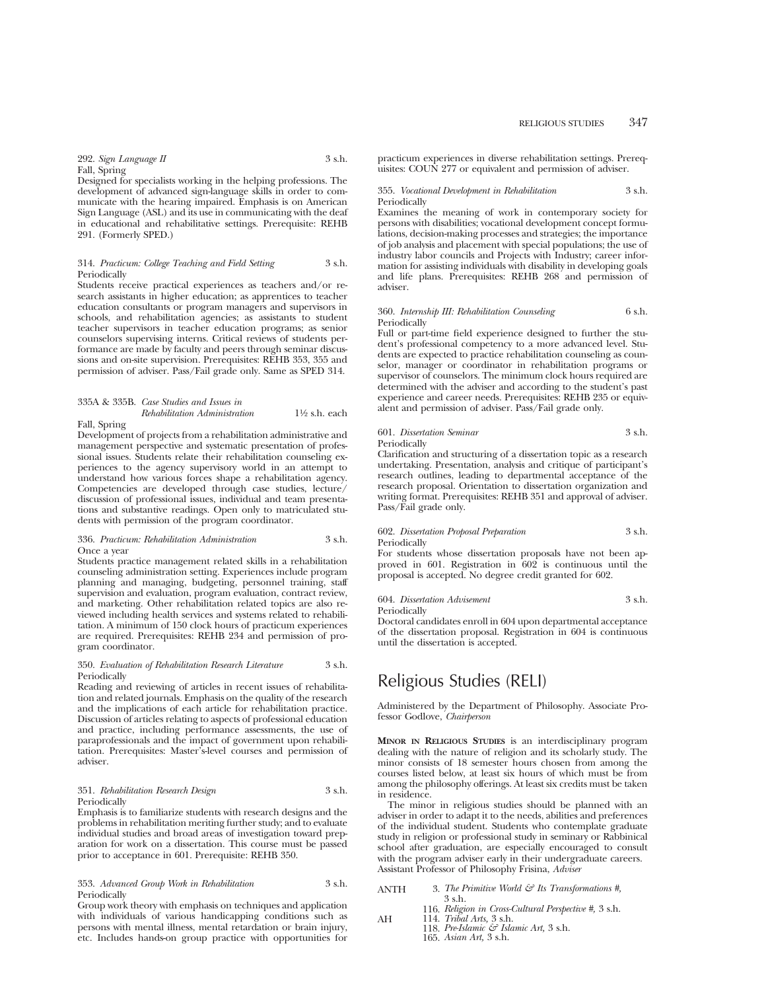292. *Sign Language II* 3 s.h. Fall, Spring

Designed for specialists working in the helping professions. The development of advanced sign-language skills in order to communicate with the hearing impaired. Emphasis is on American Sign Language (ASL) and its use in communicating with the deaf in educational and rehabilitative settings. Prerequisite: REHB 291. (Formerly SPED.)

#### 314. *Practicum: College Teaching and Field Setting* 3 s.h. Periodically

Students receive practical experiences as teachers and/or research assistants in higher education; as apprentices to teacher education consultants or program managers and supervisors in schools, and rehabilitation agencies; as assistants to student teacher supervisors in teacher education programs; as senior counselors supervising interns. Critical reviews of students performance are made by faculty and peers through seminar discussions and on-site supervision. Prerequisites: REHB 353, 355 and permission of adviser. Pass/Fail grade only. Same as SPED 314.

## 335A & 335B. *Case Studies and Issues in*

## *Rehabilitation Administration* 11⁄2 s.h. each Fall, Spring

Development of projects from a rehabilitation administrative and management perspective and systematic presentation of professional issues. Students relate their rehabilitation counseling experiences to the agency supervisory world in an attempt to understand how various forces shape a rehabilitation agency. Competencies are developed through case studies, lecture/ discussion of professional issues, individual and team presentations and substantive readings. Open only to matriculated students with permission of the program coordinator.

#### 336. *Practicum: Rehabilitation Administration* 3 s.h. Once a year

Students practice management related skills in a rehabilitation counseling administration setting. Experiences include program planning and managing, budgeting, personnel training, staff supervision and evaluation, program evaluation, contract review, and marketing. Other rehabilitation related topics are also reviewed including health services and systems related to rehabilitation. A minimum of 150 clock hours of practicum experiences are required. Prerequisites: REHB 234 and permission of program coordinator.

#### 350. *Evaluation of Rehabilitation Research Literature* 3 s.h. **Periodically**

Reading and reviewing of articles in recent issues of rehabilitation and related journals. Emphasis on the quality of the research and the implications of each article for rehabilitation practice. Discussion of articles relating to aspects of professional education and practice, including performance assessments, the use of paraprofessionals and the impact of government upon rehabilitation. Prerequisites: Master's-level courses and permission of adviser.

# 351. *Rehabilitation Research Design* 3 s.h. Periodically

Emphasis is to familiarize students with research designs and the problems in rehabilitation meriting further study; and to evaluate individual studies and broad areas of investigation toward preparation for work on a dissertation. This course must be passed prior to acceptance in 601. Prerequisite: REHB 350.

## 353. *Advanced Group Work in Rehabilitation* 3 s.h. Periodically

Group work theory with emphasis on techniques and application with individuals of various handicapping conditions such as persons with mental illness, mental retardation or brain injury, etc. Includes hands-on group practice with opportunities for practicum experiences in diverse rehabilitation settings. Prerequisites: COUN 277 or equivalent and permission of adviser.

#### 355. *Vocational Development in Rehabilitation* 3 s.h. Periodically

Examines the meaning of work in contemporary society for persons with disabilities; vocational development concept formulations, decision-making processes and strategies; the importance of job analysis and placement with special populations; the use of industry labor councils and Projects with Industry; career information for assisting individuals with disability in developing goals and life plans. Prerequisites: REHB 268 and permission of adviser.

#### 360. *Internship III: Rehabilitation Counseling* 6 s.h. Periodically

Full or part-time field experience designed to further the student's professional competency to a more advanced level. Students are expected to practice rehabilitation counseling as counselor, manager or coordinator in rehabilitation programs or supervisor of counselors. The minimum clock hours required are determined with the adviser and according to the student's past experience and career needs. Prerequisites: REHB 235 or equivalent and permission of adviser. Pass/Fail grade only.

## 601. *Dissertation Seminar* 3 s.h. Periodically

Clarification and structuring of a dissertation topic as a research undertaking. Presentation, analysis and critique of participant's research outlines, leading to departmental acceptance of the research proposal. Orientation to dissertation organization and writing format. Prerequisites: REHB 351 and approval of adviser. Pass/Fail grade only.

#### 602. *Dissertation Proposal Preparation* 3 s.h. Periodically

For students whose dissertation proposals have not been approved in 601. Registration in 602 is continuous until the proposal is accepted. No degree credit granted for 602.

## 604. *Dissertation Advisement* 3 s.h. Periodically

Doctoral candidates enroll in 604 upon departmental acceptance of the dissertation proposal. Registration in 604 is continuous until the dissertation is accepted.

# Religious Studies (RELI)

Administered by the Department of Philosophy. Associate Professor Godlove, *Chairperson*

**MINOR IN RELIGIOUS STUDIES** is an interdisciplinary program dealing with the nature of religion and its scholarly study. The minor consists of 18 semester hours chosen from among the courses listed below, at least six hours of which must be from among the philosophy offerings. At least six credits must be taken in residence.

The minor in religious studies should be planned with an adviser in order to adapt it to the needs, abilities and preferences of the individual student. Students who contemplate graduate study in religion or professional study in seminary or Rabbinical school after graduation, are especially encouraged to consult with the program adviser early in their undergraduate careers. Assistant Professor of Philosophy Frisina, *Adviser*

- ANTH 3. *The Primitive World & Its Transformations #,* 3 s.h.
	- 116. *Religion in Cross-Cultural Perspective #,* 3 s.h.
- AH 114. *Tribal Arts,* 3 s.h. 118. *Pre-Islamic & Islamic Art,* 3 s.h.
	- - 165. *Asian Art,* 3 s.h.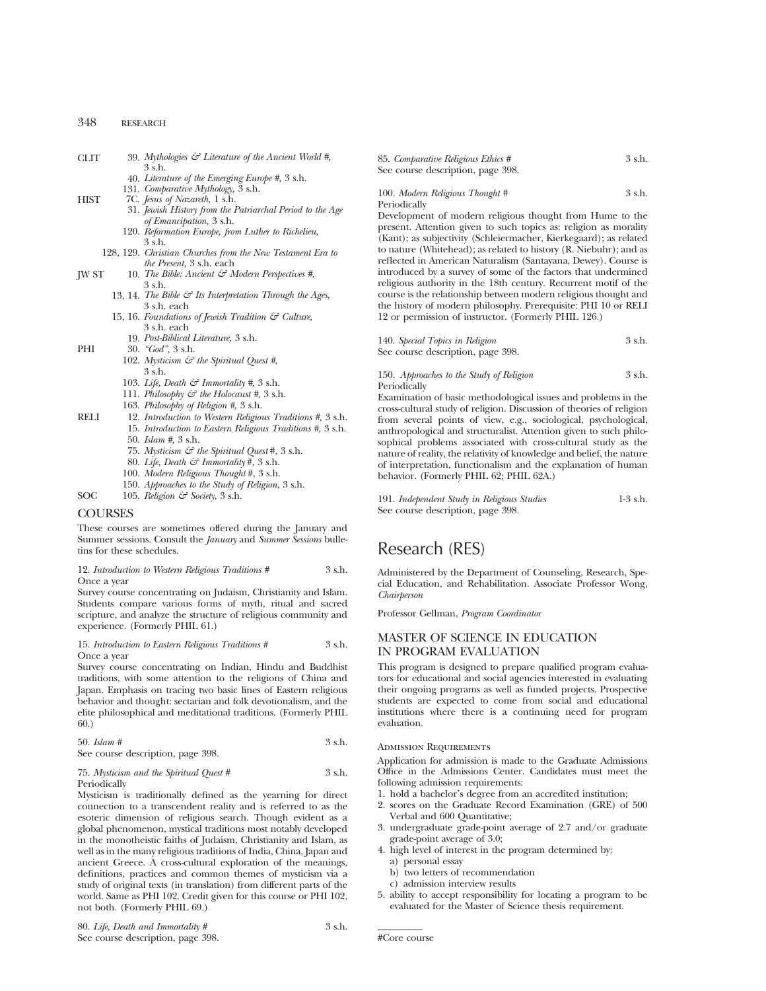| <b>CLIT</b> |  | 3 s.h. |  | 39. Mythologies $G$ Literature of the Ancient World #, |  |  |  |  |
|-------------|--|--------|--|--------------------------------------------------------|--|--|--|--|
|             |  |        |  |                                                        |  |  |  |  |

- 40. *Literature of the Emerging Europe #,* 3 s.h.
- 131. *Comparative Mythology,* 3 s.h.
- HIST 7C. *Jesus of Nazareth,* 1 s.h.
	- 31. *Jewish History from the Patriarchal Period to the Age of Emancipation,* 3 s.h.
	- 120. *Reformation Europe, from Luther to Richelieu,*  $3 \,$ s $\,$ h.
	- 128, 129. *Christian Churches from the New Testament Era to the Present,* 3 s.h. each
- JW ST 10. *The Bible: Ancient & Modern Perspectives #,* 3 s.h.
	- 13, 14. *The Bible & Its Interpretation Through the Ages,* 3 s.h. each
	- 15, 16. *Foundations of Jewish Tradition & Culture,* 3 s.h. each
		- 19. *Post-Biblical Literature,* 3 s.h.
- PHI 30. *"God",* 3 s.h.
	- 102. *Mysticism & the Spiritual Quest #,* 3 s.h.
	- 103. *Life, Death & Immortality #,* 3 s.h.
	- 111. *Philosophy & the Holocaust #,* 3 s.h.
	- 163. *Philosophy of Religion #,* 3 s.h.
- RELI 12. *Introduction to Western Religious Traditions #,* 3 s.h. 15. *Introduction to Eastern Religious Traditions #,* 3 s.h.
	- 50. *Islam #,* 3 s.h.
	- 75. *Mysticism & the Spiritual Quest* #, 3 s.h.
	- 80. *Life, Death & Immortality* #, 3 s.h.
	- 100. *Modern Religious Thought* #, 3 s.h.
	- 150. *Approaches to the Study of Religion*, 3 s.h.
- SOC 105. *Religion & Society*, 3 s.h.

# COURSES

These courses are sometimes offered during the January and Summer sessions. Consult the *January* and *Summer Sessions* bulletins for these schedules.

#### 12. *Introduction to Western Religious Traditions #* 3 s.h. Once a year

Survey course concentrating on Judaism, Christianity and Islam. Students compare various forms of myth, ritual and sacred scripture, and analyze the structure of religious community and experience. (Formerly PHIL 61.)

## 15. *Introduction to Eastern Religious Traditions #* 3 s.h. Once a year

Survey course concentrating on Indian, Hindu and Buddhist traditions, with some attention to the religions of China and Japan. Emphasis on tracing two basic lines of Eastern religious behavior and thought: sectarian and folk devotionalism, and the elite philosophical and meditational traditions. (Formerly PHIL 60.)

| $50.$ Islam #                     | $3$ s.h. |
|-----------------------------------|----------|
| See course description, page 398. |          |

#### 75. *Mysticism and the Spiritual Quest #* 3 s.h. Periodically

Mysticism is traditionally defined as the yearning for direct connection to a transcendent reality and is referred to as the esoteric dimension of religious search. Though evident as a global phenomenon, mystical traditions most notably developed in the monotheistic faiths of Judaism, Christianity and Islam, as well as in the many religious traditions of India, China, Japan and ancient Greece. A cross-cultural exploration of the meanings, definitions, practices and common themes of mysticism via a study of original texts (in translation) from different parts of the world. Same as PHI 102. Credit given for this course or PHI 102, not both. (Formerly PHIL 69.)

85. *Comparative Religious Ethics #* 3 s.h. See course description, page 398.

#### 100. *Modern Religious Thought #* 3 s.h. Periodically

Development of modern religious thought from Hume to the present. Attention given to such topics as: religion as morality (Kant); as subjectivity (Schleiermacher, Kierkegaard); as related to nature (Whitehead); as related to history (R. Niebuhr); and as reflected in American Naturalism (Santayana, Dewey). Course is introduced by a survey of some of the factors that undermined religious authority in the 18th century. Recurrent motif of the course is the relationship between modern religious thought and the history of modern philosophy. Prerequisite: PHI 10 or RELI 12 or permission of instructor. (Formerly PHIL 126.)

| 140. Special Topics in Religion   | 3 s.h. |
|-----------------------------------|--------|
| See course description, page 398. |        |

150. *Approaches to the Study of Religion* 3 s.h. Periodically

Examination of basic methodological issues and problems in the cross-cultural study of religion. Discussion of theories of religion from several points of view, e.g., sociological, psychological, anthropological and structuralist. Attention given to such philosophical problems associated with cross-cultural study as the nature of reality, the relativity of knowledge and belief, the nature of interpretation, functionalism and the explanation of human behavior. (Formerly PHIL 62; PHIL 62A.)

191. *Independent Study in Religious Studies* 1-3 s.h. See course description, page 398.

# Research (RES)

Administered by the Department of Counseling, Research, Special Education, and Rehabilitation. Associate Professor Wong, *Chairperson*

Professor Gellman, *Program Coordinator*

# MASTER OF SCIENCE IN EDUCATION IN PROGRAM EVALUATION

This program is designed to prepare qualified program evaluators for educational and social agencies interested in evaluating their ongoing programs as well as funded projects. Prospective students are expected to come from social and educational institutions where there is a continuing need for program evaluation.

Admission Requirements

Application for admission is made to the Graduate Admissions Office in the Admissions Center. Candidates must meet the following admission requirements:

- 1. hold a bachelor's degree from an accredited institution;
- 2. scores on the Graduate Record Examination (GRE) of 500 Verbal and 600 Quantitative;
- 3. undergraduate grade-point average of 2.7 and/or graduate grade-point average of 3.0;
- 4. high level of interest in the program determined by:
	- a) personal essay
	- b) two letters of recommendation
	- c) admission interview results
- 5. ability to accept responsibility for locating a program to be evaluated for the Master of Science thesis requirement.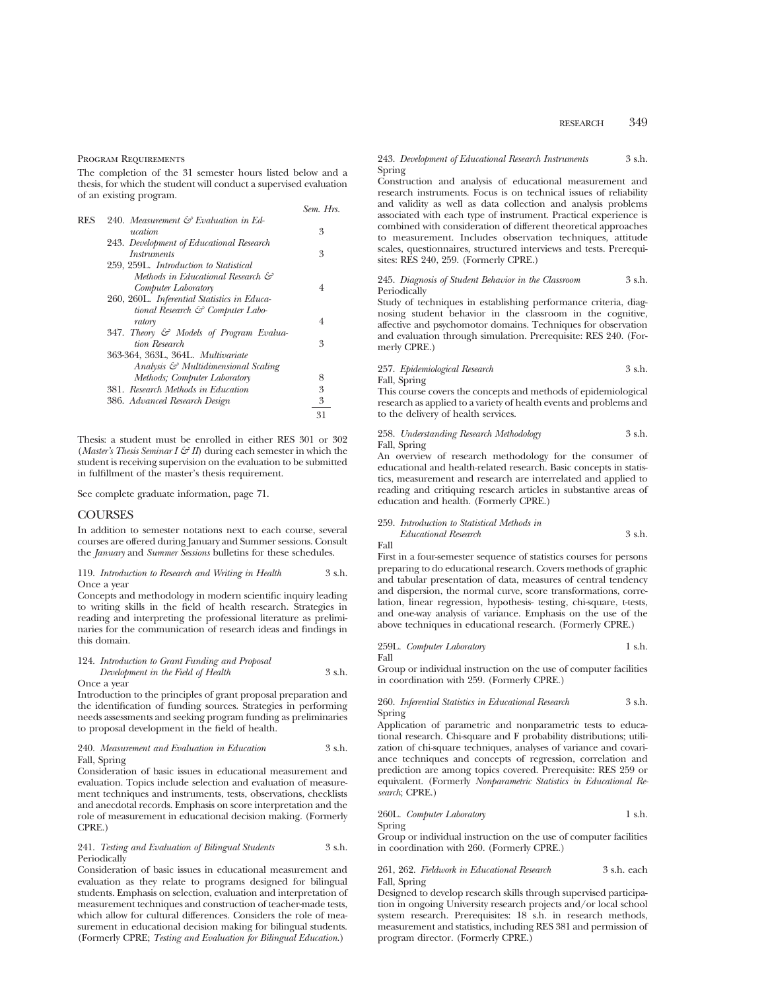#### Program Requirements

The completion of the 31 semester hours listed below and a thesis, for which the student will conduct a supervised evaluation of an existing program.

|     |                                                  | Sem. Hrs. |
|-----|--------------------------------------------------|-----------|
| RES | 240. Measurement $\mathcal{E}$ Evaluation in Ed- |           |
|     | ucation                                          | 3         |
|     | 243. Development of Educational Research         |           |
|     | <i>Instruments</i>                               | 3         |
|     | 259, 259L. Introduction to Statistical           |           |
|     | Methods in Educational Research &                |           |
|     | Computer Laboratory                              | 4         |
|     | 260, 260L. Inferential Statistics in Educa-      |           |
|     | tional Research $\mathcal{C}$ Computer Labo-     |           |
|     | ratory                                           | 4         |
|     | 347. Theory & Models of Program Evalua-          |           |
|     | tion Research                                    | 3         |
|     | 363-364, 363L, 364L, Multivariate                |           |
|     | Analysis & Multidimensional Scaling              |           |
|     | Methods; Computer Laboratory                     | 8         |
|     | 381. Research Methods in Education               | 3         |
|     | 386. Advanced Research Design                    | 3         |
|     |                                                  | 31        |
|     |                                                  |           |

Thesis: a student must be enrolled in either RES 301 or 302 (*Master's Thesis Seminar I*  $\mathcal{G}'$  *II*) during each semester in which the student is receiving supervision on the evaluation to be submitted in fulfillment of the master's thesis requirement.

See complete graduate information, page 71.

## **COURSES**

In addition to semester notations next to each course, several courses are offered during January and Summer sessions. Consult the *January* and *Summer Sessions* bulletins for these schedules.

#### 119. *Introduction to Research and Writing in Health* 3 s.h. Once a year

Concepts and methodology in modern scientific inquiry leading to writing skills in the field of health research. Strategies in reading and interpreting the professional literature as preliminaries for the communication of research ideas and findings in this domain.

124. *Introduction to Grant Funding and Proposal Development in the Field of Health* 3 s.h.

Once a year

Introduction to the principles of grant proposal preparation and the identification of funding sources. Strategies in performing needs assessments and seeking program funding as preliminaries to proposal development in the field of health.

#### 240. *Measurement and Evaluation in Education* 3 s.h. Fall, Spring

Consideration of basic issues in educational measurement and evaluation. Topics include selection and evaluation of measurement techniques and instruments, tests, observations, checklists and anecdotal records. Emphasis on score interpretation and the role of measurement in educational decision making. (Formerly CPRE.)

#### 241. *Testing and Evaluation of Bilingual Students* 3 s.h. Periodically

Consideration of basic issues in educational measurement and evaluation as they relate to programs designed for bilingual students. Emphasis on selection, evaluation and interpretation of measurement techniques and construction of teacher-made tests, which allow for cultural differences. Considers the role of measurement in educational decision making for bilingual students. (Formerly CPRE; *Testing and Evaluation for Bilingual Education*.)

#### 243. *Development of Educational Research Instruments* 3 s.h. Spring

Construction and analysis of educational measurement and research instruments. Focus is on technical issues of reliability and validity as well as data collection and analysis problems associated with each type of instrument. Practical experience is combined with consideration of different theoretical approaches to measurement. Includes observation techniques, attitude scales, questionnaires, structured interviews and tests. Prerequisites: RES 240, 259. (Formerly CPRE.)

245. *Diagnosis of Student Behavior in the Classroom* 3 s.h. Periodically

Study of techniques in establishing performance criteria, diagnosing student behavior in the classroom in the cognitive, affective and psychomotor domains. Techniques for observation and evaluation through simulation. Prerequisite: RES 240. (Formerly CPRE.)

# 257. *Epidemiological Research* 3 s.h.

Fall, Spring

This course covers the concepts and methods of epidemiological research as applied to a variety of health events and problems and to the delivery of health services.

#### 258. *Understanding Research Methodology* 3 s.h. Fall, Spring

An overview of research methodology for the consumer of educational and health-related research. Basic concepts in statistics, measurement and research are interrelated and applied to reading and critiquing research articles in substantive areas of education and health. (Formerly CPRE.)

#### 259. *Introduction to Statistical Methods in*

*Educational Research* 3 s.h.

Fall

First in a four-semester sequence of statistics courses for persons preparing to do educational research. Covers methods of graphic and tabular presentation of data, measures of central tendency and dispersion, the normal curve, score transformations, correlation, linear regression, hypothesis- testing, chi-square, t-tests, and one-way analysis of variance. Emphasis on the use of the above techniques in educational research. (Formerly CPRE.)

259L. *Computer Laboratory* 1 s.h. Fall

Group or individual instruction on the use of computer facilities in coordination with 259. (Formerly CPRE.)

#### 260. *Inferential Statistics in Educational Research* 3 s.h. Spring

Application of parametric and nonparametric tests to educational research. Chi-square and F probability distributions; utilization of chi-square techniques, analyses of variance and covariance techniques and concepts of regression, correlation and prediction are among topics covered. Prerequisite: RES 259 or equivalent. (Formerly *Nonparametric Statistics in Educational Research*; CPRE.)

## 260L. *Computer Laboratory* 1 s.h. Spring

Group or individual instruction on the use of computer facilities in coordination with 260. (Formerly CPRE.)

261, 262. *Fieldwork in Educational Research* 3 s.h. each Fall, Spring

Designed to develop research skills through supervised participation in ongoing University research projects and/or local school system research. Prerequisites: 18 s.h. in research methods, measurement and statistics, including RES 381 and permission of program director. (Formerly CPRE.)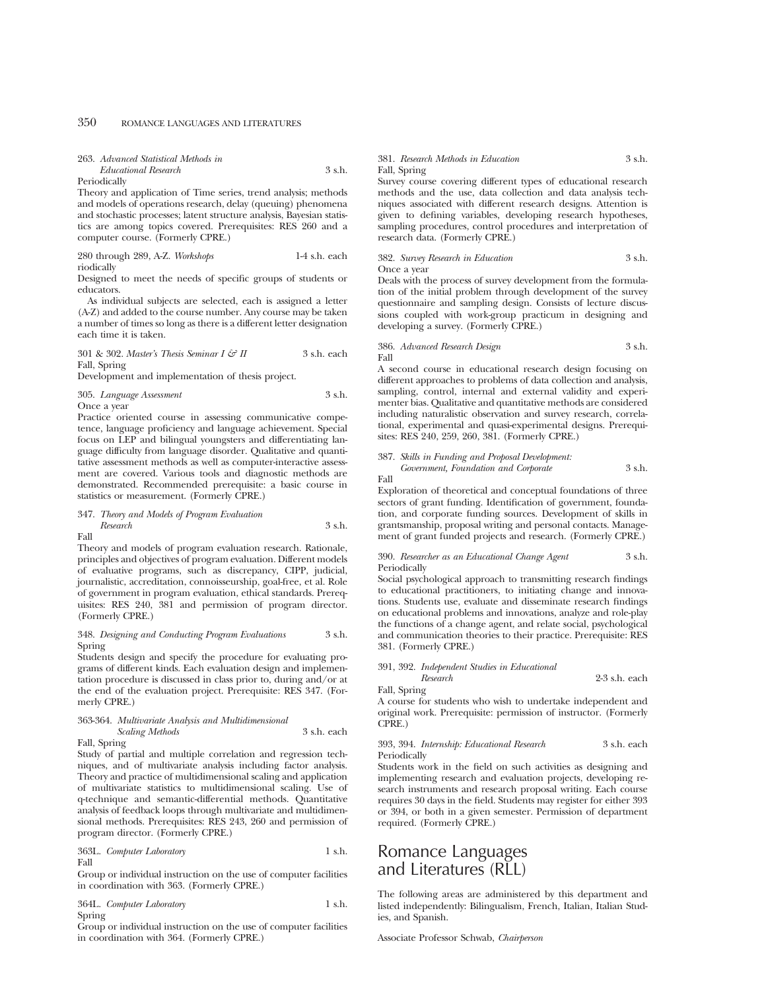| 263. Advanced Statistical Methods in |          |
|--------------------------------------|----------|
| Educational Research                 | $3$ s.h. |

Periodically

Theory and application of Time series, trend analysis; methods and models of operations research, delay (queuing) phenomena and stochastic processes; latent structure analysis, Bayesian statistics are among topics covered. Prerequisites: RES 260 and a computer course. (Formerly CPRE.)

#### 280 through 289, A-Z. *Workshops* 1-4 s.h. each riodically

Designed to meet the needs of specific groups of students or educators.

As individual subjects are selected, each is assigned a letter (A-Z) and added to the course number. Any course may be taken a number of times so long as there is a different letter designation each time it is taken.

301 & 302. *Master's Thesis Seminar I & II* 3 s.h. each Fall, Spring

Development and implementation of thesis project.

305. *Language Assessment* 3 s.h. Once a year

Practice oriented course in assessing communicative competence, language proficiency and language achievement. Special focus on LEP and bilingual youngsters and differentiating language difficulty from language disorder. Qualitative and quantitative assessment methods as well as computer-interactive assessment are covered. Various tools and diagnostic methods are demonstrated. Recommended prerequisite: a basic course in statistics or measurement. (Formerly CPRE.)

# 347. *Theory and Models of Program Evaluation Research* 3 s.h.

Fall

Theory and models of program evaluation research. Rationale, principles and objectives of program evaluation. Different models of evaluative programs, such as discrepancy, CIPP, judicial, journalistic, accreditation, connoisseurship, goal-free, et al. Role of government in program evaluation, ethical standards. Prerequisites: RES 240, 381 and permission of program director. (Formerly CPRE.)

#### 348. *Designing and Conducting Program Evaluations* 3 s.h. Spring

Students design and specify the procedure for evaluating programs of different kinds. Each evaluation design and implementation procedure is discussed in class prior to, during and/or at the end of the evaluation project. Prerequisite: RES 347. (Formerly CPRE.)

#### 363-364. *Multivariate Analysis and Multidimensional Scaling Methods* 3 s.h. each

Fall, Spring

Study of partial and multiple correlation and regression techniques, and of multivariate analysis including factor analysis. Theory and practice of multidimensional scaling and application of multivariate statistics to multidimensional scaling. Use of q-technique and semantic-differential methods. Quantitative analysis of feedback loops through multivariate and multidimensional methods. Prerequisites: RES 243, 260 and permission of program director. (Formerly CPRE.)

363L. *Computer Laboratory* 1 s.h. Fall

Group or individual instruction on the use of computer facilities in coordination with 363. (Formerly CPRE.)

364L. *Computer Laboratory* 1 s.h. Spring

Group or individual instruction on the use of computer facilities in coordination with 364. (Formerly CPRE.)

#### 381. *Research Methods in Education* 3 s.h. Fall, Spring

Survey course covering different types of educational research methods and the use, data collection and data analysis techniques associated with different research designs. Attention is given to defining variables, developing research hypotheses, sampling procedures, control procedures and interpretation of research data. (Formerly CPRE.)

382. *Survey Research in Education* 3 s.h. Once a year

Deals with the process of survey development from the formulation of the initial problem through development of the survey questionnaire and sampling design. Consists of lecture discussions coupled with work-group practicum in designing and developing a survey. (Formerly CPRE.)

386. *Advanced Research Design* 3 s.h. Fall

A second course in educational research design focusing on different approaches to problems of data collection and analysis, sampling, control, internal and external validity and experimenter bias. Qualitative and quantitative methods are considered including naturalistic observation and survey research, correlational, experimental and quasi-experimental designs. Prerequisites: RES 240, 259, 260, 381. (Formerly CPRE.)

#### 387. *Skills in Funding and Proposal Development: Government, Foundation and Corporate* 3 s.h. Fall

Exploration of theoretical and conceptual foundations of three sectors of grant funding. Identification of government, foundation, and corporate funding sources. Development of skills in grantsmanship, proposal writing and personal contacts. Management of grant funded projects and research. (Formerly CPRE.)

390. *Researcher as an Educational Change Agent* 3 s.h. Periodically

Social psychological approach to transmitting research findings to educational practitioners, to initiating change and innovations. Students use, evaluate and disseminate research findings on educational problems and innovations, analyze and role-play the functions of a change agent, and relate social, psychological and communication theories to their practice. Prerequisite: RES 381. (Formerly CPRE.)

# 391, 392. *Independent Studies in Educational*

*Research* 2-3 s.h. each

Fall, Spring

A course for students who wish to undertake independent and original work. Prerequisite: permission of instructor. (Formerly CPRE.)

# 393, 394. *Internship: Educational Research* 3 s.h. each Periodically

Students work in the field on such activities as designing and implementing research and evaluation projects, developing research instruments and research proposal writing. Each course requires 30 days in the field. Students may register for either 393 or 394, or both in a given semester. Permission of department required. (Formerly CPRE.)

# Romance Languages and Literatures (RLL)

The following areas are administered by this department and listed independently: Bilingualism, French, Italian, Italian Studies, and Spanish.

Associate Professor Schwab, *Chairperson*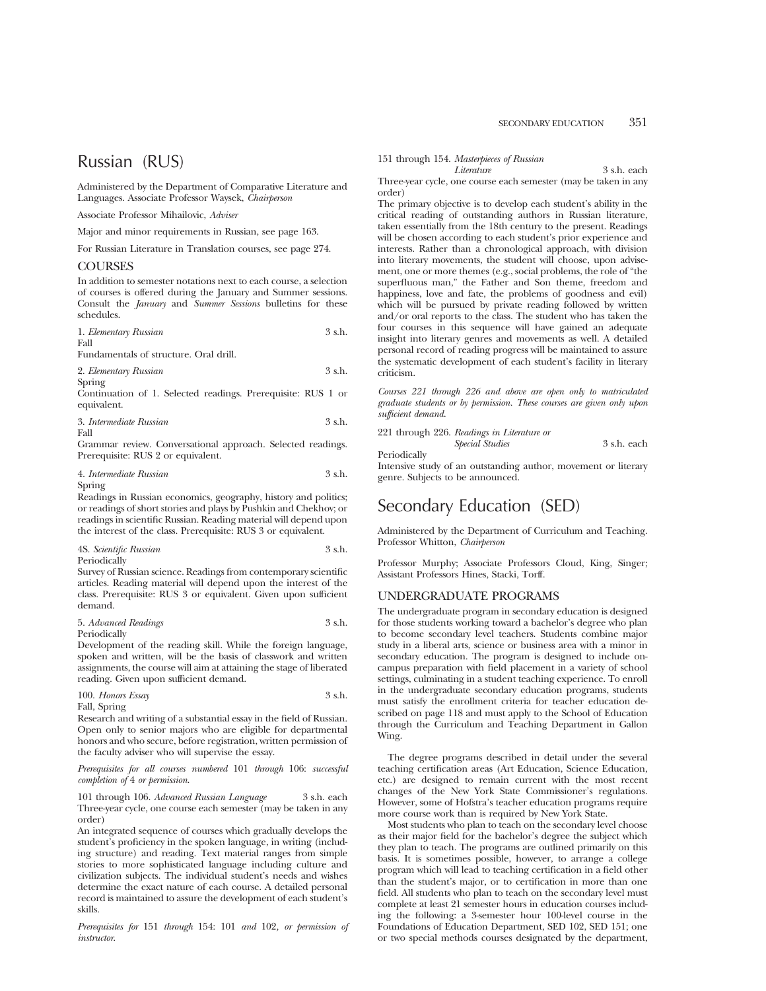# Russian (RUS)

Administered by the Department of Comparative Literature and Languages. Associate Professor Waysek, *Chairperson*

Associate Professor Mihailovic, *Adviser*

Major and minor requirements in Russian, see page 163.

For Russian Literature in Translation courses, see page 274.

# **COURSES**

In addition to semester notations next to each course, a selection of courses is offered during the January and Summer sessions. Consult the *January* and *Summer Sessions* bulletins for these schedules.

| 1. Elementary Russian | 3 s.h. |
|-----------------------|--------|
| Fall                  |        |

Fundamentals of structure. Oral drill.

| 2. Elementary Russian | 3 s.h. |
|-----------------------|--------|
| Spring                |        |

Continuation of 1. Selected readings. Prerequisite: RUS 1 or equivalent.

$$
3. \ In termediate Russian
$$
 
$$
3 s.h.
$$
 Fall

Grammar review. Conversational approach. Selected readings. Prerequisite: RUS 2 or equivalent.

#### 4. *Intermediate Russian* 3 s.h. Spring

Readings in Russian economics, geography, history and politics; or readings of short stories and plays by Pushkin and Chekhov; or readings in scientific Russian. Reading material will depend upon the interest of the class. Prerequisite: RUS 3 or equivalent.

4S. *Scientific Russian* 3 s.h. Periodically

Survey of Russian science. Readings from contemporary scientific articles. Reading material will depend upon the interest of the class. Prerequisite: RUS 3 or equivalent. Given upon sufficient demand.

5. *Advanced Readings* 3 s.h. Periodically

Development of the reading skill. While the foreign language, spoken and written, will be the basis of classwork and written assignments, the course will aim at attaining the stage of liberated reading. Given upon sufficient demand.

100. *Honors Essay* 3 s.h. Fall, Spring

Research and writing of a substantial essay in the field of Russian. Open only to senior majors who are eligible for departmental honors and who secure, before registration, written permission of the faculty adviser who will supervise the essay.

*Prerequisites for all courses numbered* 101 *through* 106: *successful completion of* 4 *or permission*.

101 through 106. *Advanced Russian Language* 3 s.h. each Three-year cycle, one course each semester (may be taken in any order)

An integrated sequence of courses which gradually develops the student's proficiency in the spoken language, in writing (including structure) and reading. Text material ranges from simple stories to more sophisticated language including culture and civilization subjects. The individual student's needs and wishes determine the exact nature of each course. A detailed personal record is maintained to assure the development of each student's skills.

*Prerequisites for* 151 *through* 154: 101 *and* 102*, or permission of instructor*.

# 151 through 154. *Masterpieces of Russian*

*Literature* 3 s.h. each

Three-year cycle, one course each semester (may be taken in any order)

The primary objective is to develop each student's ability in the critical reading of outstanding authors in Russian literature, taken essentially from the 18th century to the present. Readings will be chosen according to each student's prior experience and interests. Rather than a chronological approach, with division into literary movements, the student will choose, upon advisement, one or more themes (e.g., social problems, the role of "the superfluous man," the Father and Son theme, freedom and happiness, love and fate, the problems of goodness and evil) which will be pursued by private reading followed by written and/or oral reports to the class. The student who has taken the four courses in this sequence will have gained an adequate insight into literary genres and movements as well. A detailed personal record of reading progress will be maintained to assure the systematic development of each student's facility in literary criticism.

*Courses 221 through 226 and above are open only to matriculated graduate students or by permission. These courses are given only upon sufficient demand*.

221 through 226. *Readings in Literature or Special Studies* 3 s.h. each

Periodically

Intensive study of an outstanding author, movement or literary genre. Subjects to be announced.

# Secondary Education (SED)

Administered by the Department of Curriculum and Teaching. Professor Whitton, *Chairperson*

Professor Murphy; Associate Professors Cloud, King, Singer; Assistant Professors Hines, Stacki, Torff.

# UNDERGRADUATE PROGRAMS

The undergraduate program in secondary education is designed for those students working toward a bachelor's degree who plan to become secondary level teachers. Students combine major study in a liberal arts, science or business area with a minor in secondary education. The program is designed to include oncampus preparation with field placement in a variety of school settings, culminating in a student teaching experience. To enroll in the undergraduate secondary education programs, students must satisfy the enrollment criteria for teacher education described on page 118 and must apply to the School of Education through the Curriculum and Teaching Department in Gallon Wing.

The degree programs described in detail under the several teaching certification areas (Art Education, Science Education, etc.) are designed to remain current with the most recent changes of the New York State Commissioner's regulations. However, some of Hofstra's teacher education programs require more course work than is required by New York State.

Most students who plan to teach on the secondary level choose as their major field for the bachelor's degree the subject which they plan to teach. The programs are outlined primarily on this basis. It is sometimes possible, however, to arrange a college program which will lead to teaching certification in a field other than the student's major, or to certification in more than one field. All students who plan to teach on the secondary level must complete at least 21 semester hours in education courses including the following: a 3-semester hour 100-level course in the Foundations of Education Department, SED 102, SED 151; one or two special methods courses designated by the department,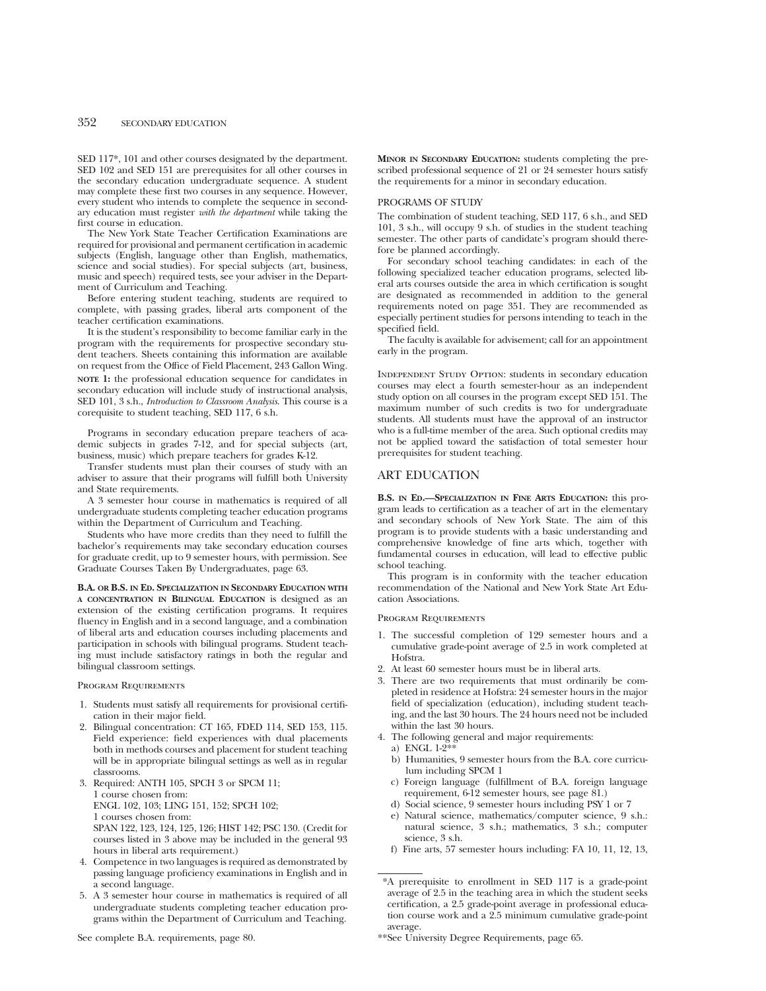SED 117\*, 101 and other courses designated by the department. SED 102 and SED 151 are prerequisites for all other courses in the secondary education undergraduate sequence. A student may complete these first two courses in any sequence. However, every student who intends to complete the sequence in secondary education must register *with the department* while taking the first course in education.

The New York State Teacher Certification Examinations are required for provisional and permanent certification in academic subjects (English, language other than English, mathematics, science and social studies). For special subjects (art, business, music and speech) required tests, see your adviser in the Department of Curriculum and Teaching.

Before entering student teaching, students are required to complete, with passing grades, liberal arts component of the teacher certification examinations.

It is the student's responsibility to become familiar early in the program with the requirements for prospective secondary student teachers. Sheets containing this information are available on request from the Office of Field Placement, 243 Gallon Wing. **NOTE 1:** the professional education sequence for candidates in secondary education will include study of instructional analysis, SED 101, 3 s.h., *Introduction to Classroom Analysis*. This course is a corequisite to student teaching, SED 117, 6 s.h.

Programs in secondary education prepare teachers of academic subjects in grades 7-12, and for special subjects (art, business, music) which prepare teachers for grades K-12.

Transfer students must plan their courses of study with an adviser to assure that their programs will fulfill both University and State requirements.

A 3 semester hour course in mathematics is required of all undergraduate students completing teacher education programs within the Department of Curriculum and Teaching.

Students who have more credits than they need to fulfill the bachelor's requirements may take secondary education courses for graduate credit, up to 9 semester hours, with permission. See Graduate Courses Taken By Undergraduates, page 63.

**B.A. OR B.S. IN ED. SPECIALIZATION IN SECONDARY EDUCATION WITH A CONCENTRATION IN BILINGUAL EDUCATION** is designed as an extension of the existing certification programs. It requires fluency in English and in a second language, and a combination of liberal arts and education courses including placements and participation in schools with bilingual programs. Student teaching must include satisfactory ratings in both the regular and bilingual classroom settings.

Program Requirements

- 1. Students must satisfy all requirements for provisional certification in their major field.
- 2. Bilingual concentration: CT 165, FDED 114, SED 153, 115. Field experience: field experiences with dual placements both in methods courses and placement for student teaching will be in appropriate bilingual settings as well as in regular classrooms.
- 3. Required: ANTH 105, SPCH 3 or SPCM 11; 1 course chosen from: ENGL 102, 103; LING 151, 152; SPCH 102; 1 courses chosen from: SPAN 122, 123, 124, 125, 126; HIST 142; PSC 130. (Credit for courses listed in 3 above may be included in the general 93 hours in liberal arts requirement.)
- 4. Competence in two languages is required as demonstrated by passing language proficiency examinations in English and in a second language.
- 5. A 3 semester hour course in mathematics is required of all undergraduate students completing teacher education programs within the Department of Curriculum and Teaching.

See complete B.A. requirements, page 80.

**MINOR IN SECONDARY EDUCATION:** students completing the prescribed professional sequence of 21 or 24 semester hours satisfy the requirements for a minor in secondary education.

## PROGRAMS OF STUDY

The combination of student teaching, SED 117, 6 s.h., and SED 101, 3 s.h., will occupy 9 s.h. of studies in the student teaching semester. The other parts of candidate's program should therefore be planned accordingly.

For secondary school teaching candidates: in each of the following specialized teacher education programs, selected liberal arts courses outside the area in which certification is sought are designated as recommended in addition to the general requirements noted on page 351. They are recommended as especially pertinent studies for persons intending to teach in the specified field.

The faculty is available for advisement; call for an appointment early in the program.

Independent Study Option: students in secondary education courses may elect a fourth semester-hour as an independent study option on all courses in the program except SED 151. The maximum number of such credits is two for undergraduate students. All students must have the approval of an instructor who is a full-time member of the area. Such optional credits may not be applied toward the satisfaction of total semester hour prerequisites for student teaching.

# ART EDUCATION

**B.S. IN ED.—SPECIALIZATION IN FINE ARTS EDUCATION:** this program leads to certification as a teacher of art in the elementary and secondary schools of New York State. The aim of this program is to provide students with a basic understanding and comprehensive knowledge of fine arts which, together with fundamental courses in education, will lead to effective public school teaching.

This program is in conformity with the teacher education recommendation of the National and New York State Art Education Associations.

Program Requirements

- 1. The successful completion of 129 semester hours and a cumulative grade-point average of 2.5 in work completed at Hofstra.
- 2. At least 60 semester hours must be in liberal arts.
- 3. There are two requirements that must ordinarily be completed in residence at Hofstra: 24 semester hours in the major field of specialization (education), including student teaching, and the last 30 hours. The 24 hours need not be included within the last 30 hours.
- 4. The following general and major requirements:
	- a) ENGL 1-2\*
	- b) Humanities, 9 semester hours from the B.A. core curriculum including SPCM 1
	- c) Foreign language (fulfillment of B.A. foreign language requirement, 6-12 semester hours, see page 81.)
	- d) Social science, 9 semester hours including PSY 1 or 7
	- e) Natural science, mathematics/computer science, 9 s.h.: natural science, 3 s.h.; mathematics, 3 s.h.; computer science, 3 s.h.
	- f) Fine arts, 57 semester hours including: FA 10, 11, 12, 13,

<sup>\*</sup>A prerequisite to enrollment in SED 117 is a grade-point average of 2.5 in the teaching area in which the student seeks certification, a 2.5 grade-point average in professional education course work and a 2.5 minimum cumulative grade-point average.

<sup>\*\*</sup>See University Degree Requirements, page 65.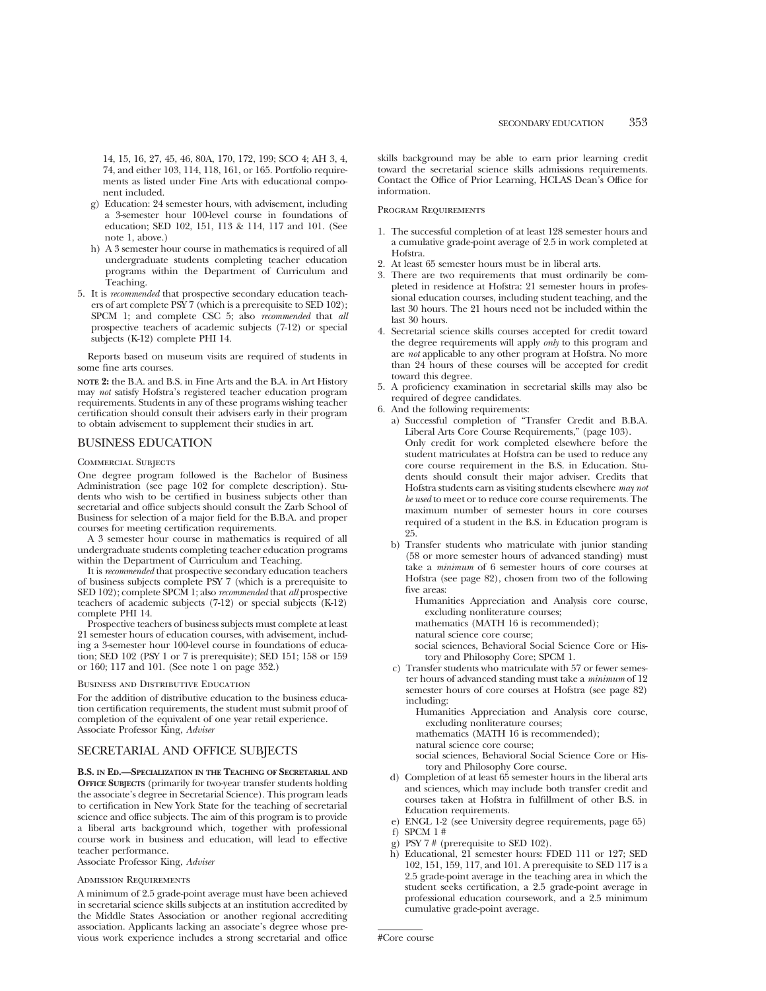14, 15, 16, 27, 45, 46, 80A, 170, 172, 199; SCO 4; AH 3, 4, 74, and either 103, 114, 118, 161, or 165. Portfolio requirements as listed under Fine Arts with educational component included.

- g) Education: 24 semester hours, with advisement, including a 3-semester hour 100-level course in foundations of education; SED 102, 151, 113 & 114, 117 and 101. (See note 1, above.)
- h) A 3 semester hour course in mathematics is required of all undergraduate students completing teacher education programs within the Department of Curriculum and Teaching.
- 5. It is *recommended* that prospective secondary education teachers of art complete PSY 7 (which is a prerequisite to SED 102); SPCM 1; and complete CSC 5; also *recommended* that *all* prospective teachers of academic subjects (7-12) or special subjects (K-12) complete PHI 14.

Reports based on museum visits are required of students in some fine arts courses.

**NOTE 2:** the B.A. and B.S. in Fine Arts and the B.A. in Art History may *not* satisfy Hofstra's registered teacher education program requirements. Students in any of these programs wishing teacher certification should consult their advisers early in their program to obtain advisement to supplement their studies in art.

# BUSINESS EDUCATION

#### Commercial Subjects

One degree program followed is the Bachelor of Business Administration (see page 102 for complete description). Students who wish to be certified in business subjects other than secretarial and office subjects should consult the Zarb School of Business for selection of a major field for the B.B.A. and proper courses for meeting certification requirements.

A 3 semester hour course in mathematics is required of all undergraduate students completing teacher education programs within the Department of Curriculum and Teaching.

It is *recommended* that prospective secondary education teachers of business subjects complete PSY 7 (which is a prerequisite to SED 102); complete SPCM 1; also *recommended* that *all* prospective teachers of academic subjects (7-12) or special subjects (K-12) complete PHI 14.

Prospective teachers of business subjects must complete at least 21 semester hours of education courses, with advisement, including a 3-semester hour 100-level course in foundations of education; SED 102 (PSY 1 or 7 is prerequisite); SED 151; 158 or 159 or 160; 117 and 101. (See note 1 on page 352.)

#### Business and Distributive Education

For the addition of distributive education to the business education certification requirements, the student must submit proof of completion of the equivalent of one year retail experience. Associate Professor King, *Adviser*

# SECRETARIAL AND OFFICE SUBJECTS

**B.S. IN ED.—SPECIALIZATION IN THE TEACHING OF SECRETARIAL AND OFFICE SUBJECTS** (primarily for two-year transfer students holding the associate's degree in Secretarial Science). This program leads to certification in New York State for the teaching of secretarial science and office subjects. The aim of this program is to provide a liberal arts background which, together with professional course work in business and education, will lead to effective teacher performance.

Associate Professor King, *Adviser*

# Admission Requirements

A minimum of 2.5 grade-point average must have been achieved in secretarial science skills subjects at an institution accredited by the Middle States Association or another regional accrediting association. Applicants lacking an associate's degree whose previous work experience includes a strong secretarial and office skills background may be able to earn prior learning credit toward the secretarial science skills admissions requirements. Contact the Office of Prior Learning, HCLAS Dean's Office for information.

#### Program Requirements

- 1. The successful completion of at least 128 semester hours and a cumulative grade-point average of 2.5 in work completed at Hofstra.
- 2. At least 65 semester hours must be in liberal arts.<br>3. There are two requirements that must ordinari
- There are two requirements that must ordinarily be completed in residence at Hofstra: 21 semester hours in professional education courses, including student teaching, and the last 30 hours. The 21 hours need not be included within the last 30 hours.
- 4. Secretarial science skills courses accepted for credit toward the degree requirements will apply *only* to this program and are *not* applicable to any other program at Hofstra. No more than 24 hours of these courses will be accepted for credit toward this degree.
- 5. A proficiency examination in secretarial skills may also be required of degree candidates.
- 6. And the following requirements:
	- a) Successful completion of "Transfer Credit and B.B.A. Liberal Arts Core Course Requirements," (page 103). Only credit for work completed elsewhere before the student matriculates at Hofstra can be used to reduce any core course requirement in the B.S. in Education. Students should consult their major adviser. Credits that Hofstra students earn as visiting students elsewhere *may not be used* to meet or to reduce core course requirements. The maximum number of semester hours in core courses required of a student in the B.S. in Education program is 25.
	- b) Transfer students who matriculate with junior standing (58 or more semester hours of advanced standing) must take a *minimum* of 6 semester hours of core courses at Hofstra (see page 82), chosen from two of the following five areas:

Humanities Appreciation and Analysis core course, excluding nonliterature courses;

mathematics (MATH 16 is recommended);

natural science core course;

social sciences, Behavioral Social Science Core or History and Philosophy Core; SPCM 1.

c) Transfer students who matriculate with 57 or fewer semester hours of advanced standing must take a *minimum* of 12 semester hours of core courses at Hofstra (see page 82) including:

Humanities Appreciation and Analysis core course, excluding nonliterature courses;

mathematics (MATH 16 is recommended);

natural science core course;

social sciences, Behavioral Social Science Core or History and Philosophy Core course.

- d) Completion of at least 65 semester hours in the liberal arts and sciences, which may include both transfer credit and courses taken at Hofstra in fulfillment of other B.S. in Education requirements.
- e) ENGL 1-2 (see University degree requirements, page 65)
- f) SPCM 1 #
- g) PSY 7 # (prerequisite to SED 102).
- h) Educational, 21 semester hours: FDED 111 or 127; SED 102, 151, 159, 117, and 101. A prerequisite to SED 117 is a 2.5 grade-point average in the teaching area in which the student seeks certification, a 2.5 grade-point average in professional education coursework, and a 2.5 minimum cumulative grade-point average.

#Core course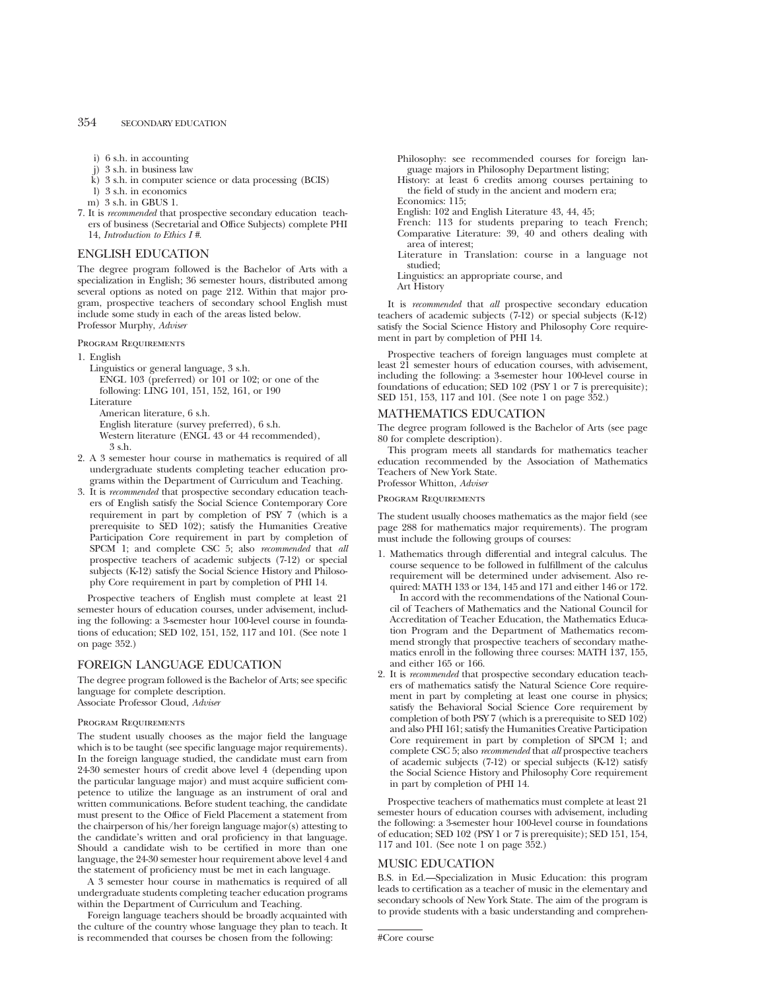- i) 6 s.h. in accounting
- j) 3 s.h. in business law
- k) 3 s.h. in computer science or data processing (BCIS)
- l) 3 s.h. in economics
- m) 3 s.h. in GBUS 1.
- 7. It is *recommended* that prospective secondary education teachers of business (Secretarial and Office Subjects) complete PHI 14, *Introduction to Ethics I #*.

# ENGLISH EDUCATION

The degree program followed is the Bachelor of Arts with a specialization in English; 36 semester hours, distributed among several options as noted on page 212. Within that major program, prospective teachers of secondary school English must include some study in each of the areas listed below. Professor Murphy, *Adviser*

Program Requirements

1. English

Linguistics or general language, 3 s.h. ENGL 103 (preferred) or 101 or 102; or one of the following: LING 101, 151, 152, 161, or 190

Literature

American literature, 6 s.h.

English literature (survey preferred), 6 s.h.

Western literature (ENGL 43 or 44 recommended), 3 s.h.

- 2. A 3 semester hour course in mathematics is required of all undergraduate students completing teacher education programs within the Department of Curriculum and Teaching.
- 3. It is *recommended* that prospective secondary education teachers of English satisfy the Social Science Contemporary Core requirement in part by completion of PSY 7 (which is a prerequisite to SED 102); satisfy the Humanities Creative Participation Core requirement in part by completion of SPCM 1; and complete CSC 5; also *recommended* that *all* prospective teachers of academic subjects (7-12) or special subjects (K-12) satisfy the Social Science History and Philosophy Core requirement in part by completion of PHI 14.

Prospective teachers of English must complete at least 21 semester hours of education courses, under advisement, including the following: a 3-semester hour 100-level course in foundations of education; SED 102, 151, 152, 117 and 101. (See note 1 on page 352.)

# FOREIGN LANGUAGE EDUCATION

The degree program followed is the Bachelor of Arts; see specific language for complete description. Associate Professor Cloud, *Adviser*

## Program Requirements

The student usually chooses as the major field the language which is to be taught (see specific language major requirements). In the foreign language studied, the candidate must earn from 24-30 semester hours of credit above level 4 (depending upon the particular language major) and must acquire sufficient competence to utilize the language as an instrument of oral and written communications. Before student teaching, the candidate must present to the Office of Field Placement a statement from the chairperson of his/her foreign language major(s) attesting to the candidate's written and oral proficiency in that language. Should a candidate wish to be certified in more than one language, the 24-30 semester hour requirement above level 4 and the statement of proficiency must be met in each language.

A 3 semester hour course in mathematics is required of all undergraduate students completing teacher education programs within the Department of Curriculum and Teaching.

Foreign language teachers should be broadly acquainted with the culture of the country whose language they plan to teach. It is recommended that courses be chosen from the following:

Philosophy: see recommended courses for foreign language majors in Philosophy Department listing;

- History: at least 6 credits among courses pertaining to the field of study in the ancient and modern era;
- Economics: 115;
- English: 102 and English Literature 43, 44, 45;
- French: 113 for students preparing to teach French; Comparative Literature: 39, 40 and others dealing with area of interest;
- Literature in Translation: course in a language not studied;

Linguistics: an appropriate course, and

Art History

It is *recommended* that *all* prospective secondary education teachers of academic subjects (7-12) or special subjects (K-12) satisfy the Social Science History and Philosophy Core requirement in part by completion of PHI 14.

Prospective teachers of foreign languages must complete at least 21 semester hours of education courses, with advisement, including the following: a 3-semester hour 100-level course in foundations of education; SED 102 (PSY 1 or 7 is prerequisite); SED 151, 153, 117 and 101. (See note 1 on page 352.)

# MATHEMATICS EDUCATION

The degree program followed is the Bachelor of Arts (see page 80 for complete description).

This program meets all standards for mathematics teacher education recommended by the Association of Mathematics Teachers of New York State.

Professor Whitton, *Adviser*

Program Requirements

The student usually chooses mathematics as the major field (see page 288 for mathematics major requirements). The program must include the following groups of courses:

- 1. Mathematics through differential and integral calculus. The course sequence to be followed in fulfillment of the calculus requirement will be determined under advisement. Also required: MATH 133 or 134, 145 and 171 and either 146 or 172.
- In accord with the recommendations of the National Council of Teachers of Mathematics and the National Council for Accreditation of Teacher Education, the Mathematics Education Program and the Department of Mathematics recommend strongly that prospective teachers of secondary mathematics enroll in the following three courses: MATH 137, 155, and either 165 or 166.
- 2. It is *recommended* that prospective secondary education teachers of mathematics satisfy the Natural Science Core requirement in part by completing at least one course in physics; satisfy the Behavioral Social Science Core requirement by completion of both PSY 7 (which is a prerequisite to SED 102) and also PHI 161; satisfy the Humanities Creative Participation Core requirement in part by completion of SPCM 1; and complete CSC 5; also *recommended* that *all* prospective teachers of academic subjects (7-12) or special subjects (K-12) satisfy the Social Science History and Philosophy Core requirement in part by completion of PHI 14.

Prospective teachers of mathematics must complete at least 21 semester hours of education courses with advisement, including the following: a 3-semester hour 100-level course in foundations of education; SED 102 (PSY 1 or 7 is prerequisite); SED 151, 154, 117 and 101. (See note 1 on page 352.)

# MUSIC EDUCATION

B.S. in Ed.—Specialization in Music Education: this program leads to certification as a teacher of music in the elementary and secondary schools of New York State. The aim of the program is to provide students with a basic understanding and comprehen-

<sup>#</sup>Core course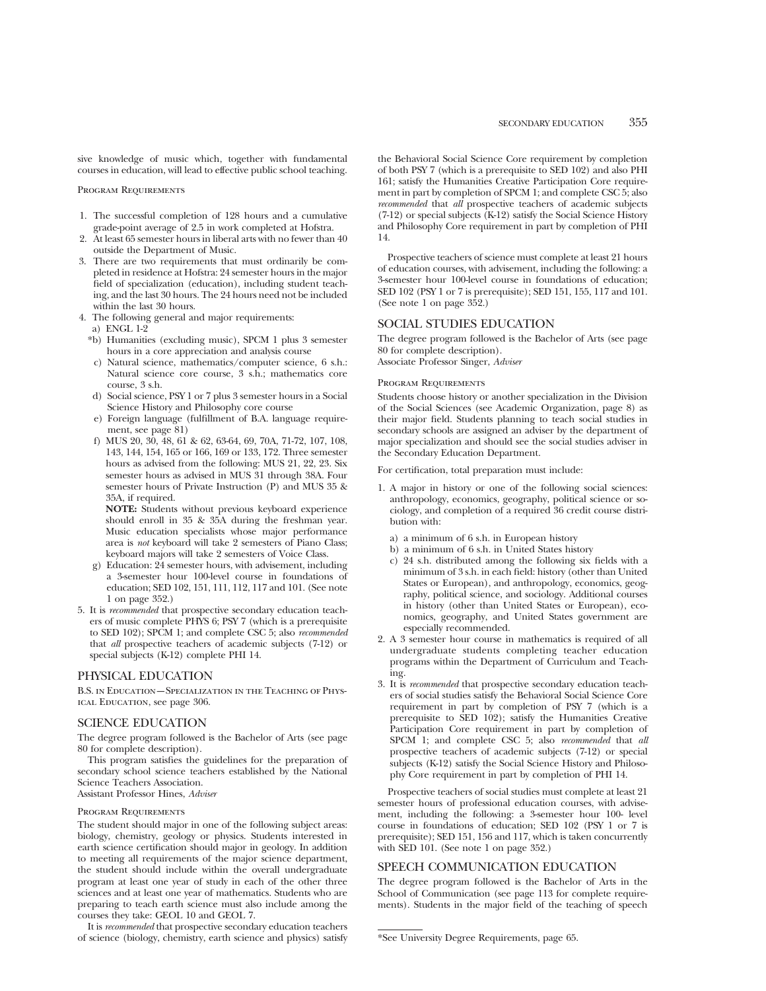sive knowledge of music which, together with fundamental courses in education, will lead to effective public school teaching.

Program Requirements

- 1. The successful completion of 128 hours and a cumulative grade-point average of 2.5 in work completed at Hofstra.
- 2. At least 65 semester hours in liberal arts with no fewer than 40 outside the Department of Music.
- 3. There are two requirements that must ordinarily be completed in residence at Hofstra: 24 semester hours in the major field of specialization (education), including student teaching, and the last 30 hours. The 24 hours need not be included within the last 30 hours.
- 4. The following general and major requirements:
- a) ENGL 1-2
	- \*b) Humanities (excluding music), SPCM 1 plus 3 semester hours in a core appreciation and analysis course
	- c) Natural science, mathematics/computer science, 6 s.h.: Natural science core course, 3 s.h.; mathematics core course, 3 s.h.
	- d) Social science, PSY 1 or 7 plus 3 semester hours in a Social Science History and Philosophy core course
	- e) Foreign language (fulfillment of B.A. language requirement, see page 81)
	- f) MUS 20, 30, 48, 61 & 62, 63-64, 69, 70A, 71-72, 107, 108, 143, 144, 154, 165 or 166, 169 or 133, 172. Three semester hours as advised from the following: MUS 21, 22, 23. Six semester hours as advised in MUS 31 through 38A. Four semester hours of Private Instruction (P) and MUS 35 & 35A, if required.

**NOTE:** Students without previous keyboard experience should enroll in 35 & 35A during the freshman year. Music education specialists whose major performance area is *not* keyboard will take 2 semesters of Piano Class; keyboard majors will take 2 semesters of Voice Class.

- g) Education: 24 semester hours, with advisement, including a 3-semester hour 100-level course in foundations of education; SED 102, 151, 111, 112, 117 and 101. (See note 1 on page 352.)
- 5. It is *recommended* that prospective secondary education teachers of music complete PHYS 6; PSY 7 (which is a prerequisite to SED 102); SPCM 1; and complete CSC 5; also *recommended* that *all* prospective teachers of academic subjects (7-12) or special subjects (K-12) complete PHI 14.

# PHYSICAL EDUCATION

B.S. in Education—Specialization in the Teaching of Physical Education, see page 306.

# SCIENCE EDUCATION

The degree program followed is the Bachelor of Arts (see page 80 for complete description).

This program satisfies the guidelines for the preparation of secondary school science teachers established by the National Science Teachers Association. Assistant Professor Hines, *Adviser*

## Program Requirements

The student should major in one of the following subject areas: biology, chemistry, geology or physics. Students interested in earth science certification should major in geology. In addition to meeting all requirements of the major science department, the student should include within the overall undergraduate program at least one year of study in each of the other three sciences and at least one year of mathematics. Students who are preparing to teach earth science must also include among the courses they take: GEOL 10 and GEOL 7.

It is *recommended* that prospective secondary education teachers of science (biology, chemistry, earth science and physics) satisfy the Behavioral Social Science Core requirement by completion of both PSY 7 (which is a prerequisite to SED 102) and also PHI 161; satisfy the Humanities Creative Participation Core requirement in part by completion of SPCM 1; and complete CSC 5; also *recommended* that *all* prospective teachers of academic subjects (7-12) or special subjects (K-12) satisfy the Social Science History and Philosophy Core requirement in part by completion of PHI 14.

Prospective teachers of science must complete at least 21 hours of education courses, with advisement, including the following: a 3-semester hour 100-level course in foundations of education; SED 102 (PSY 1 or 7 is prerequisite); SED 151, 155, 117 and 101. (See note 1 on page 352.)

# SOCIAL STUDIES EDUCATION

The degree program followed is the Bachelor of Arts (see page 80 for complete description).

Associate Professor Singer, *Adviser*

#### Program Requirements

Students choose history or another specialization in the Division of the Social Sciences (see Academic Organization, page 8) as their major field. Students planning to teach social studies in secondary schools are assigned an adviser by the department of major specialization and should see the social studies adviser in the Secondary Education Department.

For certification, total preparation must include:

- 1. A major in history or one of the following social sciences: anthropology, economics, geography, political science or sociology, and completion of a required 36 credit course distribution with:
	- a) a minimum of 6 s.h. in European history
	- b) a minimum of 6 s.h. in United States history
	- c) 24 s.h. distributed among the following six fields with a minimum of 3 s.h. in each field: history (other than United States or European), and anthropology, economics, geography, political science, and sociology. Additional courses in history (other than United States or European), economics, geography, and United States government are especially recommended.
- 2. A 3 semester hour course in mathematics is required of all undergraduate students completing teacher education programs within the Department of Curriculum and Teaching.
- 3. It is *recommended* that prospective secondary education teachers of social studies satisfy the Behavioral Social Science Core requirement in part by completion of PSY 7 (which is a prerequisite to SED 102); satisfy the Humanities Creative Participation Core requirement in part by completion of SPCM 1; and complete CSC 5; also *recommended* that *all* prospective teachers of academic subjects (7-12) or special subjects (K-12) satisfy the Social Science History and Philosophy Core requirement in part by completion of PHI 14.

Prospective teachers of social studies must complete at least 21 semester hours of professional education courses, with advisement, including the following: a 3-semester hour 100- level course in foundations of education; SED 102 (PSY 1 or 7 is prerequisite); SED 151, 156 and 117, which is taken concurrently with SED 101. (See note 1 on page 352.)

# SPEECH COMMUNICATION EDUCATION

The degree program followed is the Bachelor of Arts in the School of Communication (see page 113 for complete requirements). Students in the major field of the teaching of speech

<sup>\*</sup>See University Degree Requirements, page 65.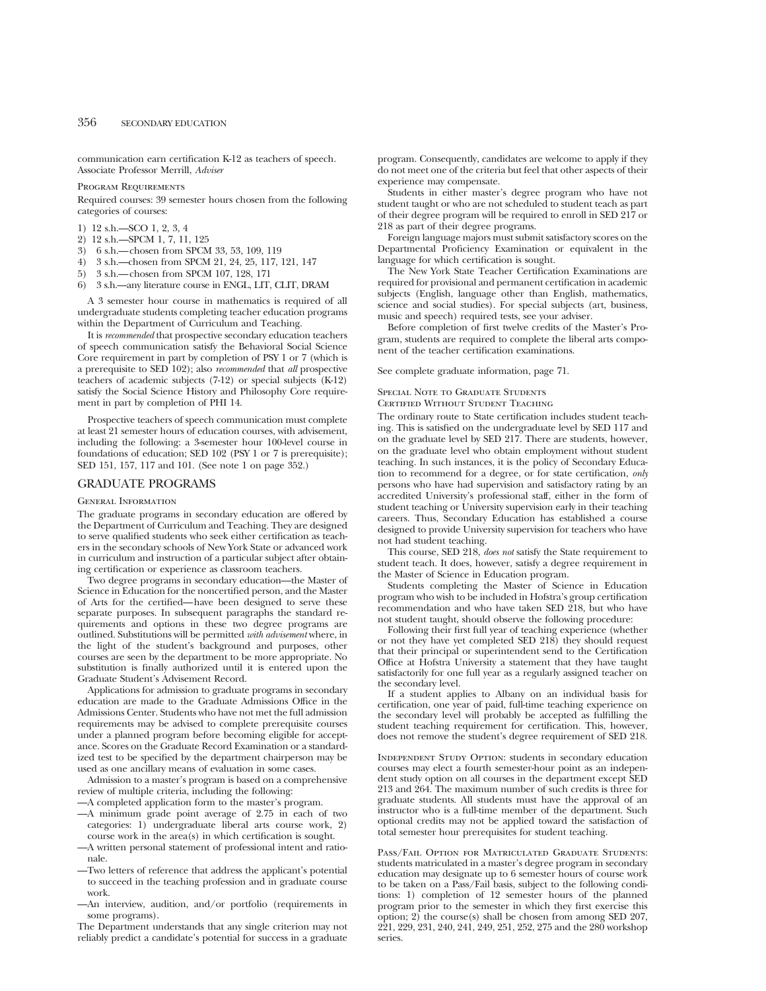communication earn certification K-12 as teachers of speech. Associate Professor Merrill, *Adviser*

Program Requirements

Required courses: 39 semester hours chosen from the following categories of courses:

- 1) 12 s.h.—SCO 1, 2, 3, 4
- 2) 12 s.h.—SPCM 1, 7, 11, 125
- 3) 6 s.h.—chosen from SPCM 33, 53, 109, 119
- 4) 3 s.h.—chosen from SPCM 21, 24, 25, 117, 121, 147
- 5) 3 s.h.—chosen from SPCM 107, 128, 171
- 6) 3 s.h.—any literature course in ENGL, LIT, CLIT, DRAM

A 3 semester hour course in mathematics is required of all undergraduate students completing teacher education programs within the Department of Curriculum and Teaching.

It is *recommended* that prospective secondary education teachers of speech communication satisfy the Behavioral Social Science Core requirement in part by completion of PSY 1 or 7 (which is a prerequisite to SED 102); also *recommended* that *all* prospective teachers of academic subjects (7-12) or special subjects (K-12) satisfy the Social Science History and Philosophy Core requirement in part by completion of PHI 14.

Prospective teachers of speech communication must complete at least 21 semester hours of education courses, with advisement, including the following: a 3-semester hour 100-level course in foundations of education; SED 102 (PSY 1 or 7 is prerequisite); SED 151, 157, 117 and 101. (See note 1 on page 352.)

# GRADUATE PROGRAMS

General Information

The graduate programs in secondary education are offered by the Department of Curriculum and Teaching. They are designed to serve qualified students who seek either certification as teachers in the secondary schools of New York State or advanced work in curriculum and instruction of a particular subject after obtaining certification or experience as classroom teachers.

Two degree programs in secondary education—the Master of Science in Education for the noncertified person, and the Master of Arts for the certified—have been designed to serve these separate purposes. In subsequent paragraphs the standard requirements and options in these two degree programs are outlined. Substitutions will be permitted *with advisement* where, in the light of the student's background and purposes, other courses are seen by the department to be more appropriate. No substitution is finally authorized until it is entered upon the Graduate Student's Advisement Record.

Applications for admission to graduate programs in secondary education are made to the Graduate Admissions Office in the Admissions Center. Students who have not met the full admission requirements may be advised to complete prerequisite courses under a planned program before becoming eligible for acceptance. Scores on the Graduate Record Examination or a standardized test to be specified by the department chairperson may be used as one ancillary means of evaluation in some cases.

Admission to a master's program is based on a comprehensive review of multiple criteria, including the following:

- —A completed application form to the master's program.
- —A minimum grade point average of 2.75 in each of two categories: 1) undergraduate liberal arts course work, 2) course work in the area(s) in which certification is sought.
- —A written personal statement of professional intent and rationale.
- —Two letters of reference that address the applicant's potential to succeed in the teaching profession and in graduate course work.
- —An interview, audition, and/or portfolio (requirements in some programs).

The Department understands that any single criterion may not reliably predict a candidate's potential for success in a graduate program. Consequently, candidates are welcome to apply if they do not meet one of the criteria but feel that other aspects of their experience may compensate.

Students in either master's degree program who have not student taught or who are not scheduled to student teach as part of their degree program will be required to enroll in SED 217 or 218 as part of their degree programs.

Foreign language majors must submit satisfactory scores on the Departmental Proficiency Examination or equivalent in the language for which certification is sought.

The New York State Teacher Certification Examinations are required for provisional and permanent certification in academic subjects (English, language other than English, mathematics, science and social studies). For special subjects (art, business, music and speech) required tests, see your adviser.

Before completion of first twelve credits of the Master's Program, students are required to complete the liberal arts component of the teacher certification examinations.

See complete graduate information, page 71.

# Special Note to Graduate Students

Certified Without Student Teaching

The ordinary route to State certification includes student teaching. This is satisfied on the undergraduate level by SED 117 and on the graduate level by SED 217. There are students, however, on the graduate level who obtain employment without student teaching. In such instances, it is the policy of Secondary Education to recommend for a degree, or for state certification, *only* persons who have had supervision and satisfactory rating by an accredited University's professional staff, either in the form of student teaching or University supervision early in their teaching careers. Thus, Secondary Education has established a course designed to provide University supervision for teachers who have not had student teaching.

This course, SED 218, *does not* satisfy the State requirement to student teach. It does, however, satisfy a degree requirement in the Master of Science in Education program.

Students completing the Master of Science in Education program who wish to be included in Hofstra's group certification recommendation and who have taken SED 218, but who have not student taught, should observe the following procedure:

Following their first full year of teaching experience (whether or not they have yet completed SED 218) they should request that their principal or superintendent send to the Certification Office at Hofstra University a statement that they have taught satisfactorily for one full year as a regularly assigned teacher on the secondary level.

If a student applies to Albany on an individual basis for certification, one year of paid, full-time teaching experience on the secondary level will probably be accepted as fulfilling the student teaching requirement for certification. This, however, does not remove the student's degree requirement of SED 218.

Independent Study Option: students in secondary education courses may elect a fourth semester-hour point as an independent study option on all courses in the department except SED 213 and 264. The maximum number of such credits is three for graduate students. All students must have the approval of an instructor who is a full-time member of the department. Such optional credits may not be applied toward the satisfaction of total semester hour prerequisites for student teaching.

Pass/Fail Option for Matriculated Graduate Students: students matriculated in a master's degree program in secondary education may designate up to 6 semester hours of course work to be taken on a Pass/Fail basis, subject to the following conditions: 1) completion of 12 semester hours of the planned program prior to the semester in which they first exercise this option; 2) the course(s) shall be chosen from among SED 207, 221, 229, 231, 240, 241, 249, 251, 252, 275 and the 280 workshop series.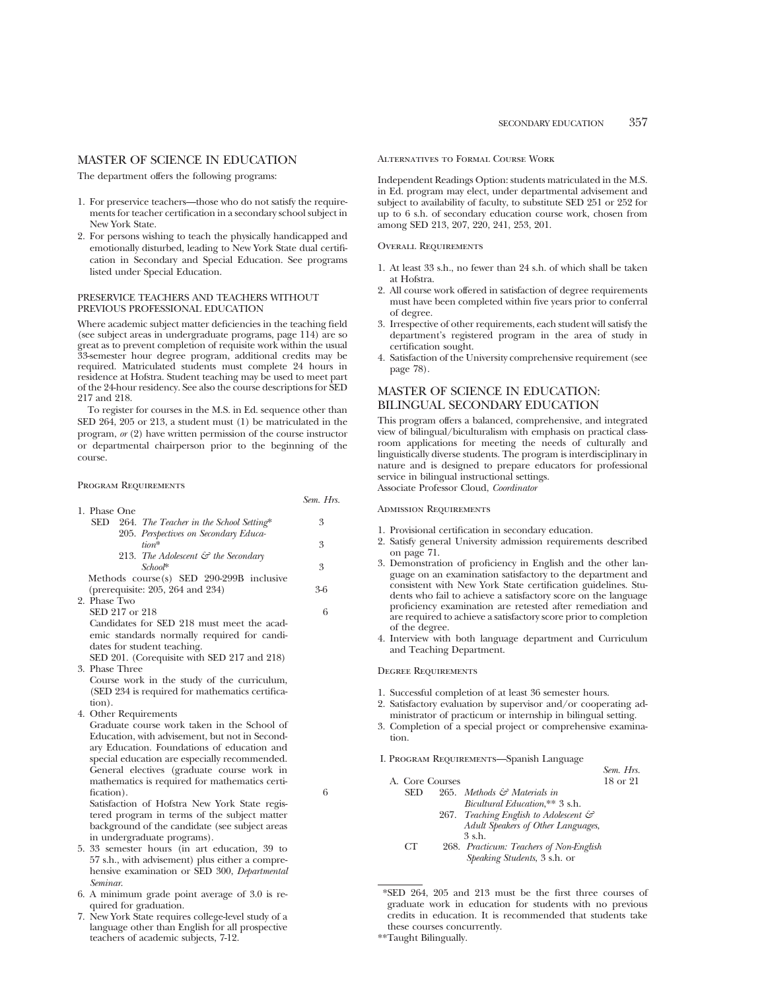# MASTER OF SCIENCE IN EDUCATION

The department offers the following programs:

- 1. For preservice teachers—those who do not satisfy the requirements for teacher certification in a secondary school subject in New York State.
- 2. For persons wishing to teach the physically handicapped and emotionally disturbed, leading to New York State dual certification in Secondary and Special Education. See programs listed under Special Education.

# PRESERVICE TEACHERS AND TEACHERS WITHOUT PREVIOUS PROFESSIONAL EDUCATION

Where academic subject matter deficiencies in the teaching field (see subject areas in undergraduate programs, page 114) are so great as to prevent completion of requisite work within the usual 33-semester hour degree program, additional credits may be required. Matriculated students must complete 24 hours in residence at Hofstra. Student teaching may be used to meet part of the 24-hour residency. See also the course descriptions for SED 217 and 218.

To register for courses in the M.S. in Ed. sequence other than SED 264, 205 or 213, a student must (1) be matriculated in the program, *or* (2) have written permission of the course instructor or departmental chairperson prior to the beginning of the course.

## Program Requirements

|                |                                                 | Sem. Hrs. |
|----------------|-------------------------------------------------|-----------|
| 1. Phase One   |                                                 |           |
| SED            | 264. The Teacher in the School Setting*         | 3         |
|                | 205. Perspectives on Secondary Educa-           |           |
|                | $tiam*$                                         | 3         |
|                | 213. The Adolescent $\mathcal{C}$ the Secondary |           |
|                | $Schon*$                                        | 3         |
|                | Methods course(s) SED 290-299B inclusive        |           |
|                | (prerequisite: 205, 264 and 234)                | ዳ 6       |
| 2. Phase Two   |                                                 |           |
| SED 217 or 218 |                                                 | 6         |
|                |                                                 |           |

Candidates for SED 218 must meet the academic standards normally required for candidates for student teaching.

SED 201. (Corequisite with SED 217 and 218) 3. Phase Three

Course work in the study of the curriculum, (SED 234 is required for mathematics certification).

4. Other Requirements

Graduate course work taken in the School of Education, with advisement, but not in Secondary Education. Foundations of education and special education are especially recommended. General electives (graduate course work in mathematics is required for mathematics certification). 6

Satisfaction of Hofstra New York State registered program in terms of the subject matter background of the candidate (see subject areas in undergraduate programs).

- 5. 33 semester hours (in art education, 39 to 57 s.h., with advisement) plus either a comprehensive examination or SED 300, *Departmental Seminar*.
- 6. A minimum grade point average of 3.0 is required for graduation.
- New York State requires college-level study of a language other than English for all prospective teachers of academic subjects, 7-12.

# Alternatives to Formal Course Work

Independent Readings Option: students matriculated in the M.S. in Ed. program may elect, under departmental advisement and subject to availability of faculty, to substitute SED 251 or 252 for up to 6 s.h. of secondary education course work, chosen from among SED 213, 207, 220, 241, 253, 201.

## Overall Requirements

- 1. At least 33 s.h., no fewer than 24 s.h. of which shall be taken at Hofstra.
- 2. All course work offered in satisfaction of degree requirements must have been completed within five years prior to conferral of degree.
- 3. Irrespective of other requirements, each student will satisfy the department's registered program in the area of study in certification sought.
- 4. Satisfaction of the University comprehensive requirement (see page 78).

# MASTER OF SCIENCE IN EDUCATION: BILINGUAL SECONDARY EDUCATION

This program offers a balanced, comprehensive, and integrated view of bilingual/biculturalism with emphasis on practical classroom applications for meeting the needs of culturally and linguistically diverse students. The program is interdisciplinary in nature and is designed to prepare educators for professional service in bilingual instructional settings. Associate Professor Cloud, *Coordinator*

#### Admission Requirements

- 1. Provisional certification in secondary education.
- 2. Satisfy general University admission requirements described on page 71.
- 3. Demonstration of proficiency in English and the other language on an examination satisfactory to the department and consistent with New York State certification guidelines. Students who fail to achieve a satisfactory score on the language proficiency examination are retested after remediation and are required to achieve a satisfactory score prior to completion of the degree.
- 4. Interview with both language department and Curriculum and Teaching Department.

# Degree Requirements

- 1. Successful completion of at least 36 semester hours.
- 2. Satisfactory evaluation by supervisor and/or cooperating administrator of practicum or internship in bilingual setting.
- 3. Completion of a special project or comprehensive examination.

*Sem. Hrs.*

I. Program Requirements—Spanish Language

|            | A. Core Courses |                                         | 18 or 21 |
|------------|-----------------|-----------------------------------------|----------|
| <b>SED</b> |                 | 265. Methods & Materials in             |          |
|            |                 | Bicultural Education ** 3 s.h.          |          |
|            |                 | 267. Teaching English to Adolescent &   |          |
|            |                 | Adult Speakers of Other Languages,      |          |
|            |                 | 3 s.h.                                  |          |
| <b>CT</b>  |                 | 268. Practicum: Teachers of Non-English |          |
|            |                 | Speaking Students, 3 s.h. or            |          |

\*SED 264, 205 and 213 must be the first three courses of graduate work in education for students with no previous credits in education. It is recommended that students take these courses concurrently.

<sup>\*\*</sup>Taught Bilingually.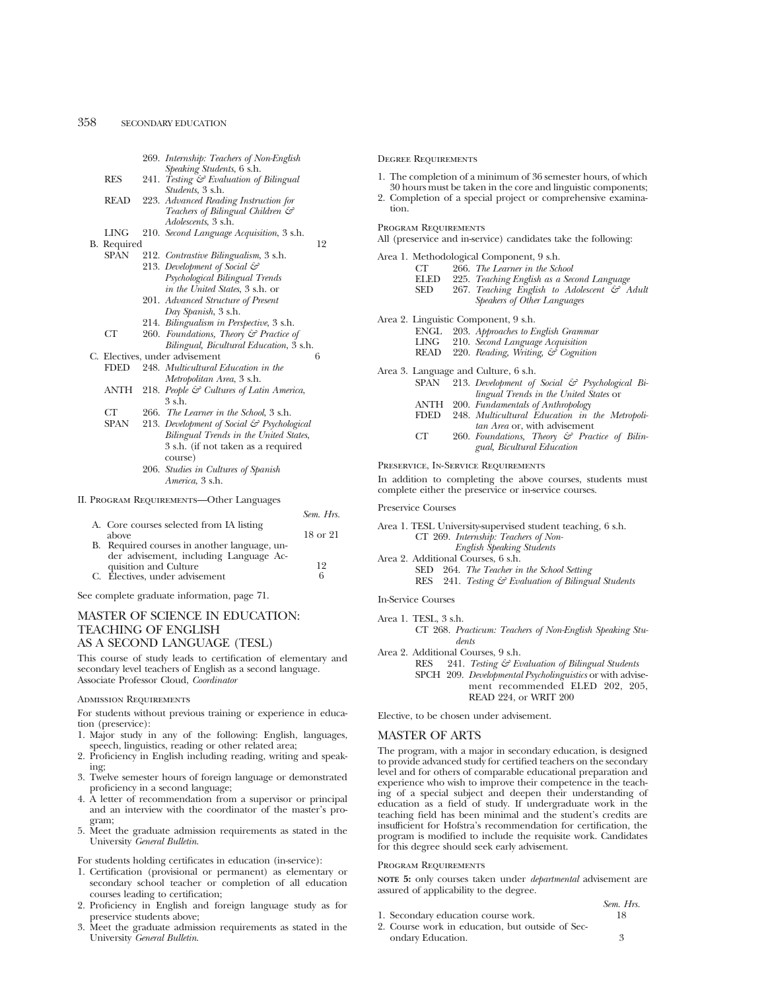|  |             | 269. Internship: Teachers of Non-English                  |    |           |
|--|-------------|-----------------------------------------------------------|----|-----------|
|  |             | Speaking Students, 6 s.h.                                 |    |           |
|  | <b>RES</b>  | 241. Testing & Evaluation of Bilingual                    |    |           |
|  |             | <i>Students</i> , 3 s.h.                                  |    |           |
|  | <b>READ</b> | 223. Advanced Reading Instruction for                     |    |           |
|  |             | Teachers of Bilingual Children &                          |    |           |
|  |             | <i>Adolescents</i> , 3 s.h.                               |    |           |
|  | LING        | 210. Second Language Acquisition, 3 s.h.                  |    |           |
|  | B. Required |                                                           | 12 |           |
|  | SPAN        | 212. Contrastive Bilingualism, 3 s.h.                     |    |           |
|  |             | 213. Development of Social $\mathcal{C}$                  |    |           |
|  |             | Psychological Bilingual Trends                            |    |           |
|  |             | in the United States, 3 s.h. or                           |    |           |
|  |             | 201. Advanced Structure of Present                        |    |           |
|  |             | Day Spanish, 3 s.h.                                       |    |           |
|  |             | 214. Bilingualism in Perspective, 3 s.h.                  |    |           |
|  | СT          | 260. Foundations, Theory & Practice of                    |    |           |
|  |             | Bilingual, Bicultural Education, 3 s.h.                   |    |           |
|  |             | C. Electives, under advisement                            | 6  |           |
|  | FDED        | 248. Multicultural Education in the                       |    |           |
|  |             | Metropolitan Area, 3 s.h.                                 |    |           |
|  | ANTH        | 218. People & Cultures of Latin America,                  |    |           |
|  |             | 3 s.h.                                                    |    |           |
|  | CT          |                                                           |    |           |
|  |             | 266. The Learner in the School, 3 s.h.                    |    |           |
|  | SPAN        | 213. Development of Social & Psychological                |    |           |
|  |             | Bilingual Trends in the United States,                    |    |           |
|  |             | 3 s.h. (if not taken as a required                        |    |           |
|  |             | course)                                                   |    |           |
|  |             | 206. Studies in Cultures of Spanish                       |    |           |
|  |             | America, 3 s.h.                                           |    |           |
|  |             | II. PROGRAM REQUIREMENTS-Other Languages                  |    |           |
|  |             |                                                           |    |           |
|  |             |                                                           |    | Sem. Hrs. |
|  |             | A. Core courses selected from IA listing<br>$\rightarrow$ |    |           |

| above                                        | 18 or 21 |
|----------------------------------------------|----------|
| B. Required courses in another language, un- |          |
| der advisement, including Language Ac-       |          |
| quisition and Culture                        | 19       |
| C. Electives, under advisement               | 6        |

See complete graduate information, page 71.

# MASTER OF SCIENCE IN EDUCATION: TEACHING OF ENGLISH AS A SECOND LANGUAGE (TESL)

This course of study leads to certification of elementary and secondary level teachers of English as a second language. Associate Professor Cloud, *Coordinator*

#### Admission Requirements

For students without previous training or experience in education (preservice):

- 1. Major study in any of the following: English, languages, speech, linguistics, reading or other related area;
- 2. Proficiency in English including reading, writing and speaking;
- 3. Twelve semester hours of foreign language or demonstrated proficiency in a second language;
- 4. A letter of recommendation from a supervisor or principal and an interview with the coordinator of the master's program;
- 5. Meet the graduate admission requirements as stated in the University *General Bulletin*.

For students holding certificates in education (in-service):

- 1. Certification (provisional or permanent) as elementary or secondary school teacher or completion of all education courses leading to certification;
- 2. Proficiency in English and foreign language study as for preservice students above;
- 3. Meet the graduate admission requirements as stated in the University *General Bulletin*.

Degree Requirements

- 1. The completion of a minimum of 36 semester hours, of which 30 hours must be taken in the core and linguistic components; 2. Completion of a special project or comprehensive examina-
- tion.

Program Requirements

|  |  |  |  | All (preservice and in-service) candidates take the following: |  |  |  |
|--|--|--|--|----------------------------------------------------------------|--|--|--|
|--|--|--|--|----------------------------------------------------------------|--|--|--|

|      | Area 1. Methodological Component, 9 s.h.                         |
|------|------------------------------------------------------------------|
| СT   | 266. The Learner in the School                                   |
|      | ELED 225. Teaching English as a Second Language                  |
| SED  | 267. Teaching English to Adolescent $\mathcal{C}$ Adult          |
|      | Speakers of Other Languages                                      |
|      | Area 2. Linguistic Component, 9 s.h.                             |
|      | ENGL 203. Approaches to English Grammar                          |
|      | LING 210. Second Language Acquisition                            |
|      | READ 220. Reading, Writing, & Cognition                          |
|      | Area 3. Language and Culture, 6 s.h.                             |
|      | $SPAN$ 213. Development of Social $\mathcal G$ Psychological Bi- |
|      | lingual Trends in the United States or                           |
| ANTH | 200. Fundamentals of Anthropology                                |
|      | 248. Multicultural Education in the Metropoli-                   |
|      | tan Area or, with advisement                                     |
|      | 260. Foundations, Theory & Practice of Bilin-                    |
|      | FDED                                                             |

260. *Foundations, Theory & Practice of Bilingual, Bicultural Education*

Preservice, In-Service Requirements

In addition to completing the above courses, students must complete either the preservice or in-service courses.

Preservice Courses

| RES 241. Testing & Evaluation of Bilingual Students |
|-----------------------------------------------------|
|                                                     |

In-Service Courses

Area 1. TESL, 3 s.h. CT 268. *Practicum: Teachers of Non-English Speaking Students*

Area 2. Additional Courses, 9 s.h.

RES 241. *Testing & Evaluation of Bilingual Students* SPCH 209. *Developmental Psycholinguistics* or with advisement recommended ELED 202, 205, READ 224, or WRIT 200

Elective, to be chosen under advisement.

# MASTER OF ARTS

The program, with a major in secondary education, is designed to provide advanced study for certified teachers on the secondary level and for others of comparable educational preparation and experience who wish to improve their competence in the teaching of a special subject and deepen their understanding of education as a field of study. If undergraduate work in the teaching field has been minimal and the student's credits are insufficient for Hofstra's recommendation for certification, the program is modified to include the requisite work. Candidates for this degree should seek early advisement.

#### Program Requirements

**NOTE 5:** only courses taken under *departmental* advisement are assured of applicability to the degree.

- 1. Secondary education course work. 18
- 2. Course work in education, but outside of Secondary Education. 3

*Sem. Hrs.*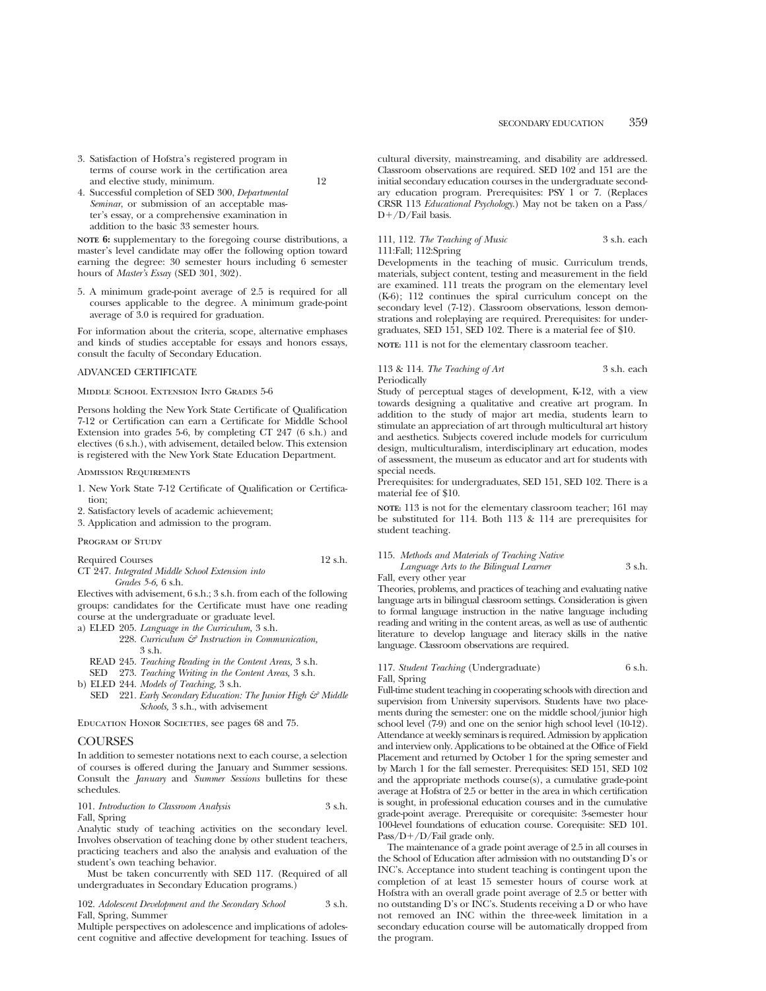3. Satisfaction of Hofstra's registered program in terms of course work in the certification area and elective study, minimum. 12

4. Successful completion of SED 300, *Departmental Seminar*, or submission of an acceptable master's essay, or a comprehensive examination in addition to the basic 33 semester hours.

**NOTE 6:** supplementary to the foregoing course distributions, a master's level candidate may offer the following option toward earning the degree: 30 semester hours including 6 semester hours of *Master's Essay* (SED 301, 302).

5. A minimum grade-point average of 2.5 is required for all courses applicable to the degree. A minimum grade-point average of 3.0 is required for graduation.

For information about the criteria, scope, alternative emphases and kinds of studies acceptable for essays and honors essays, consult the faculty of Secondary Education.

#### ADVANCED CERTIFICATE

Middle School Extension Into Grades 5-6

Persons holding the New York State Certificate of Qualification 7-12 or Certification can earn a Certificate for Middle School Extension into grades 5-6, by completing CT 247 (6 s.h.) and electives (6 s.h.), with advisement, detailed below. This extension is registered with the New York State Education Department.

#### Admission Requirements

- 1. New York State 7-12 Certificate of Qualification or Certification;
- 2. Satisfactory levels of academic achievement;
- 3. Application and admission to the program.

# PROGRAM OF STUDY

Required Courses 12 s.h.

CT 247. *Integrated Middle School Extension into Grades 5-6,* 6 s.h.

Electives with advisement, 6 s.h.; 3 s.h. from each of the following groups: candidates for the Certificate must have one reading course at the undergraduate or graduate level.

a) ELED 205. *Language in the Curriculum,* 3 s.h.

- 228. *Curriculum & Instruction in Communication,* 3 s.h.
- READ 245. *Teaching Reading in the Content Areas,* 3 s.h.
- SED 273. *Teaching Writing in the Content Areas,* 3 s.h.
- b) ELED 244. *Models of Teaching,* 3 s.h.
- SED 221. *Early Secondary Education: The Junior High & Middle Schools,* 3 s.h., with advisement

EDUCATION HONOR SOCIETIES, see pages 68 and 75.

#### **COURSES**

In addition to semester notations next to each course, a selection of courses is offered during the January and Summer sessions. Consult the *January* and *Summer Sessions* bulletins for these schedules.

101. *Introduction to Classroom Analysis* 3 s.h. Fall, Spring

Analytic study of teaching activities on the secondary level. Involves observation of teaching done by other student teachers, practicing teachers and also the analysis and evaluation of the student's own teaching behavior.

Must be taken concurrently with SED 117. (Required of all undergraduates in Secondary Education programs.)

102. *Adolescent Development and the Secondary School* 3 s.h. Fall, Spring, Summer

Multiple perspectives on adolescence and implications of adolescent cognitive and affective development for teaching. Issues of

cultural diversity, mainstreaming, and disability are addressed. Classroom observations are required. SED 102 and 151 are the initial secondary education courses in the undergraduate secondary education program. Prerequisites: PSY 1 or 7. (Replaces CRSR 113 *Educational Psychology*.) May not be taken on a Pass/  $D+/D/Fail$  basis.

111, 112. *The Teaching of Music* 3 s.h. each 111:Fall; 112:Spring

Developments in the teaching of music. Curriculum trends, materials, subject content, testing and measurement in the field are examined. 111 treats the program on the elementary level (K-6); 112 continues the spiral curriculum concept on the secondary level (7-12). Classroom observations, lesson demonstrations and roleplaying are required. Prerequisites: for undergraduates, SED 151, SED 102. There is a material fee of \$10.

**NOTE:** 111 is not for the elementary classroom teacher.

#### 113 & 114. *The Teaching of Art* 3 s.h. each Periodically

Study of perceptual stages of development, K-12, with a view towards designing a qualitative and creative art program. In addition to the study of major art media, students learn to stimulate an appreciation of art through multicultural art history and aesthetics. Subjects covered include models for curriculum design, multiculturalism, interdisciplinary art education, modes of assessment, the museum as educator and art for students with special needs.

Prerequisites: for undergraduates, SED 151, SED 102. There is a material fee of \$10.

**NOTE:** 113 is not for the elementary classroom teacher; 161 may be substituted for 114. Both 113 & 114 are prerequisites for student teaching.

| 115. Methods and Materials of Teaching Native |        |
|-----------------------------------------------|--------|
| Language Arts to the Bilingual Learner        | 3 s.h. |
| Fall, every other year                        |        |

Theories, problems, and practices of teaching and evaluating native language arts in bilingual classroom settings. Consideration is given to formal language instruction in the native language including reading and writing in the content areas, as well as use of authentic literature to develop language and literacy skills in the native language. Classroom observations are required.

#### 117. *Student Teaching* (Undergraduate) 6 s.h. Fall, Spring

Full-time student teaching in cooperating schools with direction and supervision from University supervisors. Students have two placements during the semester: one on the middle school/junior high school level (7-9) and one on the senior high school level (10-12). Attendance at weekly seminars is required. Admission by application and interview only. Applications to be obtained at the Office of Field Placement and returned by October 1 for the spring semester and by March 1 for the fall semester. Prerequisites: SED 151, SED 102 and the appropriate methods course(s), a cumulative grade-point average at Hofstra of 2.5 or better in the area in which certification is sought, in professional education courses and in the cumulative grade-point average. Prerequisite or corequisite: 3-semester hour 100-level foundations of education course. Corequisite: SED 101. Pass/ $D+/D$ /Fail grade only.

The maintenance of a grade point average of 2.5 in all courses in the School of Education after admission with no outstanding D's or INC's. Acceptance into student teaching is contingent upon the completion of at least 15 semester hours of course work at Hofstra with an overall grade point average of 2.5 or better with no outstanding D's or INC's. Students receiving a D or who have not removed an INC within the three-week limitation in a secondary education course will be automatically dropped from the program.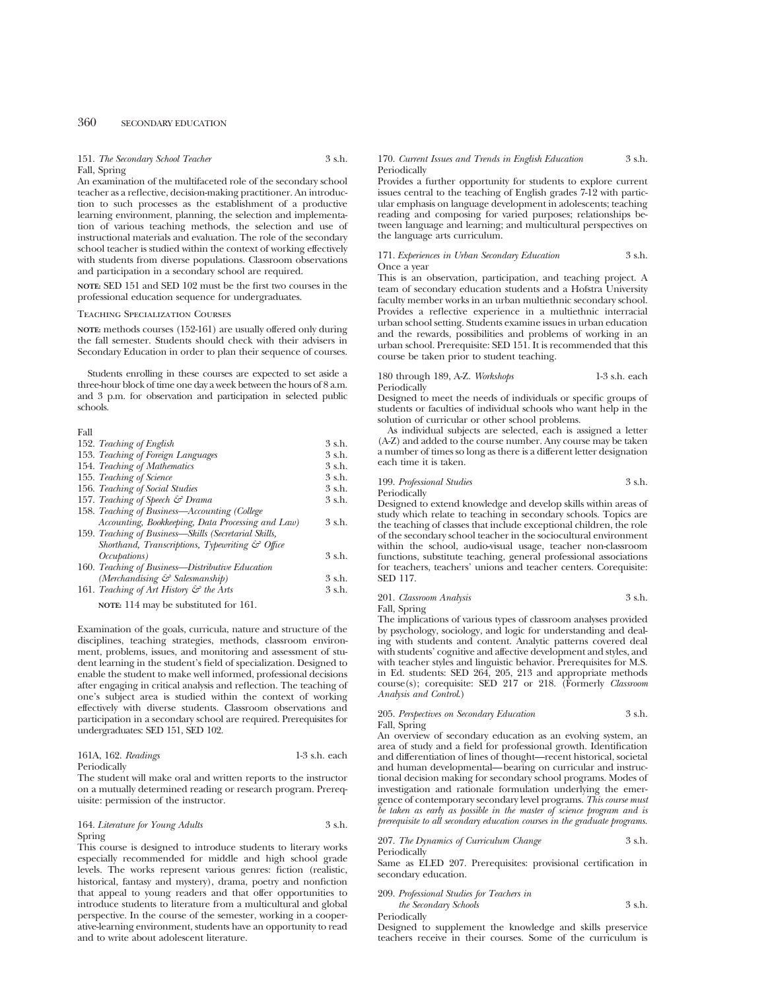151. *The Secondary School Teacher* 3 s.h. Fall, Spring

An examination of the multifaceted role of the secondary school teacher as a reflective, decision-making practitioner. An introduction to such processes as the establishment of a productive learning environment, planning, the selection and implementation of various teaching methods, the selection and use of instructional materials and evaluation. The role of the secondary school teacher is studied within the context of working effectively with students from diverse populations. Classroom observations and participation in a secondary school are required.

**NOTE:** SED 151 and SED 102 must be the first two courses in the professional education sequence for undergraduates.

## Teaching Specialization Courses

**NOTE:** methods courses (152-161) are usually offered only during the fall semester. Students should check with their advisers in Secondary Education in order to plan their sequence of courses.

Students enrolling in these courses are expected to set aside a three-hour block of time one day a week between the hours of 8 a.m. and 3 p.m. for observation and participation in selected public schools.

## Fall

| 152. Teaching of English                                    | $3$ s.h. |
|-------------------------------------------------------------|----------|
| 153. Teaching of Foreign Languages                          | 3 s.h.   |
| 154. Teaching of Mathematics                                | 3 s.h.   |
| 155. Teaching of Science                                    | 3 s.h.   |
| 156. Teaching of Social Studies                             | 3 s.h.   |
| 157. Teaching of Speech & Drama                             | 3 s.h.   |
| 158. Teaching of Business—Accounting (College               |          |
| Accounting, Bookkeeping, Data Processing and Law)           | 3 s.h.   |
| 159. Teaching of Business—Skills (Secretarial Skills,       |          |
| Shorthand, Transcriptions, Typewriting $\mathcal{C}$ Office |          |
| <i>Occupations</i> )                                        | 3 s.h.   |
| 160. Teaching of Business-Distributive Education            |          |
| (Merchandising & Salesmanship)                              | $3$ s.h. |
| 161. Teaching of Art History $\mathcal{C}$ the Arts         | 3 s.h.   |
| NOTE: 114 may be substituted for 161.                       |          |

Examination of the goals, curricula, nature and structure of the disciplines, teaching strategies, methods, classroom environment, problems, issues, and monitoring and assessment of student learning in the student's field of specialization. Designed to enable the student to make well informed, professional decisions after engaging in critical analysis and reflection. The teaching of one's subject area is studied within the context of working effectively with diverse students. Classroom observations and participation in a secondary school are required. Prerequisites for undergraduates: SED 151, SED 102.

| 161A, 162. Readings | $1-3$ s.h. each |
|---------------------|-----------------|
| Periodically        |                 |

The student will make oral and written reports to the instructor on a mutually determined reading or research program. Prerequisite: permission of the instructor.

## 164. *Literature for Young Adults* 3 s.h. Spring

This course is designed to introduce students to literary works especially recommended for middle and high school grade levels. The works represent various genres: fiction (realistic, historical, fantasy and mystery), drama, poetry and nonfiction that appeal to young readers and that offer opportunities to introduce students to literature from a multicultural and global perspective. In the course of the semester, working in a cooperative-learning environment, students have an opportunity to read and to write about adolescent literature.

#### 170. *Current Issues and Trends in English Education* 3 s.h. Periodically

Provides a further opportunity for students to explore current issues central to the teaching of English grades 7-12 with particular emphasis on language development in adolescents; teaching reading and composing for varied purposes; relationships between language and learning; and multicultural perspectives on the language arts curriculum.

171. *Experiences in Urban Secondary Education* 3 s.h. Once a year

This is an observation, participation, and teaching project. A team of secondary education students and a Hofstra University faculty member works in an urban multiethnic secondary school. Provides a reflective experience in a multiethnic interracial urban school setting. Students examine issues in urban education and the rewards, possibilities and problems of working in an urban school. Prerequisite: SED 151. It is recommended that this course be taken prior to student teaching.

180 through 189, A-Z. *Workshops* 1-3 s.h. each Periodically

Designed to meet the needs of individuals or specific groups of students or faculties of individual schools who want help in the solution of curricular or other school problems.

As individual subjects are selected, each is assigned a letter (A-Z) and added to the course number. Any course may be taken a number of times so long as there is a different letter designation each time it is taken.

# 199. *Professional Studies* 3 s.h.

Periodically

Designed to extend knowledge and develop skills within areas of study which relate to teaching in secondary schools. Topics are the teaching of classes that include exceptional children, the role of the secondary school teacher in the sociocultural environment within the school, audio-visual usage, teacher non-classroom functions, substitute teaching, general professional associations for teachers, teachers' unions and teacher centers. Corequisite: SED 117.

201. *Classroom Analysis* 3 s.h.

Fall, Spring

The implications of various types of classroom analyses provided by psychology, sociology, and logic for understanding and dealing with students and content. Analytic patterns covered deal with students' cognitive and affective development and styles, and with teacher styles and linguistic behavior. Prerequisites for M.S. in Ed. students: SED 264, 205, 213 and appropriate methods course(s); corequisite: SED 217 or 218. (Formerly *Classroom Analysis and Control*.)

## 205. *Perspectives on Secondary Education* 3 s.h. Fall, Spring

An overview of secondary education as an evolving system, an area of study and a field for professional growth. Identification and differentiation of lines of thought—recent historical, societal and human developmental—bearing on curricular and instructional decision making for secondary school programs. Modes of investigation and rationale formulation underlying the emergence of contemporary secondary level programs. *This course must be taken as early as possible in the master of science program and is prerequisite to all secondary education courses in the graduate programs.*

207. *The Dynamics of Curriculum Change* 3 s.h. Periodically

Same as ELED 207. Prerequisites: provisional certification in secondary education.

| 209. Professional Studies for Teachers in |        |
|-------------------------------------------|--------|
| the Secondary Schools                     | 3 s.h. |

Periodically

Designed to supplement the knowledge and skills preservice teachers receive in their courses. Some of the curriculum is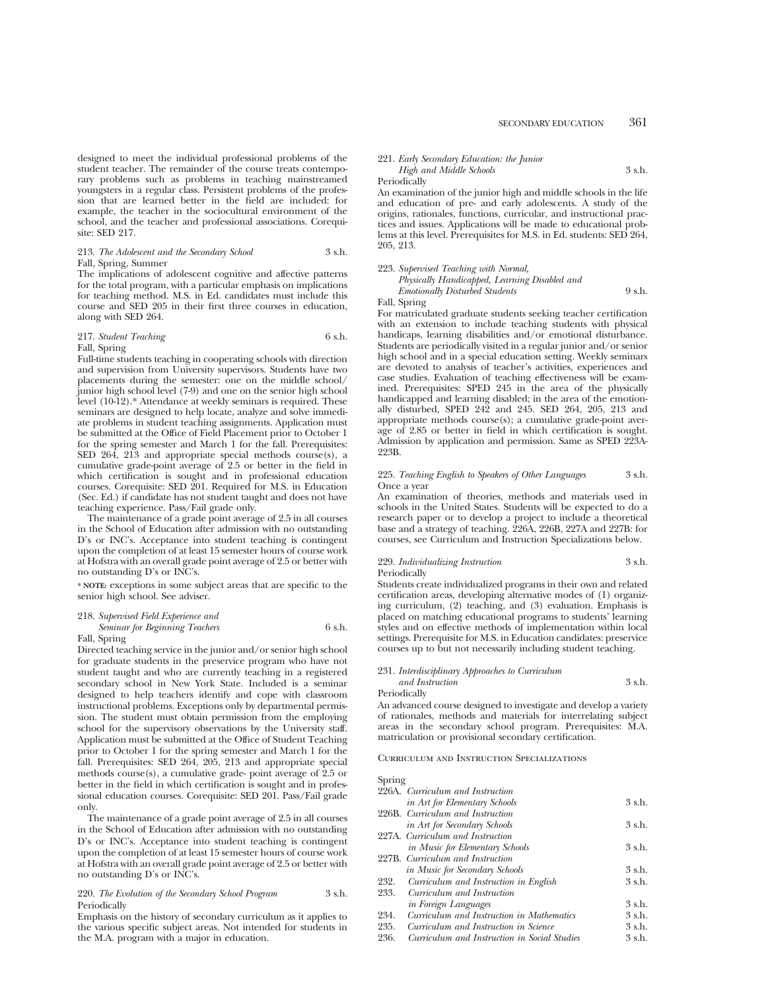designed to meet the individual professional problems of the student teacher. The remainder of the course treats contemporary problems such as problems in teaching mainstreamed youngsters in a regular class. Persistent problems of the profession that are learned better in the field are included: for example, the teacher in the sociocultural environment of the school, and the teacher and professional associations. Corequisite: SED 217.

# 213. *The Adolescent and the Secondary School* 3 s.h. Fall, Spring, Summer

The implications of adolescent cognitive and affective patterns for the total program, with a particular emphasis on implications for teaching method. M.S. in Ed. candidates must include this course and SED 205 in their first three courses in education, along with SED 264.

## 217. *Student Teaching* 6 s.h. Fall, Spring

Full-time students teaching in cooperating schools with direction and supervision from University supervisors. Students have two placements during the semester: one on the middle school/ junior high school level (7-9) and one on the senior high school level (10-12).\* Attendance at weekly seminars is required. These seminars are designed to help locate, analyze and solve immediate problems in student teaching assignments. Application must be submitted at the Office of Field Placement prior to October 1 for the spring semester and March 1 for the fall. Prerequisites: SED 264, 213 and appropriate special methods course(s), a cumulative grade-point average of 2.5 or better in the field in which certification is sought and in professional education courses. Corequisite: SED 201. Required for M.S. in Education (Sec. Ed.) if candidate has not student taught and does not have teaching experience. Pass/Fail grade only.

The maintenance of a grade point average of 2.5 in all courses in the School of Education after admission with no outstanding D's or INC's. Acceptance into student teaching is contingent upon the completion of at least 15 semester hours of course work at Hofstra with an overall grade point average of 2.5 or better with no outstanding D's or INC's.

**\* NOTE:** exceptions in some subject areas that are specific to the senior high school. See adviser.

# 218. *Supervised Field Experience and Seminar for Beginning Teachers* 6 s.h.

### Fall, Spring

Directed teaching service in the junior and/or senior high school for graduate students in the preservice program who have not student taught and who are currently teaching in a registered secondary school in New York State. Included is a seminar designed to help teachers identify and cope with classroom instructional problems. Exceptions only by departmental permission. The student must obtain permission from the employing school for the supervisory observations by the University staff. Application must be submitted at the Office of Student Teaching prior to October 1 for the spring semester and March 1 for the fall. Prerequisites: SED 264, 205, 213 and appropriate special methods course(s), a cumulative grade- point average of 2.5 or better in the field in which certification is sought and in professional education courses. Corequisite: SED 201. Pass/Fail grade only.

The maintenance of a grade point average of 2.5 in all courses in the School of Education after admission with no outstanding D's or INC's. Acceptance into student teaching is contingent upon the completion of at least 15 semester hours of course work at Hofstra with an overall grade point average of 2.5 or better with no outstanding D's or INC's.

#### 220. *The Evolution of the Secondary School Program* 3 s.h. Periodically

Emphasis on the history of secondary curriculum as it applies to the various specific subject areas. Not intended for students in the M.A. program with a major in education.

# 221. *Early Secondary Education: the Junior High and Middle Schools* 3 s.h.

#### Periodically

An examination of the junior high and middle schools in the life and education of pre- and early adolescents. A study of the origins, rationales, functions, curricular, and instructional practices and issues. Applications will be made to educational problems at this level. Prerequisites for M.S. in Ed. students: SED 264, 205, 213.

#### 223. *Supervised Teaching with Normal,*

| Physically Handicapped, Learning Disabled and |        |
|-----------------------------------------------|--------|
| Emotionally Disturbed Students                | 9 s.h. |

#### Fall, Spring

For matriculated graduate students seeking teacher certification with an extension to include teaching students with physical handicaps, learning disabilities and/or emotional disturbance. Students are periodically visited in a regular junior and/or senior high school and in a special education setting. Weekly seminars are devoted to analysis of teacher's activities, experiences and case studies. Evaluation of teaching effectiveness will be examined. Prerequisites: SPED 245 in the area of the physically handicapped and learning disabled; in the area of the emotionally disturbed, SPED 242 and 245. SED 264, 205, 213 and appropriate methods course(s); a cumulative grade-point average of 2.85 or better in field in which certification is sought. Admission by application and permission. Same as SPED 223A-223B.

#### 225. *Teaching English to Speakers of Other Languages* 3 s.h. Once a year

An examination of theories, methods and materials used in schools in the United States. Students will be expected to do a research paper or to develop a project to include a theoretical base and a strategy of teaching. 226A, 226B, 227A and 227B: for courses, see Curriculum and Instruction Specializations below.

# 229. *Individualizing Instruction* 3 s.h.

Periodically

Students create individualized programs in their own and related certification areas, developing alternative modes of (1) organizing curriculum, (2) teaching, and (3) evaluation. Emphasis is placed on matching educational programs to students' learning styles and on effective methods of implementation within local settings. Prerequisite for M.S. in Education candidates: preservice courses up to but not necessarily including student teaching.

## 231. *Interdisciplinary Approaches to Curriculum*

*and Instruction* 3 s.h. Periodically

An advanced course designed to investigate and develop a variety of rationales, methods and materials for interrelating subject areas in the secondary school program. Prerequisites: M.A. matriculation or provisional secondary certification.

Curriculum and Instruction Specializations

#### Spring

|      | 226A. Curriculum and Instruction             |        |
|------|----------------------------------------------|--------|
|      | in Art for Elementary Schools                | 3 s.h. |
|      | 226B. Curriculum and Instruction             |        |
|      | in Art for Secondary Schools                 | 3 s.h. |
|      | 227A. Curriculum and Instruction             |        |
|      | <i>in Music for Elementary Schools</i>       | 3 s.h. |
|      | 227B. Curriculum and Instruction             |        |
|      | in Music for Secondary Schools               | 3 s.h. |
| 232. | Curriculum and Instruction in English        | 3 s.h. |
| 233. | Curriculum and Instruction                   |        |
|      | in Foreign Languages                         | 3 s.h. |
| 234. | Curriculum and Instruction in Mathematics    | 3 s.h. |
| 235. | Curriculum and Instruction in Science        | 3 s.h. |
| 236. | Curriculum and Instruction in Social Studies | 3 s.h. |
|      |                                              |        |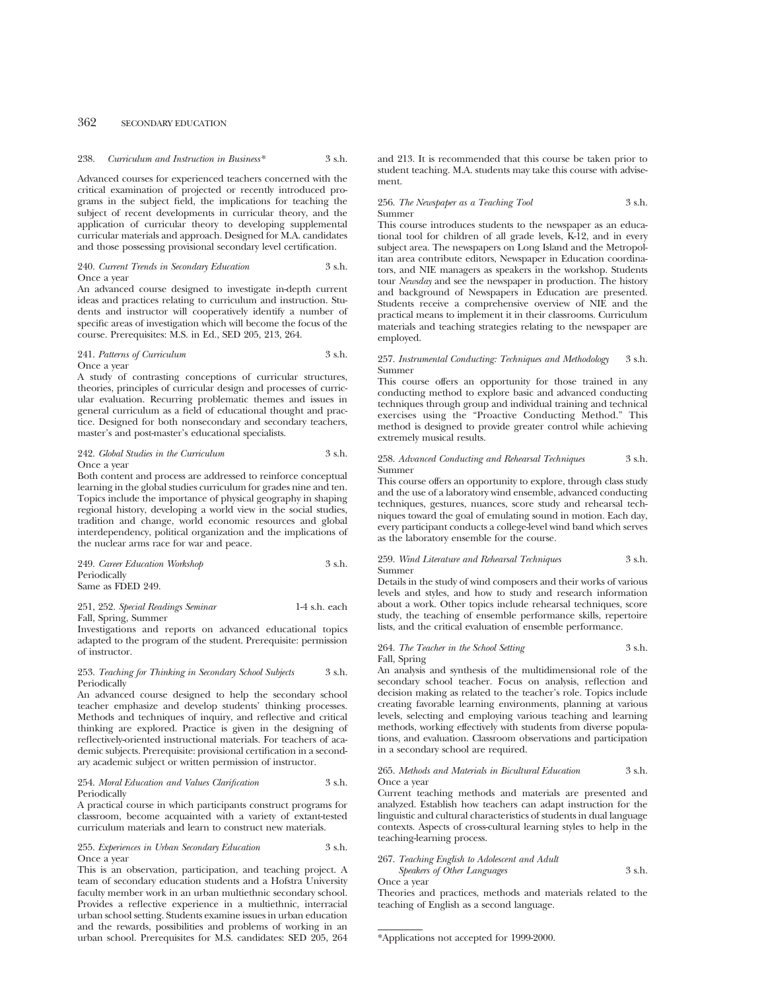Advanced courses for experienced teachers concerned with the critical examination of projected or recently introduced programs in the subject field, the implications for teaching the subject of recent developments in curricular theory, and the application of curricular theory to developing supplemental curricular materials and approach. Designed for M.A. candidates and those possessing provisional secondary level certification.

#### 240. *Current Trends in Secondary Education* 3 s.h. Once a year

An advanced course designed to investigate in-depth current ideas and practices relating to curriculum and instruction. Students and instructor will cooperatively identify a number of specific areas of investigation which will become the focus of the course. Prerequisites: M.S. in Ed., SED 205, 213, 264.

# 241. *Patterns of Curriculum* 3 s.h. Once a year

A study of contrasting conceptions of curricular structures, theories, principles of curricular design and processes of curricular evaluation. Recurring problematic themes and issues in general curriculum as a field of educational thought and practice. Designed for both nonsecondary and secondary teachers, master's and post-master's educational specialists.

# 242. *Global Studies in the Curriculum* 3 s.h. Once a year

Both content and process are addressed to reinforce conceptual learning in the global studies curriculum for grades nine and ten. Topics include the importance of physical geography in shaping regional history, developing a world view in the social studies, tradition and change, world economic resources and global interdependency, political organization and the implications of the nuclear arms race for war and peace.

249. *Career Education Workshop* 3 s.h. Periodically Same as FDED 249.

## 251, 252. *Special Readings Seminar* 1-4 s.h. each Fall, Spring, Summer

Investigations and reports on advanced educational topics adapted to the program of the student. Prerequisite: permission of instructor.

#### 253. *Teaching for Thinking in Secondary School Subjects* 3 s.h. Periodically

An advanced course designed to help the secondary school teacher emphasize and develop students' thinking processes. Methods and techniques of inquiry, and reflective and critical thinking are explored. Practice is given in the designing of reflectively-oriented instructional materials. For teachers of academic subjects. Prerequisite: provisional certification in a secondary academic subject or written permission of instructor.

#### 254. *Moral Education and Values Clarification* 3 s.h. Periodically

A practical course in which participants construct programs for classroom, become acquainted with a variety of extant-tested curriculum materials and learn to construct new materials.

255. *Experiences in Urban Secondary Education* 3 s.h. Once a year

This is an observation, participation, and teaching project. A team of secondary education students and a Hofstra University faculty member work in an urban multiethnic secondary school. Provides a reflective experience in a multiethnic, interracial urban school setting. Students examine issues in urban education and the rewards, possibilities and problems of working in an urban school. Prerequisites for M.S. candidates: SED 205, 264 and 213. It is recommended that this course be taken prior to student teaching. M.A. students may take this course with advisement.

#### 256. *The Newspaper as a Teaching Tool* 3 s.h. Summer

This course introduces students to the newspaper as an educational tool for children of all grade levels, K-12, and in every subject area. The newspapers on Long Island and the Metropolitan area contribute editors, Newspaper in Education coordinators, and NIE managers as speakers in the workshop. Students tour *Newsday* and see the newspaper in production. The history and background of Newspapers in Education are presented. Students receive a comprehensive overview of NIE and the practical means to implement it in their classrooms. Curriculum materials and teaching strategies relating to the newspaper are employed.

## 257. *Instrumental Conducting: Techniques and Methodology* 3 s.h. Summer

This course offers an opportunity for those trained in any conducting method to explore basic and advanced conducting techniques through group and individual training and technical exercises using the "Proactive Conducting Method." This method is designed to provide greater control while achieving extremely musical results.

#### 258. *Advanced Conducting and Rehearsal Techniques* 3 s.h. Summer

This course offers an opportunity to explore, through class study and the use of a laboratory wind ensemble, advanced conducting techniques, gestures, nuances, score study and rehearsal techniques toward the goal of emulating sound in motion. Each day, every participant conducts a college-level wind band which serves as the laboratory ensemble for the course.

## 259. *Wind Literature and Rehearsal Techniques* 3 s.h. Summer

Details in the study of wind composers and their works of various levels and styles, and how to study and research information about a work. Other topics include rehearsal techniques, score study, the teaching of ensemble performance skills, repertoire lists, and the critical evaluation of ensemble performance.

## 264. *The Teacher in the School Setting* 3 s.h. Fall, Spring

An analysis and synthesis of the multidimensional role of the secondary school teacher. Focus on analysis, reflection and decision making as related to the teacher's role. Topics include creating favorable learning environments, planning at various levels, selecting and employing various teaching and learning methods, working effectively with students from diverse populations, and evaluation. Classroom observations and participation in a secondary school are required.

#### 265. *Methods and Materials in Bicultural Education* 3 s.h. Once a year

Current teaching methods and materials are presented and analyzed. Establish how teachers can adapt instruction for the linguistic and cultural characteristics of students in dual language contexts. Aspects of cross-cultural learning styles to help in the teaching-learning process.

| 267. Teaching English to Adolescent and Adult |        |
|-----------------------------------------------|--------|
| Speakers of Other Languages                   | 3 s.h. |

Once a year

Theories and practices, methods and materials related to the teaching of English as a second language.

<sup>\*</sup>Applications not accepted for 1999-2000.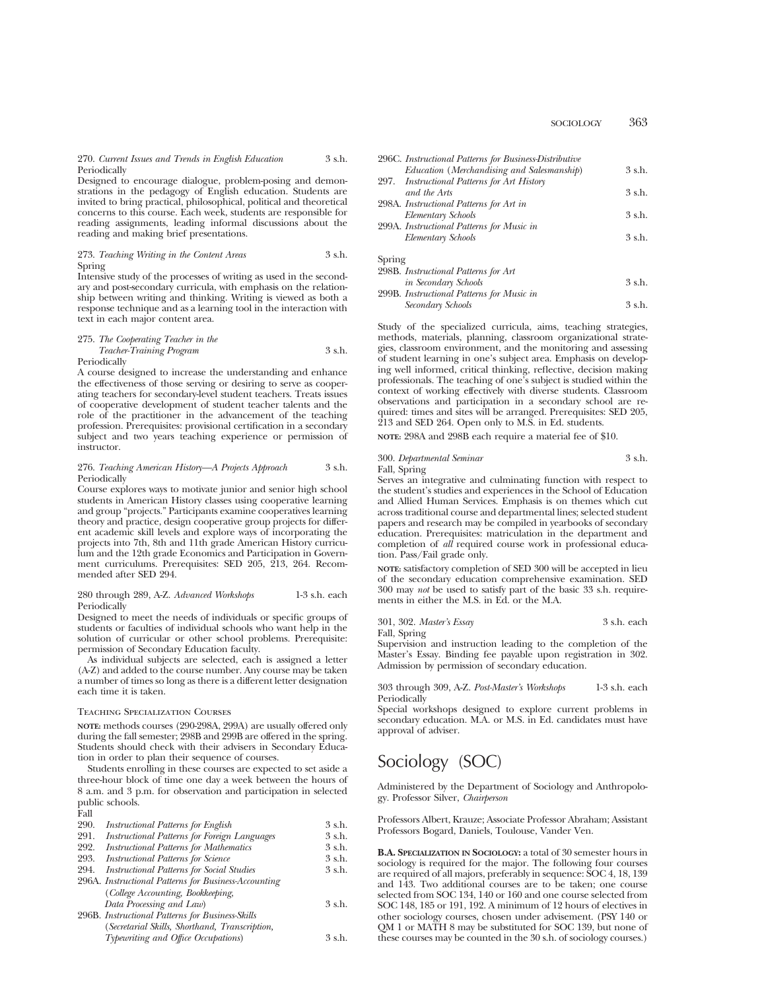SOCIOLOGY 363

270. *Current Issues and Trends in English Education* 3 s.h. Periodically

Designed to encourage dialogue, problem-posing and demonstrations in the pedagogy of English education. Students are invited to bring practical, philosophical, political and theoretical concerns to this course. Each week, students are responsible for reading assignments, leading informal discussions about the reading and making brief presentations.

273. *Teaching Writing in the Content Areas* 3 s.h. Spring

Intensive study of the processes of writing as used in the secondary and post-secondary curricula, with emphasis on the relationship between writing and thinking. Writing is viewed as both a response technique and as a learning tool in the interaction with text in each major content area.

## 275. *The Cooperating Teacher in the*

*Teacher-Training Program* 3 s.h. Periodically

A course designed to increase the understanding and enhance the effectiveness of those serving or desiring to serve as cooperating teachers for secondary-level student teachers. Treats issues of cooperative development of student teacher talents and the role of the practitioner in the advancement of the teaching profession. Prerequisites: provisional certification in a secondary subject and two years teaching experience or permission of instructor.

#### 276. *Teaching American History—A Projects Approach* 3 s.h. Periodically

Course explores ways to motivate junior and senior high school students in American History classes using cooperative learning and group "projects." Participants examine cooperatives learning theory and practice, design cooperative group projects for different academic skill levels and explore ways of incorporating the projects into 7th, 8th and 11th grade American History curriculum and the 12th grade Economics and Participation in Government curriculums. Prerequisites: SED 205, 213, 264. Recommended after SED 294.

## 280 through 289, A-Z. *Advanced Workshops* 1-3 s.h. each Periodically

Designed to meet the needs of individuals or specific groups of students or faculties of individual schools who want help in the solution of curricular or other school problems. Prerequisite: permission of Secondary Education faculty.

As individual subjects are selected, each is assigned a letter (A-Z) and added to the course number. Any course may be taken a number of times so long as there is a different letter designation each time it is taken.

#### Teaching Specialization Courses

**NOTE:** methods courses (290-298A, 299A) are usually offered only during the fall semester; 298B and 299B are offered in the spring. Students should check with their advisers in Secondary Education in order to plan their sequence of courses.

Students enrolling in these courses are expected to set aside a three-hour block of time one day a week between the hours of 8 a.m. and 3 p.m. for observation and participation in selected public schools.

| - 11<br>---- |
|--------------|
|--------------|

| 290. | Instructional Patterns for English                   | 3 s.h.   |
|------|------------------------------------------------------|----------|
| 291. | Instructional Patterns for Foreign Languages         | 3 s.h.   |
| 292. | <b>Instructional Patterns for Mathematics</b>        | 3 s.h.   |
| 293. | <b>Instructional Patterns for Science</b>            | 3 s.h.   |
| 294. | <b>Instructional Patterns for Social Studies</b>     | 3 s.h.   |
|      | 296A. Instructional Patterns for Business-Accounting |          |
|      | (College Accounting, Bookkeeping,                    |          |
|      | Data Processing and Law)                             | 3 s.h.   |
|      | 296B. Instructional Patterns for Business-Skills     |          |
|      | (Secretarial Skills, Shorthand, Transcription,       |          |
|      | Typewriting and Office Occupations)                  | $3$ s.h. |
|      |                                                      |          |

| 296C. Instructional Patterns for Business-Distributive |          |
|--------------------------------------------------------|----------|
| Education (Merchandising and Salesmanship)             | 3 s.h.   |
| 297. Instructional Patterns for Art History            |          |
| and the Arts                                           | 3 s.h.   |
| 298A. Instructional Patterns for Art in                |          |
| Elementary Schools                                     | $3$ s.h. |
| 299A. Instructional Patterns for Music in              |          |
| Elementary Schools                                     | 3 s.h.   |
|                                                        |          |
|                                                        |          |

Spring 298B. *Instructional Patterns for Art in Secondary Schools* 3 s.h. 299B. *Instructional Patterns for Music in Secondary Schools* 3 s.h.

Study of the specialized curricula, aims, teaching strategies, methods, materials, planning, classroom organizational strategies, classroom environment, and the monitoring and assessing of student learning in one's subject area. Emphasis on developing well informed, critical thinking, reflective, decision making professionals. The teaching of one's subject is studied within the context of working effectively with diverse students. Classroom observations and participation in a secondary school are required: times and sites will be arranged. Prerequisites: SED 205, 213 and SED 264. Open only to M.S. in Ed. students.

**NOTE:** 298A and 298B each require a material fee of \$10.

# 300. *Departmental Seminar* 3 s.h.

Fall, Spring

Serves an integrative and culminating function with respect to the student's studies and experiences in the School of Education and Allied Human Services. Emphasis is on themes which cut across traditional course and departmental lines; selected student papers and research may be compiled in yearbooks of secondary education. Prerequisites: matriculation in the department and completion of *all* required course work in professional education. Pass/Fail grade only.

**NOTE:** satisfactory completion of SED 300 will be accepted in lieu of the secondary education comprehensive examination. SED 300 may *not* be used to satisfy part of the basic 33 s.h. requirements in either the M.S. in Ed. or the M.A.

301, 302. *Master's Essay* 3 s.h. each Fall, Spring

Supervision and instruction leading to the completion of the Master's Essay. Binding fee payable upon registration in 302. Admission by permission of secondary education.

303 through 309, A-Z. *Post-Master's Workshops* 1-3 s.h. each Periodically

Special workshops designed to explore current problems in secondary education. M.A. or M.S. in Ed. candidates must have approval of adviser.

# Sociology (SOC)

Administered by the Department of Sociology and Anthropology. Professor Silver, *Chairperson*

Professors Albert, Krauze; Associate Professor Abraham; Assistant Professors Bogard, Daniels, Toulouse, Vander Ven.

**B.A. SPECIALIZATION IN SOCIOLOGY:** a total of 30 semester hours in sociology is required for the major. The following four courses are required of all majors, preferably in sequence: SOC 4, 18, 139 and 143. Two additional courses are to be taken; one course selected from SOC 134, 140 or 160 and one course selected from SOC 148, 185 or 191, 192. A minimum of 12 hours of electives in other sociology courses, chosen under advisement. (PSY 140 or QM 1 or MATH 8 may be substituted for SOC 139, but none of these courses may be counted in the 30 s.h. of sociology courses.)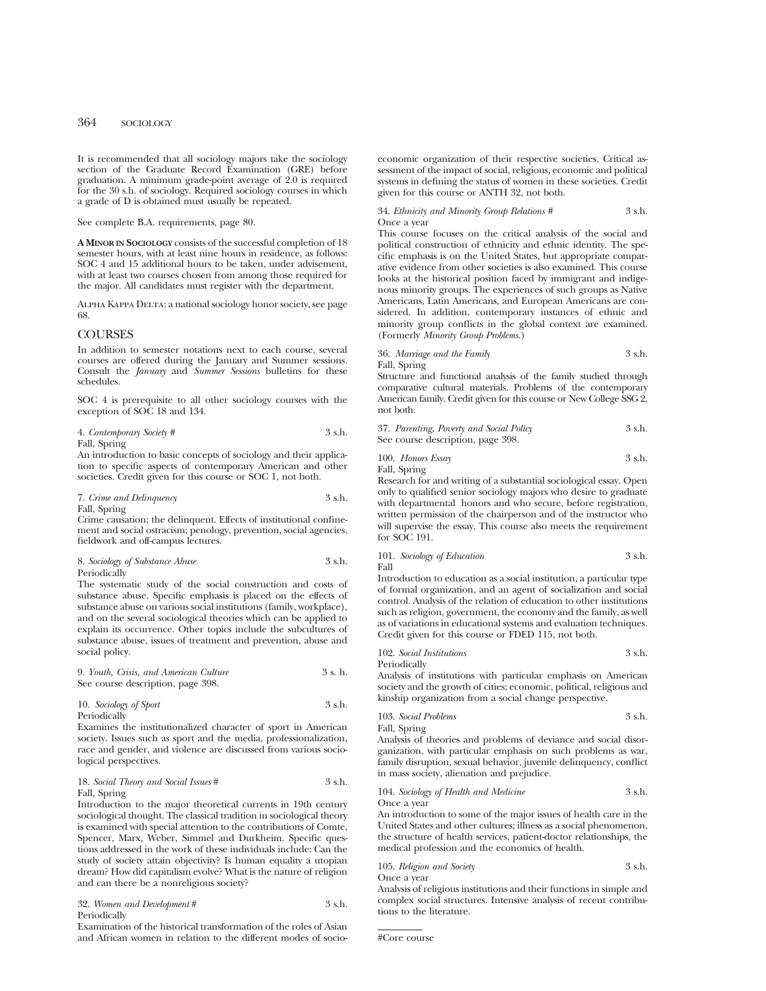It is recommended that all sociology majors take the sociology section of the Graduate Record Examination (GRE) before graduation. A minimum grade-point average of 2.0 is required for the 30 s.h. of sociology. Required sociology courses in which a grade of D is obtained must usually be repeated.

See complete B.A. requirements, page 80.

**A MINOR IN SOCIOLOGY** consists of the successful completion of 18 semester hours, with at least nine hours in residence, as follows: SOC 4 and 15 additional hours to be taken, under advisement, with at least two courses chosen from among those required for the major. All candidates must register with the department.

Alpha Kappa Delta: a national sociology honor society, see page 68.

# **COURSES**

In addition to semester notations next to each course, several courses are offered during the January and Summer sessions. Consult the *January* and *Summer Sessions* bulletins for these schedules.

SOC 4 is prerequisite to all other sociology courses with the exception of SOC 18 and 134.

| 4. Contemporary Society # | 3 s.h. |
|---------------------------|--------|
| Fall, Spring              |        |

An introduction to basic concepts of sociology and their application to specific aspects of contemporary American and other societies. Credit given for this course or SOC 1, not both.

7. *Crime and Delinquency* 3 s.h.

Fall, Spring Crime causation; the delinquent. Effects of institutional confinement and social ostracism; penology, prevention, social agencies, fieldwork and off-campus lectures.

8. *Sociology of Substance Abuse* 3 s.h. Periodically

The systematic study of the social construction and costs of substance abuse. Specific emphasis is placed on the effects of substance abuse on various social institutions (family, workplace), and on the several sociological theories which can be applied to explain its occurrence. Other topics include the subcultures of substance abuse, issues of treatment and prevention, abuse and social policy.

9. *Youth, Crisis, and American Culture* 3 s. h. See course description, page 398.

10. *Sociology of Sport* 3 s.h. Periodically

Examines the institutionalized character of sport in American society. Issues such as sport and the media, professionalization, race and gender, and violence are discussed from various sociological perspectives.

# 18. *Social Theory and Social Issues* # 3 s.h. Fall, Spring

Introduction to the major theoretical currents in 19th century sociological thought. The classical tradition in sociological theory is examined with special attention to the contributions of Comte, Spencer, Marx, Weber, Simmel and Durkheim. Specific questions addressed in the work of these individuals include: Can the study of society attain objectivity? Is human equality a utopian dream? How did capitalism evolve? What is the nature of religion and can there be a nonreligious society?

32. *Women and Development* # 3 s.h. Periodically

Examination of the historical transformation of the roles of Asian and African women in relation to the different modes of socioeconomic organization of their respective societies. Critical assessment of the impact of social, religious, economic and political systems in defining the status of women in these societies. Credit given for this course or ANTH 32, not both.

34. *Ethnicity and Minority Group Relations #* 3 s.h. Once a year

This course focuses on the critical analysis of the social and political construction of ethnicity and ethnic identity. The specific emphasis is on the United States, but appropriate comparative evidence from other societies is also examined. This course looks at the historical position faced by immigrant and indigenous minority groups. The experiences of such groups as Native Americans, Latin Americans, and European Americans are considered. In addition, contemporary instances of ethnic and minority group conflicts in the global context are examined. (Formerly *Minority Group Problems*.)

36. *Marriage and the Family* 3 s.h. Fall, Spring

Structure and functional analysis of the family studied through comparative cultural materials. Problems of the contemporary American family. Credit given for this course or New College SSG 2, not both.

37. *Parenting, Poverty and Social Policy* 3 s.h. See course description, page 398.

100. *Honors Essay* 3 s.h.

Fall, Spring

Research for and writing of a substantial sociological essay. Open only to qualified senior sociology majors who desire to graduate with departmental honors and who secure, before registration, written permission of the chairperson and of the instructor who will supervise the essay. This course also meets the requirement for SOC 191.

#### 101. *Sociology of Education* 3 s.h. Fall

Introduction to education as a social institution, a particular type of formal organization, and an agent of socialization and social control. Analysis of the relation of education to other institutions such as religion, government, the economy and the family, as well as of variations in educational systems and evaluation techniques. Credit given for this course or FDED 115, not both.

| 102. Social Institutions | 3 s.h. |
|--------------------------|--------|
| Periodically             |        |

Analysis of institutions with particular emphasis on American society and the growth of cities; economic, political, religious and kinship organization from a social change perspective.

103. *Social Problems* 3 s.h. Fall, Spring

Analysis of theories and problems of deviance and social disorganization, with particular emphasis on such problems as war, family disruption, sexual behavior, juvenile delinquency, conflict in mass society, alienation and prejudice.

104. *Sociology of Health and Medicine* 3 s.h.

Once a year

An introduction to some of the major issues of health care in the United States and other cultures; illness as a social phenomenon, the structure of health services, patient-doctor relationships, the medical profession and the economics of health.

105. *Religion and Society* 3 s.h.

Once a year

Analysis of religious institutions and their functions in simple and complex social structures. Intensive analysis of recent contributions to the literature.

#Core course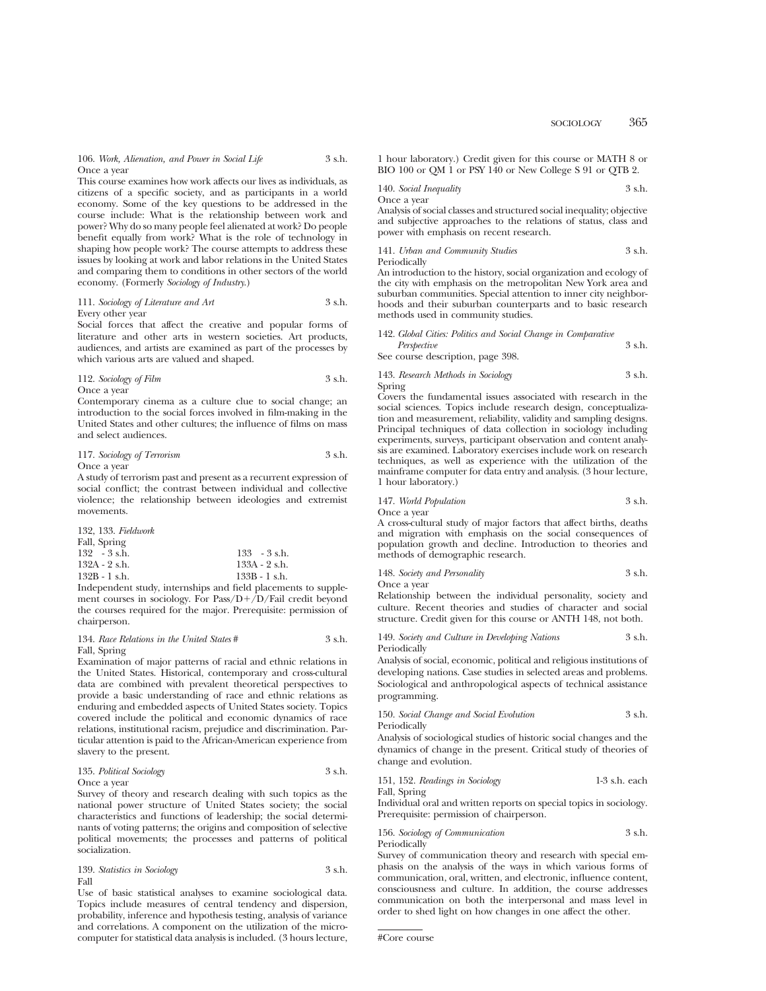106. *Work, Alienation, and Power in Social Life* 3 s.h. Once a year

This course examines how work affects our lives as individuals, as citizens of a specific society, and as participants in a world economy. Some of the key questions to be addressed in the course include: What is the relationship between work and power? Why do so many people feel alienated at work? Do people benefit equally from work? What is the role of technology in shaping how people work? The course attempts to address these issues by looking at work and labor relations in the United States and comparing them to conditions in other sectors of the world economy. (Formerly *Sociology of Industry*.)

#### 111. *Sociology of Literature and Art* 3 s.h. Every other year

Social forces that affect the creative and popular forms of literature and other arts in western societies. Art products, audiences, and artists are examined as part of the processes by which various arts are valued and shaped.

112. *Sociology of Film* 3 s.h. Once a year

Contemporary cinema as a culture clue to social change; an introduction to the social forces involved in film-making in the United States and other cultures; the influence of films on mass and select audiences.

117. *Sociology of Terrorism* 3 s.h. Once a year

A study of terrorism past and present as a recurrent expression of social conflict; the contrast between individual and collective violence; the relationship between ideologies and extremist movements.

132, 133. *Fieldwork*

| $133 - 3$ s.h.  |
|-----------------|
| 133A - 2 s.h.   |
| $133B - 1$ s.h. |
|                 |

Independent study, internships and field placements to supplement courses in sociology. For Pass/ $D+/D$ /Fail credit beyond the courses required for the major. Prerequisite: permission of chairperson.

## 134. *Race Relations in the United States* # 3 s.h. Fall, Spring

Examination of major patterns of racial and ethnic relations in the United States. Historical, contemporary and cross-cultural data are combined with prevalent theoretical perspectives to provide a basic understanding of race and ethnic relations as enduring and embedded aspects of United States society. Topics covered include the political and economic dynamics of race relations, institutional racism, prejudice and discrimination. Particular attention is paid to the African-American experience from slavery to the present.

135. *Political Sociology* 3 s.h. Once a year

Survey of theory and research dealing with such topics as the national power structure of United States society; the social characteristics and functions of leadership; the social determinants of voting patterns; the origins and composition of selective political movements; the processes and patterns of political socialization.

|      | 139. Statistics in Sociology |  | 3 s.h. |
|------|------------------------------|--|--------|
| Fall |                              |  |        |

Use of basic statistical analyses to examine sociological data. Topics include measures of central tendency and dispersion, probability, inference and hypothesis testing, analysis of variance and correlations. A component on the utilization of the microcomputer for statistical data analysis is included. (3 hours lecture, 1 hour laboratory.) Credit given for this course or MATH 8 or BIO 100 or OM 1 or PSY 140 or New College S 91 or OTB 2.

140. *Social Inequality* 3 s.h.

Once a year

Analysis of social classes and structured social inequality; objective and subjective approaches to the relations of status, class and power with emphasis on recent research.

141. *Urban and Community Studies* 3 s.h.

Periodically

An introduction to the history, social organization and ecology of the city with emphasis on the metropolitan New York area and suburban communities. Special attention to inner city neighborhoods and their suburban counterparts and to basic research methods used in community studies.

142. *Global Cities: Politics and Social Change in Comparative Perspective* 3 s.h. See course description, page 398.

143. *Research Methods in Sociology* 3 s.h. Spring

Covers the fundamental issues associated with research in the social sciences. Topics include research design, conceptualization and measurement, reliability, validity and sampling designs. Principal techniques of data collection in sociology including experiments, surveys, participant observation and content analysis are examined. Laboratory exercises include work on research techniques, as well as experience with the utilization of the mainframe computer for data entry and analysis. (3 hour lecture, 1 hour laboratory.)

147. *World Population* 3 s.h.

Once a year

A cross-cultural study of major factors that affect births, deaths and migration with emphasis on the social consequences of population growth and decline. Introduction to theories and methods of demographic research.

148. *Society and Personality* 3 s.h.

Once a year

Relationship between the individual personality, society and culture. Recent theories and studies of character and social structure. Credit given for this course or ANTH 148, not both.

149. *Society and Culture in Developing Nations* 3 s.h. Periodically

Analysis of social, economic, political and religious institutions of developing nations. Case studies in selected areas and problems. Sociological and anthropological aspects of technical assistance programming.

150. *Social Change and Social Evolution* 3 s.h. Periodically

Analysis of sociological studies of historic social changes and the dynamics of change in the present. Critical study of theories of change and evolution.

151, 152. *Readings in Sociology* 1-3 s.h. each Fall, Spring

Individual oral and written reports on special topics in sociology. Prerequisite: permission of chairperson.

156. *Sociology of Communication* 3 s.h. Periodically

Survey of communication theory and research with special emphasis on the analysis of the ways in which various forms of communication, oral, written, and electronic, influence content, consciousness and culture. In addition, the course addresses communication on both the interpersonal and mass level in order to shed light on how changes in one affect the other.

<sup>#</sup>Core course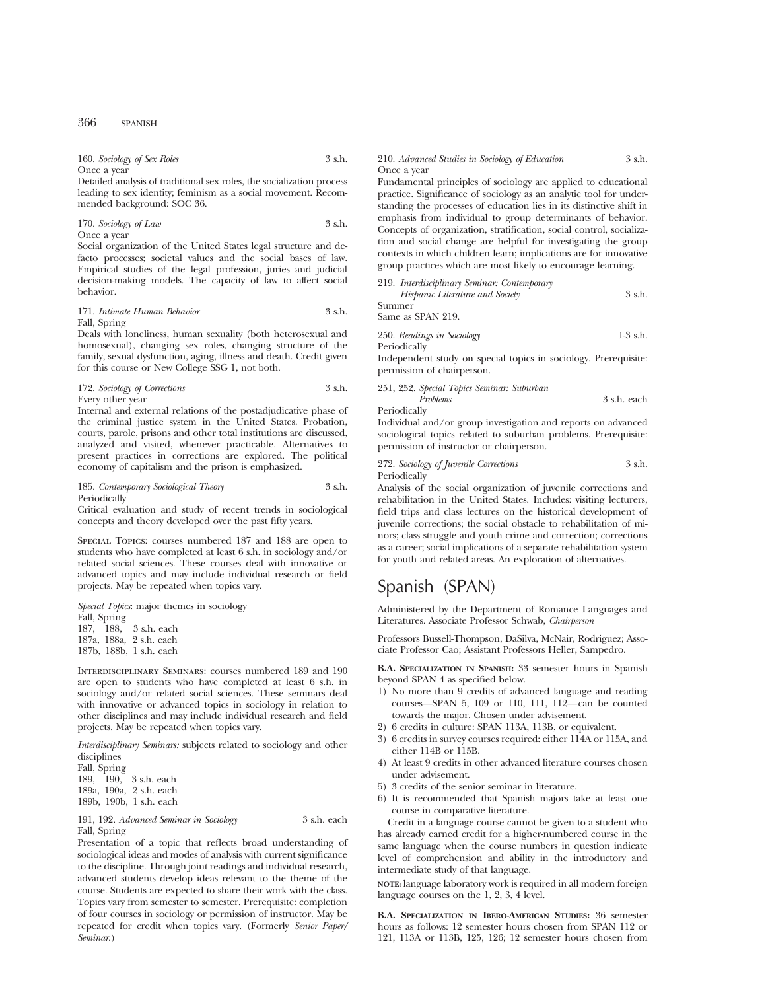| 160. Sociology of Sex Roles | 3 s.h. |
|-----------------------------|--------|
| Once a year                 |        |

Detailed analysis of traditional sex roles, the socialization process leading to sex identity; feminism as a social movement. Recommended background: SOC 36.

170. *Sociology of Law* 3 s.h. Once a year

Social organization of the United States legal structure and defacto processes; societal values and the social bases of law. Empirical studies of the legal profession, juries and judicial decision-making models. The capacity of law to affect social behavior.

## 171. *Intimate Human Behavior* 3 s.h. Fall, Spring

Deals with loneliness, human sexuality (both heterosexual and homosexual), changing sex roles, changing structure of the family, sexual dysfunction, aging, illness and death. Credit given for this course or New College SSG 1, not both.

172. *Sociology of Corrections* 3 s.h. Every other year

Internal and external relations of the postadjudicative phase of the criminal justice system in the United States. Probation, courts, parole, prisons and other total institutions are discussed, analyzed and visited, whenever practicable. Alternatives to present practices in corrections are explored. The political economy of capitalism and the prison is emphasized.

#### 185. *Contemporary Sociological Theory* 3 s.h. Periodically

Critical evaluation and study of recent trends in sociological concepts and theory developed over the past fifty years.

Special Topics: courses numbered 187 and 188 are open to students who have completed at least 6 s.h. in sociology and/or related social sciences. These courses deal with innovative or advanced topics and may include individual research or field projects. May be repeated when topics vary.

*Special Topics*: major themes in sociology

Fall, Spring 187, 188, 3 s.h. each 187a, 188a, 2 s.h. each 187b, 188b, 1 s.h. each

Interdisciplinary Seminars: courses numbered 189 and 190 are open to students who have completed at least 6 s.h. in sociology and/or related social sciences. These seminars deal with innovative or advanced topics in sociology in relation to other disciplines and may include individual research and field projects. May be repeated when topics vary.

*Interdisciplinary Seminars:* subjects related to sociology and other disciplines

Fall, Spring 189, 190, 3 s.h. each 189a, 190a, 2 s.h. each 189b, 190b, 1 s.h. each

#### 191, 192. *Advanced Seminar in Sociology* 3 s.h. each Fall, Spring

Presentation of a topic that reflects broad understanding of sociological ideas and modes of analysis with current significance to the discipline. Through joint readings and individual research, advanced students develop ideas relevant to the theme of the course. Students are expected to share their work with the class. Topics vary from semester to semester. Prerequisite: completion of four courses in sociology or permission of instructor. May be repeated for credit when topics vary. (Formerly *Senior Paper/ Seminar*.)

#### 210. *Advanced Studies in Sociology of Education* 3 s.h. Once a year

Fundamental principles of sociology are applied to educational practice. Significance of sociology as an analytic tool for understanding the processes of education lies in its distinctive shift in emphasis from individual to group determinants of behavior. Concepts of organization, stratification, social control, socialization and social change are helpful for investigating the group contexts in which children learn; implications are for innovative group practices which are most likely to encourage learning.

| 219. Interdisciplinary Seminar: Contemporary |        |
|----------------------------------------------|--------|
| Hispanic Literature and Society              | 3 s.h. |
| Summer                                       |        |
| Same as SPAN 219.                            |        |

250. *Readings in Sociology* 1-3 s.h. Periodically

Independent study on special topics in sociology. Prerequisite: permission of chairperson.

251, 252. *Special Topics Seminar: Suburban Problems* 3 s.h. each

Periodically

Individual and/or group investigation and reports on advanced sociological topics related to suburban problems. Prerequisite: permission of instructor or chairperson.

272. *Sociology of Juvenile Corrections* 3 s.h. Periodically

Analysis of the social organization of juvenile corrections and rehabilitation in the United States. Includes: visiting lecturers, field trips and class lectures on the historical development of juvenile corrections; the social obstacle to rehabilitation of minors; class struggle and youth crime and correction; corrections as a career; social implications of a separate rehabilitation system for youth and related areas. An exploration of alternatives.

# Spanish (SPAN)

Administered by the Department of Romance Languages and Literatures. Associate Professor Schwab, *Chairperson*

Professors Bussell-Thompson, DaSilva, McNair, Rodriguez; Associate Professor Cao; Assistant Professors Heller, Sampedro.

**B.A. SPECIALIZATION IN SPANISH:** 33 semester hours in Spanish beyond SPAN 4 as specified below.

- 1) No more than 9 credits of advanced language and reading courses—SPAN 5, 109 or 110, 111, 112—can be counted towards the major. Chosen under advisement.
- 2) 6 credits in culture: SPAN 113A, 113B, or equivalent.
- 3) 6 credits in survey courses required: either 114A or 115A, and either 114B or 115B.
- 4) At least 9 credits in other advanced literature courses chosen under advisement.
- 5) 3 credits of the senior seminar in literature.
- 6) It is recommended that Spanish majors take at least one course in comparative literature.

Credit in a language course cannot be given to a student who has already earned credit for a higher-numbered course in the same language when the course numbers in question indicate level of comprehension and ability in the introductory and intermediate study of that language.

**NOTE:** language laboratory work is required in all modern foreign language courses on the 1, 2, 3, 4 level.

**B.A. SPECIALIZATION IN IBERO-AMERICAN STUDIES:** 36 semester hours as follows: 12 semester hours chosen from SPAN 112 or 121, 113A or 113B, 125, 126; 12 semester hours chosen from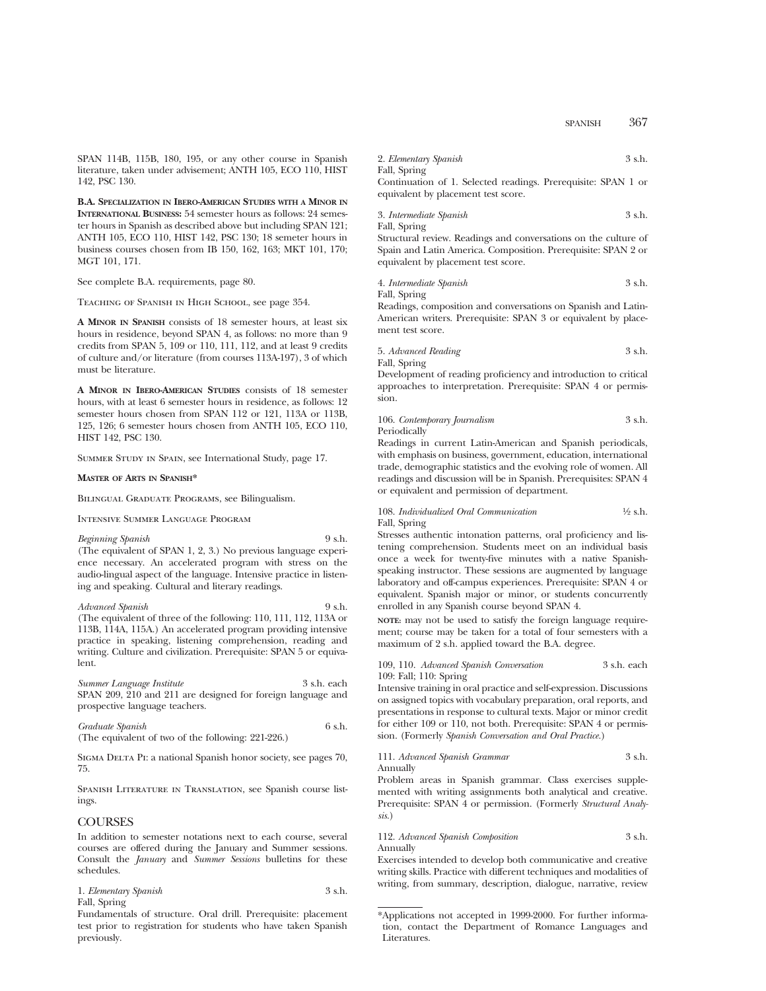SPAN 114B, 115B, 180, 195, or any other course in Spanish literature, taken under advisement; ANTH 105, ECO 110, HIST 142, PSC 130.

**B.A. SPECIALIZATION IN IBERO-AMERICAN STUDIES WITH A MINOR IN INTERNATIONAL BUSINESS:** 54 semester hours as follows: 24 semester hours in Spanish as described above but including SPAN 121; ANTH 105, ECO 110, HIST 142, PSC 130; 18 semeter hours in business courses chosen from IB 150, 162, 163; MKT 101, 170; MGT 101, 171.

See complete B.A. requirements, page 80.

Teaching of Spanish in High School, see page 354.

**A MINOR IN SPANISH** consists of 18 semester hours, at least six hours in residence, beyond SPAN 4, as follows: no more than 9 credits from SPAN 5, 109 or 110, 111, 112, and at least 9 credits of culture and/or literature (from courses 113A-197), 3 of which must be literature.

**A MINOR IN IBERO-AMERICAN STUDIES** consists of 18 semester hours, with at least 6 semester hours in residence, as follows: 12 semester hours chosen from SPAN 112 or 121, 113A or 113B, 125, 126; 6 semester hours chosen from ANTH 105, ECO 110, HIST 142, PSC 130.

Summer Study in Spain, see International Study, page 17.

#### **MASTER OF ARTS IN SPANISH\***

Bilingual Graduate Programs, see Bilingualism.

Intensive Summer Language Program

*Beginning Spanish* 9 s.h. (The equivalent of SPAN 1, 2, 3.) No previous language experience necessary. An accelerated program with stress on the audio-lingual aspect of the language. Intensive practice in listening and speaking. Cultural and literary readings.

*Advanced Spanish* 9 s.h. (The equivalent of three of the following: 110, 111, 112, 113A or 113B, 114A, 115A.) An accelerated program providing intensive practice in speaking, listening comprehension, reading and writing. Culture and civilization. Prerequisite: SPAN 5 or equivalent.

*Summer Language Institute* 3 s.h. each SPAN 209, 210 and 211 are designed for foreign language and prospective language teachers.

| Graduate Spanish                                   | 6 s.h. |
|----------------------------------------------------|--------|
| (The equivalent of two of the following: 221-226.) |        |

SIGMA DELTA PI: a national Spanish honor society, see pages 70, 75.

Spanish Literature in Translation, see Spanish course listings.

# **COURSES**

In addition to semester notations next to each course, several courses are offered during the January and Summer sessions. Consult the *January* and *Summer Sessions* bulletins for these schedules.

1. *Elementary Spanish* 3 s.h. Fall, Spring

Fundamentals of structure. Oral drill. Prerequisite: placement test prior to registration for students who have taken Spanish previously.

| 2. Elementary Spanish | 3 s.h. |
|-----------------------|--------|
| Fall, Spring          |        |

Continuation of 1. Selected readings. Prerequisite: SPAN 1 or equivalent by placement test score.

3. *Intermediate Spanish* 3 s.h. Fall, Spring

Structural review. Readings and conversations on the culture of Spain and Latin America. Composition. Prerequisite: SPAN 2 or equivalent by placement test score.

4. *Intermediate Spanish* 3 s.h.

Fall, Spring

Readings, composition and conversations on Spanish and Latin-American writers. Prerequisite: SPAN 3 or equivalent by placement test score.

5. *Advanced Reading* 3 s.h. Fall, Spring

Development of reading proficiency and introduction to critical approaches to interpretation. Prerequisite: SPAN 4 or permission.

# 106. *Contemporary Journalism* 3 s.h. Periodically

Readings in current Latin-American and Spanish periodicals, with emphasis on business, government, education, international trade, demographic statistics and the evolving role of women. All readings and discussion will be in Spanish. Prerequisites: SPAN 4 or equivalent and permission of department.

108. *Individualized Oral Communication* <sup>1</sup>/<sub>2</sub> s.h. Fall, Spring

Stresses authentic intonation patterns, oral proficiency and listening comprehension. Students meet on an individual basis once a week for twenty-five minutes with a native Spanishspeaking instructor. These sessions are augmented by language laboratory and off-campus experiences. Prerequisite: SPAN 4 or equivalent. Spanish major or minor, or students concurrently enrolled in any Spanish course beyond SPAN 4.

**NOTE:** may not be used to satisfy the foreign language requirement; course may be taken for a total of four semesters with a maximum of 2 s.h. applied toward the B.A. degree.

109, 110. *Advanced Spanish Conversation* 3 s.h. each 109: Fall; 110: Spring

Intensive training in oral practice and self-expression. Discussions on assigned topics with vocabulary preparation, oral reports, and presentations in response to cultural texts. Major or minor credit for either 109 or 110, not both. Prerequisite: SPAN 4 or permission. (Formerly *Spanish Conversation and Oral Practice.*)

111. *Advanced Spanish Grammar* 3 s.h. Annually

Problem areas in Spanish grammar. Class exercises supplemented with writing assignments both analytical and creative. Prerequisite: SPAN 4 or permission. (Formerly *Structural Analysis.*)

112. *Advanced Spanish Composition* 3 s.h. Annually

Exercises intended to develop both communicative and creative writing skills. Practice with different techniques and modalities of writing, from summary, description, dialogue, narrative, review

<sup>\*</sup>Applications not accepted in 1999-2000. For further information, contact the Department of Romance Languages and Literatures.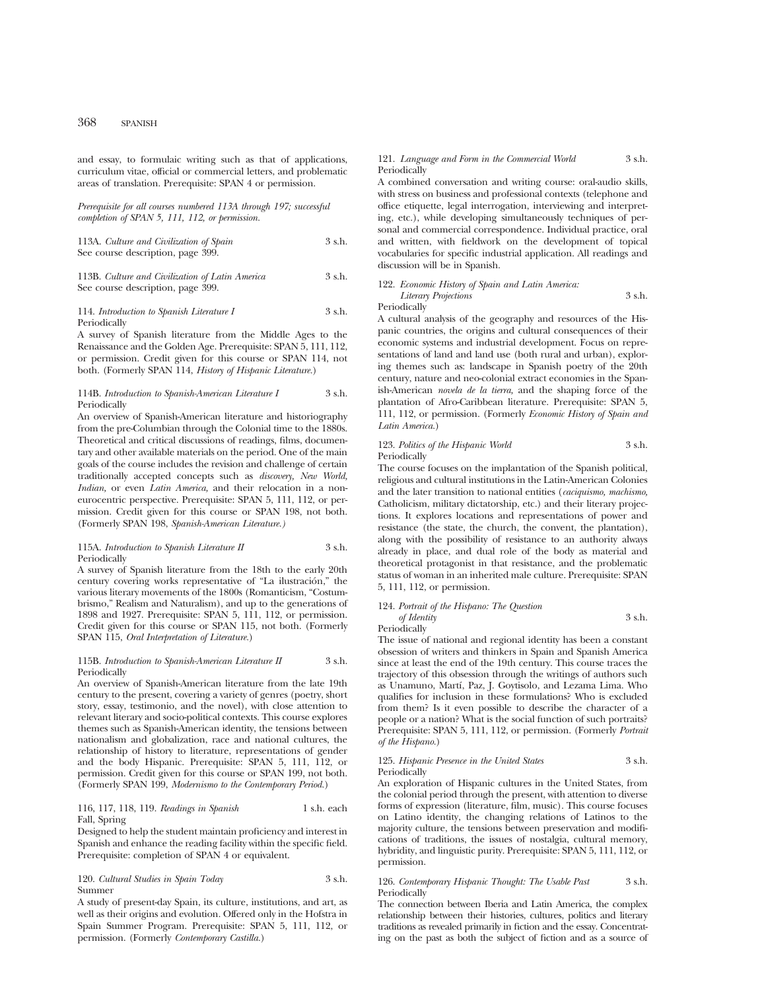and essay, to formulaic writing such as that of applications, curriculum vitae, official or commercial letters, and problematic areas of translation. Prerequisite: SPAN 4 or permission.

*Prerequisite for all courses numbered 113A through 197; successful completion of SPAN 5, 111, 112, or permission.*

113A. *Culture and Civilization of Spain* 3 s.h. See course description, page 399.

113B. *Culture and Civilization of Latin America* 3 s.h. See course description, page 399.

#### 114. *Introduction to Spanish Literature I* 3 s.h. Periodically

A survey of Spanish literature from the Middle Ages to the Renaissance and the Golden Age. Prerequisite: SPAN 5, 111, 112, or permission. Credit given for this course or SPAN 114, not both. (Formerly SPAN 114, *History of Hispanic Literature.*)

## 114B. *Introduction to Spanish-American Literature I* 3 s.h. Periodically

An overview of Spanish-American literature and historiography from the pre-Columbian through the Colonial time to the 1880s. Theoretical and critical discussions of readings, films, documentary and other available materials on the period. One of the main goals of the course includes the revision and challenge of certain traditionally accepted concepts such as *discovery, New World, Indian,* or even *Latin America,* and their relocation in a noneurocentric perspective. Prerequisite: SPAN 5, 111, 112, or permission. Credit given for this course or SPAN 198, not both. (Formerly SPAN 198, *Spanish-American Literature.)*

#### 115A. *Introduction to Spanish Literature II* 3 s.h. Periodically

A survey of Spanish literature from the 18th to the early 20th century covering works representative of "La ilustración," the various literary movements of the 1800s (Romanticism, "Costumbrismo," Realism and Naturalism), and up to the generations of 1898 and 1927. Prerequisite: SPAN 5, 111, 112, or permission. Credit given for this course or SPAN 115, not both. (Formerly SPAN 115, *Oral Interpretation of Literature.*)

## 115B. *Introduction to Spanish-American Literature II* 3 s.h. Periodically

An overview of Spanish-American literature from the late 19th century to the present, covering a variety of genres (poetry, short story, essay, testimonio, and the novel), with close attention to relevant literary and socio-political contexts. This course explores themes such as Spanish-American identity, the tensions between nationalism and globalization, race and national cultures, the relationship of history to literature, representations of gender and the body Hispanic. Prerequisite: SPAN 5, 111, 112, or permission. Credit given for this course or SPAN 199, not both. (Formerly SPAN 199, *Modernismo to the Contemporary Period.*)

# 116, 117, 118, 119. *Readings in Spanish* 1 s.h. each Fall, Spring

Designed to help the student maintain proficiency and interest in Spanish and enhance the reading facility within the specific field. Prerequisite: completion of SPAN 4 or equivalent.

## 120. *Cultural Studies in Spain Today* 3 s.h. Summer

A study of present-day Spain, its culture, institutions, and art, as well as their origins and evolution. Offered only in the Hofstra in Spain Summer Program. Prerequisite: SPAN 5, 111, 112, or permission. (Formerly *Contemporary Castilla.*)

#### 121. *Language and Form in the Commercial World* 3 s.h. Periodically

A combined conversation and writing course: oral-audio skills, with stress on business and professional contexts (telephone and office etiquette, legal interrogation, interviewing and interpreting, etc.), while developing simultaneously techniques of personal and commercial correspondence. Individual practice, oral and written, with fieldwork on the development of topical vocabularies for specific industrial application. All readings and discussion will be in Spanish.

#### 122. *Economic History of Spain and Latin America: Literary Projections* 3 s.h. Periodically

A cultural analysis of the geography and resources of the Hispanic countries, the origins and cultural consequences of their economic systems and industrial development. Focus on representations of land and land use (both rural and urban), exploring themes such as: landscape in Spanish poetry of the 20th century, nature and neo-colonial extract economies in the Spanish-American *novela de la tierra,* and the shaping force of the plantation of Afro-Caribbean literature. Prerequisite: SPAN 5, 111, 112, or permission. (Formerly *Economic History of Spain and Latin America.*)

| 123. Politics of the Hispanic World | 3 s.h. |
|-------------------------------------|--------|
| Periodically                        |        |

The course focuses on the implantation of the Spanish political, religious and cultural institutions in the Latin-American Colonies and the later transition to national entities (*caciquismo, machismo,* Catholicism, military dictatorship, etc.) and their literary projections. It explores locations and representations of power and resistance (the state, the church, the convent, the plantation), along with the possibility of resistance to an authority always already in place, and dual role of the body as material and theoretical protagonist in that resistance, and the problematic status of woman in an inherited male culture. Prerequisite: SPAN 5, 111, 112, or permission.

# 124. *Portrait of the Hispano: The Question of Identity* 3 s.h.

Periodically

The issue of national and regional identity has been a constant obsession of writers and thinkers in Spain and Spanish America since at least the end of the 19th century. This course traces the trajectory of this obsession through the writings of authors such as Unamuno, Martí, Paz, J. Goytisolo, and Lezama Lima. Who qualifies for inclusion in these formulations? Who is excluded from them? Is it even possible to describe the character of a people or a nation? What is the social function of such portraits? Prerequisite: SPAN 5, 111, 112, or permission. (Formerly *Portrait of the Hispano.*)

## 125. *Hispanic Presence in the United States* 3 s.h. Periodically

An exploration of Hispanic cultures in the United States, from the colonial period through the present, with attention to diverse forms of expression (literature, film, music). This course focuses on Latino identity, the changing relations of Latinos to the majority culture, the tensions between preservation and modifications of traditions, the issues of nostalgia, cultural memory, hybridity, and linguistic purity. Prerequisite: SPAN 5, 111, 112, or permission.

## 126. *Contemporary Hispanic Thought: The Usable Past* 3 s.h. Periodically

The connection between Iberia and Latin America, the complex relationship between their histories, cultures, politics and literary traditions as revealed primarily in fiction and the essay. Concentrating on the past as both the subject of fiction and as a source of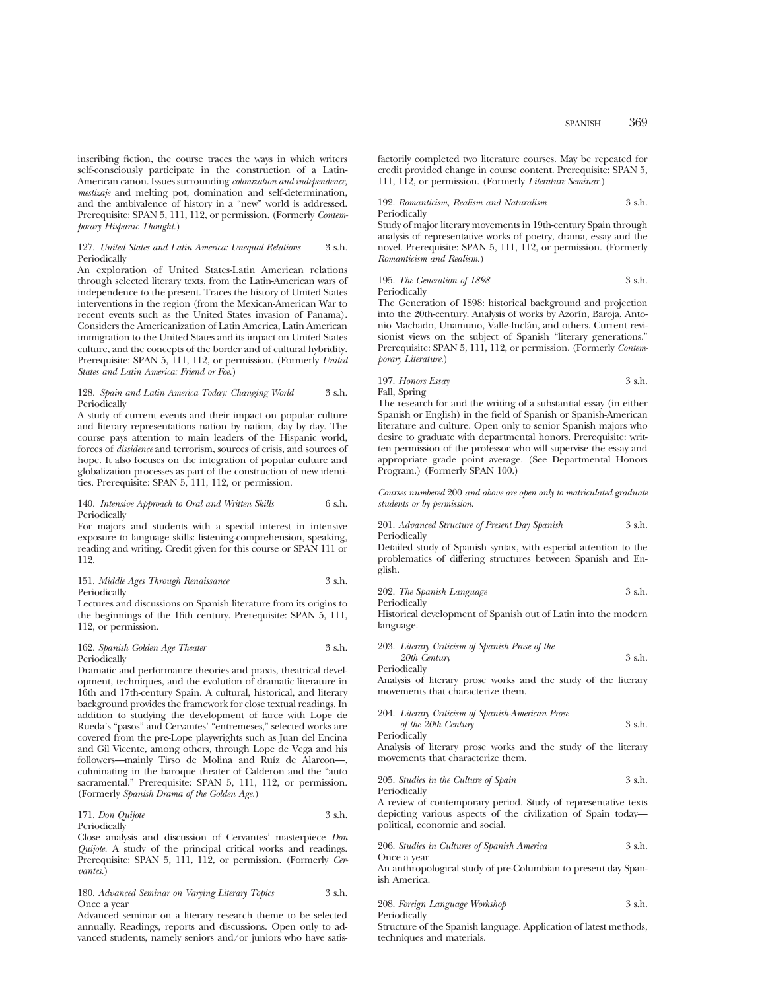inscribing fiction, the course traces the ways in which writers self-consciously participate in the construction of a Latin-American canon. Issues surrounding *colonization and independence, mestizaje* and melting pot, domination and self-determination, and the ambivalence of history in a "new" world is addressed. Prerequisite: SPAN 5, 111, 112, or permission. (Formerly *Contemporary Hispanic Thought.*)

# 127. *United States and Latin America: Unequal Relations* 3 s.h. Periodically

An exploration of United States-Latin American relations through selected literary texts, from the Latin-American wars of independence to the present. Traces the history of United States interventions in the region (from the Mexican-American War to recent events such as the United States invasion of Panama). Considers the Americanization of Latin America, Latin American immigration to the United States and its impact on United States culture, and the concepts of the border and of cultural hybridity. Prerequisite: SPAN 5, 111, 112, or permission. (Formerly *United States and Latin America: Friend or Foe.*)

#### 128. *Spain and Latin America Today: Changing World* 3 s.h. Periodically

A study of current events and their impact on popular culture and literary representations nation by nation, day by day. The course pays attention to main leaders of the Hispanic world, forces of *dissidence* and terrorism, sources of crisis, and sources of hope. It also focuses on the integration of popular culture and globalization processes as part of the construction of new identities. Prerequisite: SPAN 5, 111, 112, or permission.

# 140. *Intensive Approach to Oral and Written Skills* 6 s.h. Periodically

For majors and students with a special interest in intensive exposure to language skills: listening-comprehension, speaking, reading and writing. Credit given for this course or SPAN 111 or 112.

#### 151. *Middle Ages Through Renaissance* 3 s.h. Periodically

Lectures and discussions on Spanish literature from its origins to the beginnings of the 16th century. Prerequisite: SPAN 5, 111, 112, or permission.

#### 162. *Spanish Golden Age Theater* 3 s.h. Periodically

Dramatic and performance theories and praxis, theatrical development, techniques, and the evolution of dramatic literature in 16th and 17th-century Spain. A cultural, historical, and literary background provides the framework for close textual readings. In addition to studying the development of farce with Lope de Rueda's "pasos" and Cervantes' "entremeses," selected works are covered from the pre-Lope playwrights such as Juan del Encina and Gil Vicente, among others, through Lope de Vega and his followers—mainly Tirso de Molina and Ruíz de Alarcon—, culminating in the baroque theater of Calderon and the "auto sacramental." Prerequisite: SPAN 5, 111, 112, or permission. (Formerly *Spanish Drama of the Golden Age.*)

## 171. *Don Quijote* 3 s.h. Periodically

Close analysis and discussion of Cervantes' masterpiece *Don Quijote.* A study of the principal critical works and readings. Prerequisite: SPAN 5, 111, 112, or permission. (Formerly *Cervantes.*)

#### 180. *Advanced Seminar on Varying Literary Topics* 3 s.h. Once a year

Advanced seminar on a literary research theme to be selected annually. Readings, reports and discussions. Open only to advanced students, namely seniors and/or juniors who have satisfactorily completed two literature courses. May be repeated for credit provided change in course content. Prerequisite: SPAN 5, 111, 112, or permission. (Formerly *Literature Seminar.*)

#### 192. *Romanticism, Realism and Naturalism* 3 s.h. Periodically

Study of major literary movements in 19th-century Spain through analysis of representative works of poetry, drama, essay and the novel. Prerequisite: SPAN 5, 111, 112, or permission. (Formerly *Romanticism and Realism.*)

195. *The Generation of 1898* 3 s.h. Periodically

The Generation of 1898: historical background and projection into the 20th-century. Analysis of works by Azorín, Baroja, Antonio Machado, Unamuno, Valle-Inclán, and others. Current revisionist views on the subject of Spanish "literary generations." Prerequisite: SPAN 5, 111, 112, or permission. (Formerly *Contemporary Literature.*)

# 197. *Honors Essay* 3 s.h. Fall, Spring

The research for and the writing of a substantial essay (in either Spanish or English) in the field of Spanish or Spanish-American literature and culture. Open only to senior Spanish majors who desire to graduate with departmental honors. Prerequisite: written permission of the professor who will supervise the essay and appropriate grade point average. (See Departmental Honors Program.) (Formerly SPAN 100.)

*Courses numbered* 200 *and above are open only to matriculated graduate students or by permission*.

201. *Advanced Structure of Present Day Spanish* 3 s.h. Periodically

Detailed study of Spanish syntax, with especial attention to the problematics of differing structures between Spanish and English.

|  | 202. The Spanish Language | 3 s.h. |
|--|---------------------------|--------|
|  |                           |        |

Periodically

Historical development of Spanish out of Latin into the modern language.

203. *Literary Criticism of Spanish Prose of the 20th Century* 3 s.h.

Periodically

Analysis of literary prose works and the study of the literary movements that characterize them.

| 204. Literary Criticism of Spanish-American Prose |        |
|---------------------------------------------------|--------|
| of the 20th Century                               | 3 s.h. |
| Periodically                                      |        |

Analysis of literary prose works and the study of the literary movements that characterize them.

205. *Studies in the Culture of Spain* 3 s.h. Periodically

A review of contemporary period. Study of representative texts depicting various aspects of the civilization of Spain today political, economic and social.

206. *Studies in Cultures of Spanish America* 3 s.h. Once a year

An anthropological study of pre-Columbian to present day Spanish America.

| 208. Foreign Language Workshop | 3 s.h. |
|--------------------------------|--------|
| Periodically                   |        |

Structure of the Spanish language. Application of latest methods, techniques and materials.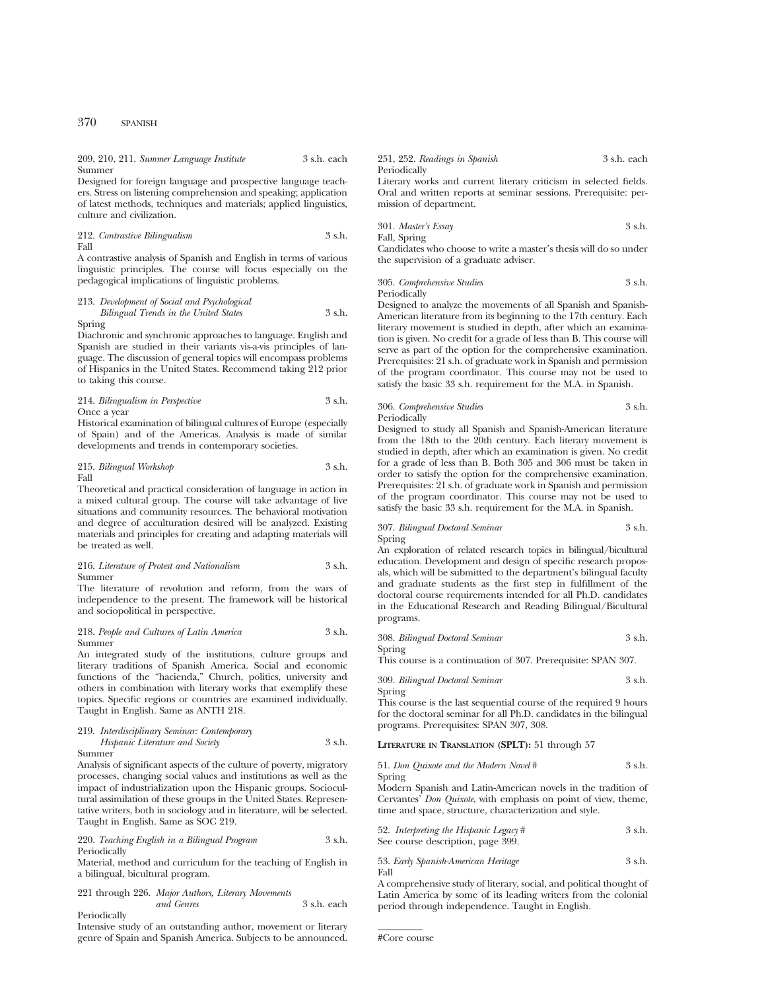209, 210, 211. *Summer Language Institute* 3 s.h. each Summer

Designed for foreign language and prospective language teachers. Stress on listening comprehension and speaking; application of latest methods, techniques and materials; applied linguistics, culture and civilization.

212. *Contrastive Bilingualism* 3 s.h. Fall

A contrastive analysis of Spanish and English in terms of various linguistic principles. The course will focus especially on the pedagogical implications of linguistic problems.

# 213. *Development of Social and Psychological*

*Bilingual Trends in the United States* 3 s.h. Spring

Diachronic and synchronic approaches to language. English and Spanish are studied in their variants vis-a-vis principles of language. The discussion of general topics will encompass problems of Hispanics in the United States. Recommend taking 212 prior to taking this course.

# 214. *Bilingualism in Perspective* 3 s.h. Once a year

Historical examination of bilingual cultures of Europe (especially of Spain) and of the Americas. Analysis is made of similar developments and trends in contemporary societies.

215. *Bilingual Workshop* 3 s.h. Fall

Theoretical and practical consideration of language in action in a mixed cultural group. The course will take advantage of live situations and community resources. The behavioral motivation and degree of acculturation desired will be analyzed. Existing materials and principles for creating and adapting materials will be treated as well.

#### 216. *Literature of Protest and Nationalism* 3 s.h. Summer

The literature of revolution and reform, from the wars of independence to the present. The framework will be historical and sociopolitical in perspective.

#### 218. *People and Cultures of Latin America* 3 s.h. Summer

An integrated study of the institutions, culture groups and literary traditions of Spanish America. Social and economic functions of the "hacienda," Church, politics, university and others in combination with literary works that exemplify these topics. Specific regions or countries are examined individually. Taught in English. Same as ANTH 218.

219. *Interdisciplinary Seminar: Contemporary Hispanic Literature and Society* 3 s.h.

#### Summer

Analysis of significant aspects of the culture of poverty, migratory processes, changing social values and institutions as well as the impact of industrialization upon the Hispanic groups. Sociocultural assimilation of these groups in the United States. Representative writers, both in sociology and in literature, will be selected. Taught in English. Same as SOC 219.

#### 220. *Teaching English in a Bilingual Program* 3 s.h. Periodically

Material, method and curriculum for the teaching of English in a bilingual, bicultural program.

221 through 226. *Major Authors, Literary Movements and Genres* 3 s.h. each Periodically

Intensive study of an outstanding author, movement or literary genre of Spain and Spanish America. Subjects to be announced.

251, 252. *Readings in Spanish* 3 s.h. each Periodically

Literary works and current literary criticism in selected fields. Oral and written reports at seminar sessions. Prerequisite: permission of department.

301. *Master's Essay* 3 s.h. Fall, Spring

Candidates who choose to write a master's thesis will do so under the supervision of a graduate adviser.

305. *Comprehensive Studies* 3 s.h. Periodically

Designed to analyze the movements of all Spanish and Spanish-American literature from its beginning to the 17th century. Each literary movement is studied in depth, after which an examination is given. No credit for a grade of less than B. This course will serve as part of the option for the comprehensive examination. Prerequisites: 21 s.h. of graduate work in Spanish and permission of the program coordinator. This course may not be used to satisfy the basic 33 s.h. requirement for the M.A. in Spanish.

# 306. *Comprehensive Studies* 3 s.h. Periodically

Designed to study all Spanish and Spanish-American literature from the 18th to the 20th century. Each literary movement is studied in depth, after which an examination is given. No credit for a grade of less than B. Both 305 and 306 must be taken in order to satisfy the option for the comprehensive examination. Prerequisites: 21 s.h. of graduate work in Spanish and permission of the program coordinator. This course may not be used to satisfy the basic 33 s.h. requirement for the M.A. in Spanish.

## 307. *Bilingual Doctoral Seminar* 3 s.h. Spring

An exploration of related research topics in bilingual/bicultural education. Development and design of specific research proposals, which will be submitted to the department's bilingual faculty and graduate students as the first step in fulfillment of the doctoral course requirements intended for all Ph.D. candidates in the Educational Research and Reading Bilingual/Bicultural programs.

308. *Bilingual Doctoral Seminar* 3 s.h.

Spring

This course is a continuation of 307. Prerequisite: SPAN 307.

309. *Bilingual Doctoral Seminar* 3 s.h. Spring

This course is the last sequential course of the required 9 hours for the doctoral seminar for all Ph.D. candidates in the bilingual programs. Prerequisites: SPAN 307, 308.

## **LITERATURE IN TRANSLATION (SPLT):** 51 through 57

51. *Don Quixote and the Modern Novel* # 3 s.h.

Spring Modern Spanish and Latin-American novels in the tradition of Cervantes' *Don Quixote*, with emphasis on point of view, theme, time and space, structure, characterization and style.

52. *Interpreting the Hispanic Legacy* # 3 s.h. See course description, page 399.

# 53. *Early Spanish-American Heritage* 3 s.h. Fall

A comprehensive study of literary, social, and political thought of Latin America by some of its leading writers from the colonial period through independence. Taught in English.

```
#Core course
```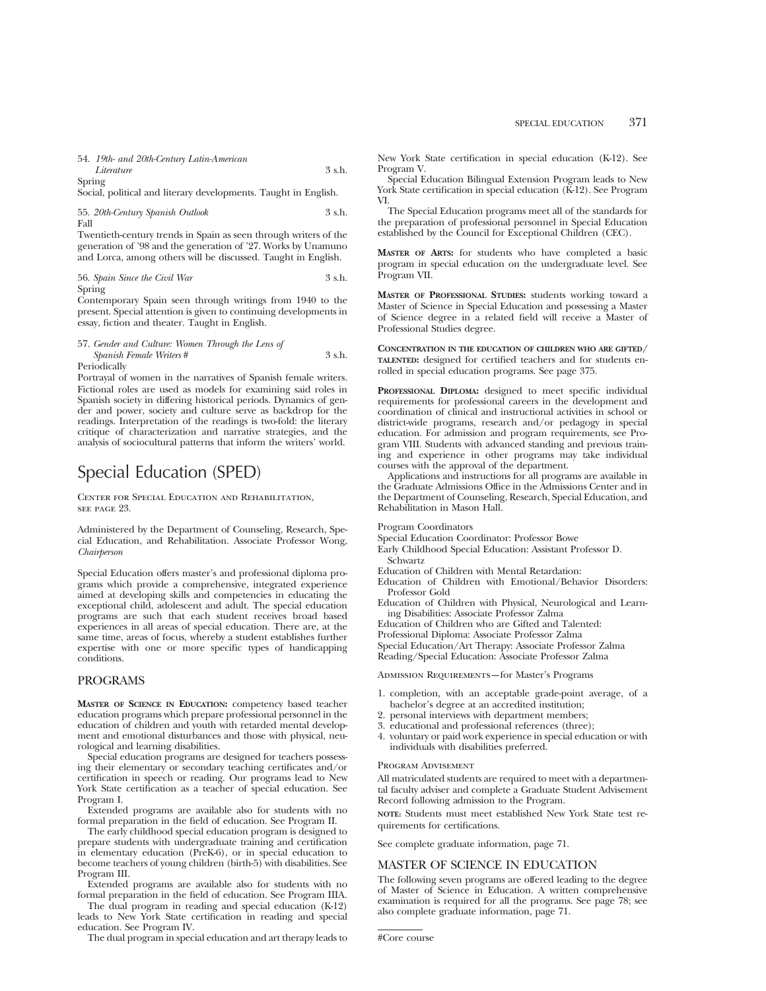54. *19th- and 20th-Century Latin-American Literature* 3 s.h. Spring

Social, political and literary developments. Taught in English.

55. *20th-Century Spanish Outlook* 3 s.h. Fall

Twentieth-century trends in Spain as seen through writers of the generation of '98 and the generation of '27. Works by Unamuno and Lorca, among others will be discussed. Taught in English.

56. *Spain Since the Civil War* 3 s.h. Spring

Contemporary Spain seen through writings from 1940 to the present. Special attention is given to continuing developments in essay, fiction and theater. Taught in English.

#### 57. *Gender and Culture: Women Through the Lens of Spanish Female Writers* # 3 s.h. Periodically

Portrayal of women in the narratives of Spanish female writers. Fictional roles are used as models for examining said roles in Spanish society in differing historical periods. Dynamics of gender and power, society and culture serve as backdrop for the readings. Interpretation of the readings is two-fold: the literary critique of characterization and narrative strategies, and the analysis of sociocultural patterns that inform the writers' world.

# Special Education (SPED)

Center for Special Education and Rehabilitation, see page 23.

Administered by the Department of Counseling, Research, Special Education, and Rehabilitation. Associate Professor Wong, *Chairperson*

Special Education offers master's and professional diploma programs which provide a comprehensive, integrated experience aimed at developing skills and competencies in educating the exceptional child, adolescent and adult. The special education programs are such that each student receives broad based experiences in all areas of special education. There are, at the same time, areas of focus, whereby a student establishes further expertise with one or more specific types of handicapping conditions.

# PROGRAMS

**MASTER OF SCIENCE IN EDUCATION:** competency based teacher education programs which prepare professional personnel in the education of children and youth with retarded mental development and emotional disturbances and those with physical, neurological and learning disabilities.

Special education programs are designed for teachers possessing their elementary or secondary teaching certificates and/or certification in speech or reading. Our programs lead to New York State certification as a teacher of special education. See Program I.

Extended programs are available also for students with no formal preparation in the field of education. See Program II.

The early childhood special education program is designed to prepare students with undergraduate training and certification in elementary education (PreK-6), or in special education to become teachers of young children (birth-5) with disabilities. See Program III.

Extended programs are available also for students with no formal preparation in the field of education. See Program IIIA.

The dual program in reading and special education (K-12) leads to New York State certification in reading and special education. See Program IV.

The dual program in special education and art therapy leads to

New York State certification in special education (K-12). See Program V.

Special Education Bilingual Extension Program leads to New York State certification in special education (K-12). See Program VI.

The Special Education programs meet all of the standards for the preparation of professional personnel in Special Education established by the Council for Exceptional Children (CEC).

**MASTER OF ARTS:** for students who have completed a basic program in special education on the undergraduate level. See Program VII.

**MASTER OF PROFESSIONAL STUDIES:** students working toward a Master of Science in Special Education and possessing a Master of Science degree in a related field will receive a Master of Professional Studies degree.

**CONCENTRATION IN THE EDUCATION OF CHILDREN WHO ARE GIFTED/ TALENTED:** designed for certified teachers and for students enrolled in special education programs. See page 375.

**PROFESSIONAL DIPLOMA:** designed to meet specific individual requirements for professional careers in the development and coordination of clinical and instructional activities in school or district-wide programs, research and/or pedagogy in special education. For admission and program requirements, see Program VIII. Students with advanced standing and previous training and experience in other programs may take individual courses with the approval of the department.

Applications and instructions for all programs are available in the Graduate Admissions Office in the Admissions Center and in the Department of Counseling, Research, Special Education, and Rehabilitation in Mason Hall.

Program Coordinators

- Special Education Coordinator: Professor Bowe
- Early Childhood Special Education: Assistant Professor D. Schwartz
- Education of Children with Mental Retardation:
- Education of Children with Emotional/Behavior Disorders: Professor Gold
- Education of Children with Physical, Neurological and Learning Disabilities: Associate Professor Zalma

Education of Children who are Gifted and Talented:

Professional Diploma: Associate Professor Zalma

Special Education/Art Therapy: Associate Professor Zalma

Reading/Special Education: Associate Professor Zalma

Admission Requirements—for Master's Programs

- 1. completion, with an acceptable grade-point average, of a bachelor's degree at an accredited institution;
- 2. personal interviews with department members;
- 3. educational and professional references (three);
- 4. voluntary or paid work experience in special education or with individuals with disabilities preferred.

# Program Advisement

All matriculated students are required to meet with a departmental faculty adviser and complete a Graduate Student Advisement Record following admission to the Program.

**NOTE:** Students must meet established New York State test requirements for certifications.

See complete graduate information, page 71.

# MASTER OF SCIENCE IN EDUCATION

The following seven programs are offered leading to the degree of Master of Science in Education. A written comprehensive examination is required for all the programs. See page 78; see also complete graduate information, page 71.

#Core course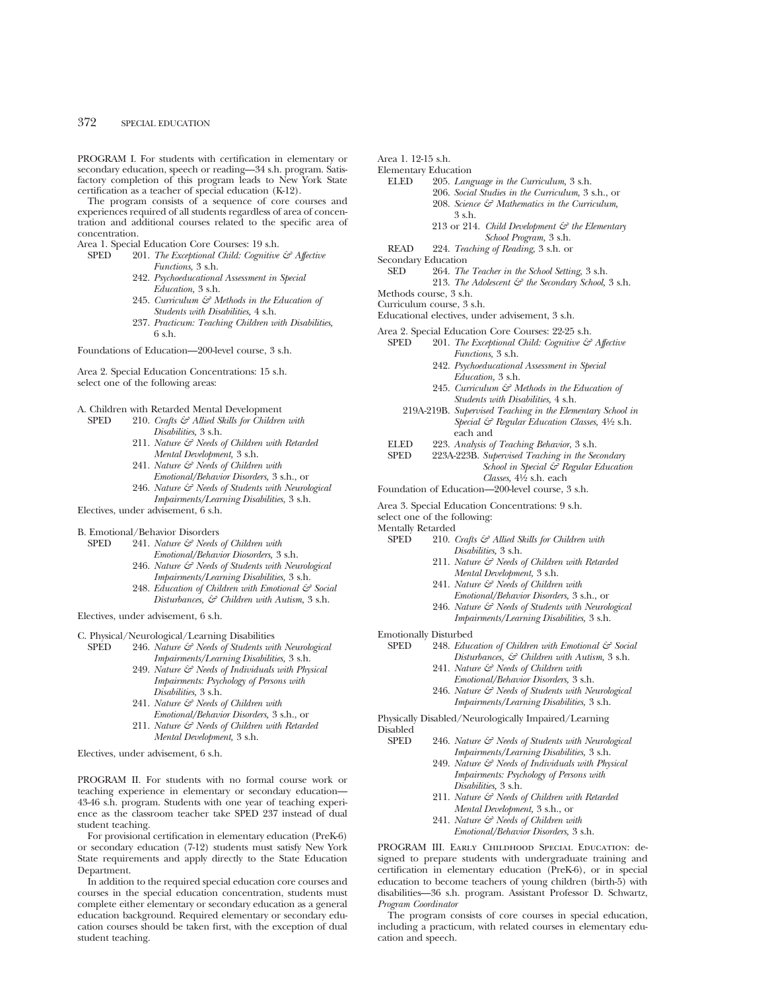PROGRAM I. For students with certification in elementary or secondary education, speech or reading—34 s.h. program. Satisfactory completion of this program leads to New York State certification as a teacher of special education (K-12).

The program consists of a sequence of core courses and experiences required of all students regardless of area of concentration and additional courses related to the specific area of concentration.

- Area 1. Special Education Core Courses: 19 s.h.<br>SPED 201 The Exceptional Child: Cognitive
	- 201. *The Exceptional Child: Cognitive & Affective Functions,* 3 s.h.
		- 242. *Psychoeducational Assessment in Special Education,* 3 s.h.
		- 245. *Curriculum & Methods in the Education of Students with Disabilities,* 4 s.h.
		- 237. *Practicum: Teaching Children with Disabilities,* 6 s.h.

Foundations of Education—200-level course, 3 s.h.

Area 2. Special Education Concentrations: 15 s.h. select one of the following areas:

# A. Children with Retarded Mental Development<br>SPED 210. Crafts & Allied Skills for Children

- 210. *Crafts*  $\mathcal{F}$  Allied Skills for Children with *Disabilities,* 3 s.h.
	- 211. *Nature & Needs of Children with Retarded Mental Development,* 3 s.h.
	- 241. *Nature & Needs of Children with Emotional/Behavior Disorders,* 3 s.h., or
	- 246. *Nature & Needs of Students with Neurological Impairments/Learning Disabilities,* 3 s.h.

Electives, under advisement, 6 s.h.

- B. Emotional/Behavior Disorders<br>SPED 241. Nature  $\mathcal{F}$  Needs
	- 241. *Nature & Needs of Children with Emotional/Behavior Diosorders,* 3 s.h.
		- 246. *Nature & Needs of Students with Neurological Impairments/Learning Disabilities,* 3 s.h.
		- 248. *Education of Children with Emotional & Social Disturbances, & Children with Autism,* 3 s.h.

Electives, under advisement, 6 s.h.

- C. Physical/Neurological/Learning Disabilities<br>SPED 246. Nature  $\mathcal{E}^{\circ}$  Needs of Students with
	- 246. *Nature & Needs of Students with Neurological Impairments/Learning Disabilities,* 3 s.h.
		- 249. *Nature & Needs of Individuals with Physical Impairments: Psychology of Persons with Disabilities,* 3 s.h.
		- 241. *Nature & Needs of Children with Emotional/Behavior Disorders,* 3 s.h., or
		- 211. *Nature & Needs of Children with Retarded Mental Development,* 3 s.h.

Electives, under advisement, 6 s.h.

PROGRAM II. For students with no formal course work or teaching experience in elementary or secondary education— 43-46 s.h. program. Students with one year of teaching experience as the classroom teacher take SPED 237 instead of dual student teaching.

For provisional certification in elementary education (PreK-6) or secondary education (7-12) students must satisfy New York State requirements and apply directly to the State Education Department.

In addition to the required special education core courses and courses in the special education concentration, students must complete either elementary or secondary education as a general education background. Required elementary or secondary education courses should be taken first, with the exception of dual student teaching.

Area 1. 12-15 s.h.

- Elementary Education
	- ELED 205. *Language in the Curriculum,* 3 s.h. 206. *Social Studies in the Curriculum,* 3 s.h., or 208. *Science & Mathematics in the Curriculum,* 3 s.h.
		- 213 or 214. *Child Development & the Elementary School Program,* 3 s.h.
	- READ 224. *Teaching of Reading,* 3 s.h. or
- 
- Secondary Education<br>SED 264. The 264. *The Teacher in the School Setting*, 3 s.h. 213. *The Adolescent & the Secondary School,* 3 s.h.
- Methods course, 3 s.h.
- Curriculum course, 3 s.h.
- Educational electives, under advisement, 3 s.h.

- Area 2. Special Education Core Courses: 22-25 s.h.<br>SPED 201. The Exceptional Child: Cognitive & 201. *The Exceptional Child: Cognitive & Affective Functions,* 3 s.h.
	- 242. *Psychoeducational Assessment in Special Education,* 3 s.h.
	- 245. *Curriculum & Methods in the Education of Students with Disabilities,* 4 s.h.
	- 219A-219B. *Supervised Teaching in the Elementary School in Special & Regular Education Classes,* 41⁄2 s.h. each and
	- ELED 223. *Analysis of Teaching Behavior*, 3 s.h.
	- SPED 223A-223B. *Supervised Teaching in the Secondary School in Special & Regular Education Classes,* 41⁄2 s.h. each

Foundation of Education—200-level course, 3 s.h.

- Area 3. Special Education Concentrations: 9 s.h.
- select one of the following:
- Mentally Retarded<br>SPED 210
	- 210. *Crafts & Allied Skills for Children with Disabilities,* 3 s.h.
		- 211. *Nature & Needs of Children with Retarded Mental Development,* 3 s.h.
		- 241. *Nature & Needs of Children with Emotional/Behavior Disorders,* 3 s.h., or
		- 246. *Nature & Needs of Students with Neurological Impairments/Learning Disabilities,* 3 s.h.

Emotionally Disturbed

- SPED 248. *Education of Children with Emotional & Social Disturbances, & Children with Autism,* 3 s.h.
	- 241. *Nature & Needs of Children with Emotional/Behavior Disorders,* 3 s.h.
	- 246. *Nature & Needs of Students with Neurological Impairments/Learning Disabilities,* 3 s.h.

Physically Disabled/Neurologically Impaired/Learning Disabled<br>SPED

- 246. *Nature & Needs of Students with Neurological Impairments/Learning Disabilities,* 3 s.h.
	- 249. *Nature & Needs of Individuals with Physical Impairments: Psychology of Persons with Disabilities,* 3 s.h.
	- 211. *Nature & Needs of Children with Retarded Mental Development,* 3 s.h., or
	- 241. *Nature & Needs of Children with Emotional/Behavior Disorders,* 3 s.h.

PROGRAM III. Early Childhood Special Education: designed to prepare students with undergraduate training and certification in elementary education (PreK-6), or in special education to become teachers of young children (birth-5) with disabilities—36 s.h. program. Assistant Professor D. Schwartz, *Program Coordinator*

The program consists of core courses in special education, including a practicum, with related courses in elementary education and speech.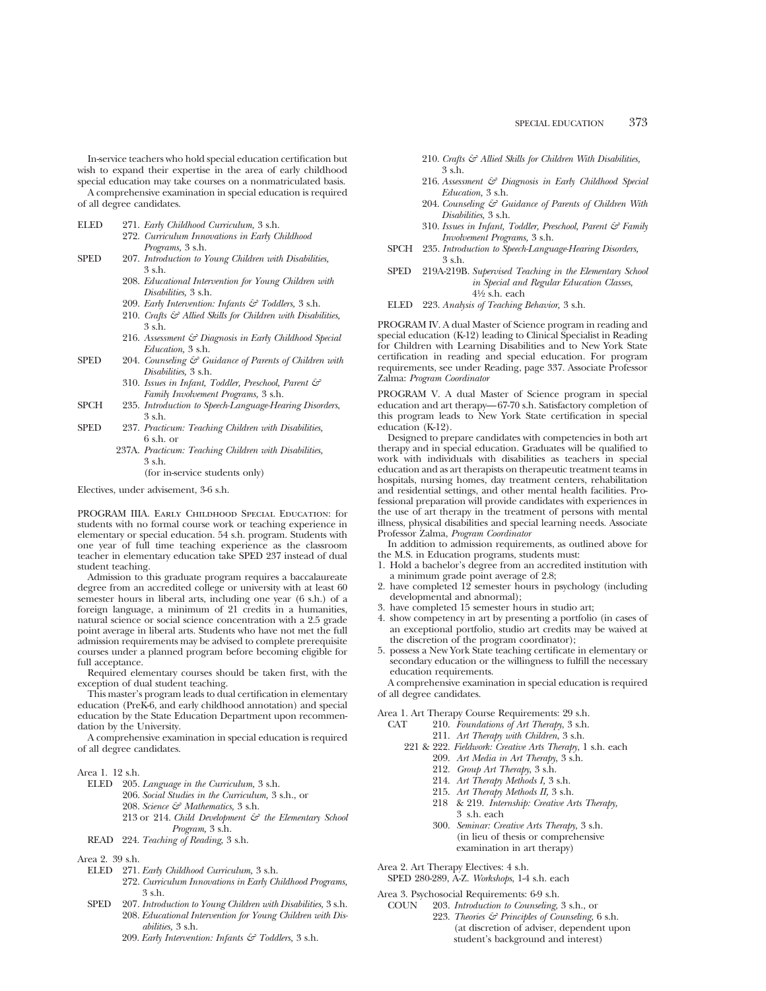In-service teachers who hold special education certification but wish to expand their expertise in the area of early childhood special education may take courses on a nonmatriculated basis.

A comprehensive examination in special education is required of all degree candidates.

- ELED 271. *Early Childhood Curriculum,* 3 s.h.
	- 272. *Curriculum Innovations in Early Childhood Programs,* 3 s.h.
- SPED 207. *Introduction to Young Children with Disabilities,* 3 s.h.
	- 208. *Educational Intervention for Young Children with Disabilities,* 3 s.h.
	- 209. *Early Intervention: Infants & Toddlers,* 3 s.h.
	- 210. *Crafts & Allied Skills for Children with Disabilities,* 3 s.h.
	- 216. *Assessment & Diagnosis in Early Childhood Special Education,* 3 s.h.
- SPED 204. *Counseling & Guidance of Parents of Children with Disabilities,* 3 s.h.
	- 310. *Issues in Infant, Toddler, Preschool, Parent & Family Involvement Programs,* 3 s.h.
- SPCH 235. *Introduction to Speech-Language-Hearing Disorders*, 3 s.h.
- SPED 237. *Practicum: Teaching Children with Disabilities,* 6 s.h. or
	- 237A. *Practicum: Teaching Children with Disabilities,* 3 s.h.

(for in-service students only)

Electives, under advisement, 3-6 s.h.

PROGRAM IIIA. Early Childhood Special Education: for students with no formal course work or teaching experience in elementary or special education. 54 s.h. program. Students with one year of full time teaching experience as the classroom teacher in elementary education take SPED 237 instead of dual student teaching.

Admission to this graduate program requires a baccalaureate degree from an accredited college or university with at least 60 semester hours in liberal arts, including one year (6 s.h.) of a foreign language, a minimum of 21 credits in a humanities, natural science or social science concentration with a 2.5 grade point average in liberal arts. Students who have not met the full admission requirements may be advised to complete prerequisite courses under a planned program before becoming eligible for full acceptance.

Required elementary courses should be taken first, with the exception of dual student teaching.

This master's program leads to dual certification in elementary education (PreK-6, and early childhood annotation) and special education by the State Education Department upon recommendation by the University.

A comprehensive examination in special education is required of all degree candidates.

- ELED 205. *Language in the Curriculum,* 3 s.h.
	- 206. *Social Studies in the Curriculum,* 3 s.h., or
	- 208. *Science & Mathematics,* 3 s.h.
	- 213 or 214. *Child Development*  $\mathcal{C}$  *the Elementary School Program,* 3 s.h.
- READ 224. *Teaching of Reading,* 3 s.h.

Area 2. 39 s.h.

- ELED 271. *Early Childhood Curriculum,* 3 s.h.
	- 272. *Curriculum Innovations in Early Childhood Programs,* 3 s.h.
- SPED 207. *Introduction to Young Children with Disabilities,* 3 s.h. 208. *Educational Intervention for Young Children with Disabilities,* 3 s.h.
	- 209. *Early Intervention: Infants & Toddlers,* 3 s.h.
- 210. *Crafts & Allied Skills for Children With Disabilities,* 3 s.h.
- 216. *Assessment & Diagnosis in Early Childhood Special Education,* 3 s.h.
- 204. *Counseling & Guidance of Parents of Children With Disabilities,* 3 s.h.
- 310. *Issues in Infant, Toddler, Preschool, Parent & Family Involvement Programs,* 3 s.h.
- SPCH 235. *Introduction to Speech-Language-Hearing Disorders,* 3 s.h.
- SPED 219A-219B. *Supervised Teaching in the Elementary School in Special and Regular Education Classes,*  $4\frac{1}{2}$  s.h. each
- ELED 223. *Analysis of Teaching Behavior,* 3 s.h.

PROGRAM IV. A dual Master of Science program in reading and special education (K-12) leading to Clinical Specialist in Reading for Children with Learning Disabilities and to New York State certification in reading and special education. For program requirements, see under Reading, page 337. Associate Professor Zalma: *Program Coordinator*

PROGRAM V. A dual Master of Science program in special education and art therapy—67-70 s.h. Satisfactory completion of this program leads to New York State certification in special education (K-12).

Designed to prepare candidates with competencies in both art therapy and in special education. Graduates will be qualified to work with individuals with disabilities as teachers in special education and as art therapists on therapeutic treatment teams in hospitals, nursing homes, day treatment centers, rehabilitation and residential settings, and other mental health facilities. Professional preparation will provide candidates with experiences in the use of art therapy in the treatment of persons with mental illness, physical disabilities and special learning needs. Associate Professor Zalma, *Program Coordinator*

In addition to admission requirements, as outlined above for the M.S. in Education programs, students must:

- 1. Hold a bachelor's degree from an accredited institution with a minimum grade point average of 2.8;
- 2. have completed 12 semester hours in psychology (including developmental and abnormal);
- 3. have completed 15 semester hours in studio art;
- 4. show competency in art by presenting a portfolio (in cases of an exceptional portfolio, studio art credits may be waived at the discretion of the program coordinator);
- 5. possess a New York State teaching certificate in elementary or secondary education or the willingness to fulfill the necessary education requirements.

A comprehensive examination in special education is required of all degree candidates.

Area 1. Art Therapy Course Requirements: 29 s.h.

- CAT 210. *Foundations of Art Therapy*, 3 s.h.
	- 211. *Art Therapy with Children*, 3 s.h. 221 & 222. *Fieldwork: Creative Arts Therapy*, 1 s.h. each
		- 209. *Art Media in Art Therapy*, 3 s.h.
			- 212. *Group Art Therapy*, 3 s.h.
			- 214. *Art Therapy Methods I,* 3 s.h.
			- 215. *Art Therapy Methods II,* 3 s.h.
		- 218 & 219. *Internship: Creative Arts Therapy,* 3 s.h. each
		- 300. *Seminar: Creative Arts Therapy*, 3 s.h. (in lieu of thesis or comprehensive examination in art therapy)
- Area 2. Art Therapy Electives: 4 s.h.
- SPED 280-289, A-Z. *Workshops*, 1-4 s.h. each

Area 3. Psychosocial Requirements: 6-9 s.h.

COUN 203. *Introduction to Counseling*, 3 s.h., or 223. *Theories & Principles of Counseling*, 6 s.h. (at discretion of adviser, dependent upon student's background and interest)

Area 1. 12 s.h.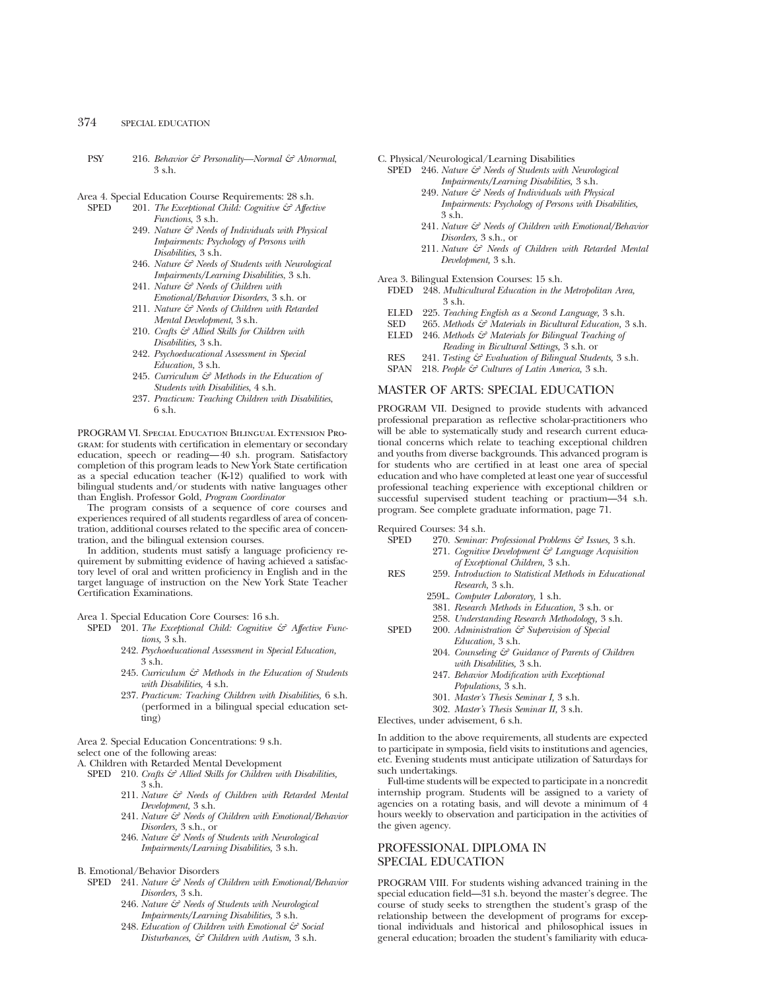- PSY 216. *Behavior & Personality—Normal & Abnormal*, 3 s.h.
- Area 4. Special Education Course Requirements: 28 s.h.<br>SPED 201 The Exceptional Child: Cognitive  $\zeta \zeta^2$  Affect
	- 201. *The Exceptional Child: Cognitive & Affective Functions*, 3 s.h.
		- 249. *Nature & Needs of Individuals with Physical Impairments: Psychology of Persons with Disabilities*, 3 s.h.
		- 246. *Nature & Needs of Students with Neurological Impairments/Learning Disabilities*, 3 s.h.
		- 241. *Nature & Needs of Children with Emotional/Behavior Disorders*, 3 s.h. or
		- 211. *Nature & Needs of Children with Retarded Mental Development*, 3 s.h.
		- 210. *Crafts & Allied Skills for Children with Disabilities,* 3 s.h.
		- 242. *Psychoeducational Assessment in Special Education,* 3 s.h.
		- 245. *Curriculum & Methods in the Education of Students with Disabilities*, 4 s.h.
		- 237. *Practicum: Teaching Children with Disabilities*, 6 s.h.

PROGRAM VI. Special Education Bilingual Extension Program: for students with certification in elementary or secondary education, speech or reading—40 s.h. program. Satisfactory completion of this program leads to New York State certification as a special education teacher (K-12) qualified to work with bilingual students and/or students with native languages other than English. Professor Gold, *Program Coordinator*

The program consists of a sequence of core courses and experiences required of all students regardless of area of concentration, additional courses related to the specific area of concentration, and the bilingual extension courses.

In addition, students must satisfy a language proficiency requirement by submitting evidence of having achieved a satisfactory level of oral and written proficiency in English and in the target language of instruction on the New York State Teacher Certification Examinations.

Area 1. Special Education Core Courses: 16 s.h.

- SPED 201. *The Exceptional Child: Cognitive & Affective Functions,* 3 s.h.
	- 242. *Psychoeducational Assessment in Special Education,* 3 s.h.
	- 245. *Curriculum & Methods in the Education of Students with Disabilities,* 4 s.h.
	- 237. *Practicum: Teaching Children with Disabilities,* 6 s.h. (performed in a bilingual special education setting)

Area 2. Special Education Concentrations: 9 s.h.

select one of the following areas:

- A. Children with Retarded Mental Development SPED 210. *Crafts*  $G^2$  Allied Skills for Children with Disabilities,
	- 3 s.h.
		- 211. *Nature & Needs of Children with Retarded Mental Development,* 3 s.h.
		- 241. *Nature & Needs of Children with Emotional/Behavior Disorders,* 3 s.h., or
		- 246. *Nature & Needs of Students with Neurological Impairments/Learning Disabilities,* 3 s.h.

# B. Emotional/Behavior Disorders

- SPED 241. *Nature & Needs of Children with Emotional/Behavior Disorders,* 3 s.h.
	- 246. *Nature & Needs of Students with Neurological Impairments/Learning Disabilities,* 3 s.h.
	- 248. *Education of Children with Emotional & Social Disturbances, & Children with Autism,* 3 s.h.
- C. Physical/Neurological/Learning Disabilities
	- SPED 246. *Nature*  $\mathcal{F}$  *Needs of Students with Neurological Impairments/Learning Disabilities,* 3 s.h.
		- 249. *Nature & Needs of Individuals with Physical Impairments: Psychology of Persons with Disabilities,* 3 s.h.
		- 241. *Nature & Needs of Children with Emotional/Behavior Disorders,* 3 s.h., or
		- 211. *Nature & Needs of Children with Retarded Mental Development,* 3 s.h.
- Area 3. Bilingual Extension Courses: 15 s.h.
	- FDED 248. *Multicultural Education in the Metropolitan Area,* 3 s.h.
	- ELED 225. *Teaching English as a Second Language,* 3 s.h.
	- SED 265. *Methods & Materials in Bicultural Education,* 3 s.h.
	- ELED 246. *Methods & Materials for Bilingual Teaching of Reading in Bicultural Settings,* 3 s.h. or
	- RES 241. *Testing & Evaluation of Bilingual Students,* 3 s.h.
	- SPAN 218. *People & Cultures of Latin America,* 3 s.h.

# MASTER OF ARTS: SPECIAL EDUCATION

PROGRAM VII. Designed to provide students with advanced professional preparation as reflective scholar-practitioners who will be able to systematically study and research current educational concerns which relate to teaching exceptional children and youths from diverse backgrounds. This advanced program is for students who are certified in at least one area of special education and who have completed at least one year of successful professional teaching experience with exceptional children or successful supervised student teaching or practium—34 s.h. program. See complete graduate information, page 71.

Required Courses: 34 s.h.<br>SPED 270. Seminar

- 270. *Seminar: Professional Problems & Issues*, 3 s.h. 271. *Cognitive Development & Language Acquisition of Exceptional Children,* 3 s.h.
- RES 259. *Introduction to Statistical Methods in Educational Research,* 3 s.h.
	- 259L. *Computer Laboratory,* 1 s.h.
	- 381. *Research Methods in Education,* 3 s.h. or
	- 258. *Understanding Research Methodology,* 3 s.h.
- SPED 200. *Administration & Supervision of Special Education,* 3 s.h.
	- 204. *Counseling & Guidance of Parents of Children with Disabilities,* 3 s.h.
	- 247. *Behavior Modification with Exceptional Populations,* 3 s.h.
	- 301. *Master's Thesis Seminar I,* 3 s.h.
	- 302. *Master's Thesis Seminar II,* 3 s.h.

Electives, under advisement, 6 s.h.

In addition to the above requirements, all students are expected to participate in symposia, field visits to institutions and agencies, etc. Evening students must anticipate utilization of Saturdays for such undertakings.

Full-time students will be expected to participate in a noncredit internship program. Students will be assigned to a variety of agencies on a rotating basis, and will devote a minimum of 4 hours weekly to observation and participation in the activities of the given agency.

# PROFESSIONAL DIPLOMA IN SPECIAL EDUCATION

PROGRAM VIII. For students wishing advanced training in the special education field—31 s.h. beyond the master's degree. The course of study seeks to strengthen the student's grasp of the relationship between the development of programs for exceptional individuals and historical and philosophical issues in general education; broaden the student's familiarity with educa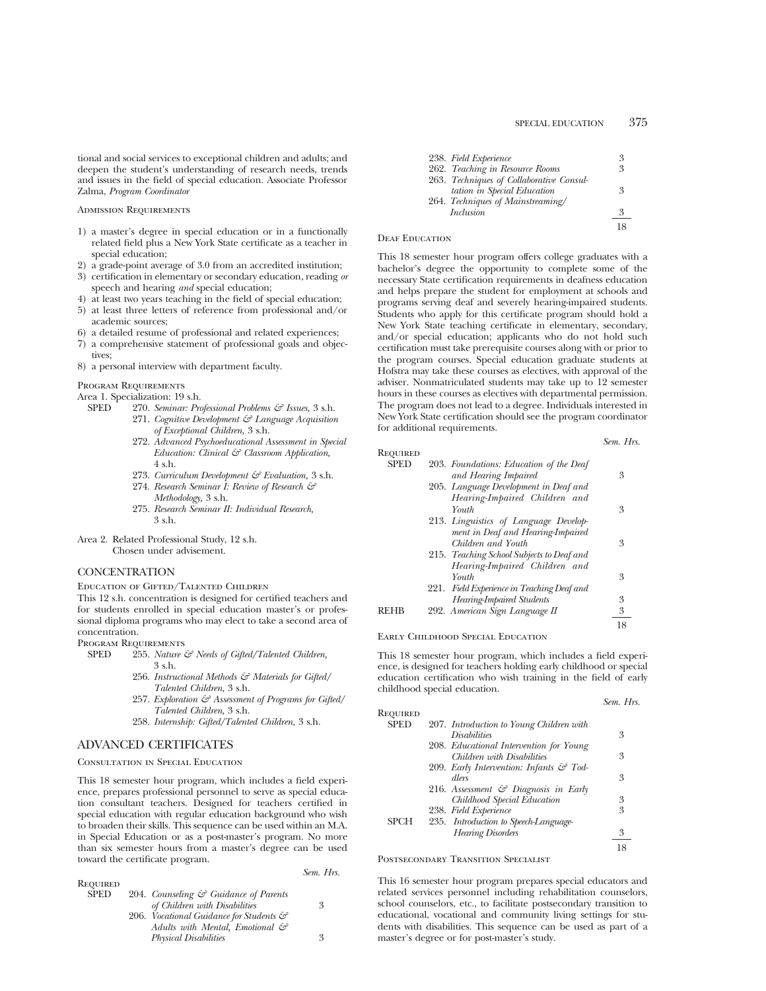tional and social services to exceptional children and adults; and deepen the student's understanding of research needs, trends and issues in the field of special education. Associate Professor Zalma, *Program Coordinator*

#### Admission Requirements

- 1) a master's degree in special education or in a functionally related field plus a New York State certificate as a teacher in special education;
- 2) a grade-point average of 3.0 from an accredited institution;
- 3) certification in elementary or secondary education, reading *or* speech and hearing *and* special education;
- 4) at least two years teaching in the field of special education;
- 5) at least three letters of reference from professional and/or academic sources;
- 6) a detailed resume of professional and related experiences;
- 7) a comprehensive statement of professional goals and objectives;
- 8) a personal interview with department faculty.

# Program Requirements

Area 1. Specialization: 19 s.h.

- SPED 270. *Seminar: Professional Problems & Issues,* 3 s.h.
	- 271. *Cognitive Development & Language Acquisition of Exceptional Children,* 3 s.h.
	- 272. *Advanced Psychoeducational Assessment in Special Education: Clinical & Classroom Application,*  $4 \,$ s $h$
	- 273. *Curriculum Development & Evaluation,* 3 s.h.
	- 274. *Research Seminar I: Review of Research & Methodology,* 3 s.h. 275. *Research Seminar II: Individual Research,*
	- 3 s.h.
- Area 2. Related Professional Study, 12 s.h. Chosen under advisement.

## **CONCENTRATION**

Education of Gifted/Talented Children

This 12 s.h. concentration is designed for certified teachers and for students enrolled in special education master's or professional diploma programs who may elect to take a second area of concentration.

Program Requirements

- SPED 255. *Nature & Needs of Gifted/Talented Children,* 3 s.h.
	- 256. *Instructional Methods & Materials for Gifted/ Talented Children,* 3 s.h.
	- 257. *Exploration & Assessment of Programs for Gifted/ Talented Children,* 3 s.h.

*Sem. Hrs.*

258. *Internship: Gifted/Talented Children,* 3 s.h.

# ADVANCED CERTIFICATES

## Consultation in Special Education

This 18 semester hour program, which includes a field experience, prepares professional personnel to serve as special education consultant teachers. Designed for teachers certified in special education with regular education background who wish to broaden their skills. This sequence can be used within an M.A. in Special Education or as a post-master's program. No more than six semester hours from a master's degree can be used toward the certificate program.

| Required    |                                                   |   |
|-------------|---------------------------------------------------|---|
| <b>SPED</b> | 204. Counseling $\mathcal{C}$ Guidance of Parents |   |
|             | of Children with Disabilities                     | 3 |
|             | 206. Vocational Guidance for Students &           |   |
|             | Adults with Mental, Emotional &                   |   |
|             | <b>Physical Disabilities</b>                      | 3 |

| 238. Field Experience                    | 3 |
|------------------------------------------|---|
| 262. Teaching in Resource Rooms          | 3 |
| 263. Techniques of Collaborative Consul- |   |
| tation in Special Education              | 3 |
| 264. Techniques of Mainstreaming/        |   |
| <i>Inclusion</i>                         | 3 |
|                                          |   |

#### DEAF EDUCATION

This 18 semester hour program offers college graduates with a bachelor's degree the opportunity to complete some of the necessary State certification requirements in deafness education and helps prepare the student for employment at schools and programs serving deaf and severely hearing-impaired students. Students who apply for this certificate program should hold a New York State teaching certificate in elementary, secondary, and/or special education; applicants who do not hold such certification must take prerequisite courses along with or prior to the program courses. Special education graduate students at Hofstra may take these courses as electives, with approval of the adviser. Nonmatriculated students may take up to 12 semester hours in these courses as electives with departmental permission. The program does not lead to a degree. Individuals interested in New York State certification should see the program coordinator for additional requirements.

# *Sem. Hrs.* Required 203. *Foundations: Education of the Deaf and Hearing Impaired* 3 205. *Language Development in Deaf and Hearing-Impaired Children and Youth* 3 213. *Linguistics of Language Development in Deaf and Hearing-Impaired Children and Youth* 3 215. *Teaching School Subjects to Deaf and Hearing-Impaired Children and Youth* 3 221. *Field Experience in Teaching Deaf and Hearing-Impaired Students* 3 REHB 292. *American Sign Language II* 18

#### Early Childhood Special Education

This 18 semester hour program, which includes a field experience, is designed for teachers holding early childhood or special education certification who wish training in the field of early childhood special education.

|                 |                                                 | Sem. Hrs. |
|-----------------|-------------------------------------------------|-----------|
| <b>REQUIRED</b> |                                                 |           |
| <b>SPED</b>     | 207. Introduction to Young Children with        |           |
|                 | <b>Disabilities</b>                             | 3         |
|                 | 208. Educational Intervention for Young         |           |
|                 | Children with Disabilities                      | 3         |
|                 | 209. Early Intervention: Infants & Tod-         |           |
|                 | dlers                                           | 3         |
|                 | 216. Assessment $\mathcal G$ Diagnosis in Early |           |
|                 | Childhood Special Education                     | 3         |
|                 | 238. Field Experience                           | 3         |
| SPCH            | 235. Introduction to Speech-Language-           |           |
|                 | <b>Hearing Disorders</b>                        | 3         |
|                 |                                                 | 18        |

Postsecondary Transition Specialist

This 16 semester hour program prepares special educators and related services personnel including rehabilitation counselors, school counselors, etc., to facilitate postsecondary transition to educational, vocational and community living settings for students with disabilities. This sequence can be used as part of a master's degree or for post-master's study.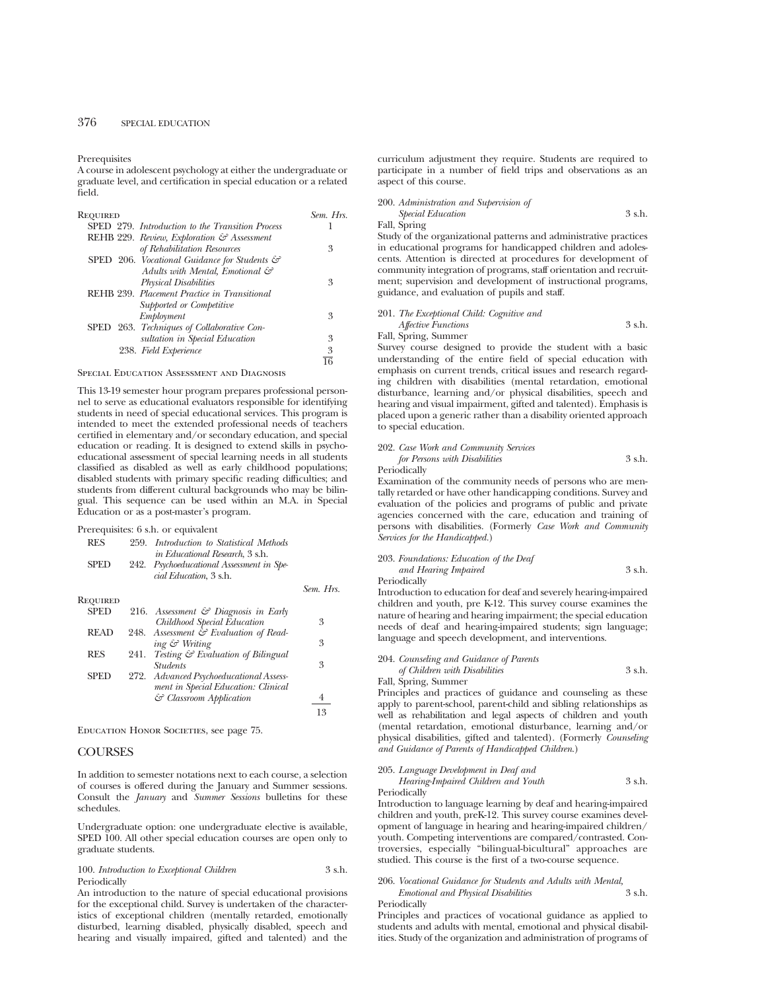Prerequisites

A course in adolescent psychology at either the undergraduate or graduate level, and certification in special education or a related field.

| Required                                         | Sem. Hrs. |
|--------------------------------------------------|-----------|
| SPED 279. Introduction to the Transition Process |           |
| REHB 229. Review, Exploration & Assessment       |           |
| of Rehabilitation Resources                      | 3         |
| SPED 206. Vocational Guidance for Students &     |           |
| Adults with Mental, Emotional &                  |           |
| <b>Physical Disabilities</b>                     | 3         |
| REHB 239. Placement Practice in Transitional     |           |
| Supported or Competitive                         |           |
| Employment                                       | 3         |
| SPED 263. Techniques of Collaborative Con-       |           |
| sultation in Special Education                   | 3         |
| 238. Field Experience                            | 3         |
|                                                  |           |

Special Education Assessment and Diagnosis

This 13-19 semester hour program prepares professional personnel to serve as educational evaluators responsible for identifying students in need of special educational services. This program is intended to meet the extended professional needs of teachers certified in elementary and/or secondary education, and special education or reading. It is designed to extend skills in psychoeducational assessment of special learning needs in all students classified as disabled as well as early childhood populations; disabled students with primary specific reading difficulties; and students from different cultural backgrounds who may be bilingual. This sequence can be used within an M.A. in Special Education or as a post-master's program.

| Prerequisites: 6 s.h. or equivalent |  |  |  |  |  |
|-------------------------------------|--|--|--|--|--|
|-------------------------------------|--|--|--|--|--|

| <b>RES</b>  | 259. | Introduction to Statistical Methods<br>in Educational Research, 3 s.h. |           |
|-------------|------|------------------------------------------------------------------------|-----------|
| <b>SPED</b> |      | 242. Psychoeducational Assessment in Spe-<br>cial Education, 3 s.h.    |           |
|             |      |                                                                        | Sem. Hrs. |
| Reouired    |      |                                                                        |           |
| <b>SPED</b> |      | 216. Assessment $\mathcal O$ Diagnosis in Early                        |           |
|             |      | Childhood Special Education                                            | 3         |
| <b>READ</b> |      | 248. Assessment & Evaluation of Read-                                  |           |
|             |      | ing & Writing                                                          | 3         |
| <b>RES</b>  | 241. | Testing & Evaluation of Bilingual                                      |           |
|             |      | <i><u><b>Students</b></u></i>                                          | 3         |
| SPED        |      | 272. Advanced Psychoeducational Assess-                                |           |
|             |      | ment in Special Education: Clinical                                    |           |
|             |      | & Classroom Application                                                | 4         |
|             |      |                                                                        | 13        |
|             |      |                                                                        |           |

Education Honor Societies, see page 75.

# **COURSES**

In addition to semester notations next to each course, a selection of courses is offered during the January and Summer sessions. Consult the *January* and *Summer Sessions* bulletins for these schedules.

Undergraduate option: one undergraduate elective is available, SPED 100. All other special education courses are open only to graduate students.

100. *Introduction to Exceptional Children* 3 s.h. Periodically

An introduction to the nature of special educational provisions for the exceptional child. Survey is undertaken of the characteristics of exceptional children (mentally retarded, emotionally disturbed, learning disabled, physically disabled, speech and hearing and visually impaired, gifted and talented) and the curriculum adjustment they require. Students are required to participate in a number of field trips and observations as an aspect of this course.

|                          | 200. Administration and Supervision of |        |
|--------------------------|----------------------------------------|--------|
|                          | <i>Special Education</i>               | 3 s.h. |
| $\mathbf{r}$ 11 $\alpha$ |                                        |        |

Fall, Spring

Study of the organizational patterns and administrative practices in educational programs for handicapped children and adolescents. Attention is directed at procedures for development of community integration of programs, staff orientation and recruitment; supervision and development of instructional programs, guidance, and evaluation of pupils and staff.

# 201. *The Exceptional Child: Cognitive and Affective Functions* 3 s.h. Fall, Spring, Summer

Survey course designed to provide the student with a basic understanding of the entire field of special education with emphasis on current trends, critical issues and research regarding children with disabilities (mental retardation, emotional disturbance, learning and/or physical disabilities, speech and hearing and visual impairment, gifted and talented). Emphasis is placed upon a generic rather than a disability oriented approach

# 202. *Case Work and Community Services for Persons with Disabilities* 3 s.h.

Periodically

to special education.

Examination of the community needs of persons who are mentally retarded or have other handicapping conditions. Survey and evaluation of the policies and programs of public and private agencies concerned with the care, education and training of persons with disabilities. (Formerly *Case Work and Community Services for the Handicapped.*)

#### 203. *Foundations: Education of the Deaf and Hearing Impaired* 3 s.h. Periodically

Introduction to education for deaf and severely hearing-impaired children and youth, pre K-12. This survey course examines the nature of hearing and hearing impairment; the special education needs of deaf and hearing-impaired students; sign language; language and speech development, and interventions.

# 204. *Counseling and Guidance of Parents of Children with Disabilities* 3 s.h.

Fall, Spring, Summer

Principles and practices of guidance and counseling as these apply to parent-school, parent-child and sibling relationships as well as rehabilitation and legal aspects of children and youth (mental retardation, emotional disturbance, learning and/or physical disabilities, gifted and talented). (Formerly *Counseling and Guidance of Parents of Handicapped Children*.)

# 205. *Language Development in Deaf and*

*Hearing-Impaired Children and Youth* 3 s.h. Periodically

Introduction to language learning by deaf and hearing-impaired children and youth, preK-12. This survey course examines development of language in hearing and hearing-impaired children/ youth. Competing interventions are compared/contrasted. Controversies, especially "bilingual-bicultural" approaches are studied. This course is the first of a two-course sequence.

#### 206. *Vocational Guidance for Students and Adults with Mental, Emotional and Physical Disabilities* 3 s.h. Periodically

Principles and practices of vocational guidance as applied to students and adults with mental, emotional and physical disabilities. Study of the organization and administration of programs of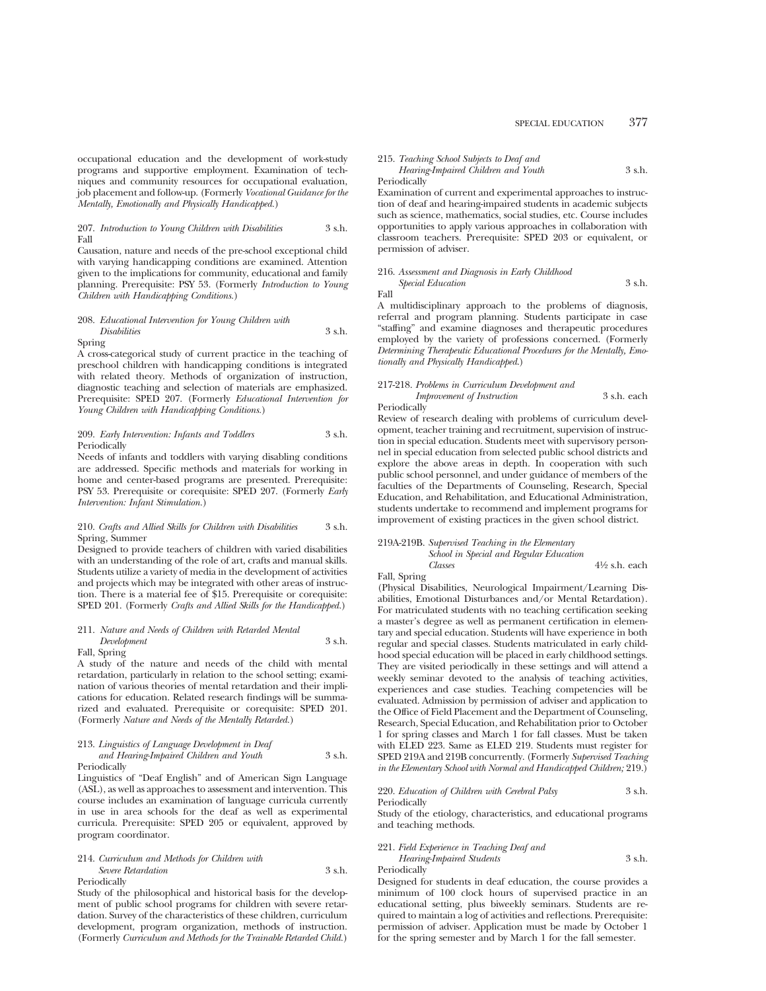occupational education and the development of work-study programs and supportive employment. Examination of techniques and community resources for occupational evaluation, job placement and follow-up. (Formerly *Vocational Guidance for the Mentally, Emotionally and Physically Handicapped.*)

#### 207. *Introduction to Young Children with Disabilities* 3 s.h. Fall

Causation, nature and needs of the pre-school exceptional child with varying handicapping conditions are examined. Attention given to the implications for community, educational and family planning. Prerequisite: PSY 53. (Formerly *Introduction to Young Children with Handicapping Conditions.*)

# 208. *Educational Intervention for Young Children with Disabilities* 3 s.h.

Spring

A cross-categorical study of current practice in the teaching of preschool children with handicapping conditions is integrated with related theory. Methods of organization of instruction, diagnostic teaching and selection of materials are emphasized. Prerequisite: SPED 207. (Formerly *Educational Intervention for Young Children with Handicapping Conditions.*)

#### 209. *Early Intervention: Infants and Toddlers* 3 s.h. Periodically

Needs of infants and toddlers with varying disabling conditions are addressed. Specific methods and materials for working in home and center-based programs are presented. Prerequisite: PSY 53. Prerequisite or corequisite: SPED 207. (Formerly *Early Intervention: Infant Stimulation.*)

#### 210. *Crafts and Allied Skills for Children with Disabilities* 3 s.h. Spring, Summer

Designed to provide teachers of children with varied disabilities with an understanding of the role of art, crafts and manual skills. Students utilize a variety of media in the development of activities and projects which may be integrated with other areas of instruction. There is a material fee of \$15. Prerequisite or corequisite: SPED 201. (Formerly *Crafts and Allied Skills for the Handicapped.*)

# 211. *Nature and Needs of Children with Retarded Mental Development* 3 s.h. Fall, Spring

A study of the nature and needs of the child with mental retardation, particularly in relation to the school setting; examination of various theories of mental retardation and their implications for education. Related research findings will be summarized and evaluated. Prerequisite or corequisite: SPED 201. (Formerly *Nature and Needs of the Mentally Retarded.*)

# 213. *Linguistics of Language Development in Deaf*

| and Hearing-Impaired Children and Youth |  | 3 s.h. |
|-----------------------------------------|--|--------|
| Periodically                            |  |        |

Linguistics of "Deaf English" and of American Sign Language (ASL), as well as approaches to assessment and intervention. This course includes an examination of language curricula currently in use in area schools for the deaf as well as experimental curricula. Prerequisite: SPED 205 or equivalent, approved by program coordinator.

# 214. *Curriculum and Methods for Children with*

*Severe Retardation* 3 s.h. Periodically

Study of the philosophical and historical basis for the development of public school programs for children with severe retardation. Survey of the characteristics of these children, curriculum development, program organization, methods of instruction. (Formerly *Curriculum and Methods for the Trainable Retarded Child.*)

## 215. *Teaching School Subjects to Deaf and Hearing-Impaired Children and Youth* 3 s.h.

# Periodically

Fall

Examination of current and experimental approaches to instruction of deaf and hearing-impaired students in academic subjects such as science, mathematics, social studies, etc. Course includes opportunities to apply various approaches in collaboration with classroom teachers. Prerequisite: SPED 203 or equivalent, or permission of adviser.

#### 216. *Assessment and Diagnosis in Early Childhood Special Education* 3 s.h.

A multidisciplinary approach to the problems of diagnosis, referral and program planning. Students participate in case "staffing" and examine diagnoses and therapeutic procedures employed by the variety of professions concerned. (Formerly *Determining Therapeutic Educational Procedures for the Mentally, Emotionally and Physically Handicapped*.)

# 217-218. *Problems in Curriculum Development and*

*Improvement of Instruction* 3 s.h. each **Periodically** 

Review of research dealing with problems of curriculum development, teacher training and recruitment, supervision of instruction in special education. Students meet with supervisory personnel in special education from selected public school districts and explore the above areas in depth. In cooperation with such public school personnel, and under guidance of members of the faculties of the Departments of Counseling, Research, Special Education, and Rehabilitation, and Educational Administration, students undertake to recommend and implement programs for improvement of existing practices in the given school district.

# 219A-219B. *Supervised Teaching in the Elementary*

*School in Special and Regular Education Classes* 41⁄2 s.h. each

Fall, Spring

(Physical Disabilities, Neurological Impairment/Learning Disabilities, Emotional Disturbances and/or Mental Retardation). For matriculated students with no teaching certification seeking a master's degree as well as permanent certification in elementary and special education. Students will have experience in both regular and special classes. Students matriculated in early childhood special education will be placed in early childhood settings. They are visited periodically in these settings and will attend a weekly seminar devoted to the analysis of teaching activities, experiences and case studies. Teaching competencies will be evaluated. Admission by permission of adviser and application to the Office of Field Placement and the Department of Counseling, Research, Special Education, and Rehabilitation prior to October 1 for spring classes and March 1 for fall classes. Must be taken with ELED 223. Same as ELED 219. Students must register for SPED 219A and 219B concurrently. (Formerly *Supervised Teaching in the Elementary School with Normal and Handicapped Children;* 219.)

#### 220. *Education of Children with Cerebral Palsy* 3 s.h. Periodically

Study of the etiology, characteristics, and educational programs and teaching methods.

# 221. *Field Experience in Teaching Deaf and*

*Hearing-Impaired Students* 3 s.h. Periodically

Designed for students in deaf education, the course provides a minimum of 100 clock hours of supervised practice in an educational setting, plus biweekly seminars. Students are required to maintain a log of activities and reflections. Prerequisite: permission of adviser. Application must be made by October 1 for the spring semester and by March 1 for the fall semester.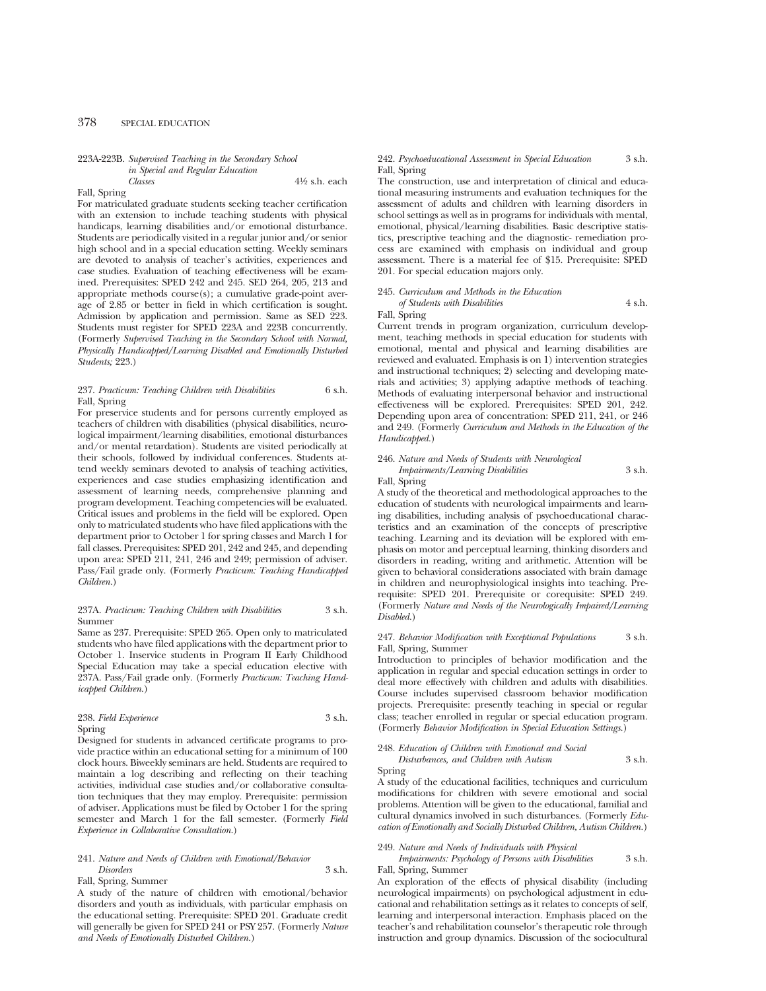#### 223A-223B. *Supervised Teaching in the Secondary School in Special and Regular Education Classes* 41⁄2 s.h. each

Fall, Spring

For matriculated graduate students seeking teacher certification with an extension to include teaching students with physical handicaps, learning disabilities and/or emotional disturbance. Students are periodically visited in a regular junior and/or senior high school and in a special education setting. Weekly seminars are devoted to analysis of teacher's activities, experiences and case studies. Evaluation of teaching effectiveness will be examined. Prerequisites: SPED 242 and 245. SED 264, 205, 213 and appropriate methods course(s); a cumulative grade-point average of 2.85 or better in field in which certification is sought. Admission by application and permission. Same as SED 223. Students must register for SPED 223A and 223B concurrently. (Formerly *Supervised Teaching in the Secondary School with Normal, Physically Handicapped/Learning Disabled and Emotionally Disturbed Students;* 223.)

#### 237. *Practicum: Teaching Children with Disabilities* 6 s.h. Fall, Spring

For preservice students and for persons currently employed as teachers of children with disabilities (physical disabilities, neurological impairment/learning disabilities, emotional disturbances and/or mental retardation). Students are visited periodically at their schools, followed by individual conferences. Students attend weekly seminars devoted to analysis of teaching activities, experiences and case studies emphasizing identification and assessment of learning needs, comprehensive planning and program development. Teaching competencies will be evaluated. Critical issues and problems in the field will be explored. Open only to matriculated students who have filed applications with the department prior to October 1 for spring classes and March 1 for fall classes. Prerequisites: SPED 201, 242 and 245, and depending upon area: SPED 211, 241, 246 and 249; permission of adviser. Pass/Fail grade only. (Formerly *Practicum: Teaching Handicapped Children.*)

#### 237A. *Practicum: Teaching Children with Disabilities* 3 s.h. Summer

Same as 237. Prerequisite: SPED 265. Open only to matriculated students who have filed applications with the department prior to October 1. Inservice students in Program II Early Childhood Special Education may take a special education elective with 237A. Pass/Fail grade only. (Formerly *Practicum: Teaching Handicapped Children.*)

#### 238. *Field Experience* 3 s.h. Spring

Designed for students in advanced certificate programs to provide practice within an educational setting for a minimum of 100 clock hours. Biweekly seminars are held. Students are required to maintain a log describing and reflecting on their teaching activities, individual case studies and/or collaborative consultation techniques that they may employ. Prerequisite: permission of adviser. Applications must be filed by October 1 for the spring semester and March 1 for the fall semester. (Formerly *Field Experience in Collaborative Consultation*.)

#### 241. *Nature and Needs of Children with Emotional/Behavior Disorders* 3 s.h.

Fall, Spring, Summer

A study of the nature of children with emotional/behavior disorders and youth as individuals, with particular emphasis on the educational setting. Prerequisite: SPED 201. Graduate credit will generally be given for SPED 241 or PSY 257. (Formerly *Nature and Needs of Emotionally Disturbed Children.*)

#### 242. *Psychoeducational Assessment in Special Education* 3 s.h. Fall, Spring

The construction, use and interpretation of clinical and educational measuring instruments and evaluation techniques for the assessment of adults and children with learning disorders in school settings as well as in programs for individuals with mental, emotional, physical/learning disabilities. Basic descriptive statistics, prescriptive teaching and the diagnostic- remediation process are examined with emphasis on individual and group assessment. There is a material fee of \$15. Prerequisite: SPED 201. For special education majors only.

#### 245. *Curriculum and Methods in the Education of Students with Disabilities* 4 s.h.

#### Fall, Spring

Current trends in program organization, curriculum development, teaching methods in special education for students with emotional, mental and physical and learning disabilities are reviewed and evaluated. Emphasis is on 1) intervention strategies and instructional techniques; 2) selecting and developing materials and activities; 3) applying adaptive methods of teaching. Methods of evaluating interpersonal behavior and instructional effectiveness will be explored. Prerequisites: SPED 201, 242. Depending upon area of concentration: SPED 211, 241, or 246 and 249. (Formerly *Curriculum and Methods in the Education of the Handicapped.*)

#### 246. *Nature and Needs of Students with Neurological Impairments/Learning Disabilities* 3 s.h. Fall, Spring

A study of the theoretical and methodological approaches to the education of students with neurological impairments and learning disabilities, including analysis of psychoeducational characteristics and an examination of the concepts of prescriptive teaching. Learning and its deviation will be explored with emphasis on motor and perceptual learning, thinking disorders and disorders in reading, writing and arithmetic. Attention will be given to behavioral considerations associated with brain damage in children and neurophysiological insights into teaching. Prerequisite: SPED 201. Prerequisite or corequisite: SPED 249. (Formerly *Nature and Needs of the Neurologically Impaired/Learning Disabled.*)

#### 247. *Behavior Modification with Exceptional Populations* 3 s.h. Fall, Spring, Summer

Introduction to principles of behavior modification and the application in regular and special education settings in order to deal more effectively with children and adults with disabilities. Course includes supervised classroom behavior modification projects. Prerequisite: presently teaching in special or regular class; teacher enrolled in regular or special education program. (Formerly *Behavior Modification in Special Education Settings.*)

#### 248. *Education of Children with Emotional and Social Disturbances, and Children with Autism* 3 s.h.

Spring

A study of the educational facilities, techniques and curriculum modifications for children with severe emotional and social problems. Attention will be given to the educational, familial and cultural dynamics involved in such disturbances. (Formerly *Education of Emotionally and Socially Disturbed Children, Autism Children.*)

#### 249. *Nature and Needs of Individuals with Physical*

*Impairments: Psychology of Persons with Disabilities* 3 s.h. Fall, Spring, Summer

An exploration of the effects of physical disability (including neurological impairments) on psychological adjustment in educational and rehabilitation settings as it relates to concepts of self, learning and interpersonal interaction. Emphasis placed on the teacher's and rehabilitation counselor's therapeutic role through instruction and group dynamics. Discussion of the sociocultural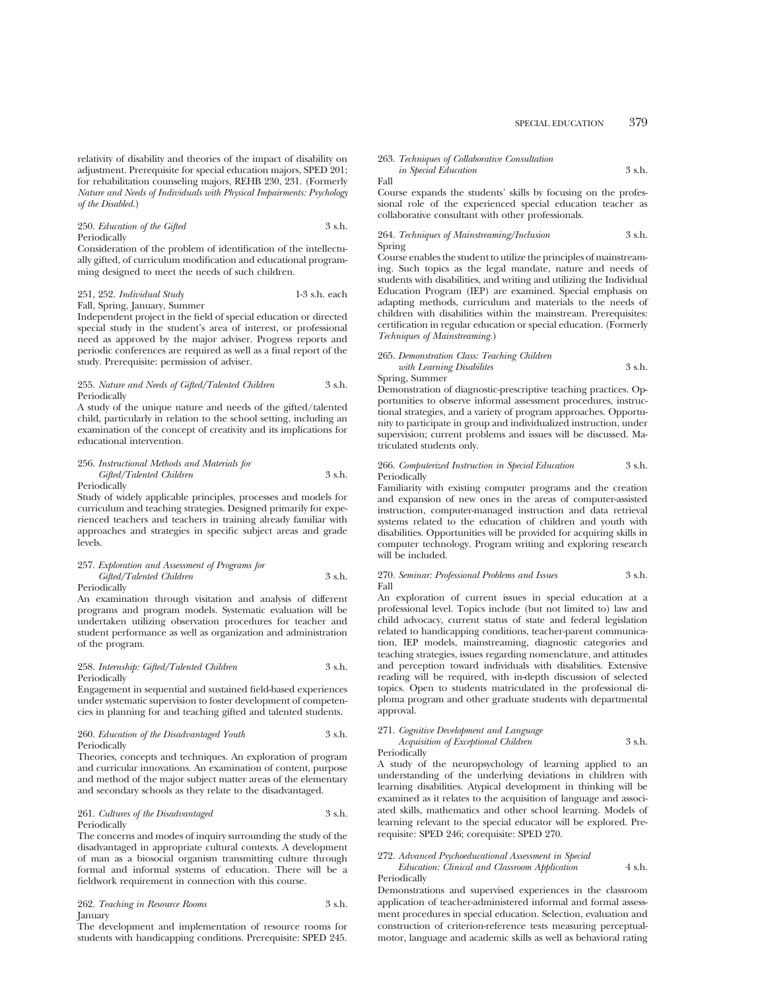relativity of disability and theories of the impact of disability on adjustment. Prerequisite for special education majors, SPED 201; for rehabilitation counseling majors, REHB 230, 231. (Formerly *Nature and Needs of Individuals with Physical Impairments: Psychology of the Disabled.*)

#### 250. *Education of the Gifted* 3 s.h. Periodically

Consideration of the problem of identification of the intellectually gifted, of curriculum modification and educational programming designed to meet the needs of such children.

#### 251, 252. *Individual Study* 1-3 s.h. each Fall, Spring, January, Summer

Independent project in the field of special education or directed special study in the student's area of interest, or professional need as approved by the major adviser. Progress reports and periodic conferences are required as well as a final report of the study. Prerequisite: permission of adviser.

#### 255. *Nature and Needs of Gifted/Talented Children* 3 s.h. Periodically

A study of the unique nature and needs of the gifted/talented child, particularly in relation to the school setting, including an examination of the concept of creativity and its implications for educational intervention.

#### 256. *Instructional Methods and Materials for Gifted/Talented Children* 3 s.h. Periodically

Study of widely applicable principles, processes and models for curriculum and teaching strategies. Designed primarily for experienced teachers and teachers in training already familiar with approaches and strategies in specific subject areas and grade levels.

#### 257. *Exploration and Assessment of Programs for Gifted/Talented Children* 3 s.h. Periodically

An examination through visitation and analysis of different programs and program models. Systematic evaluation will be undertaken utilizing observation procedures for teacher and student performance as well as organization and administration of the program.

#### 258. *Internship: Gifted/Talented Children* 3 s.h. Periodically

Engagement in sequential and sustained field-based experiences under systematic supervision to foster development of competencies in planning for and teaching gifted and talented students.

#### 260. *Education of the Disadvantaged Youth* 3 s.h. Periodically

Theories, concepts and techniques. An exploration of program and curricular innovations. An examination of content, purpose and method of the major subject matter areas of the elementary and secondary schools as they relate to the disadvantaged.

#### 261. *Cultures of the Disadvantaged* 3 s.h. Periodically

The concerns and modes of inquiry surrounding the study of the disadvantaged in appropriate cultural contexts. A development of man as a biosocial organism transmitting culture through formal and informal systems of education. There will be a fieldwork requirement in connection with this course.

#### 262. *Teaching in Resource Rooms* 3 s.h. **January**

The development and implementation of resource rooms for students with handicapping conditions. Prerequisite: SPED 245.

#### 263. *Techniques of Collaborative Consultation in Special Education* 3 s.h.

Fall

Course expands the students' skills by focusing on the professional role of the experienced special education teacher as collaborative consultant with other professionals.

#### 264. *Techniques of Mainstreaming/Inclusion* 3 s.h. Spring

Course enables the student to utilize the principles of mainstreaming. Such topics as the legal mandate, nature and needs of students with disabilities, and writing and utilizing the Individual Education Program (IEP) are examined. Special emphasis on adapting methods, curriculum and materials to the needs of children with disabilities within the mainstream. Prerequisites: certification in regular education or special education. (Formerly *Techniques of Mainstreaming.*)

265. *Demonstration Class: Teaching Children with Learning Disabilites* 3 s.h. Spring, Summer

Demonstration of diagnostic-prescriptive teaching practices. Opportunities to observe informal assessment procedures, instructional strategies, and a variety of program approaches. Opportunity to participate in group and individualized instruction, under supervision; current problems and issues will be discussed. Matriculated students only.

#### 266. *Computerized Instruction in Special Education* 3 s.h. Periodically

Familiarity with existing computer programs and the creation and expansion of new ones in the areas of computer-assisted instruction, computer-managed instruction and data retrieval systems related to the education of children and youth with disabilities. Opportunities will be provided for acquiring skills in computer technology. Program writing and exploring research will be included.

#### 270. *Seminar: Professional Problems and Issues* 3 s.h. Fall

An exploration of current issues in special education at a professional level. Topics include (but not limited to) law and child advocacy, current status of state and federal legislation related to handicapping conditions, teacher-parent communication, IEP models, mainstreaming, diagnostic categories and teaching strategies, issues regarding nomenclature, and attitudes and perception toward individuals with disabilities. Extensive reading will be required, with in-depth discussion of selected topics. Open to students matriculated in the professional diploma program and other graduate students with departmental approval.

#### 271. *Cognitive Development and Language Acquisition of Exceptional Children* 3 s.h.

Periodically

A study of the neuropsychology of learning applied to an understanding of the underlying deviations in children with learning disabilities. Atypical development in thinking will be examined as it relates to the acquisition of language and associated skills, mathematics and other school learning. Models of learning relevant to the special educator will be explored. Prerequisite: SPED 246; corequisite: SPED 270.

#### 272. *Advanced Psychoeducational Assessment in Special Education: Clinical and Classroom Application* 4 s.h.

Periodically

Demonstrations and supervised experiences in the classroom application of teacher-administered informal and formal assessment procedures in special education. Selection, evaluation and construction of criterion-reference tests measuring perceptualmotor, language and academic skills as well as behavioral rating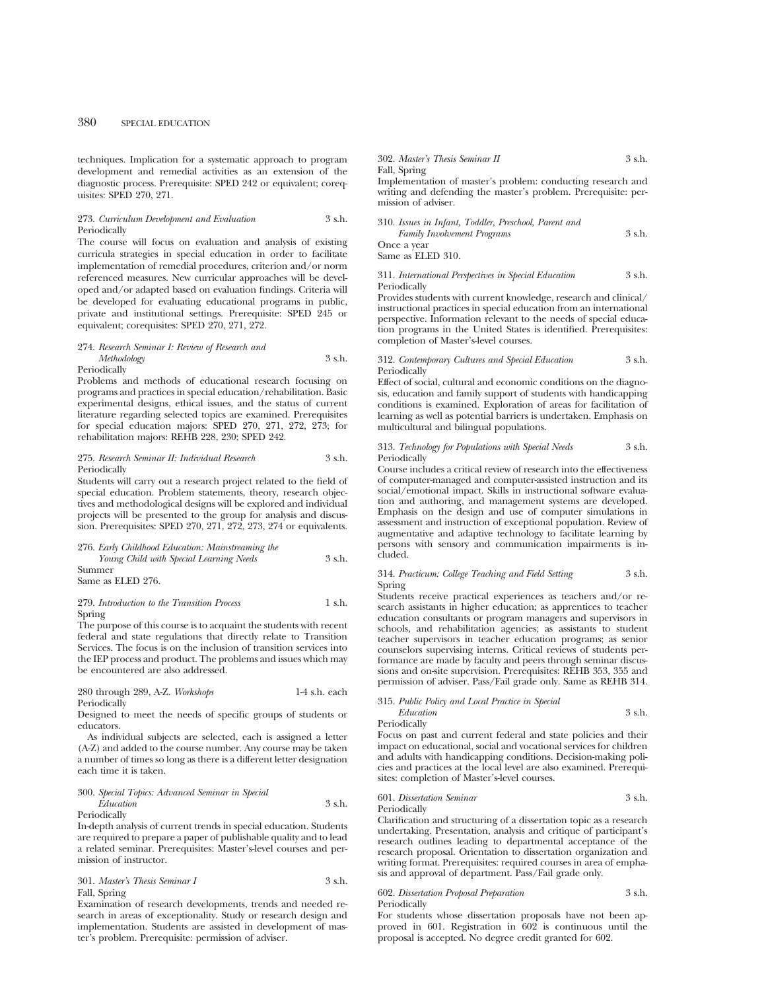techniques. Implication for a systematic approach to program development and remedial activities as an extension of the diagnostic process. Prerequisite: SPED 242 or equivalent; corequisites: SPED 270, 271.

#### 273. *Curriculum Development and Evaluation* 3 s.h. Periodically

The course will focus on evaluation and analysis of existing curricula strategies in special education in order to facilitate implementation of remedial procedures, criterion and/or norm referenced measures. New curricular approaches will be developed and/or adapted based on evaluation findings. Criteria will be developed for evaluating educational programs in public, private and institutional settings. Prerequisite: SPED 245 or equivalent; corequisites: SPED 270, 271, 272.

#### 274. *Research Seminar I: Review of Research and Methodology* 3 s.h. Periodically

Problems and methods of educational research focusing on programs and practices in special education/rehabilitation. Basic experimental designs, ethical issues, and the status of current literature regarding selected topics are examined. Prerequisites for special education majors: SPED 270, 271, 272, 273; for rehabilitation majors: REHB 228, 230; SPED 242.

#### 275. *Research Seminar II: Individual Research* 3 s.h. Periodically

Students will carry out a research project related to the field of special education. Problem statements, theory, research objectives and methodological designs will be explored and individual projects will be presented to the group for analysis and discussion. Prerequisites: SPED 270, 271, 272, 273, 274 or equivalents.

276. *Early Childhood Education: Mainstreaming the Young Child with Special Learning Needs* 3 s.h. Summer Same as ELED 276.

279. *Introduction to the Transition Process* 1 s.h. Spring

The purpose of this course is to acquaint the students with recent federal and state regulations that directly relate to Transition Services. The focus is on the inclusion of transition services into the IEP process and product. The problems and issues which may be encountered are also addressed.

#### 280 through 289, A-Z. *Workshops* 1-4 s.h. each Periodically

Designed to meet the needs of specific groups of students or educators.

As individual subjects are selected, each is assigned a letter (A-Z) and added to the course number. Any course may be taken a number of times so long as there is a different letter designation each time it is taken.

#### 300. *Special Topics: Advanced Seminar in Special Education* 3 s.h. Periodically

In-depth analysis of current trends in special education. Students are required to prepare a paper of publishable quality and to lead a related seminar. Prerequisites: Master's-level courses and permission of instructor.

301. *Master's Thesis Seminar I* 3 s.h. Fall, Spring

Examination of research developments, trends and needed research in areas of exceptionality. Study or research design and implementation. Students are assisted in development of master's problem. Prerequisite: permission of adviser.

#### 302. *Master's Thesis Seminar II* 3 s.h. Fall, Spring Implementation of master's problem: conducting research and writing and defending the master's problem. Prerequisite: permission of adviser.

| 310. Issues in Infant, Toddler, Preschool, Parent and |        |
|-------------------------------------------------------|--------|
| <b>Family Involvement Programs</b>                    | 3 s.h. |
| Once a year                                           |        |
| Same as ELED 310.                                     |        |

311. *International Perspectives in Special Education* 3 s.h. Periodically

Provides students with current knowledge, research and clinical/ instructional practices in special education from an international perspective. Information relevant to the needs of special education programs in the United States is identified. Prerequisites: completion of Master's-level courses.

312. *Contemporary Cultures and Special Education* 3 s.h. Periodically

Effect of social, cultural and economic conditions on the diagnosis, education and family support of students with handicapping conditions is examined. Exploration of areas for facilitation of learning as well as potential barriers is undertaken. Emphasis on multicultural and bilingual populations.

#### 313. *Technology for Populations with Special Needs* 3 s.h. Periodically

Course includes a critical review of research into the effectiveness of computer-managed and computer-assisted instruction and its social/emotional impact. Skills in instructional software evaluation and authoring, and management systems are developed. Emphasis on the design and use of computer simulations in assessment and instruction of exceptional population. Review of augmentative and adaptive technology to facilitate learning by persons with sensory and communication impairments is included.

314. *Practicum: College Teaching and Field Setting* 3 s.h. Spring

Students receive practical experiences as teachers and/or research assistants in higher education; as apprentices to teacher education consultants or program managers and supervisors in schools, and rehabilitation agencies; as assistants to student teacher supervisors in teacher education programs; as senior counselors supervising interns. Critical reviews of students performance are made by faculty and peers through seminar discussions and on-site supervision. Prerequisites: REHB 353, 355 and permission of adviser. Pass/Fail grade only. Same as REHB 314.

#### 315. *Public Policy and Local Practice in Special*

*Education* 3 s.h.

Periodically

Focus on past and current federal and state policies and their impact on educational, social and vocational services for children and adults with handicapping conditions. Decision-making policies and practices at the local level are also examined. Prerequisites: completion of Master's-level courses.

#### 601. *Dissertation Seminar* 3 s.h. Periodically

Clarification and structuring of a dissertation topic as a research undertaking. Presentation, analysis and critique of participant's research outlines leading to departmental acceptance of the research proposal. Orientation to dissertation organization and writing format. Prerequisites: required courses in area of emphasis and approval of department. Pass/Fail grade only.

602. *Dissertation Proposal Preparation* 3 s.h. Periodically

For students whose dissertation proposals have not been approved in 601. Registration in 602 is continuous until the proposal is accepted. No degree credit granted for 602.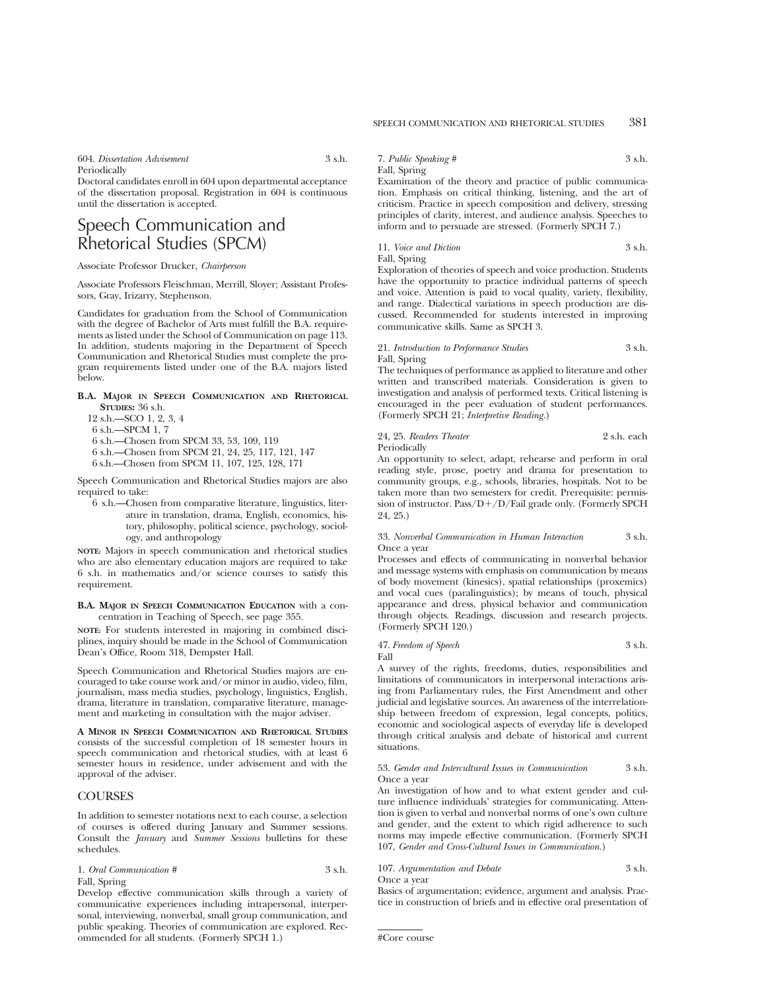604. *Dissertation Advisement* 3 s.h. Periodically

Doctoral candidates enroll in 604 upon departmental acceptance of the dissertation proposal. Registration in 604 is continuous until the dissertation is accepted.

### Speech Communication and Rhetorical Studies (SPCM)

Associate Professor Drucker, *Chairperson*

Associate Professors Fleischman, Merrill, Sloyer; Assistant Professors, Gray, Irizarry, Stephenson.

Candidates for graduation from the School of Communication with the degree of Bachelor of Arts must fulfill the B.A. requirements as listed under the School of Communication on page 113. In addition, students majoring in the Department of Speech Communication and Rhetorical Studies must complete the program requirements listed under one of the B.A. majors listed below.

#### **B.A. MAJOR IN SPEECH COMMUNICATION AND RHETORICAL STUDIES:** 36 s.h.

- 12 s.h.—SCO 1, 2, 3, 4
- 6 s.h.—SPCM 1, 7
- 6 s.h.—Chosen from SPCM 33, 53, 109, 119
- 6 s.h.—Chosen from SPCM 21, 24, 25, 117, 121, 147
- 6 s.h.—Chosen from SPCM 11, 107, 125, 128, 171

Speech Communication and Rhetorical Studies majors are also required to take:

6 s.h.—Chosen from comparative literature, linguistics, literature in translation, drama, English, economics, history, philosophy, political science, psychology, sociology, and anthropology

**NOTE:** Majors in speech communication and rhetorical studies who are also elementary education majors are required to take 6 s.h. in mathematics and/or science courses to satisfy this requirement.

**B.A. MAJOR IN SPEECH COMMUNICATION EDUCATION** with a concentration in Teaching of Speech, see page 355.

**NOTE:** For students interested in majoring in combined disciplines, inquiry should be made in the School of Communication Dean's Office, Room 318, Dempster Hall.

Speech Communication and Rhetorical Studies majors are encouraged to take course work and/or minor in audio, video, film, journalism, mass media studies, psychology, linguistics, English, drama, literature in translation, comparative literature, management and marketing in consultation with the major adviser.

**A MINOR IN SPEECH COMMUNICATION AND RHETORICAL STUDIES** consists of the successful completion of 18 semester hours in speech communication and rhetorical studies, with at least 6 semester hours in residence, under advisement and with the approval of the adviser.

#### **COURSES**

In addition to semester notations next to each course, a selection of courses is offered during January and Summer sessions. Consult the *January* and *Summer Sessions* bulletins for these schedules.

1. *Oral Communication #* 3 s.h. Fall, Spring

Develop effective communication skills through a variety of communicative experiences including intrapersonal, interpersonal, interviewing, nonverbal, small group communication, and public speaking. Theories of communication are explored. Recommended for all students. (Formerly SPCH 1.)

7. *Public Speaking #* 3 s.h. Fall, Spring

Examination of the theory and practice of public communication. Emphasis on critical thinking, listening, and the art of criticism. Practice in speech composition and delivery, stressing principles of clarity, interest, and audience analysis. Speeches to inform and to persuade are stressed. (Formerly SPCH 7.)

11. *Voice and Diction* 3 s.h.

Fall, Spring

Exploration of theories of speech and voice production. Students have the opportunity to practice individual patterns of speech and voice. Attention is paid to vocal quality, variety, flexibility, and range. Dialectical variations in speech production are discussed. Recommended for students interested in improving communicative skills. Same as SPCH 3.

#### 21. *Introduction to Performance Studies* 3 s.h. Fall, Spring

The techniques of performance as applied to literature and other written and transcribed materials. Consideration is given to investigation and analysis of performed texts. Critical listening is encouraged in the peer evaluation of student performances. (Formerly SPCH 21; *Interpretive Reading.*)

24, 25. *Readers Theater* 2 s.h. each Periodically

An opportunity to select, adapt, rehearse and perform in oral reading style, prose, poetry and drama for presentation to community groups, e.g., schools, libraries, hospitals. Not to be taken more than two semesters for credit. Prerequisite: permission of instructor. Pass/ $D+/D$ /Fail grade only. (Formerly SPCH) 24, 25.)

#### 33. *Nonverbal Communication in Human Interaction* 3 s.h. Once a year

Processes and effects of communicating in nonverbal behavior and message systems with emphasis on communication by means of body movement (kinesics), spatial relationships (proxemics) and vocal cues (paralinguistics); by means of touch, physical appearance and dress, physical behavior and communication through objects. Readings, discussion and research projects. (Formerly SPCH 120.)

47. *Freedom of Speech* 3 s.h. Fall

A survey of the rights, freedoms, duties, responsibilities and limitations of communicators in interpersonal interactions arising from Parliamentary rules, the First Amendment and other judicial and legislative sources. An awareness of the interrelationship between freedom of expression, legal concepts, politics, economic and sociological aspects of everyday life is developed through critical analysis and debate of historical and current situations.

#### 53. *Gender and Intercultural Issues in Communication* 3 s.h. Once a year

An investigation of how and to what extent gender and culture influence individuals' strategies for communicating. Attention is given to verbal and nonverbal norms of one's own culture and gender, and the extent to which rigid adherence to such norms may impede effective communication. (Formerly SPCH 107, *Gender and Cross-Cultural Issues in Communication.*)

107. *Argumentation and Debate* 3 s.h.

Once a year

Basics of argumentation; evidence, argument and analysis. Practice in construction of briefs and in effective oral presentation of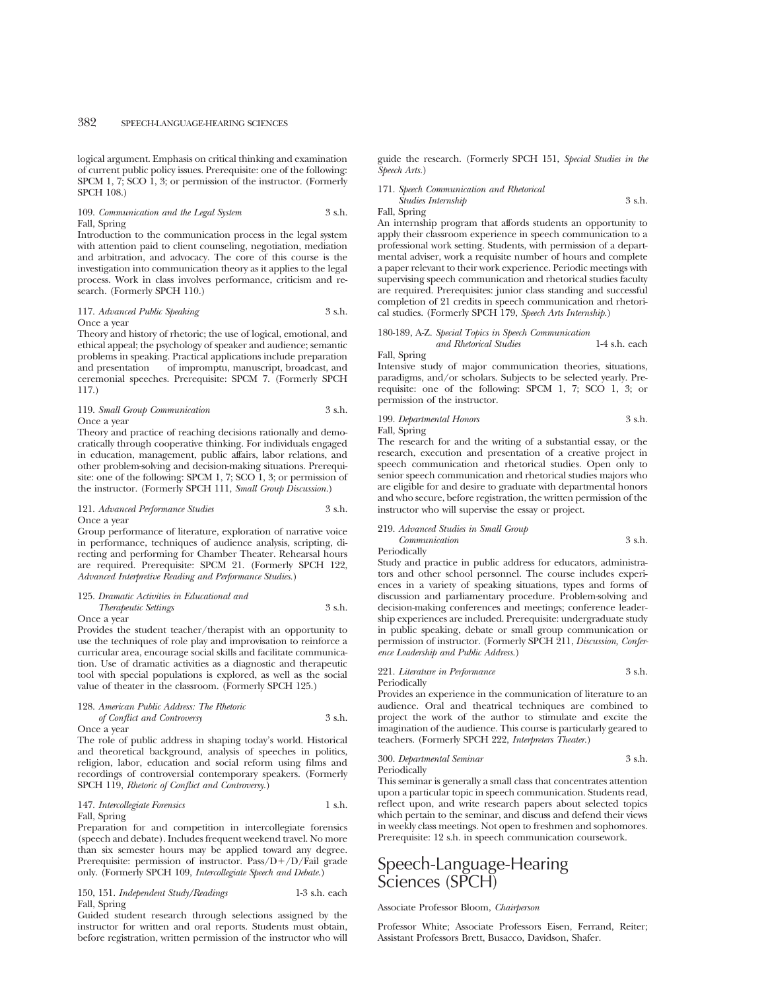logical argument. Emphasis on critical thinking and examination of current public policy issues. Prerequisite: one of the following: SPCM 1, 7; SCO 1, 3; or permission of the instructor. (Formerly SPCH 108.)

#### 109. *Communication and the Legal System* 3 s.h. Fall, Spring

Introduction to the communication process in the legal system with attention paid to client counseling, negotiation, mediation and arbitration, and advocacy. The core of this course is the investigation into communication theory as it applies to the legal process. Work in class involves performance, criticism and research. (Formerly SPCH 110.)

#### 117. *Advanced Public Speaking* 3 s.h. Once a year

Theory and history of rhetoric; the use of logical, emotional, and ethical appeal; the psychology of speaker and audience; semantic problems in speaking. Practical applications include preparation and presentation of impromptu, manuscript, broadcast, and ceremonial speeches. Prerequisite: SPCM 7. (Formerly SPCH 117.)

#### 119. *Small Group Communication* 3 s.h. Once a year

Theory and practice of reaching decisions rationally and democratically through cooperative thinking. For individuals engaged in education, management, public affairs, labor relations, and other problem-solving and decision-making situations. Prerequisite: one of the following: SPCM 1, 7; SCO 1, 3; or permission of the instructor. (Formerly SPCH 111, *Small Group Discussion.*)

#### 121. *Advanced Performance Studies* 3 s.h. Once a year

Group performance of literature, exploration of narrative voice in performance, techniques of audience analysis, scripting, directing and performing for Chamber Theater. Rehearsal hours are required. Prerequisite: SPCM 21. (Formerly SPCH 122, *Advanced Interpretive Reading and Performance Studies.*)

### 125. *Dramatic Activities in Educational and Therapeutic Settings* 3 s.h.

Once a year

Provides the student teacher/therapist with an opportunity to use the techniques of role play and improvisation to reinforce a curricular area, encourage social skills and facilitate communication. Use of dramatic activities as a diagnostic and therapeutic tool with special populations is explored, as well as the social value of theater in the classroom. (Formerly SPCH 125.)

#### 128. *American Public Address: The Rhetoric*

*of Conflict and Controversy* 3 s.h. Once a year

The role of public address in shaping today's world. Historical and theoretical background, analysis of speeches in politics, religion, labor, education and social reform using films and recordings of controversial contemporary speakers. (Formerly SPCH 119, *Rhetoric of Conflict and Controversy.*)

#### 147. *Intercollegiate Forensics* 1 s.h. Fall, Spring

Preparation for and competition in intercollegiate forensics (speech and debate). Includes frequent weekend travel. No more than six semester hours may be applied toward any degree. Prerequisite: permission of instructor. Pass/ $D + /D/\overline{F}$ ail grade only. (Formerly SPCH 109, *Intercollegiate Speech and Debate.*)

150, 151. *Independent Study/Readings* 1-3 s.h. each Fall, Spring

Guided student research through selections assigned by the instructor for written and oral reports. Students must obtain, before registration, written permission of the instructor who will guide the research. (Formerly SPCH 151, *Special Studies in the Speech Arts.*)

171. *Speech Communication and Rhetorical Studies Internship* 3 s.h.

Fall, Spring

An internship program that affords students an opportunity to apply their classroom experience in speech communication to a professional work setting. Students, with permission of a departmental adviser, work a requisite number of hours and complete a paper relevant to their work experience. Periodic meetings with supervising speech communication and rhetorical studies faculty are required. Prerequisites: junior class standing and successful completion of 21 credits in speech communication and rhetorical studies. (Formerly SPCH 179, *Speech Arts Internship.*)

#### 180-189, A-Z. *Special Topics in Speech Communication and Rhetorical Studies* 1-4 s.h. each

Fall, Spring

Intensive study of major communication theories, situations, paradigms, and/or scholars. Subjects to be selected yearly. Prerequisite: one of the following: SPCM 1, 7; SCO 1, 3; or permission of the instructor.

199. *Departmental Honors* 3 s.h.

Fall, Spring

The research for and the writing of a substantial essay, or the research, execution and presentation of a creative project in speech communication and rhetorical studies. Open only to senior speech communication and rhetorical studies majors who are eligible for and desire to graduate with departmental honors and who secure, before registration, the written permission of the instructor who will supervise the essay or project.

#### 219. *Advanced Studies in Small Group Communication* 3 s.h.

Periodically

Study and practice in public address for educators, administrators and other school personnel. The course includes experiences in a variety of speaking situations, types and forms of discussion and parliamentary procedure. Problem-solving and decision-making conferences and meetings; conference leadership experiences are included. Prerequisite: undergraduate study in public speaking, debate or small group communication or permission of instructor. (Formerly SPCH 211, *Discussion, Conference Leadership and Public Address.*)

#### 221. *Literature in Performance* 3 s.h. Periodically

Provides an experience in the communication of literature to an audience. Oral and theatrical techniques are combined to project the work of the author to stimulate and excite the imagination of the audience. This course is particularly geared to teachers. (Formerly SPCH 222, *Interpreters Theater.*)

300. *Departmental Seminar* 3 s.h. Periodically

This seminar is generally a small class that concentrates attention upon a particular topic in speech communication. Students read, reflect upon, and write research papers about selected topics which pertain to the seminar, and discuss and defend their views in weekly class meetings. Not open to freshmen and sophomores. Prerequisite: 12 s.h. in speech communication coursework.

### Speech-Language-Hearing Sciences (SPCH)

#### Associate Professor Bloom, *Chairperson*

Professor White; Associate Professors Eisen, Ferrand, Reiter; Assistant Professors Brett, Busacco, Davidson, Shafer.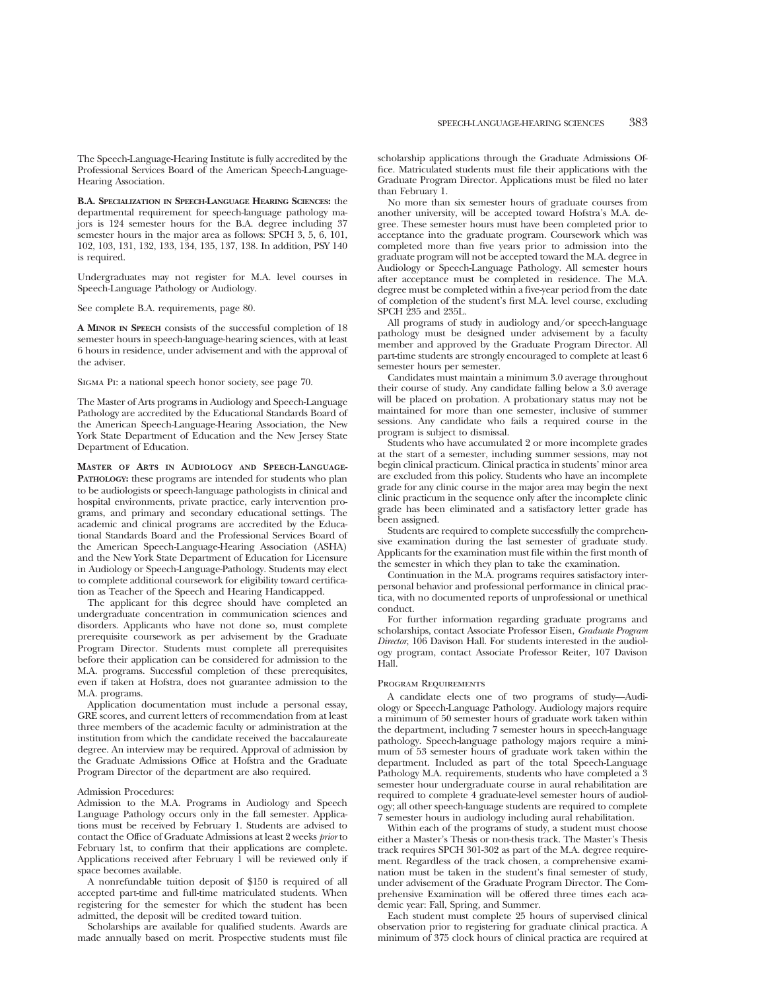The Speech-Language-Hearing Institute is fully accredited by the Professional Services Board of the American Speech-Language-Hearing Association.

**B.A. SPECIALIZATION IN SPEECH-LANGUAGE HEARING SCIENCES:** the departmental requirement for speech-language pathology majors is 124 semester hours for the B.A. degree including 37 semester hours in the major area as follows: SPCH 3, 5, 6, 101, 102, 103, 131, 132, 133, 134, 135, 137, 138. In addition, PSY 140 is required.

Undergraduates may not register for M.A. level courses in Speech-Language Pathology or Audiology.

See complete B.A. requirements, page 80.

**A MINOR IN SPEECH** consists of the successful completion of 18 semester hours in speech-language-hearing sciences, with at least 6 hours in residence, under advisement and with the approval of the adviser.

Sigma Pi: a national speech honor society, see page 70.

The Master of Arts programs in Audiology and Speech-Language Pathology are accredited by the Educational Standards Board of the American Speech-Language-Hearing Association, the New York State Department of Education and the New Jersey State Department of Education.

**MASTER OF ARTS IN AUDIOLOGY AND SPEECH-LANGUAGE-PATHOLOGY:** these programs are intended for students who plan to be audiologists or speech-language pathologists in clinical and hospital environments, private practice, early intervention programs, and primary and secondary educational settings. The academic and clinical programs are accredited by the Educational Standards Board and the Professional Services Board of the American Speech-Language-Hearing Association (ASHA) and the New York State Department of Education for Licensure in Audiology or Speech-Language-Pathology. Students may elect to complete additional coursework for eligibility toward certification as Teacher of the Speech and Hearing Handicapped.

The applicant for this degree should have completed an undergraduate concentration in communication sciences and disorders. Applicants who have not done so, must complete prerequisite coursework as per advisement by the Graduate Program Director. Students must complete all prerequisites before their application can be considered for admission to the M.A. programs. Successful completion of these prerequisites, even if taken at Hofstra, does not guarantee admission to the M.A. programs.

Application documentation must include a personal essay, GRE scores, and current letters of recommendation from at least three members of the academic faculty or administration at the institution from which the candidate received the baccalaureate degree. An interview may be required. Approval of admission by the Graduate Admissions Office at Hofstra and the Graduate Program Director of the department are also required.

#### Admission Procedures:

Admission to the M.A. Programs in Audiology and Speech Language Pathology occurs only in the fall semester. Applications must be received by February 1. Students are advised to contact the Office of Graduate Admissions at least 2 weeks *prior* to February 1st, to confirm that their applications are complete. Applications received after February  $\frac{1}{1}$  will be reviewed only if space becomes available.

A nonrefundable tuition deposit of \$150 is required of all accepted part-time and full-time matriculated students. When registering for the semester for which the student has been admitted, the deposit will be credited toward tuition.

Scholarships are available for qualified students. Awards are made annually based on merit. Prospective students must file scholarship applications through the Graduate Admissions Office. Matriculated students must file their applications with the Graduate Program Director. Applications must be filed no later than February 1.

No more than six semester hours of graduate courses from another university, will be accepted toward Hofstra's M.A. degree. These semester hours must have been completed prior to acceptance into the graduate program. Coursework which was completed more than five years prior to admission into the graduate program will not be accepted toward the M.A. degree in Audiology or Speech-Language Pathology. All semester hours after acceptance must be completed in residence. The M.A. degree must be completed within a five-year period from the date of completion of the student's first M.A. level course, excluding SPCH 235 and 235L.

All programs of study in audiology and/or speech-language pathology must be designed under advisement by a faculty member and approved by the Graduate Program Director. All part-time students are strongly encouraged to complete at least 6 semester hours per semester.

Candidates must maintain a minimum 3.0 average throughout their course of study. Any candidate falling below a 3.0 average will be placed on probation. A probationary status may not be maintained for more than one semester, inclusive of summer sessions. Any candidate who fails a required course in the program is subject to dismissal.

Students who have accumulated 2 or more incomplete grades at the start of a semester, including summer sessions, may not begin clinical practicum. Clinical practica in students' minor area are excluded from this policy. Students who have an incomplete grade for any clinic course in the major area may begin the next clinic practicum in the sequence only after the incomplete clinic grade has been eliminated and a satisfactory letter grade has been assigned.

Students are required to complete successfully the comprehensive examination during the last semester of graduate study. Applicants for the examination must file within the first month of the semester in which they plan to take the examination.

Continuation in the M.A. programs requires satisfactory interpersonal behavior and professional performance in clinical practica, with no documented reports of unprofessional or unethical conduct.

For further information regarding graduate programs and scholarships, contact Associate Professor Eisen, *Graduate Program Director*, 106 Davison Hall. For students interested in the audiology program, contact Associate Professor Reiter, 107 Davison Hall.

#### Program Requirements

A candidate elects one of two programs of study—Audiology or Speech-Language Pathology. Audiology majors require a minimum of 50 semester hours of graduate work taken within the department, including 7 semester hours in speech-language pathology. Speech-language pathology majors require a minimum of 53 semester hours of graduate work taken within the department. Included as part of the total Speech-Language Pathology M.A. requirements, students who have completed a 3 semester hour undergraduate course in aural rehabilitation are required to complete 4 graduate-level semester hours of audiology; all other speech-language students are required to complete 7 semester hours in audiology including aural rehabilitation.

Within each of the programs of study, a student must choose either a Master's Thesis or non-thesis track. The Master's Thesis track requires SPCH 301-302 as part of the M.A. degree requirement. Regardless of the track chosen, a comprehensive examination must be taken in the student's final semester of study, under advisement of the Graduate Program Director. The Comprehensive Examination will be offered three times each academic year: Fall, Spring, and Summer.

Each student must complete 25 hours of supervised clinical observation prior to registering for graduate clinical practica. A minimum of 375 clock hours of clinical practica are required at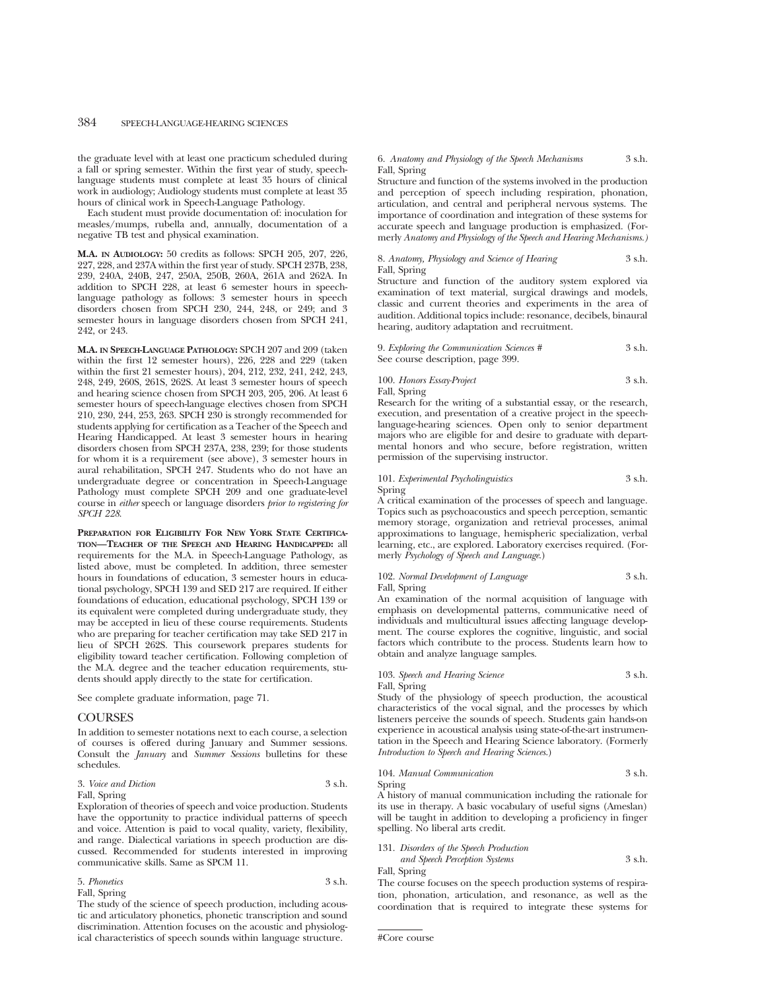the graduate level with at least one practicum scheduled during a fall or spring semester. Within the first year of study, speechlanguage students must complete at least 35 hours of clinical work in audiology; Audiology students must complete at least 35 hours of clinical work in Speech-Language Pathology.

Each student must provide documentation of: inoculation for measles/mumps, rubella and, annually, documentation of a negative TB test and physical examination.

**M.A. IN AUDIOLOGY:** 50 credits as follows: SPCH 205, 207, 226, 227, 228, and 237A within the first year of study. SPCH 237B, 238, 239, 240A, 240B, 247, 250A, 250B, 260A, 261A and 262A. In addition to SPCH 228, at least 6 semester hours in speechlanguage pathology as follows: 3 semester hours in speech disorders chosen from SPCH 230, 244, 248, or 249; and 3 semester hours in language disorders chosen from SPCH 241, 242, or 243.

**M.A. IN SPEECH-LANGUAGE PATHOLOGY:** SPCH 207 and 209 (taken within the first 12 semester hours), 226, 228 and 229 (taken within the first 21 semester hours), 204, 212, 232, 241, 242, 243, 248, 249, 260S, 261S, 262S. At least 3 semester hours of speech and hearing science chosen from SPCH 203, 205, 206. At least 6 semester hours of speech-language electives chosen from SPCH 210, 230, 244, 253, 263. SPCH 230 is strongly recommended for students applying for certification as a Teacher of the Speech and Hearing Handicapped. At least 3 semester hours in hearing disorders chosen from SPCH 237A, 238, 239; for those students for whom it is a requirement (see above), 3 semester hours in aural rehabilitation, SPCH 247. Students who do not have an undergraduate degree or concentration in Speech-Language Pathology must complete SPCH 209 and one graduate-level course in *either* speech or language disorders *prior to registering for SPCH 228*.

**PREPARATION FOR ELIGIBILITY FOR NEW YORK STATE CERTIFICA-TION—TEACHER OF THE SPEECH AND HEARING HANDICAPPED:** all requirements for the M.A. in Speech-Language Pathology, as listed above, must be completed. In addition, three semester hours in foundations of education, 3 semester hours in educational psychology, SPCH 139 and SED 217 are required. If either foundations of education, educational psychology, SPCH 139 or its equivalent were completed during undergraduate study, they may be accepted in lieu of these course requirements. Students who are preparing for teacher certification may take SED 217 in lieu of SPCH 262S. This coursework prepares students for eligibility toward teacher certification. Following completion of the M.A. degree and the teacher education requirements, students should apply directly to the state for certification.

See complete graduate information, page 71.

#### **COURSES**

In addition to semester notations next to each course, a selection of courses is offered during January and Summer sessions. Consult the *January* and *Summer Sessions* bulletins for these schedules.

#### 3. *Voice and Diction* 3 s.h.

#### Fall, Spring

Exploration of theories of speech and voice production. Students have the opportunity to practice individual patterns of speech and voice. Attention is paid to vocal quality, variety, flexibility, and range. Dialectical variations in speech production are discussed. Recommended for students interested in improving communicative skills. Same as SPCM 11.

#### 5. *Phonetics* 3 s.h. Fall, Spring

The study of the science of speech production, including acoustic and articulatory phonetics, phonetic transcription and sound discrimination. Attention focuses on the acoustic and physiological characteristics of speech sounds within language structure.

#### 6. *Anatomy and Physiology of the Speech Mechanisms* 3 s.h. Fall, Spring

Structure and function of the systems involved in the production and perception of speech including respiration, phonation, articulation, and central and peripheral nervous systems. The importance of coordination and integration of these systems for accurate speech and language production is emphasized. (Formerly *Anatomy and Physiology of the Speech and Hearing Mechanisms.)*

#### 8. *Anatomy, Physiology and Science of Hearing* 3 s.h. Fall, Spring

Structure and function of the auditory system explored via examination of text material, surgical drawings and models, classic and current theories and experiments in the area of audition. Additional topics include: resonance, decibels, binaural hearing, auditory adaptation and recruitment.

| 9. Exploring the Communication Sciences # | 3 s.h. |
|-------------------------------------------|--------|
| See course description, page 399.         |        |

#### 100. *Honors Essay-Project* 3 s.h.

Fall, Spring

Research for the writing of a substantial essay, or the research, execution, and presentation of a creative project in the speechlanguage-hearing sciences. Open only to senior department majors who are eligible for and desire to graduate with departmental honors and who secure, before registration, written permission of the supervising instructor.

#### 101. *Experimental Psycholinguistics* 3 s.h.

Spring

A critical examination of the processes of speech and language. Topics such as psychoacoustics and speech perception, semantic memory storage, organization and retrieval processes, animal approximations to language, hemispheric specialization, verbal learning, etc., are explored. Laboratory exercises required. (Formerly *Psychology of Speech and Language*.)

#### 102. *Normal Development of Language* 3 s.h. Fall, Spring

An examination of the normal acquisition of language with emphasis on developmental patterns, communicative need of individuals and multicultural issues affecting language development. The course explores the cognitive, linguistic, and social factors which contribute to the process. Students learn how to obtain and analyze language samples.

### 103. *Speech and Hearing Science* 3 s.h.

Fall, Spring

Study of the physiology of speech production, the acoustical characteristics of the vocal signal, and the processes by which listeners perceive the sounds of speech. Students gain hands-on experience in acoustical analysis using state-of-the-art instrumentation in the Speech and Hearing Science laboratory. (Formerly

#### 104. *Manual Communication* 3 s.h. Spring

A history of manual communication including the rationale for its use in therapy. A basic vocabulary of useful signs (Ameslan) will be taught in addition to developing a proficiency in finger spelling. No liberal arts credit.

#### 131. *Disorders of the Speech Production*

*Introduction to Speech and Hearing Sciences*.)

| and Speech Perception Systems | 3 s.h. |
|-------------------------------|--------|
| Fall, Spring                  |        |

The course focuses on the speech production systems of respiration, phonation, articulation, and resonance, as well as the coordination that is required to integrate these systems for

```
#Core course
```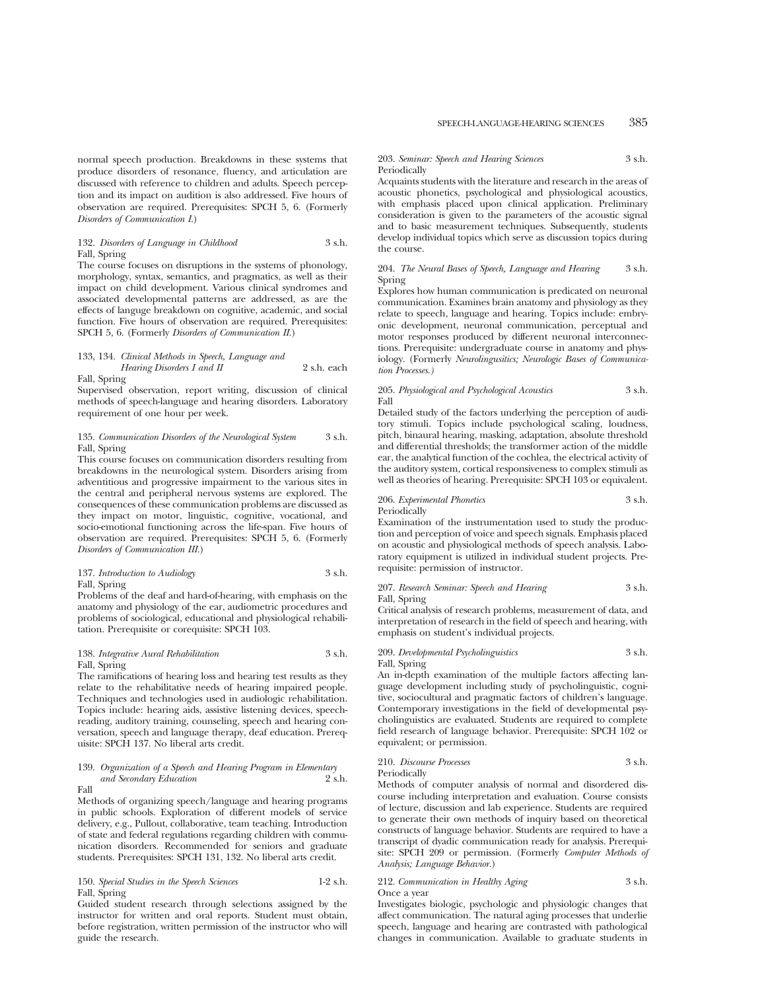normal speech production. Breakdowns in these systems that produce disorders of resonance, fluency, and articulation are discussed with reference to children and adults. Speech perception and its impact on audition is also addressed. Five hours of observation are required. Prerequisites: SPCH 5, 6. (Formerly *Disorders of Communication I*.)

#### 132. *Disorders of Language in Childhood* 3 s.h. Fall, Spring

The course focuses on disruptions in the systems of phonology, morphology, syntax, semantics, and pragmatics, as well as their impact on child development. Various clinical syndromes and associated developmental patterns are addressed, as are the effects of languge breakdown on cognitive, academic, and social function. Five hours of observation are required. Prerequisites: SPCH 5, 6. (Formerly *Disorders of Communication II*.)

#### 133, 134. *Clinical Methods in Speech, Language and Hearing Disorders I and II* 2 s.h. each Fall, Spring

Supervised observation, report writing, discussion of clinical methods of speech-language and hearing disorders. Laboratory requirement of one hour per week.

#### 135. *Communication Disorders of the Neurological System* 3 s.h. Fall, Spring

This course focuses on communication disorders resulting from breakdowns in the neurological system. Disorders arising from adventitious and progressive impairment to the various sites in the central and peripheral nervous systems are explored. The consequences of these communication problems are discussed as they impact on motor, linguistic, cognitive, vocational, and socio-emotional functioning across the life-span. Five hours of observation are required. Prerequisites: SPCH 5, 6. (Formerly *Disorders of Communication III*.)

#### 137. *Introduction to Audiology* 3 s.h. Fall, Spring

Problems of the deaf and hard-of-hearing, with emphasis on the anatomy and physiology of the ear, audiometric procedures and problems of sociological, educational and physiological rehabilitation. Prerequisite or corequisite: SPCH 103.

#### 138. *Integrative Aural Rehabilitation* 3 s.h. Fall, Spring

The ramifications of hearing loss and hearing test results as they relate to the rehabilitative needs of hearing impaired people. Techniques and technologies used in audiologic rehabilitation. Topics include: hearing aids, assistive listening devices, speechreading, auditory training, counseling, speech and hearing conversation, speech and language therapy, deaf education. Prerequisite: SPCH 137. No liberal arts credit.

#### 139. *Organization of a Speech and Hearing Program in Elementary*  $and$  Secondary Education Fall

Methods of organizing speech/language and hearing programs in public schools. Exploration of different models of service delivery, e.g., Pullout, collaborative, team teaching. Introduction of state and federal regulations regarding children with communication disorders. Recommended for seniors and graduate students. Prerequisites: SPCH 131, 132. No liberal arts credit.

#### 150. *Special Studies in the Speech Sciences* 1-2 s.h. Fall, Spring

Guided student research through selections assigned by the instructor for written and oral reports. Student must obtain, before registration, written permission of the instructor who will guide the research.

#### 203. *Seminar: Speech and Hearing Sciences* 3 s.h. Periodically

Acquaints students with the literature and research in the areas of acoustic phonetics, psychological and physiological acoustics, with emphasis placed upon clinical application. Preliminary consideration is given to the parameters of the acoustic signal and to basic measurement techniques. Subsequently, students develop individual topics which serve as discussion topics during the course.

#### 204. *The Neural Bases of Speech, Language and Hearing* 3 s.h. Spring

Explores how human communication is predicated on neuronal communication. Examines brain anatomy and physiology as they relate to speech, language and hearing. Topics include: embryonic development, neuronal communication, perceptual and motor responses produced by different neuronal interconnections. Prerequisite: undergraduate course in anatomy and physiology. (Formerly *Neurolingusitics; Neurologic Bases of Communication Processes.)*

#### 205. *Physiological and Psychological Acoustics* 3 s.h. Fall

Detailed study of the factors underlying the perception of auditory stimuli. Topics include psychological scaling, loudness, pitch, binaural hearing, masking, adaptation, absolute threshold and differential thresholds; the transformer action of the middle ear, the analytical function of the cochlea, the electrical activity of the auditory system, cortical responsiveness to complex stimuli as well as theories of hearing. Prerequisite: SPCH 103 or equivalent.

#### 206. *Experimental Phonetics* 3 s.h. Periodically

Examination of the instrumentation used to study the production and perception of voice and speech signals. Emphasis placed on acoustic and physiological methods of speech analysis. Laboratory equipment is utilized in individual student projects. Prerequisite: permission of instructor.

#### 207. *Research Seminar: Speech and Hearing* 3 s.h. Fall, Spring

Critical analysis of research problems, measurement of data, and interpretation of research in the field of speech and hearing, with emphasis on student's individual projects.

#### 209. *Developmental Psycholinguistics* 3 s.h. Fall, Spring

An in-depth examination of the multiple factors affecting language development including study of psycholinguistic, cognitive, sociocultural and pragmatic factors of children's language. Contemporary investigations in the field of developmental psycholinguistics are evaluated. Students are required to complete field research of language behavior. Prerequisite: SPCH 102 or equivalent; or permission.

#### 210. *Discourse Processes* 3 s.h. Periodically

Methods of computer analysis of normal and disordered discourse including interpretation and evaluation. Course consists of lecture, discussion and lab experience. Students are required to generate their own methods of inquiry based on theoretical constructs of language behavior. Students are required to have a transcript of dyadic communication ready for analysis. Prerequisite: SPCH 209 or permission. (Formerly *Computer Methods of Analysis; Language Behavior.*)

#### 212. *Communication in Healthy Aging* 3 s.h. Once a year

Investigates biologic, psychologic and physiologic changes that affect communication. The natural aging processes that underlie speech, language and hearing are contrasted with pathological changes in communication. Available to graduate students in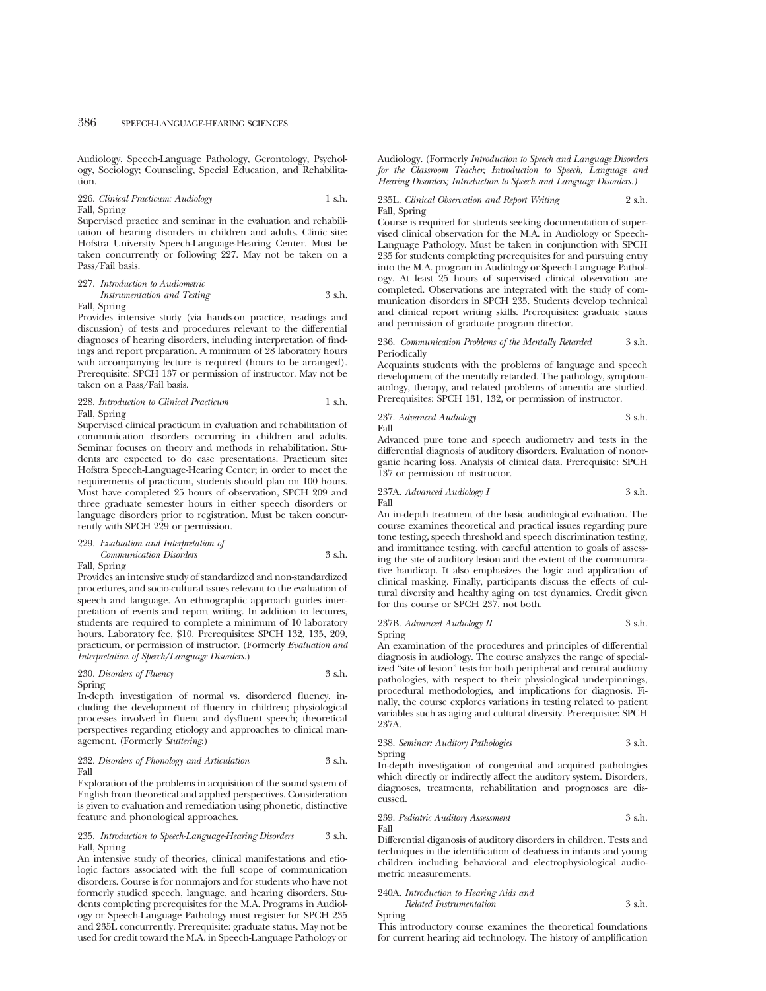Audiology, Speech-Language Pathology, Gerontology, Psychology, Sociology; Counseling, Special Education, and Rehabilitation.

#### 226. *Clinical Practicum: Audiology* 1 s.h. Fall, Spring

Supervised practice and seminar in the evaluation and rehabilitation of hearing disorders in children and adults. Clinic site: Hofstra University Speech-Language-Hearing Center. Must be taken concurrently or following 227. May not be taken on a Pass/Fail basis.

227. *Introduction to Audiometric Instrumentation and Testing* 3 s.h.

Fall, Spring

Provides intensive study (via hands-on practice, readings and discussion) of tests and procedures relevant to the differential diagnoses of hearing disorders, including interpretation of findings and report preparation. A minimum of 28 laboratory hours with accompanying lecture is required (hours to be arranged). Prerequisite: SPCH 137 or permission of instructor. May not be taken on a Pass/Fail basis.

#### 228. *Introduction to Clinical Practicum* 1 s.h. Fall, Spring

Supervised clinical practicum in evaluation and rehabilitation of communication disorders occurring in children and adults. Seminar focuses on theory and methods in rehabilitation. Students are expected to do case presentations. Practicum site: Hofstra Speech-Language-Hearing Center; in order to meet the requirements of practicum, students should plan on 100 hours. Must have completed 25 hours of observation, SPCH 209 and three graduate semester hours in either speech disorders or language disorders prior to registration. Must be taken concurrently with SPCH 229 or permission.

#### 229. *Evaluation and Interpretation of Communication Disorders* 3 s.h.

Fall, Spring

Provides an intensive study of standardized and non-standardized procedures, and socio-cultural issues relevant to the evaluation of speech and language. An ethnographic approach guides interpretation of events and report writing. In addition to lectures, students are required to complete a minimum of 10 laboratory hours. Laboratory fee, \$10. Prerequisites: SPCH 132, 135, 209, practicum, or permission of instructor. (Formerly *Evaluation and Interpretation of Speech/Language Disorders*.)

#### 230. *Disorders of Fluency* 3 s.h. Spring

In-depth investigation of normal vs. disordered fluency, including the development of fluency in children; physiological processes involved in fluent and dysfluent speech; theoretical perspectives regarding etiology and approaches to clinical management. (Formerly *Stuttering*.)

#### 232. *Disorders of Phonology and Articulation* 3 s.h. Fall

Exploration of the problems in acquisition of the sound system of English from theoretical and applied perspectives. Consideration is given to evaluation and remediation using phonetic, distinctive feature and phonological approaches.

#### 235. *Introduction to Speech-Language-Hearing Disorders* 3 s.h. Fall, Spring

An intensive study of theories, clinical manifestations and etiologic factors associated with the full scope of communication disorders. Course is for nonmajors and for students who have not formerly studied speech, language, and hearing disorders. Students completing prerequisites for the M.A. Programs in Audiology or Speech-Language Pathology must register for SPCH 235 and 235L concurrently. Prerequisite: graduate status. May not be used for credit toward the M.A. in Speech-Language Pathology or Audiology. (Formerly *Introduction to Speech and Language Disorders for the Classroom Teacher; Introduction to Speech, Language and Hearing Disorders; Introduction to Speech and Language Disorders.)*

#### 235L. *Clinical Observation and Report Writing* 2 s.h. Fall, Spring

Course is required for students seeking documentation of supervised clinical observation for the M.A. in Audiology or Speech-Language Pathology. Must be taken in conjunction with SPCH 235 for students completing prerequisites for and pursuing entry into the M.A. program in Audiology or Speech-Language Pathology. At least 25 hours of supervised clinical observation are completed. Observations are integrated with the study of communication disorders in SPCH 235. Students develop technical and clinical report writing skills. Prerequisites: graduate status and permission of graduate program director.

#### 236. *Communication Problems of the Mentally Retarded* 3 s.h. Periodically

Acquaints students with the problems of language and speech development of the mentally retarded. The pathology, symptomatology, therapy, and related problems of amentia are studied. Prerequisites: SPCH 131, 132, or permission of instructor.

237. *Advanced Audiology* 3 s.h. Fall

Advanced pure tone and speech audiometry and tests in the differential diagnosis of auditory disorders. Evaluation of nonorganic hearing loss. Analysis of clinical data. Prerequisite: SPCH 137 or permission of instructor.

$$
{\bf 237A.}\t
$$
  $Advanced\t$   $I$   $I$   $3 \t$  s.h. Fall

An in-depth treatment of the basic audiological evaluation. The course examines theoretical and practical issues regarding pure tone testing, speech threshold and speech discrimination testing, and immittance testing, with careful attention to goals of assessing the site of auditory lesion and the extent of the communicative handicap. It also emphasizes the logic and application of clinical masking. Finally, participants discuss the effects of cultural diversity and healthy aging on test dynamics. Credit given for this course or SPCH 237, not both.

237B. *Advanced Audiology II* 3 s.h. Spring

An examination of the procedures and principles of differential diagnosis in audiology. The course analyzes the range of specialized "site of lesion" tests for both peripheral and central auditory pathologies, with respect to their physiological underpinnings, procedural methodologies, and implications for diagnosis. Finally, the course explores variations in testing related to patient variables such as aging and cultural diversity. Prerequisite: SPCH 237A.

238. *Seminar: Auditory Pathologies* 3 s.h. Spring

In-depth investigation of congenital and acquired pathologies which directly or indirectly affect the auditory system. Disorders, diagnoses, treatments, rehabilitation and prognoses are discussed.

239. *Pediatric Auditory Assessment* 3 s.h. Fall

Differential diganosis of auditory disorders in children. Tests and techniques in the identification of deafness in infants and young children including behavioral and electrophysiological audiometric measurements.

#### 240A. *Introduction to Hearing Aids and Related Instrumentation* 3 s.h.

Spring

This introductory course examines the theoretical foundations for current hearing aid technology. The history of amplification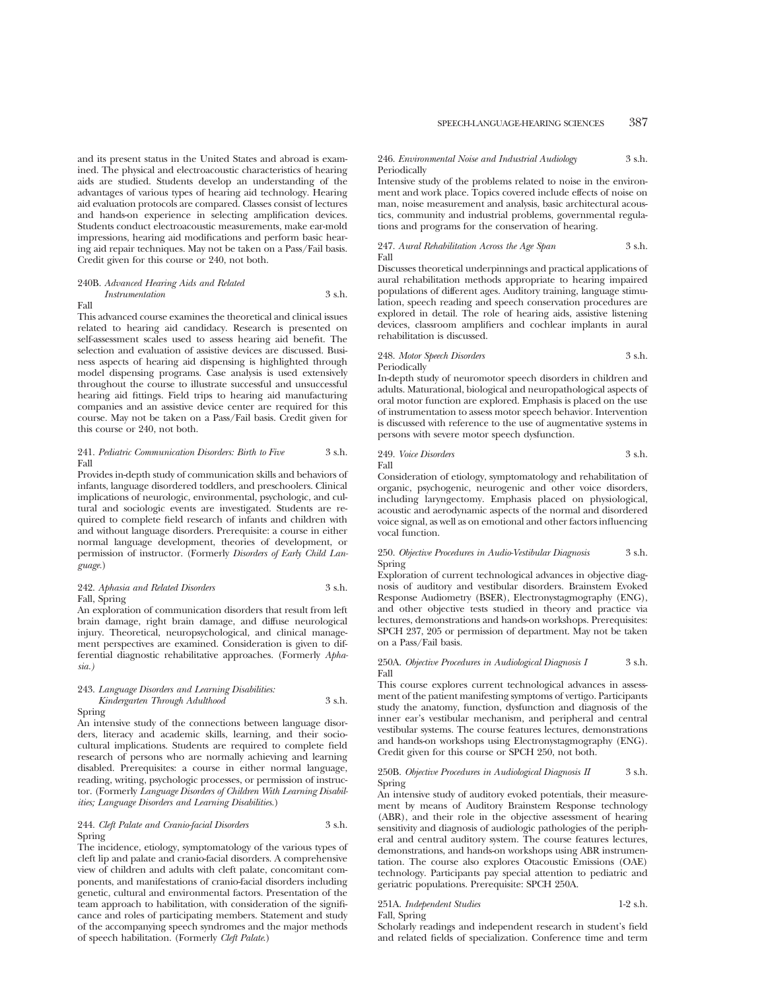and its present status in the United States and abroad is examined. The physical and electroacoustic characteristics of hearing aids are studied. Students develop an understanding of the advantages of various types of hearing aid technology. Hearing aid evaluation protocols are compared. Classes consist of lectures and hands-on experience in selecting amplification devices. Students conduct electroacoustic measurements, make ear-mold impressions, hearing aid modifications and perform basic hearing aid repair techniques. May not be taken on a Pass/Fail basis. Credit given for this course or 240, not both.

#### 240B. *Advanced Hearing Aids and Related Instrumentation* 3 s.h.

Fall

This advanced course examines the theoretical and clinical issues related to hearing aid candidacy. Research is presented on self-assessment scales used to assess hearing aid benefit. The selection and evaluation of assistive devices are discussed. Business aspects of hearing aid dispensing is highlighted through model dispensing programs. Case analysis is used extensively throughout the course to illustrate successful and unsuccessful hearing aid fittings. Field trips to hearing aid manufacturing companies and an assistive device center are required for this course. May not be taken on a Pass/Fail basis. Credit given for this course or 240, not both.

#### 241. *Pediatric Communication Disorders: Birth to Five* 3 s.h. Fall

Provides in-depth study of communication skills and behaviors of infants, language disordered toddlers, and preschoolers. Clinical implications of neurologic, environmental, psychologic, and cultural and sociologic events are investigated. Students are required to complete field research of infants and children with and without language disorders. Prerequisite: a course in either normal language development, theories of development, or permission of instructor. (Formerly *Disorders of Early Child Language.*)

#### 242. *Aphasia and Related Disorders* 3 s.h. Fall, Spring

An exploration of communication disorders that result from left brain damage, right brain damage, and diffuse neurological injury. Theoretical, neuropsychological, and clinical management perspectives are examined. Consideration is given to differential diagnostic rehabilitative approaches. (Formerly *Aphasia.)*

#### 243. *Language Disorders and Learning Disabilities: Kindergarten Through Adulthood* 3 s.h. Spring

An intensive study of the connections between language disorders, literacy and academic skills, learning, and their sociocultural implications. Students are required to complete field research of persons who are normally achieving and learning disabled. Prerequisites: a course in either normal language, reading, writing, psychologic processes, or permission of instructor. (Formerly *Language Disorders of Children With Learning Disabilities; Language Disorders and Learning Disabilities.*)

#### 244. *Cleft Palate and Cranio-facial Disorders* 3 s.h. Spring

The incidence, etiology, symptomatology of the various types of cleft lip and palate and cranio-facial disorders. A comprehensive view of children and adults with cleft palate, concomitant components, and manifestations of cranio-facial disorders including genetic, cultural and environmental factors. Presentation of the team approach to habilitation, with consideration of the significance and roles of participating members. Statement and study of the accompanying speech syndromes and the major methods of speech habilitation. (Formerly *Cleft Palate*.)

#### 246. *Environmental Noise and Industrial Audiology* 3 s.h. Periodically

Intensive study of the problems related to noise in the environment and work place. Topics covered include effects of noise on man, noise measurement and analysis, basic architectural acoustics, community and industrial problems, governmental regulations and programs for the conservation of hearing.

#### 247. *Aural Rehabilitation Across the Age Span* 3 s.h. Fall

Discusses theoretical underpinnings and practical applications of aural rehabilitation methods appropriate to hearing impaired populations of different ages. Auditory training, language stimulation, speech reading and speech conservation procedures are explored in detail. The role of hearing aids, assistive listening devices, classroom amplifiers and cochlear implants in aural rehabilitation is discussed.

#### 248. *Motor Speech Disorders* 3 s.h. Periodically

In-depth study of neuromotor speech disorders in children and adults. Maturational, biological and neuropathological aspects of oral motor function are explored. Emphasis is placed on the use of instrumentation to assess motor speech behavior. Intervention is discussed with reference to the use of augmentative systems in persons with severe motor speech dysfunction.

249. *Voice Disorders* 3 s.h. Fall

Consideration of etiology, symptomatology and rehabilitation of organic, psychogenic, neurogenic and other voice disorders, including laryngectomy. Emphasis placed on physiological, acoustic and aerodynamic aspects of the normal and disordered voice signal, as well as on emotional and other factors influencing vocal function.

#### 250. *Objective Procedures in Audio-Vestibular Diagnosis* 3 s.h. Spring

Exploration of current technological advances in objective diagnosis of auditory and vestibular disorders. Brainstem Evoked Response Audiometry (BSER), Electronystagmography (ENG), and other objective tests studied in theory and practice via lectures, demonstrations and hands-on workshops. Prerequisites: SPCH 237, 205 or permission of department. May not be taken on a Pass/Fail basis.

#### 250A. *Objective Procedures in Audiological Diagnosis I* 3 s.h. Fall

This course explores current technological advances in assessment of the patient manifesting symptoms of vertigo. Participants study the anatomy, function, dysfunction and diagnosis of the inner ear's vestibular mechanism, and peripheral and central vestibular systems. The course features lectures, demonstrations and hands-on workshops using Electronystagmography (ENG). Credit given for this course or SPCH 250, not both.

#### 250B. *Objective Procedures in Audiological Diagnosis II* 3 s.h. Spring

An intensive study of auditory evoked potentials, their measurement by means of Auditory Brainstem Response technology (ABR), and their role in the objective assessment of hearing sensitivity and diagnosis of audiologic pathologies of the peripheral and central auditory system. The course features lectures, demonstrations, and hands-on workshops using ABR instrumentation. The course also explores Otacoustic Emissions (OAE) technology. Participants pay special attention to pediatric and geriatric populations. Prerequisite: SPCH 250A.

### 251A. *Independent Studies* 1-2 s.h.

Fall, Spring

Scholarly readings and independent research in student's field and related fields of specialization. Conference time and term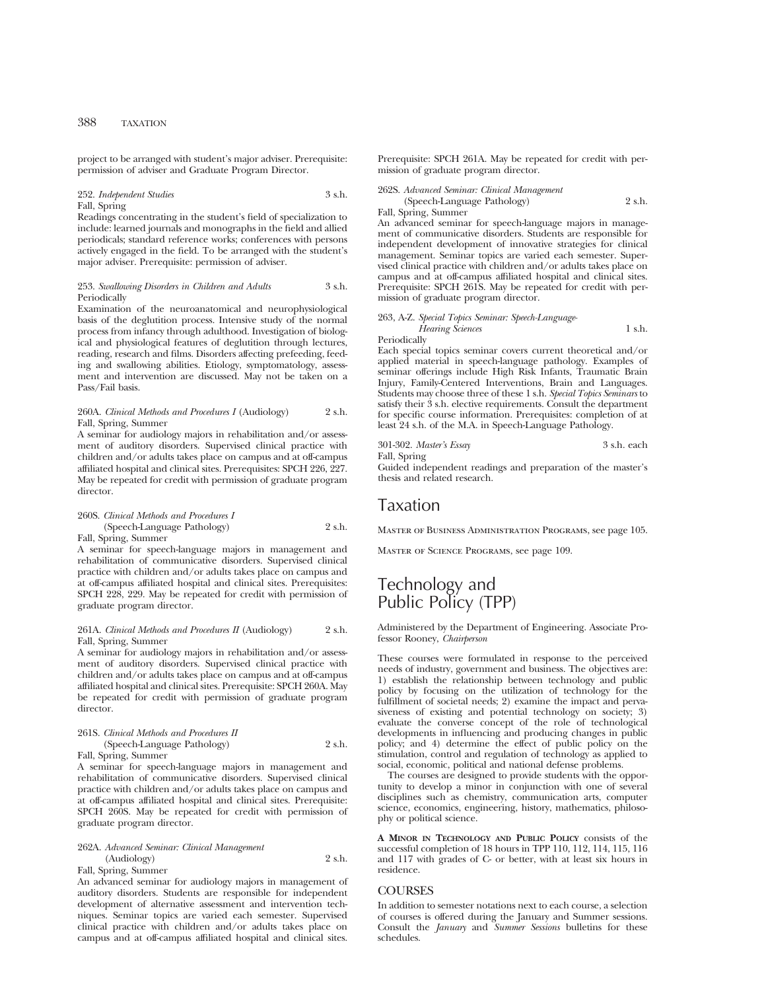project to be arranged with student's major adviser. Prerequisite: permission of adviser and Graduate Program Director.

#### 252. *Independent Studies* 3 s.h. Fall, Spring

Readings concentrating in the student's field of specialization to include: learned journals and monographs in the field and allied periodicals; standard reference works; conferences with persons actively engaged in the field. To be arranged with the student's major adviser. Prerequisite: permission of adviser.

#### 253. *Swallowing Disorders in Children and Adults* 3 s.h. Periodically

Examination of the neuroanatomical and neurophysiological basis of the deglutition process. Intensive study of the normal process from infancy through adulthood. Investigation of biological and physiological features of deglutition through lectures, reading, research and films. Disorders affecting prefeeding, feeding and swallowing abilities. Etiology, symptomatology, assessment and intervention are discussed. May not be taken on a Pass/Fail basis.

#### 260A. *Clinical Methods and Procedures I* (Audiology) 2 s.h. Fall, Spring, Summer

A seminar for audiology majors in rehabilitation and/or assessment of auditory disorders. Supervised clinical practice with children and/or adults takes place on campus and at off-campus affiliated hospital and clinical sites. Prerequisites: SPCH 226, 227. May be repeated for credit with permission of graduate program director.

#### 260S. *Clinical Methods and Procedures I* (Speech-Language Pathology) 2 s.h. Fall, Spring, Summer

A seminar for speech-language majors in management and rehabilitation of communicative disorders. Supervised clinical practice with children and/or adults takes place on campus and at off-campus affiliated hospital and clinical sites. Prerequisites: SPCH 228, 229. May be repeated for credit with permission of graduate program director.

#### 261A. *Clinical Methods and Procedures II* (Audiology) 2 s.h. Fall, Spring, Summer

A seminar for audiology majors in rehabilitation and/or assessment of auditory disorders. Supervised clinical practice with children and/or adults takes place on campus and at off-campus affiliated hospital and clinical sites. Prerequisite: SPCH 260A. May be repeated for credit with permission of graduate program director.

#### 261S. *Clinical Methods and Procedures II* (Speech-Language Pathology) 2 s.h. Fall, Spring, Summer

A seminar for speech-language majors in management and rehabilitation of communicative disorders. Supervised clinical practice with children and/or adults takes place on campus and at off-campus affiliated hospital and clinical sites. Prerequisite: SPCH 260S. May be repeated for credit with permission of graduate program director.

#### 262A. *Advanced Seminar: Clinical Management* (Audiology) 2 s.h.

Fall, Spring, Summer

An advanced seminar for audiology majors in management of auditory disorders. Students are responsible for independent development of alternative assessment and intervention techniques. Seminar topics are varied each semester. Supervised clinical practice with children and/or adults takes place on campus and at off-campus affiliated hospital and clinical sites. Prerequisite: SPCH 261A. May be repeated for credit with permission of graduate program director.

262S. *Advanced Seminar: Clinical Management* (Speech-Language Pathology) 2 s.h.

#### Fall, Spring, Summer

An advanced seminar for speech-language majors in management of communicative disorders. Students are responsible for independent development of innovative strategies for clinical management. Seminar topics are varied each semester. Supervised clinical practice with children and/or adults takes place on campus and at off-campus affiliated hospital and clinical sites. Prerequisite: SPCH 261S. May be repeated for credit with permission of graduate program director.

263, A-Z. *Special Topics Seminar: Speech-Language-Hearing Sciences* 1 s.h.

Periodically

Each special topics seminar covers current theoretical and/or applied material in speech-language pathology. Examples of seminar offerings include High Risk Infants, Traumatic Brain Injury, Family-Centered Interventions, Brain and Languages. Students may choose three of these 1 s.h. *Special Topics Seminars* to satisfy their  $\acute{3}$  s.h. elective requirements. Consult the department for specific course information. Prerequisites: completion of at least 24 s.h. of the M.A. in Speech-Language Pathology.

| 301-302. Master's Essay | 3 s.h. each |
|-------------------------|-------------|
| Fall, Spring            |             |

Guided independent readings and preparation of the master's thesis and related research.

### Taxation

Master of Business Administration Programs, see page 105.

Master of Science Programs, see page 109.

### Technology and Public Policy (TPP)

Administered by the Department of Engineering. Associate Professor Rooney, *Chairperson*

These courses were formulated in response to the perceived needs of industry, government and business. The objectives are: 1) establish the relationship between technology and public policy by focusing on the utilization of technology for the fulfillment of societal needs; 2) examine the impact and pervasiveness of existing and potential technology on society; 3) evaluate the converse concept of the role of technological developments in influencing and producing changes in public policy; and 4) determine the effect of public policy on the stimulation, control and regulation of technology as applied to social, economic, political and national defense problems.

The courses are designed to provide students with the opportunity to develop a minor in conjunction with one of several disciplines such as chemistry, communication arts, computer science, economics, engineering, history, mathematics, philosophy or political science.

**A MINOR IN TECHNOLOGY AND PUBLIC POLICY** consists of the successful completion of 18 hours in TPP 110, 112, 114, 115, 116 and 117 with grades of C- or better, with at least six hours in residence.

#### COURSES

In addition to semester notations next to each course, a selection of courses is offered during the January and Summer sessions. Consult the *January* and *Summer Sessions* bulletins for these schedules.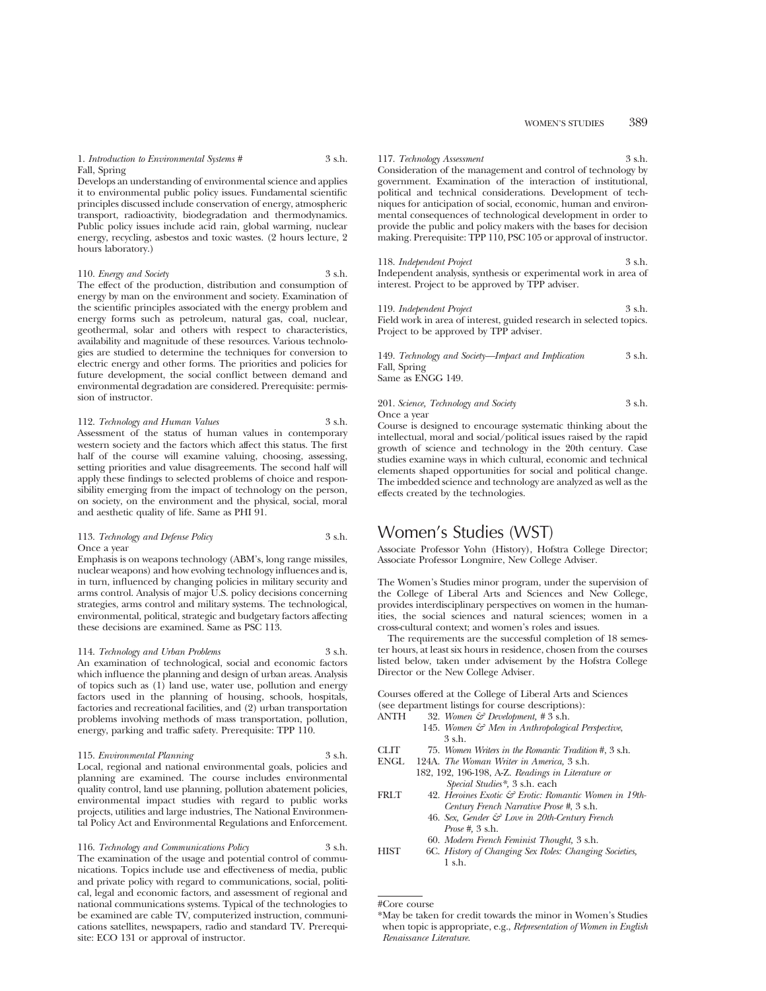1. *Introduction to Environmental Systems* # 3 s.h. Fall, Spring

Develops an understanding of environmental science and applies it to environmental public policy issues. Fundamental scientific principles discussed include conservation of energy, atmospheric transport, radioactivity, biodegradation and thermodynamics. Public policy issues include acid rain, global warming, nuclear energy, recycling, asbestos and toxic wastes. (2 hours lecture, 2 hours laboratory.)

#### 110. *Energy and Society* 3 s.h.

The effect of the production, distribution and consumption of energy by man on the environment and society. Examination of the scientific principles associated with the energy problem and energy forms such as petroleum, natural gas, coal, nuclear, geothermal, solar and others with respect to characteristics, availability and magnitude of these resources. Various technologies are studied to determine the techniques for conversion to electric energy and other forms. The priorities and policies for future development, the social conflict between demand and environmental degradation are considered. Prerequisite: permission of instructor.

### 112. *Technology and Human Values* 3 s.h.

Assessment of the status of human values in contemporary western society and the factors which affect this status. The first half of the course will examine valuing, choosing, assessing, setting priorities and value disagreements. The second half will apply these findings to selected problems of choice and responsibility emerging from the impact of technology on the person, on society, on the environment and the physical, social, moral and aesthetic quality of life. Same as PHI 91.

#### 113. *Technology and Defense Policy* 3 s.h. Once a year

Emphasis is on weapons technology (ABM's, long range missiles, nuclear weapons) and how evolving technology influences and is, in turn, influenced by changing policies in military security and arms control. Analysis of major U.S. policy decisions concerning strategies, arms control and military systems. The technological, environmental, political, strategic and budgetary factors affecting these decisions are examined. Same as PSC 113.

#### 114. *Technology and Urban Problems* 3 s.h. An examination of technological, social and economic factors which influence the planning and design of urban areas. Analysis of topics such as (1) land use, water use, pollution and energy factors used in the planning of housing, schools, hospitals, factories and recreational facilities, and (2) urban transportation problems involving methods of mass transportation, pollution, energy, parking and traffic safety. Prerequisite: TPP 110.

#### 115. *Environmental Planning* 3 s.h.

Local, regional and national environmental goals, policies and planning are examined. The course includes environmental quality control, land use planning, pollution abatement policies, environmental impact studies with regard to public works projects, utilities and large industries, The National Environmental Policy Act and Environmental Regulations and Enforcement.

116. *Technology and Communications Policy* 

The examination of the usage and potential control of communications. Topics include use and effectiveness of media, public and private policy with regard to communications, social, political, legal and economic factors, and assessment of regional and national communications systems. Typical of the technologies to be examined are cable TV, computerized instruction, communications satellites, newspapers, radio and standard TV. Prerequisite: ECO 131 or approval of instructor.

117. *Technology Assessment* 3 s.h. Consideration of the management and control of technology by government. Examination of the interaction of institutional, political and technical considerations. Development of techniques for anticipation of social, economic, human and environmental consequences of technological development in order to provide the public and policy makers with the bases for decision making. Prerequisite: TPP 110, PSC 105 or approval of instructor.

118. *Independent Project* 3 s.h. Independent analysis, synthesis or experimental work in area of interest. Project to be approved by TPP adviser.

119. *Independent Project* 3 s.h. Field work in area of interest, guided research in selected topics. Project to be approved by TPP adviser.

149. *Technology and Society—Impact and Implication* 3 s.h. Fall, Spring Same as ENGG 149.

#### 201. *Science, Technology and Society* 3 s.h. Once a year

Course is designed to encourage systematic thinking about the intellectual, moral and social/political issues raised by the rapid growth of science and technology in the 20th century. Case studies examine ways in which cultural, economic and technical elements shaped opportunities for social and political change. The imbedded science and technology are analyzed as well as the effects created by the technologies.

### Women's Studies (WST)

Associate Professor Yohn (History), Hofstra College Director; Associate Professor Longmire, New College Adviser.

The Women's Studies minor program, under the supervision of the College of Liberal Arts and Sciences and New College, provides interdisciplinary perspectives on women in the humanities, the social sciences and natural sciences; women in a cross-cultural context; and women's roles and issues.

The requirements are the successful completion of 18 semester hours, at least six hours in residence, chosen from the courses listed below, taken under advisement by the Hofstra College Director or the New College Adviser.

Courses offered at the College of Liberal Arts and Sciences (see department listings for course descriptions):<br>ANTH 32. Women  $\mathcal{F}$  Development, #3 s.h.

- ANTH 32. *Women & Development, #* 3 s.h.
	- 145. *Women & Men in Anthropological Perspective*, 3 s.h.
- CLIT 75. *Women Writers in the Romantic Tradition* #, 3 s.h.
- ENGL 124A. *The Woman Writer in America,* 3 s.h.
	- 182, 192, 196-198, A-Z. *Readings in Literature or Special Studies\*,* 3 s.h. each
- FRLT 42. *Heroines Exotic & Erotic: Romantic Women in 19th-Century French Narrative Prose #*, 3 s.h.
	- 46. *Sex, Gender & Love in 20th-Century French Prose #,* 3 s.h.
	- 60. *Modern French Feminist Thought,* 3 s.h.
- HIST 6C. *History of Changing Sex Roles: Changing Societies,* 1 s.h.

<sup>#</sup>Core course

<sup>\*</sup>May be taken for credit towards the minor in Women's Studies when topic is appropriate, e.g., *Representation of Women in English Renaissance Literature.*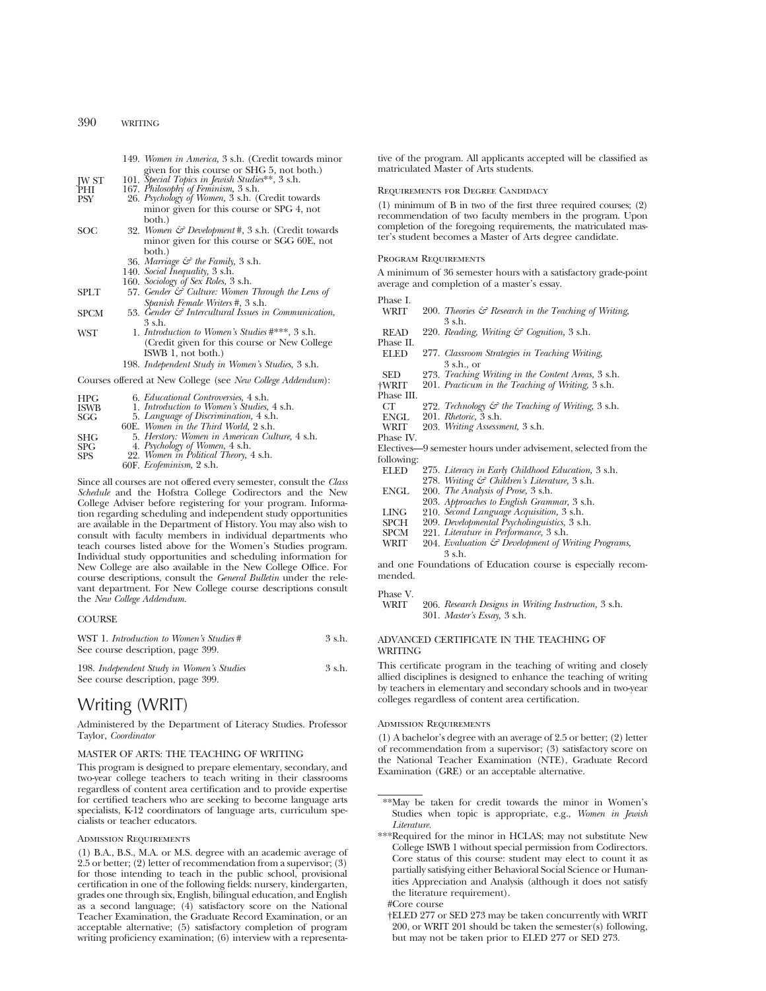|       | 149. Women in America, 3 s.h. (Credit towards minor |
|-------|-----------------------------------------------------|
|       | given for this course or SHG 5, not both.)          |
| JW ST | 101. Special Topics in Jewish Studies**, 3 s.h.     |

- 
- PHI 167. *Philosophy of Feminism,* 3 s.h. PSY 26. *Psychology of Women,* 3 s.h. (Credit towards minor given for this course or SPG 4, not both.)
- SOC 32. *Women & Development* #, 3 s.h. (Credit towards minor given for this course or SGG 60E, not both.)
	- 36. *Marriage & the Family,* 3 s.h.
	- 140. *Social Inequality,* 3 s.h.
	- 160. *Sociology of Sex Roles,* 3 s.h.
- SPLT 57. *Gender & Culture: Women Through the Lens of Spanish Female Writers* #, 3 s.h.
- SPCM 53. *Gender & Intercultural Issues in Communication,* 3 s.h.
- WST 1. *Introduction to Women's Studies* #\*\*\*, 3 s.h. (Credit given for this course or New College ISWB 1, not both.)
	- 198. *Independent Study in Women's Studies,* 3 s.h.

Courses offered at New College (see *New College Addendum*):

| HPG         | 6. <i>Educational Controversies</i> , 4 s.h.                            |
|-------------|-------------------------------------------------------------------------|
| <b>ISWB</b> | 1. Introduction to Women's Studies, 4 s.h.                              |
| SGG         | 5. Language of Discrimination, 4 s.h.                                   |
|             | 60E. Women in the Third World, 2 s.h.                                   |
| <b>SHG</b>  | 5. Herstory: Women in American Culture, 4 s.h.                          |
| <b>SPG</b>  |                                                                         |
| <b>SPS</b>  | 4. Psychology of Women, 4 s.h.<br>22. Women in Political Theory, 4 s.h. |
|             | 60F. Ecofeminism, 2 s.h.                                                |

Since all courses are not offered every semester, consult the *Class Schedule* and the Hofstra College Codirectors and the New College Adviser before registering for your program. Information regarding scheduling and independent study opportunities are available in the Department of History. You may also wish to consult with faculty members in individual departments who teach courses listed above for the Women's Studies program. Individual study opportunities and scheduling information for New College are also available in the New College Office. For course descriptions, consult the *General Bulletin* under the relevant department. For New College course descriptions consult the *New College Addendum.*

#### **COURSE**

| WST 1. Introduction to Women's Studies #<br>See course description, page 399.  | $3$ s.h. |
|--------------------------------------------------------------------------------|----------|
| 198. Independent Study in Women's Studies<br>See course description, page 399. | $3$ s.h. |

## Writing (WRIT)

Administered by the Department of Literacy Studies. Professor Taylor, *Coordinator*

#### MASTER OF ARTS: THE TEACHING OF WRITING

This program is designed to prepare elementary, secondary, and two-year college teachers to teach writing in their classrooms regardless of content area certification and to provide expertise for certified teachers who are seeking to become language arts specialists, K-12 coordinators of language arts, curriculum specialists or teacher educators.

#### Admission Requirements

(1) B.A., B.S., M.A. or M.S. degree with an academic average of 2.5 or better; (2) letter of recommendation from a supervisor; (3) for those intending to teach in the public school, provisional certification in one of the following fields: nursery, kindergarten, grades one through six, English, bilingual education, and English as a second language; (4) satisfactory score on the National Teacher Examination, the Graduate Record Examination, or an acceptable alternative; (5) satisfactory completion of program writing proficiency examination; (6) interview with a representative of the program. All applicants accepted will be classified as matriculated Master of Arts students.

#### Requirements for Degree Candidacy

(1) minimum of B in two of the first three required courses; (2) recommendation of two faculty members in the program. Upon completion of the foregoing requirements, the matriculated master's student becomes a Master of Arts degree candidate.

#### Program Requirements

A minimum of 36 semester hours with a satisfactory grade-point average and completion of a master's essay.

# Phase I.

- 200. *Theories & Research in the Teaching of Writing*, 3 s.h. READ 220. *Reading, Writing & Cognition,* 3 s.h. Phase II. ELED 277. *Classroom Strategies in Teaching Writing,* 3 s.h., or SED 273. *Teaching Writing in the Content Areas,* 3 s.h. †WRIT 201. *Practicum in the Teaching of Writing,* 3 s.h. Phase III.<br>CT CT 272. *Technology & the Teaching of Writing,* 3 s.h. ENGL 201. *Rhetoric*,  $\overline{3}$  s.h.<br>WRIT 203 *Writing Assessn* WRIT 203. *Writing Assessment,* 3 s.h. Phase IV. Electives—9 semester hours under advisement, selected from the following: 275. *Literacy in Early Childhood Education*, 3 s.h. 278. *Writing & Children's Literature,* 3 s.h. ENGL 200. *The Analysis of Prose,* 3 s.h. 203. *Approaches to English Grammar,* 3 s.h. LING 210. *Second Language Acquisition,* 3 s.h. SPCH 209. *Developmental Psycholinguistics,* 3 s.h.
- SPCM 221. *Literature in Performance,* 3 s.h. 204. *Evaluation & Development of Writing Programs,* 3 s.h.

and one Foundations of Education course is especially recommended.

## Phase V.

206. *Research Designs in Writing Instruction*, 3 s.h. 301. *Master's Essay,* 3 s.h.

#### ADVANCED CERTIFICATE IN THE TEACHING OF **WRITING**

This certificate program in the teaching of writing and closely allied disciplines is designed to enhance the teaching of writing by teachers in elementary and secondary schools and in two-year colleges regardless of content area certification.

#### Admission Requirements

(1) A bachelor's degree with an average of 2.5 or better; (2) letter of recommendation from a supervisor; (3) satisfactory score on the National Teacher Examination (NTE), Graduate Record Examination (GRE) or an acceptable alternative.

- \*\*May be taken for credit towards the minor in Women's Studies when topic is appropriate, e.g., *Women in Jewish Literature.*
- \*\*\*Required for the minor in HCLAS; may not substitute New College ISWB 1 without special permission from Codirectors. Core status of this course: student may elect to count it as partially satisfying either Behavioral Social Science or Humanities Appreciation and Analysis (although it does not satisfy the literature requirement).

†ELED 277 or SED 273 may be taken concurrently with WRIT 200, or WRIT 201 should be taken the semester(s) following, but may not be taken prior to ELED 277 or SED 273.

<sup>#</sup>Core course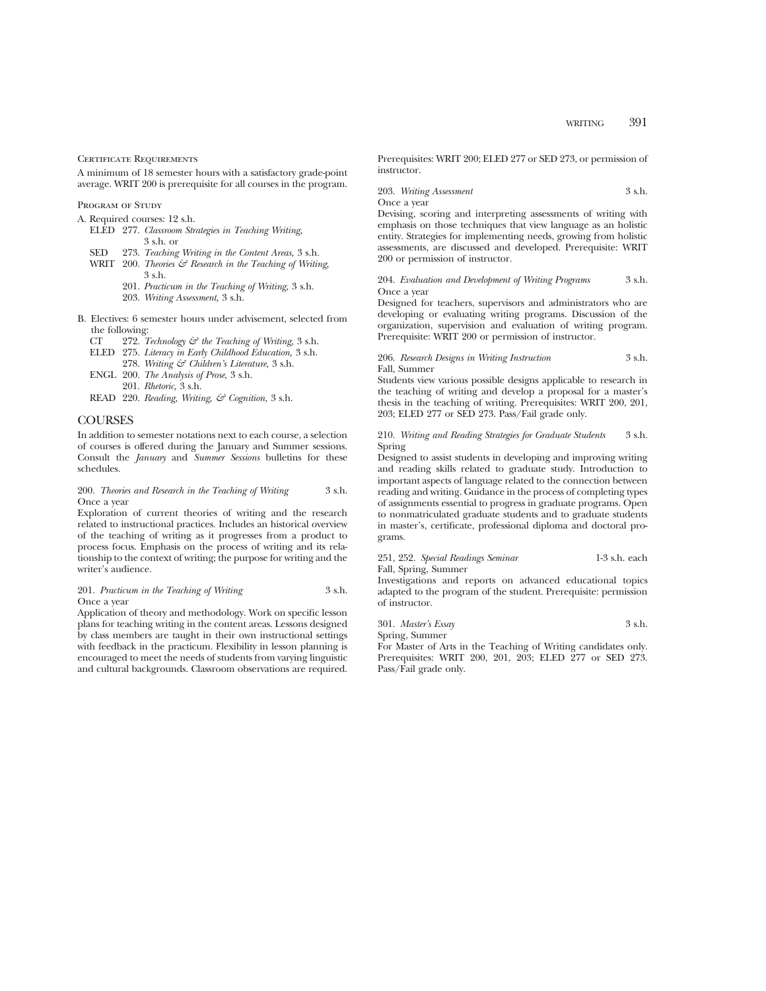#### CERTIFICATE REQUIREMENTS

A minimum of 18 semester hours with a satisfactory grade-point average. WRIT 200 is prerequisite for all courses in the program.

PROGRAM OF STUDY

- A. Required courses: 12 s.h.
	- ELED 277. *Classroom Strategies in Teaching Writing,* 3 s.h. or
	- SED 273. *Teaching Writing in the Content Areas,* 3 s.h.
	- WRIT 200. *Theories & Research in the Teaching of Writing,* 3 s.h.
		- 201. *Practicum in the Teaching of Writing,* 3 s.h.
		- 203. *Writing Assessment,* 3 s.h.
- B. Electives: 6 semester hours under advisement, selected from the following:
	- CT 272. *Technology & the Teaching of Writing,* 3 s.h.
	- ELED 275. *Literacy in Early Childhood Education,* 3 s.h.
		- 278. *Writing & Children's Literature,* 3 s.h.
	- ENGL 200. *The Analysis of Prose,* 3 s.h.
	- 201. *Rhetoric,* 3 s.h.
	- READ 220. *Reading, Writing, & Cognition,* 3 s.h.

#### **COURSES**

In addition to semester notations next to each course, a selection of courses is offered during the January and Summer sessions. Consult the *January* and *Summer Sessions* bulletins for these schedules.

#### 200. *Theories and Research in the Teaching of Writing* 3 s.h. Once a year

Exploration of current theories of writing and the research related to instructional practices. Includes an historical overview of the teaching of writing as it progresses from a product to process focus. Emphasis on the process of writing and its relationship to the context of writing; the purpose for writing and the writer's audience.

#### 201. *Practicum in the Teaching of Writing* 3 s.h. Once a year

Application of theory and methodology. Work on specific lesson plans for teaching writing in the content areas. Lessons designed by class members are taught in their own instructional settings with feedback in the practicum. Flexibility in lesson planning is encouraged to meet the needs of students from varying linguistic and cultural backgrounds. Classroom observations are required. Prerequisites: WRIT 200; ELED 277 or SED 273, or permission of instructor.

203. *Writing Assessment* 3 s.h.

Once a year

Devising, scoring and interpreting assessments of writing with emphasis on those techniques that view language as an holistic entity. Strategies for implementing needs, growing from holistic assessments, are discussed and developed. Prerequisite: WRIT 200 or permission of instructor.

#### 204. *Evaluation and Development of Writing Programs* 3 s.h. Once a year

Designed for teachers, supervisors and administrators who are developing or evaluating writing programs. Discussion of the organization, supervision and evaluation of writing program. Prerequisite: WRIT 200 or permission of instructor.

206. *Research Designs in Writing Instruction* 3 s.h. Fall, Summer

Students view various possible designs applicable to research in the teaching of writing and develop a proposal for a master's thesis in the teaching of writing. Prerequisites: WRIT 200, 201, 203; ELED 277 or SED 273. Pass/Fail grade only.

#### 210. *Writing and Reading Strategies for Graduate Students* 3 s.h. Spring

Designed to assist students in developing and improving writing and reading skills related to graduate study. Introduction to important aspects of language related to the connection between reading and writing. Guidance in the process of completing types of assignments essential to progress in graduate programs. Open to nonmatriculated graduate students and to graduate students in master's, certificate, professional diploma and doctoral programs.

251, 252. *Special Readings Seminar* 1-3 s.h. each Fall, Spring, Summer

Investigations and reports on advanced educational topics adapted to the program of the student. Prerequisite: permission of instructor.

301. *Master's Essay* 3 s.h. Spring, Summer

For Master of Arts in the Teaching of Writing candidates only. Prerequisites: WRIT 200, 201, 203; ELED 277 or SED 273. Pass/Fail grade only.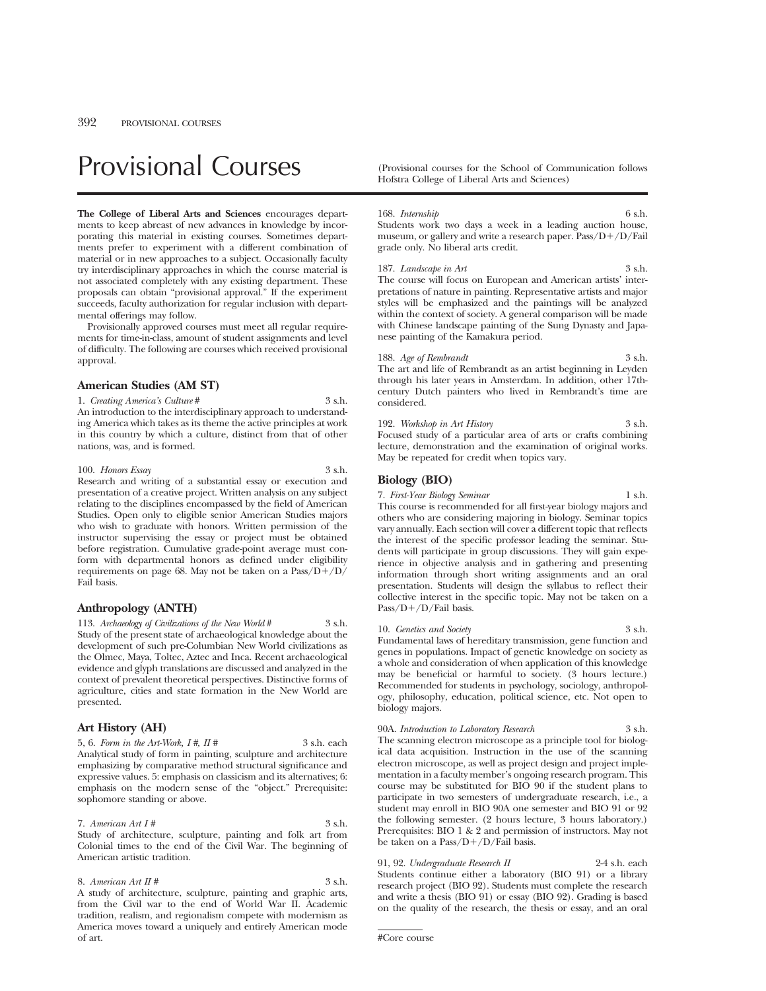# Provisional Courses (Provisional courses for the School of Communication follows

**The College of Liberal Arts and Sciences** encourages departments to keep abreast of new advances in knowledge by incorporating this material in existing courses. Sometimes departments prefer to experiment with a different combination of material or in new approaches to a subject. Occasionally faculty try interdisciplinary approaches in which the course material is not associated completely with any existing department. These proposals can obtain "provisional approval." If the experiment succeeds, faculty authorization for regular inclusion with departmental offerings may follow.

Provisionally approved courses must meet all regular requirements for time-in-class, amount of student assignments and level of difficulty. The following are courses which received provisional approval.

#### **American Studies (AM ST)**

1. *Creating America's Culture* # 3 s.h. An introduction to the interdisciplinary approach to understanding America which takes as its theme the active principles at work in this country by which a culture, distinct from that of other nations, was, and is formed.

#### 100. *Honors Essay* 3 s.h.

Research and writing of a substantial essay or execution and presentation of a creative project. Written analysis on any subject relating to the disciplines encompassed by the field of American Studies. Open only to eligible senior American Studies majors who wish to graduate with honors. Written permission of the instructor supervising the essay or project must be obtained before registration. Cumulative grade-point average must conform with departmental honors as defined under eligibility requirements on page 68. May not be taken on a  $Pass/D+/D/$ Fail basis.

#### **Anthropology (ANTH)**

113. *Archaeology of Civilizations of the New World* # 3 s.h. Study of the present state of archaeological knowledge about the development of such pre-Columbian New World civilizations as the Olmec, Maya, Toltec, Aztec and Inca. Recent archaeological evidence and glyph translations are discussed and analyzed in the context of prevalent theoretical perspectives. Distinctive forms of agriculture, cities and state formation in the New World are presented.

#### **Art History (AH)**

5, 6. *Form in the Art-Work, I #, II #* 3 s.h. each Analytical study of form in painting, sculpture and architecture emphasizing by comparative method structural significance and expressive values. 5: emphasis on classicism and its alternatives; 6: emphasis on the modern sense of the "object." Prerequisite: sophomore standing or above.

7. *American Art I #* 3 s.h. Study of architecture, sculpture, painting and folk art from Colonial times to the end of the Civil War. The beginning of American artistic tradition.

8. *American Art II* # 3 s.h. A study of architecture, sculpture, painting and graphic arts, from the Civil war to the end of World War II. Academic tradition, realism, and regionalism compete with modernism as America moves toward a uniquely and entirely American mode of art.

Hofstra College of Liberal Arts and Sciences)

#### 168. *Internship* 6 s.h.

Students work two days a week in a leading auction house, museum, or gallery and write a research paper. Pass/D+/D/Fail grade only. No liberal arts credit.

#### 187. *Landscape in Art* 3 s.h.

The course will focus on European and American artists' interpretations of nature in painting. Representative artists and major styles will be emphasized and the paintings will be analyzed within the context of society. A general comparison will be made with Chinese landscape painting of the Sung Dynasty and Japanese painting of the Kamakura period.

188. *Age of Rembrandt* 3 s.h. The art and life of Rembrandt as an artist beginning in Leyden through his later years in Amsterdam. In addition, other 17thcentury Dutch painters who lived in Rembrandt's time are considered.

192. *Workshop in Art History* 3 s.h. Focused study of a particular area of arts or crafts combining lecture, demonstration and the examination of original works. May be repeated for credit when topics vary.

#### **Biology (BIO)**

7. *First-Year Biology Seminar* 1 s.h. This course is recommended for all first-year biology majors and others who are considering majoring in biology. Seminar topics vary annually. Each section will cover a different topic that reflects the interest of the specific professor leading the seminar. Students will participate in group discussions. They will gain experience in objective analysis and in gathering and presenting information through short writing assignments and an oral presentation. Students will design the syllabus to reflect their collective interest in the specific topic. May not be taken on a  $Pass/D+/D/Fail basis.$ 

10. *Genetics and Society* Fundamental laws of hereditary transmission, gene function and genes in populations. Impact of genetic knowledge on society as a whole and consideration of when application of this knowledge may be beneficial or harmful to society. (3 hours lecture.) Recommended for students in psychology, sociology, anthropology, philosophy, education, political science, etc. Not open to biology majors.

90A. *Introduction to Laboratory Research* 3 s.h. The scanning electron microscope as a principle tool for biolog-

ical data acquisition. Instruction in the use of the scanning electron microscope, as well as project design and project implementation in a faculty member's ongoing research program. This course may be substituted for BIO 90 if the student plans to participate in two semesters of undergraduate research, i.e., a student may enroll in BIO 90A one semester and BIO 91 or 92 the following semester. (2 hours lecture, 3 hours laboratory.) Prerequisites: BIO 1 & 2 and permission of instructors. May not be taken on a  $Pass/D+/D/Fall$  basis.

91, 92. *Undergraduate Research II* 2-4 s.h. each Students continue either a laboratory (BIO 91) or a library research project (BIO 92). Students must complete the research and write a thesis (BIO 91) or essay (BIO 92). Grading is based on the quality of the research, the thesis or essay, and an oral

#Core course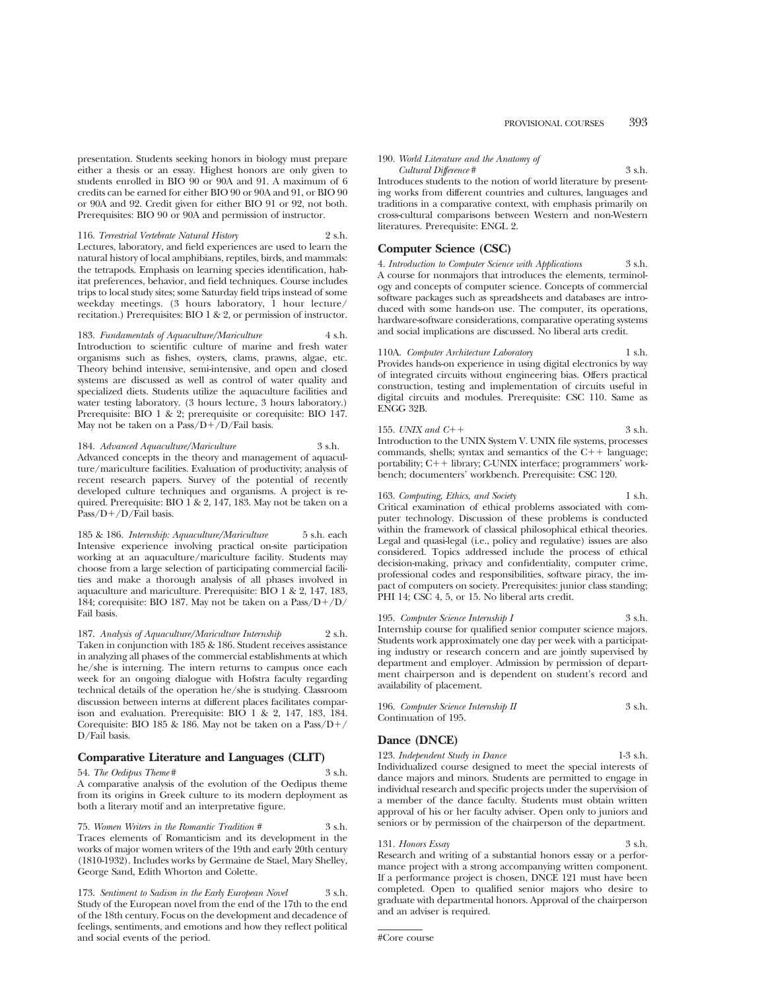presentation. Students seeking honors in biology must prepare either a thesis or an essay. Highest honors are only given to students enrolled in BIO 90 or 90A and 91. A maximum of 6 credits can be earned for either BIO 90 or 90A and 91, or BIO 90 or 90A and 92. Credit given for either BIO 91 or 92, not both. Prerequisites: BIO 90 or 90A and permission of instructor.

116. *Terrestrial Vertebrate Natural History* 2 s.h. Lectures, laboratory, and field experiences are used to learn the natural history of local amphibians, reptiles, birds, and mammals: the tetrapods. Emphasis on learning species identification, habitat preferences, behavior, and field techniques. Course includes trips to local study sites; some Saturday field trips instead of some weekday meetings. (3 hours laboratory, 1 hour lecture/ recitation.) Prerequisites: BIO 1 & 2, or permission of instructor.

183. Fundamentals of Aquaculture/Mariculture Introduction to scientific culture of marine and fresh water organisms such as fishes, oysters, clams, prawns, algae, etc. Theory behind intensive, semi-intensive, and open and closed systems are discussed as well as control of water quality and specialized diets. Students utilize the aquaculture facilities and water testing laboratory. (3 hours lecture, 3 hours laboratory.) Prerequisite: BIO 1 & 2; prerequisite or corequisite: BIO 147. May not be taken on a  $Pass/D+/D/Fall$  basis.

184. *Advanced Aquaculture/Mariculture* 3 s.h. Advanced concepts in the theory and management of aquaculture/mariculture facilities. Evaluation of productivity; analysis of recent research papers. Survey of the potential of recently developed culture techniques and organisms. A project is required. Prerequisite: BIO 1 & 2, 147, 183. May not be taken on a Pass/D+/D/Fail basis.

185 & 186. *Internship: Aquaculture/Mariculture* 5 s.h. each Intensive experience involving practical on-site participation working at an aquaculture/mariculture facility. Students may choose from a large selection of participating commercial facilities and make a thorough analysis of all phases involved in aquaculture and mariculture. Prerequisite: BIO 1 & 2, 147, 183, 184; corequisite: BIO 187. May not be taken on a  $Pass/D+/D/$ Fail basis.

187. *Analysis of Aquaculture/Mariculture Internship* 2 s.h. Taken in conjunction with 185 & 186. Student receives assistance in analyzing all phases of the commercial establishments at which he/she is interning. The intern returns to campus once each week for an ongoing dialogue with Hofstra faculty regarding technical details of the operation he/she is studying. Classroom discussion between interns at different places facilitates comparison and evaluation. Prerequisite: BIO  $1 \& 2$ , 147, 183, 184. Corequisite: BIO 185 & 186. May not be taken on a Pass/D+/ D/Fail basis.

#### **Comparative Literature and Languages (CLIT)**

#### 54. *The Oedipus Theme* # 3 s.h.

A comparative analysis of the evolution of the Oedipus theme from its origins in Greek culture to its modern deployment as both a literary motif and an interpretative figure.

75. *Women Writers in the Romantic Tradition #* 3 s.h. Traces elements of Romanticism and its development in the works of major women writers of the 19th and early 20th century (1810-1932). Includes works by Germaine de Stael, Mary Shelley, George Sand, Edith Whorton and Colette.

173. *Sentiment to Sadism in the Early European Novel* 3 s.h. Study of the European novel from the end of the 17th to the end of the 18th century. Focus on the development and decadence of feelings, sentiments, and emotions and how they reflect political and social events of the period.

#### 190. *World Literature and the Anatomy of Cultural Difference* # 3 s.h.

Introduces students to the notion of world literature by presenting works from different countries and cultures, languages and traditions in a comparative context, with emphasis primarily on cross-cultural comparisons between Western and non-Western literatures. Prerequisite: ENGL 2.

#### **Computer Science (CSC)**

4. *Introduction to Computer Science with Applications* 3 s.h. A course for nonmajors that introduces the elements, terminology and concepts of computer science. Concepts of commercial software packages such as spreadsheets and databases are introduced with some hands-on use. The computer, its operations, hardware-software considerations, comparative operating systems and social implications are discussed. No liberal arts credit.

110A. *Computer Architecture Laboratory* 1 s.h. Provides hands-on experience in using digital electronics by way of integrated circuits without engineering bias. Offers practical construction, testing and implementation of circuits useful in digital circuits and modules. Prerequisite: CSC 110. Same as ENGG 32B.

155. *UNIX and C*++  $\frac{3 \text{ s.h.}}{2}$ Introduction to the UNIX System V. UNIX file systems, processes commands, shells; syntax and semantics of the  $C++$  language; portability; C++ library; C-UNIX interface; programmers' workbench; documenters' workbench. Prerequisite: CSC 120.

163. *Computing, Ethics, and Society* 1 s.h. Critical examination of ethical problems associated with computer technology. Discussion of these problems is conducted within the framework of classical philosophical ethical theories. Legal and quasi-legal (i.e., policy and regulative) issues are also considered. Topics addressed include the process of ethical decision-making, privacy and confidentiality, computer crime, professional codes and responsibilities, software piracy, the impact of computers on society. Prerequisites: junior class standing; PHI 14; CSC 4, 5, or 15. No liberal arts credit.

195. *Computer Science Internship I* 3 s.h. Internship course for qualified senior computer science majors. Students work approximately one day per week with a participating industry or research concern and are jointly supervised by department and employer. Admission by permission of department chairperson and is dependent on student's record and availability of placement.

| 196. Computer Science Internship II | 3 s.h. |
|-------------------------------------|--------|
| Continuation of 195.                |        |

#### **Dance (DNCE)**

123. *Independent Study in Dance* 1-3 s.h. Individualized course designed to meet the special interests of dance majors and minors. Students are permitted to engage in individual research and specific projects under the supervision of a member of the dance faculty. Students must obtain written approval of his or her faculty adviser. Open only to juniors and seniors or by permission of the chairperson of the department.

#### 131. *Honors Essay* 3 s.h.

Research and writing of a substantial honors essay or a performance project with a strong accompanying written component. If a performance project is chosen, DNCE 121 must have been completed. Open to qualified senior majors who desire to graduate with departmental honors. Approval of the chairperson and an adviser is required.

<sup>#</sup>Core course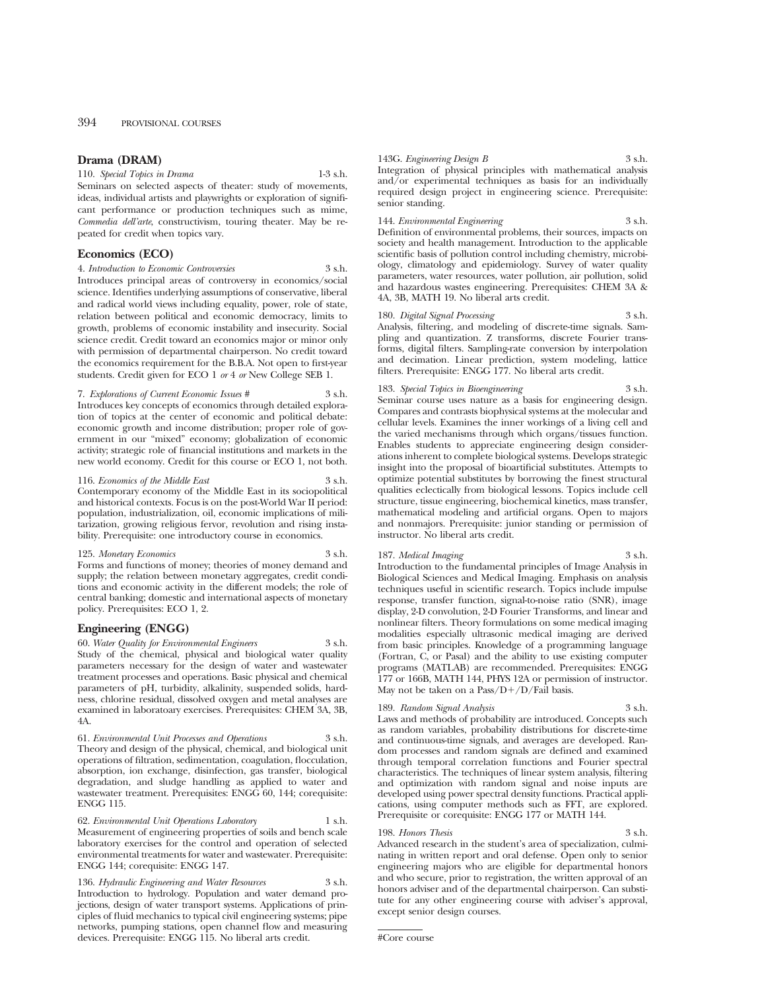#### **Drama (DRAM)**

110. *Special Topics in Drama* 1-3 s.h.

Seminars on selected aspects of theater: study of movements, ideas, individual artists and playwrights or exploration of significant performance or production techniques such as mime, *Commedia dell'arte*, constructivism, touring theater. May be repeated for credit when topics vary.

#### **Economics (ECO)**

4. *Introduction to Economic Controversies* 3 s.h. Introduces principal areas of controversy in economics/social science. Identifies underlying assumptions of conservative, liberal and radical world views including equality, power, role of state, relation between political and economic democracy, limits to growth, problems of economic instability and insecurity. Social science credit. Credit toward an economics major or minor only with permission of departmental chairperson. No credit toward the economics requirement for the B.B.A. Not open to first-year students. Credit given for ECO 1 *or* 4 *or* New College SEB 1.

#### 7. *Explorations of Current Economic Issues #* 3 s.h.

Introduces key concepts of economics through detailed exploration of topics at the center of economic and political debate: economic growth and income distribution; proper role of government in our "mixed" economy; globalization of economic activity; strategic role of financial institutions and markets in the new world economy. Credit for this course or ECO 1, not both.

116. *Economics of the Middle East* 3 s.h. Contemporary economy of the Middle East in its sociopolitical

and historical contexts. Focus is on the post-World War II period: population, industrialization, oil, economic implications of militarization, growing religious fervor, revolution and rising instability. Prerequisite: one introductory course in economics.

#### 125. *Monetary Economics* 3 s.h.

Forms and functions of money; theories of money demand and supply; the relation between monetary aggregates, credit conditions and economic activity in the different models; the role of central banking; domestic and international aspects of monetary policy. Prerequisites: ECO 1, 2.

#### **Engineering (ENGG)**

60. *Water Quality for Environmental Engineers* 3 s.h. Study of the chemical, physical and biological water quality parameters necessary for the design of water and wastewater treatment processes and operations. Basic physical and chemical parameters of pH, turbidity, alkalinity, suspended solids, hardness, chlorine residual, dissolved oxygen and metal analyses are examined in laboratoary exercises. Prerequisites: CHEM 3A, 3B, 4A.

61. *Environmental Unit Processes and Operations* 3 s.h. Theory and design of the physical, chemical, and biological unit operations of filtration, sedimentation, coagulation, flocculation, absorption, ion exchange, disinfection, gas transfer, biological degradation, and sludge handling as applied to water and wastewater treatment. Prerequisites: ENGG 60, 144; corequisite: ENGG 115.

62. *Environmental Unit Operations Laboratory* 1 s.h. Measurement of engineering properties of soils and bench scale laboratory exercises for the control and operation of selected environmental treatments for water and wastewater. Prerequisite: ENGG 144; corequisite: ENGG 147.

136. *Hydraulic Engineering and Water Resources* 3 s.h. Introduction to hydrology. Population and water demand projections, design of water transport systems. Applications of principles of fluid mechanics to typical civil engineering systems; pipe networks, pumping stations, open channel flow and measuring devices. Prerequisite: ENGG 115. No liberal arts credit.

143G. *Engineering Design B* 3 s.h. Integration of physical principles with mathematical analysis and/or experimental techniques as basis for an individually required design project in engineering science. Prerequisite: senior standing.

#### 144. *Environmental Engineering* 3 s.h. Definition of environmental problems, their sources, impacts on society and health management. Introduction to the applicable scientific basis of pollution control including chemistry, microbiology, climatology and epidemiology. Survey of water quality parameters, water resources, water pollution, air pollution, solid and hazardous wastes engineering. Prerequisites: CHEM 3A & 4A, 3B, MATH 19. No liberal arts credit.

#### 180. *Digital Signal Processing* 3 s.h.

Analysis, filtering, and modeling of discrete-time signals. Sampling and quantization. Z transforms, discrete Fourier transforms, digital filters. Sampling-rate conversion by interpolation and decimation. Linear prediction, system modeling, lattice filters. Prerequisite: ENGG 177. No liberal arts credit.

#### 183. *Special Topics in Bioengineering* 3 s.h.

Seminar course uses nature as a basis for engineering design. Compares and contrasts biophysical systems at the molecular and cellular levels. Examines the inner workings of a living cell and the varied mechanisms through which organs/tissues function. Enables students to appreciate engineering design considerations inherent to complete biological systems. Develops strategic insight into the proposal of bioartificial substitutes. Attempts to optimize potential substitutes by borrowing the finest structural qualities eclectically from biological lessons. Topics include cell structure, tissue engineering, biochemical kinetics, mass transfer, mathematical modeling and artificial organs. Open to majors and nonmajors. Prerequisite: junior standing or permission of instructor. No liberal arts credit.

#### 187. Medical Imaging

Introduction to the fundamental principles of Image Analysis in Biological Sciences and Medical Imaging. Emphasis on analysis techniques useful in scientific research. Topics include impulse response, transfer function, signal-to-noise ratio (SNR), image display, 2-D convolution, 2-D Fourier Transforms, and linear and nonlinear filters. Theory formulations on some medical imaging modalities especially ultrasonic medical imaging are derived from basic principles. Knowledge of a programming language (Fortran, C, or Pasal) and the ability to use existing computer programs (MATLAB) are recommended. Prerequisites: ENGG 177 or 166B, MATH 144, PHYS 12A or permission of instructor. May not be taken on a  $Pass/D+/D/Fall$  basis.

#### 189. *Random Signal Analysis* 3 s.h.

Laws and methods of probability are introduced. Concepts such as random variables, probability distributions for discrete-time and continuous-time signals, and averages are developed. Random processes and random signals are defined and examined through temporal correlation functions and Fourier spectral characteristics. The techniques of linear system analysis, filtering and optimization with random signal and noise inputs are developed using power spectral density functions. Practical applications, using computer methods such as FFT, are explored. Prerequisite or corequisite: ENGG 177 or MATH 144.

#### 198. *Honors Thesis* 3 s.h.

Advanced research in the student's area of specialization, culminating in written report and oral defense. Open only to senior engineering majors who are eligible for departmental honors and who secure, prior to registration, the written approval of an honors adviser and of the departmental chairperson. Can substitute for any other engineering course with adviser's approval, except senior design courses.

<sup>#</sup>Core course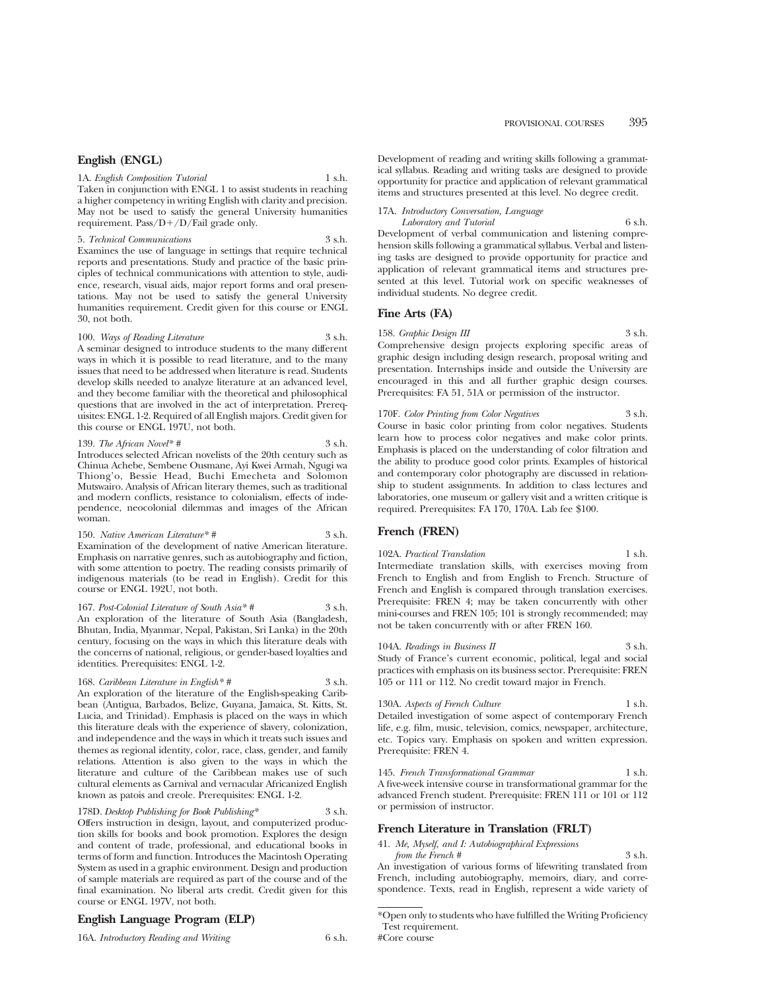#### **English (ENGL)**

1A. *English Composition Tutorial* 1 s.h. Taken in conjunction with ENGL 1 to assist students in reaching a higher competency in writing English with clarity and precision. May not be used to satisfy the general University humanities requirement. Pass/D+/D/Fail grade only.

#### 5. *Technical Communications* 3 s.h.

Examines the use of language in settings that require technical reports and presentations. Study and practice of the basic principles of technical communications with attention to style, audience, research, visual aids, major report forms and oral presentations. May not be used to satisfy the general University humanities requirement. Credit given for this course or ENGL 30, not both.

#### 100. *Ways of Reading Literature* 3 s.h.

A seminar designed to introduce students to the many different ways in which it is possible to read literature, and to the many issues that need to be addressed when literature is read. Students develop skills needed to analyze literature at an advanced level, and they become familiar with the theoretical and philosophical questions that are involved in the act of interpretation. Prerequisites: ENGL 1-2. Required of all English majors. Credit given for this course or ENGL 197U, not both.

#### 139. *The African Novel\* #* 3 s.h.

Introduces selected African novelists of the 20th century such as Chinua Achebe, Sembene Ousmane, Ayi Kwei Armah, Ngugi wa Thiong'o, Bessie Head, Buchi Emecheta and Solomon Mutswairo. Analysis of African literary themes, such as traditional and modern conflicts, resistance to colonialism, effects of independence, neocolonial dilemmas and images of the African woman.

150. *Native American Literature*\* # 3 s.h. Examination of the development of native American literature. Emphasis on narrative genres, such as autobiography and fiction, with some attention to poetry. The reading consists primarily of indigenous materials (to be read in English). Credit for this course or ENGL 192U, not both.

167. *Post-Colonial Literature of South Asia*<sup>\*</sup> # 3 s.h. An exploration of the literature of South Asia (Bangladesh, Bhutan, India, Myanmar, Nepal, Pakistan, Sri Lanka) in the 20th century, focusing on the ways in which this literature deals with the concerns of national, religious, or gender-based loyalties and identities. Prerequisites: ENGL 1-2.

168. *Caribbean Literature in English\* #* 3 s.h. An exploration of the literature of the English-speaking Caribbean (Antigua, Barbados, Belize, Guyana, Jamaica, St. Kitts, St. Lucia, and Trinidad). Emphasis is placed on the ways in which this literature deals with the experience of slavery, colonization, and independence and the ways in which it treats such issues and themes as regional identity, color, race, class, gender, and family relations. Attention is also given to the ways in which the literature and culture of the Caribbean makes use of such cultural elements as Carnival and vernacular Africanized English known as patois and creole. Prerequisites: ENGL 1-2.

178D. *Desktop Publishing for Book Publishing\** 3 s.h. Offers instruction in design, layout, and computerized production skills for books and book promotion. Explores the design and content of trade, professional, and educational books in terms of form and function. Introduces the Macintosh Operating System as used in a graphic environment. Design and production of sample materials are required as part of the course and of the final examination. No liberal arts credit. Credit given for this course or ENGL 197V, not both.

#### **English Language Program (ELP)**

16A. *Introductory Reading and Writing* 6 s.h.

Development of reading and writing skills following a grammatical syllabus. Reading and writing tasks are designed to provide opportunity for practice and application of relevant grammatical items and structures presented at this level. No degree credit.

### 17A. *Introductory Conversation, Language*

*Laboratory and Tutorial* 6 s.h. Development of verbal communication and listening comprehension skills following a grammatical syllabus. Verbal and listening tasks are designed to provide opportunity for practice and application of relevant grammatical items and structures presented at this level. Tutorial work on specific weaknesses of individual students. No degree credit.

#### **Fine Arts (FA)**

158. *Graphic Design III* 3 s.h. Comprehensive design projects exploring specific areas of graphic design including design research, proposal writing and presentation. Internships inside and outside the University are encouraged in this and all further graphic design courses. Prerequisites: FA 51, 51A or permission of the instructor.

170F. *Color Printing from Color Negatives* 3 s.h.

Course in basic color printing from color negatives. Students learn how to process color negatives and make color prints. Emphasis is placed on the understanding of color filtration and the ability to produce good color prints. Examples of historical and contemporary color photography are discussed in relationship to student assignments. In addition to class lectures and laboratories, one museum or gallery visit and a written critique is required. Prerequisites: FA 170, 170A. Lab fee \$100.

#### **French (FREN)**

102A. *Practical Translation* 1 s.h. Intermediate translation skills, with exercises moving from French to English and from English to French. Structure of French and English is compared through translation exercises. Prerequisite: FREN 4; may be taken concurrently with other mini-courses and FREN 105; 101 is strongly recommended; may not be taken concurrently with or after FREN 160.

104A. *Readings in Business II* 3 s.h. Study of France's current economic, political, legal and social practices with emphasis on its business sector. Prerequisite: FREN 105 or 111 or 112. No credit toward major in French.

#### 130A. *Aspects of French Culture* 1 s.h. Detailed investigation of some aspect of contemporary French life, e.g. film, music, television, comics, newspaper, architecture, etc. Topics vary. Emphasis on spoken and written expression. Prerequisite: FREN 4.

145. *French Transformational Grammar* 1 s.h. A five-week intensive course in transformational grammar for the advanced French student. Prerequisite: FREN 111 or 101 or 112 or permission of instructor.

#### **French Literature in Translation (FRLT)**

41. *Me, Myself, and I: Autobiographical Expressions*

*from the French* # 3 s.h. An investigation of various forms of lifewriting translated from French, including autobiography, memoirs, diary, and correspondence. Texts, read in English, represent a wide variety of

<sup>\*</sup>Open only to students who have fulfilled the Writing Proficiency Test requirement. #Core course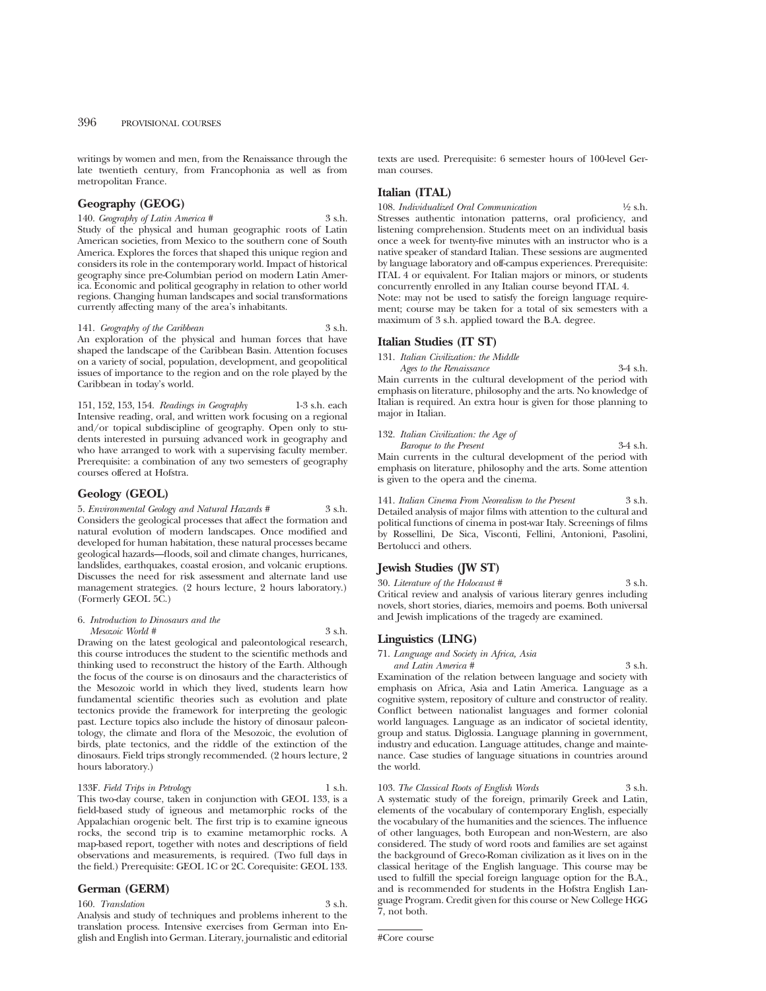writings by women and men, from the Renaissance through the late twentieth century, from Francophonia as well as from metropolitan France.

#### **Geography (GEOG)**

140. *Geography of Latin America* # 3 s.h. Study of the physical and human geographic roots of Latin American societies, from Mexico to the southern cone of South America. Explores the forces that shaped this unique region and considers its role in the contemporary world. Impact of historical geography since pre-Columbian period on modern Latin America. Economic and political geography in relation to other world regions. Changing human landscapes and social transformations currently affecting many of the area's inhabitants.

141. *Geography of the Caribbean* 3 s.h. An exploration of the physical and human forces that have shaped the landscape of the Caribbean Basin. Attention focuses on a variety of social, population, development, and geopolitical issues of importance to the region and on the role played by the

151, 152, 153, 154. *Readings in Geography* 1-3 s.h. each Intensive reading, oral, and written work focusing on a regional and/or topical subdiscipline of geography. Open only to students interested in pursuing advanced work in geography and who have arranged to work with a supervising faculty member. Prerequisite: a combination of any two semesters of geography courses offered at Hofstra.

#### **Geology (GEOL)**

Caribbean in today's world.

5. *Environmental Geology and Natural Hazards #* 3 s.h. Considers the geological processes that affect the formation and natural evolution of modern landscapes. Once modified and developed for human habitation, these natural processes became geological hazards—floods, soil and climate changes, hurricanes, landslides, earthquakes, coastal erosion, and volcanic eruptions. Discusses the need for risk assessment and alternate land use management strategies. (2 hours lecture, 2 hours laboratory.) (Formerly GEOL 5C.)

#### 6. *Introduction to Dinosaurs and the Mesozoic World #* 3 s.h.

Drawing on the latest geological and paleontological research, this course introduces the student to the scientific methods and thinking used to reconstruct the history of the Earth. Although the focus of the course is on dinosaurs and the characteristics of the Mesozoic world in which they lived, students learn how fundamental scientific theories such as evolution and plate tectonics provide the framework for interpreting the geologic past. Lecture topics also include the history of dinosaur paleontology, the climate and flora of the Mesozoic, the evolution of birds, plate tectonics, and the riddle of the extinction of the dinosaurs. Field trips strongly recommended. (2 hours lecture, 2 hours laboratory.)

#### 133F. *Field Trips in Petrology* 1 s.h.

This two-day course, taken in conjunction with GEOL 133, is a field-based study of igneous and metamorphic rocks of the Appalachian orogenic belt. The first trip is to examine igneous rocks, the second trip is to examine metamorphic rocks. A map-based report, together with notes and descriptions of field observations and measurements, is required. (Two full days in the field.) Prerequisite: GEOL 1C or 2C. Corequisite: GEOL 133.

**German (GERM)**

160. Translation 3 s.h. Analysis and study of techniques and problems inherent to the translation process. Intensive exercises from German into English and English into German. Literary, journalistic and editorial texts are used. Prerequisite: 6 semester hours of 100-level German courses.

#### **Italian (ITAL)**

108. *Individualized Oral Communication*  $\frac{1}{2}$  s.h. Stresses authentic intonation patterns, oral proficiency, and listening comprehension. Students meet on an individual basis once a week for twenty-five minutes with an instructor who is a native speaker of standard Italian. These sessions are augmented by language laboratory and off-campus experiences. Prerequisite: ITAL 4 or equivalent. For Italian majors or minors, or students concurrently enrolled in any Italian course beyond ITAL 4. Note: may not be used to satisfy the foreign language requirement; course may be taken for a total of six semesters with a maximum of 3 s.h. applied toward the B.A. degree.

#### **Italian Studies (IT ST)**

131. *Italian Civilization: the Middle*

*Ages to the Renaissance* 3-4 s.h. Main currents in the cultural development of the period with emphasis on literature, philosophy and the arts. No knowledge of Italian is required. An extra hour is given for those planning to major in Italian.

| 132. Italian Civilization: the Age of                           |            |
|-----------------------------------------------------------------|------------|
| Baroque to the Present                                          | $3-4$ s.h. |
| Main currents in the cultural development of the period with    |            |
| emphasis on literature, philosophy and the arts. Some attention |            |

141. *Italian Cinema From Neorealism to the Present* 3 s.h. Detailed analysis of major films with attention to the cultural and political functions of cinema in post-war Italy. Screenings of films by Rossellini, De Sica, Visconti, Fellini, Antonioni, Pasolini, Bertolucci and others.

#### **Jewish Studies (JW ST)**

is given to the opera and the cinema.

30. *Literature of the Holocaust #* 3 s.h. Critical review and analysis of various literary genres including novels, short stories, diaries, memoirs and poems. Both universal and Jewish implications of the tragedy are examined.

#### **Linguistics (LING)**

71. *Language and Society in Africa, Asia*

*and Latin America #* 3 s.h. Examination of the relation between language and society with emphasis on Africa, Asia and Latin America. Language as a cognitive system, repository of culture and constructor of reality. Conflict between nationalist languages and former colonial world languages. Language as an indicator of societal identity, group and status. Diglossia. Language planning in government, industry and education. Language attitudes, change and maintenance. Case studies of language situations in countries around the world.

103. *The Classical Roots of English Words* 3 s.h. A systematic study of the foreign, primarily Greek and Latin, elements of the vocabulary of contemporary English, especially the vocabulary of the humanities and the sciences. The influence of other languages, both European and non-Western, are also considered. The study of word roots and families are set against the background of Greco-Roman civilization as it lives on in the classical heritage of the English language. This course may be used to fulfill the special foreign language option for the B.A., and is recommended for students in the Hofstra English Language Program. Credit given for this course or New College HGG 7, not both.

#Core course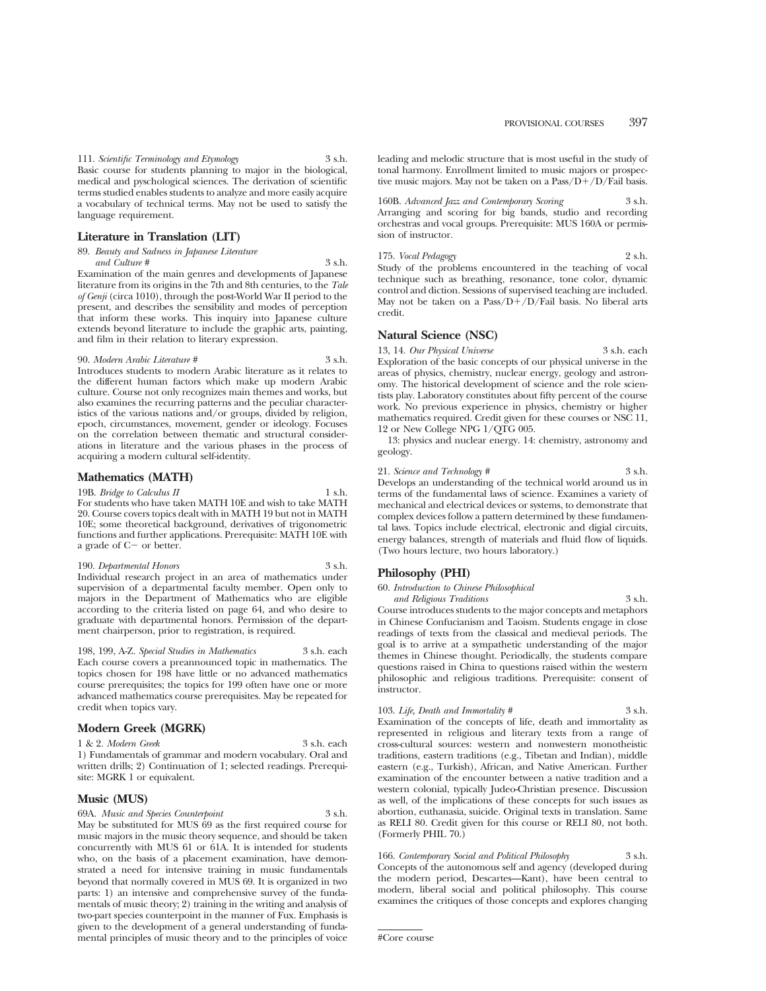#### **Literature in Translation (LIT)**

#### 89. *Beauty and Sadness in Japanese Literature*

*and Culture #* 3 s.h. Examination of the main genres and developments of Japanese literature from its origins in the 7th and 8th centuries, to the *Tale of Genji* (circa 1010), through the post-World War II period to the present, and describes the sensibility and modes of perception that inform these works. This inquiry into Japanese culture extends beyond literature to include the graphic arts, painting, and film in their relation to literary expression.

#### 90. *Modern Arabic Literature #* 3 s.h.

Introduces students to modern Arabic literature as it relates to the different human factors which make up modern Arabic culture. Course not only recognizes main themes and works, but also examines the recurring patterns and the peculiar characteristics of the various nations and/or groups, divided by religion, epoch, circumstances, movement, gender or ideology. Focuses on the correlation between thematic and structural considerations in literature and the various phases in the process of acquiring a modern cultural self-identity.

#### **Mathematics (MATH)**

19B. *Bridge to Calculus II* 1 s.h. For students who have taken MATH 10E and wish to take MATH 20. Course covers topics dealt with in MATH 19 but not in MATH 10E; some theoretical background, derivatives of trigonometric functions and further applications. Prerequisite: MATH 10E with a grade of  $C-$  or better.

#### 190. *Departmental Honors* 3 s.h.

Individual research project in an area of mathematics under supervision of a departmental faculty member. Open only to majors in the Department of Mathematics who are eligible according to the criteria listed on page 64, and who desire to graduate with departmental honors. Permission of the department chairperson, prior to registration, is required.

198, 199, A-Z. *Special Studies in Mathematics* 3 s.h. each Each course covers a preannounced topic in mathematics. The topics chosen for 198 have little or no advanced mathematics course prerequisites; the topics for 199 often have one or more advanced mathematics course prerequisites. May be repeated for credit when topics vary.

#### **Modern Greek (MGRK)**

1 & 2. *Modern Greek* 3 s.h. each 1) Fundamentals of grammar and modern vocabulary. Oral and written drills; 2) Continuation of 1; selected readings. Prerequisite: MGRK 1 or equivalent.

#### **Music (MUS)**

69A. *Music and Species Counterpoint* 3 s.h. May be substituted for MUS 69 as the first required course for music majors in the music theory sequence, and should be taken concurrently with MUS 61 or 61A. It is intended for students who, on the basis of a placement examination, have demonstrated a need for intensive training in music fundamentals beyond that normally covered in MUS 69. It is organized in two parts: 1) an intensive and comprehensive survey of the fundamentals of music theory; 2) training in the writing and analysis of two-part species counterpoint in the manner of Fux. Emphasis is given to the development of a general understanding of fundamental principles of music theory and to the principles of voice leading and melodic structure that is most useful in the study of tonal harmony. Enrollment limited to music majors or prospective music majors. May not be taken on a  $Pass/D+/D/Fall \ basis$ .

160B. *Advanced Jazz and Contemporary Scoring* 3 s.h. Arranging and scoring for big bands, studio and recording orchestras and vocal groups. Prerequisite: MUS 160A or permission of instructor.

175. *Vocal Pedagogy* 2 s.h. Study of the problems encountered in the teaching of vocal technique such as breathing, resonance, tone color, dynamic control and diction. Sessions of supervised teaching are included. May not be taken on a Pass/ $D+/D$ /Fail basis. No liberal arts credit.

#### **Natural Science (NSC)**

13, 14. *Our Physical Universe* 3 s.h. each Exploration of the basic concepts of our physical universe in the areas of physics, chemistry, nuclear energy, geology and astronomy. The historical development of science and the role scientists play. Laboratory constitutes about fifty percent of the course work. No previous experience in physics, chemistry or higher mathematics required. Credit given for these courses or NSC 11, 12 or New College NPG 1/QTG 005.

13: physics and nuclear energy. 14: chemistry, astronomy and geology.

| 21. Science and Technology # |  |  |  |  | 3 s.h. |  |
|------------------------------|--|--|--|--|--------|--|
|                              |  |  |  |  |        |  |

Develops an understanding of the technical world around us in terms of the fundamental laws of science. Examines a variety of mechanical and electrical devices or systems, to demonstrate that complex devices follow a pattern determined by these fundamental laws. Topics include electrical, electronic and digial circuits, energy balances, strength of materials and fluid flow of liquids. (Two hours lecture, two hours laboratory.)

#### **Philosophy (PHI)**

| 60. Introduction to Chinese Philosophical                      |          |
|----------------------------------------------------------------|----------|
| and Religious Traditions                                       | $3$ s.h. |
| Course introduces students to the major concepts and metaphors |          |
| in Chinese Confucianism and Taoism. Students engage in close   |          |
| readings of texts from the classical and medieval periods. The |          |

in Chinese Confucianism and Taoism. Students engage in close readings of texts from the classical and medieval periods. The goal is to arrive at a sympathetic understanding of the major themes in Chinese thought. Periodically, the students compare questions raised in China to questions raised within the western philosophic and religious traditions. Prerequisite: consent of instructor.

| 103. Life, Death and Immortality #                                 | 3 s.h. |
|--------------------------------------------------------------------|--------|
| Examination of the concepts of life, death and immortality as      |        |
| represented in religious and literary texts from a range of        |        |
| cross-cultural sources: western and nonwestern monotheistic        |        |
| traditions, eastern traditions (e.g., Tibetan and Indian), middle  |        |
| eastern (e.g., Turkish), African, and Native American. Further     |        |
| examination of the encounter between a native tradition and a      |        |
| western colonial, typically Judeo-Christian presence. Discussion   |        |
| as well, of the implications of these concepts for such issues as  |        |
| abortion, euthanasia, suicide. Original texts in translation. Same |        |
| as RELI 80. Credit given for this course or RELI 80, not both.     |        |

166. *Contemporary Social and Political Philosophy* 3 s.h. Concepts of the autonomous self and agency (developed during the modern period, Descartes—Kant), have been central to modern, liberal social and political philosophy. This course examines the critiques of those concepts and explores changing

#Core course

(Formerly PHIL 70.)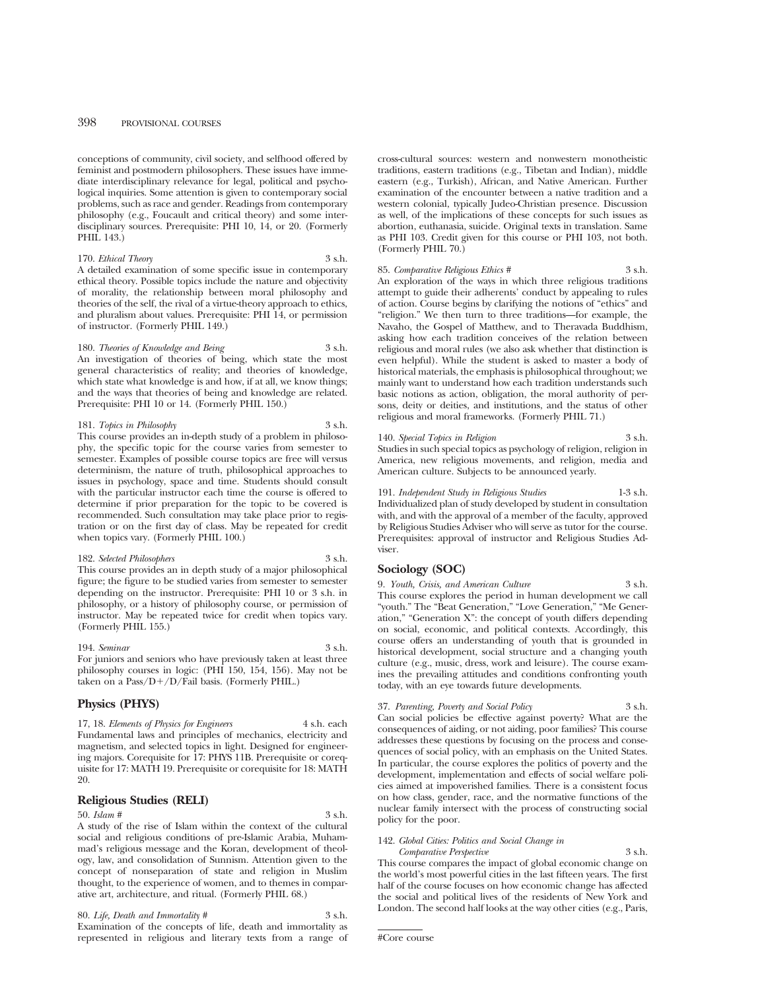conceptions of community, civil society, and selfhood offered by feminist and postmodern philosophers. These issues have immediate interdisciplinary relevance for legal, political and psychological inquiries. Some attention is given to contemporary social problems, such as race and gender. Readings from contemporary philosophy (e.g., Foucault and critical theory) and some interdisciplinary sources. Prerequisite: PHI 10, 14, or 20. (Formerly PHIL 143.)

#### 170. *Ethical Theory* 3 s.h. A detailed examination of some specific issue in contemporary ethical theory. Possible topics include the nature and objectivity of morality, the relationship between moral philosophy and theories of the self, the rival of a virtue-theory approach to ethics, and pluralism about values. Prerequisite: PHI 14, or permission of instructor. (Formerly PHIL 149.)

180. *Theories of Knowledge and Being* 3 s.h. An investigation of theories of being, which state the most general characteristics of reality; and theories of knowledge, which state what knowledge is and how, if at all, we know things; and the ways that theories of being and knowledge are related. Prerequisite: PHI 10 or 14. (Formerly PHIL 150.)

#### 181. *Topics in Philosophy* 3 s.h.

This course provides an in-depth study of a problem in philosophy, the specific topic for the course varies from semester to semester. Examples of possible course topics are free will versus determinism, the nature of truth, philosophical approaches to issues in psychology, space and time. Students should consult with the particular instructor each time the course is offered to determine if prior preparation for the topic to be covered is recommended. Such consultation may take place prior to registration or on the first day of class. May be repeated for credit when topics vary. (Formerly PHIL 100.)

#### 182. *Selected Philosophers* 3 s.h.

This course provides an in depth study of a major philosophical figure; the figure to be studied varies from semester to semester depending on the instructor. Prerequisite: PHI 10 or 3 s.h. in philosophy, or a history of philosophy course, or permission of instructor. May be repeated twice for credit when topics vary. (Formerly PHIL 155.)

194. *Seminar* 3 s.h. For juniors and seniors who have previously taken at least three philosophy courses in logic: (PHI 150, 154, 156). May not be taken on a  $Pass/D+/D/Fall \ basis.$  (Formerly PHIL.)

#### **Physics (PHYS)**

17, 18. *Elements of Physics for Engineers* 4 s.h. each Fundamental laws and principles of mechanics, electricity and magnetism, and selected topics in light. Designed for engineering majors. Corequisite for 17: PHYS 11B. Prerequisite or corequisite for 17: MATH 19. Prerequisite or corequisite for 18: MATH 20.

#### **Religious Studies (RELI)**

50. *Islam #* 3 s.h. A study of the rise of Islam within the context of the cultural social and religious conditions of pre-Islamic Arabia, Muhammad's religious message and the Koran, development of theology, law, and consolidation of Sunnism. Attention given to the concept of nonseparation of state and religion in Muslim thought, to the experience of women, and to themes in comparative art, architecture, and ritual. (Formerly PHIL 68.)

80. *Life, Death and Immortality* # 3 s.h. Examination of the concepts of life, death and immortality as represented in religious and literary texts from a range of

cross-cultural sources: western and nonwestern monotheistic traditions, eastern traditions (e.g., Tibetan and Indian), middle eastern (e.g., Turkish), African, and Native American. Further examination of the encounter between a native tradition and a western colonial, typically Judeo-Christian presence. Discussion as well, of the implications of these concepts for such issues as abortion, euthanasia, suicide. Original texts in translation. Same as PHI 103. Credit given for this course or PHI 103, not both. (Formerly PHIL 70.)

#### 85. *Comparative Religious Ethics* # 3 s.h.

An exploration of the ways in which three religious traditions attempt to guide their adherents' conduct by appealing to rules of action. Course begins by clarifying the notions of "ethics" and "religion." We then turn to three traditions—for example, the Navaho, the Gospel of Matthew, and to Theravada Buddhism, asking how each tradition conceives of the relation between religious and moral rules (we also ask whether that distinction is even helpful). While the student is asked to master a body of historical materials, the emphasis is philosophical throughout; we mainly want to understand how each tradition understands such basic notions as action, obligation, the moral authority of persons, deity or deities, and institutions, and the status of other religious and moral frameworks. (Formerly PHIL 71.)

#### 140. *Special Topics in Religion* 3 s.h.

Studies in such special topics as psychology of religion, religion in America, new religious movements, and religion, media and American culture. Subjects to be announced yearly.

191. *Independent Study in Religious Studies* 1-3 s.h. Individualized plan of study developed by student in consultation with, and with the approval of a member of the faculty, approved by Religious Studies Adviser who will serve as tutor for the course. Prerequisites: approval of instructor and Religious Studies Adviser.

#### **Sociology (SOC)**

9. *Youth, Crisis, and American Culture* 3 s.h. This course explores the period in human development we call "youth." The "Beat Generation," "Love Generation," "Me Generation," "Generation X": the concept of youth differs depending on social, economic, and political contexts. Accordingly, this course offers an understanding of youth that is grounded in historical development, social structure and a changing youth culture (e.g., music, dress, work and leisure). The course examines the prevailing attitudes and conditions confronting youth today, with an eye towards future developments.

#### 37. *Parenting, Poverty and Social Policy* 3 s.h.

Can social policies be effective against poverty? What are the consequences of aiding, or not aiding, poor families? This course addresses these questions by focusing on the process and consequences of social policy, with an emphasis on the United States. In particular, the course explores the politics of poverty and the development, implementation and effects of social welfare policies aimed at impoverished families. There is a consistent focus on how class, gender, race, and the normative functions of the nuclear family intersect with the process of constructing social policy for the poor.

### 142. *Global Cities: Politics and Social Change in*

*Comparative Perspective* 3 s.h. This course compares the impact of global economic change on the world's most powerful cities in the last fifteen years. The first half of the course focuses on how economic change has affected the social and political lives of the residents of New York and London. The second half looks at the way other cities (e.g., Paris,

#Core course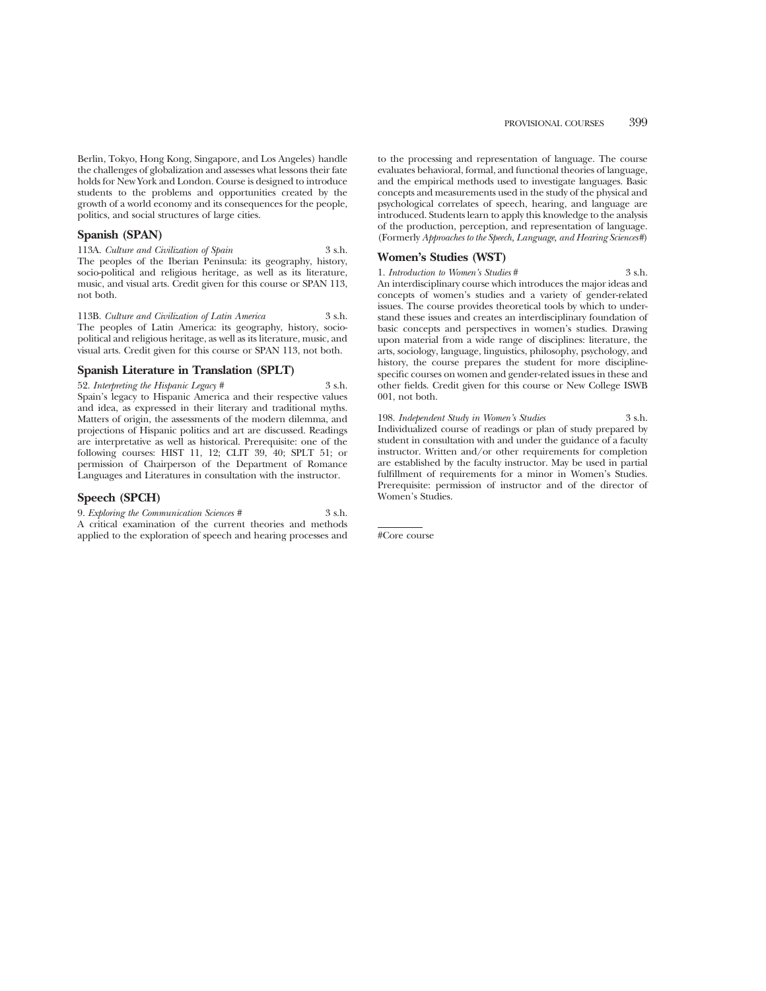#### **Spanish (SPAN)**

113A. *Culture and Civilization of Spain* 3 s.h. The peoples of the Iberian Peninsula: its geography, history, socio-political and religious heritage, as well as its literature, music, and visual arts. Credit given for this course or SPAN 113, not both.

113B. *Culture and Civilization of Latin America* 3 s.h. The peoples of Latin America: its geography, history, sociopolitical and religious heritage, as well as its literature, music, and visual arts. Credit given for this course or SPAN 113, not both.

#### **Spanish Literature in Translation (SPLT)**

52. *Interpreting the Hispanic Legacy* # 3 s.h. Spain's legacy to Hispanic America and their respective values and idea, as expressed in their literary and traditional myths. Matters of origin, the assessments of the modern dilemma, and projections of Hispanic politics and art are discussed. Readings are interpretative as well as historical. Prerequisite: one of the following courses: HIST 11, 12; CLIT 39, 40; SPLT 51; or permission of Chairperson of the Department of Romance Languages and Literatures in consultation with the instructor.

#### **Speech (SPCH)**

9. *Exploring the Communication Sciences #* 3 s.h. A critical examination of the current theories and methods applied to the exploration of speech and hearing processes and to the processing and representation of language. The course evaluates behavioral, formal, and functional theories of language, and the empirical methods used to investigate languages. Basic concepts and measurements used in the study of the physical and psychological correlates of speech, hearing, and language are introduced. Students learn to apply this knowledge to the analysis of the production, perception, and representation of language. (Formerly *Approaches to the Speech, Language, and Hearing Sciences#*)

#### **Women's Studies (WST)**

1. *Introduction to Women's Studies* # 3 s.h. An interdisciplinary course which introduces the major ideas and concepts of women's studies and a variety of gender-related issues. The course provides theoretical tools by which to understand these issues and creates an interdisciplinary foundation of basic concepts and perspectives in women's studies. Drawing upon material from a wide range of disciplines: literature, the arts, sociology, language, linguistics, philosophy, psychology, and history, the course prepares the student for more disciplinespecific courses on women and gender-related issues in these and other fields. Credit given for this course or New College ISWB 001, not both.

198. *Independent Study in Women's Studies* 3 s.h. Individualized course of readings or plan of study prepared by student in consultation with and under the guidance of a faculty instructor. Written and/or other requirements for completion are established by the faculty instructor. May be used in partial fulfillment of requirements for a minor in Women's Studies. Prerequisite: permission of instructor and of the director of Women's Studies.

#Core course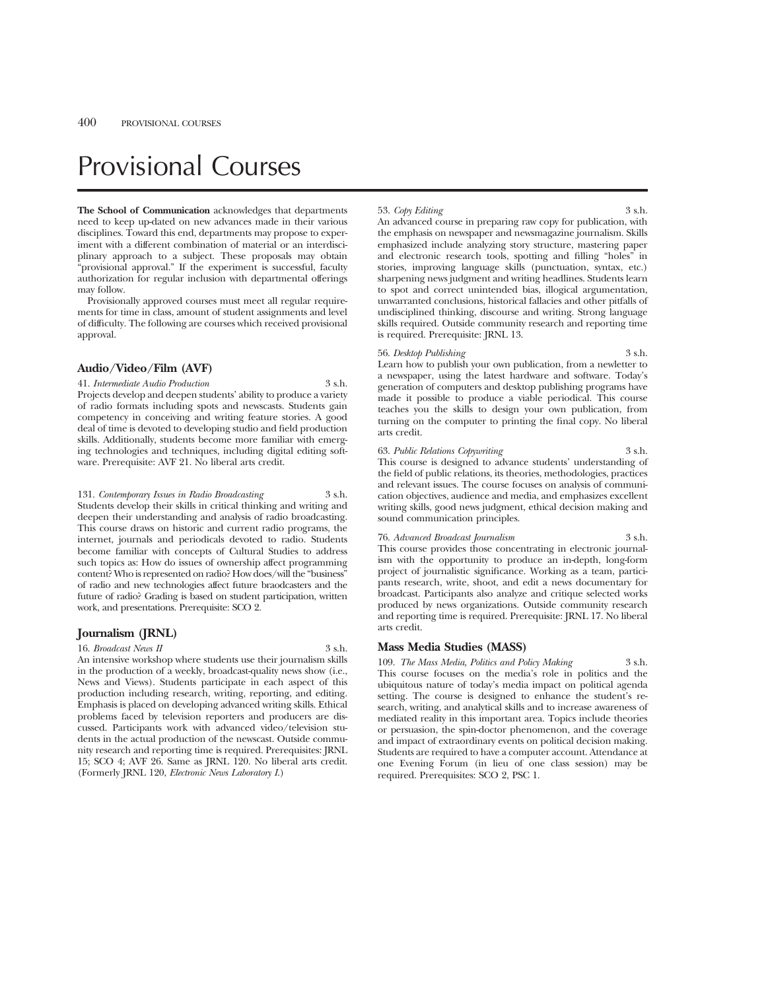# Provisional Courses

**The School of Communication** acknowledges that departments need to keep up-dated on new advances made in their various disciplines. Toward this end, departments may propose to experiment with a different combination of material or an interdisciplinary approach to a subject. These proposals may obtain "provisional approval." If the experiment is successful, faculty authorization for regular inclusion with departmental offerings may follow.

Provisionally approved courses must meet all regular requirements for time in class, amount of student assignments and level of difficulty. The following are courses which received provisional approval.

#### **Audio/Video/Film (AVF)**

#### 41. *Intermediate Audio Production* 3 s.h.

Projects develop and deepen students' ability to produce a variety of radio formats including spots and newscasts. Students gain competency in conceiving and writing feature stories. A good deal of time is devoted to developing studio and field production skills. Additionally, students become more familiar with emerging technologies and techniques, including digital editing software. Prerequisite: AVF 21. No liberal arts credit.

131. *Contemporary Issues in Radio Broadcasting* 3 s.h. Students develop their skills in critical thinking and writing and deepen their understanding and analysis of radio broadcasting. This course draws on historic and current radio programs, the internet, journals and periodicals devoted to radio. Students become familiar with concepts of Cultural Studies to address such topics as: How do issues of ownership affect programming content? Who is represented on radio? How does/will the "business" of radio and new technologies affect future braodcasters and the future of radio? Grading is based on student participation, written work, and presentations. Prerequisite: SCO 2.

#### **Journalism (JRNL)**

16. *Broadcast News II* 3 s.h.

An intensive workshop where students use their journalism skills in the production of a weekly, broadcast-quality news show (i.e., News and Views). Students participate in each aspect of this production including research, writing, reporting, and editing. Emphasis is placed on developing advanced writing skills. Ethical problems faced by television reporters and producers are discussed. Participants work with advanced video/television students in the actual production of the newscast. Outside community research and reporting time is required. Prerequisites: JRNL 15; SCO 4; AVF 26. Same as JRNL 120. No liberal arts credit. (Formerly JRNL 120, *Electronic News Laboratory I*.)

#### 53. *Copy Editing* 3 s.h.

An advanced course in preparing raw copy for publication, with the emphasis on newspaper and newsmagazine journalism. Skills emphasized include analyzing story structure, mastering paper and electronic research tools, spotting and filling "holes" in stories, improving language skills (punctuation, syntax, etc.) sharpening news judgment and writing headlines. Students learn to spot and correct unintended bias, illogical argumentation, unwarranted conclusions, historical fallacies and other pitfalls of undisciplined thinking, discourse and writing. Strong language skills required. Outside community research and reporting time is required. Prerequisite: JRNL 13.

#### 56. *Desktop Publishing* 3 s.h.

Learn how to publish your own publication, from a newletter to a newspaper, using the latest hardware and software. Today's generation of computers and desktop publishing programs have made it possible to produce a viable periodical. This course teaches you the skills to design your own publication, from turning on the computer to printing the final copy. No liberal arts credit.

#### 63. *Public Relations Copywriting* 3 s.h.

This course is designed to advance students' understanding of the field of public relations, its theories, methodologies, practices and relevant issues. The course focuses on analysis of communication objectives, audience and media, and emphasizes excellent writing skills, good news judgment, ethical decision making and sound communication principles.

#### 76. *Advanced Broadcast Journalism* 3 s.h.

This course provides those concentrating in electronic journalism with the opportunity to produce an in-depth, long-form project of journalistic significance. Working as a team, participants research, write, shoot, and edit a news documentary for broadcast. Participants also analyze and critique selected works produced by news organizations. Outside community research and reporting time is required. Prerequisite: JRNL 17. No liberal arts credit.

#### **Mass Media Studies (MASS)**

109. *The Mass Media, Politics and Policy Making* 3 s.h. This course focuses on the media's role in politics and the ubiquitous nature of today's media impact on political agenda setting. The course is designed to enhance the student's research, writing, and analytical skills and to increase awareness of mediated reality in this important area. Topics include theories or persuasion, the spin-doctor phenomenon, and the coverage and impact of extraordinary events on political decision making. Students are required to have a computer account. Attendance at one Evening Forum (in lieu of one class session) may be required. Prerequisites: SCO 2, PSC 1.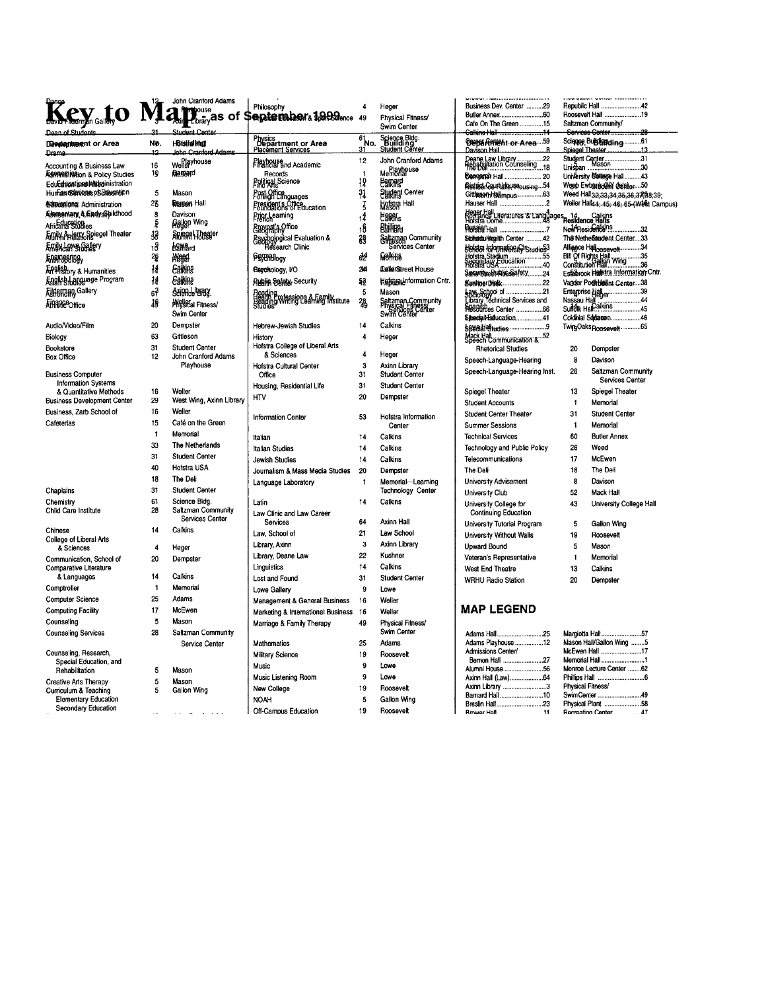|                                                              |                         | John Crantord Adams                 |                                                           | $\overline{4}$            |                                                      |                                                                  |                                       |                                                                                      |
|--------------------------------------------------------------|-------------------------|-------------------------------------|-----------------------------------------------------------|---------------------------|------------------------------------------------------|------------------------------------------------------------------|---------------------------------------|--------------------------------------------------------------------------------------|
| evato                                                        |                         | <b>Provide</b>                      | Philosophy<br>September 1989ence 49                       |                           | Heger                                                | Business Dev. Center 29                                          | Republic Hall 42<br>Roosevelt Hall 19 |                                                                                      |
|                                                              |                         | <b>L</b> tibrary <sup>as</sup> of   |                                                           |                           | Physical Fitness/<br>Swim Center                     | Cafe On The Green 15                                             |                                       | Saltzman Community/                                                                  |
|                                                              |                         | Student Center                      |                                                           |                           |                                                      | Calkins Hall 14                                                  |                                       | Services Center<br>.28                                                               |
| Deepenmarchtor Area                                          | No.                     | <b>HBisital Insti</b>               | Physics<br>Department or Area<br>Placement Services       | $61$ <sub>No.</sub><br>31 | Science Bldg.<br>Building<br>Student Center          | <b>CNOX HPHSht</b> or Area  59<br>Davison Hall                   |                                       | Science Buildingcling61<br>Spiegel Theater<br>.13                                    |
| Drama                                                        | 12                      | John Cranford Adams                 |                                                           | 12                        | John Cranford Adams                                  | .22                                                              |                                       | Student Center31<br>Unispan Mason30                                                  |
| <b>Accounting &amp; Business Law</b>                         | 16                      | Wellerhouse                         | Playhouse<br>Financial and Academic                       |                           | Memorianuse                                          | Deane Law Library<br>Preablikation Counseling<br>The Deli<br>.18 |                                       |                                                                                      |
| <b>ASPINIBIONO &amp; Policy Studies</b>                      | 19                      | Raseard                             | Records<br>Political Science                              | 18                        | <b>Barnard</b>                                       | <b>Beagerch Hall</b> 20                                          |                                       | University College Hall43                                                            |
| Education and Midginistration<br>Human SankussoSEnosation    | 5                       | Mason                               | Post Office<br>Foreign Languages                          | 31                        | <b>Stydent Center</b>                                | Pestiganceurtalieus cousing54<br>Gittlessen Hallmous63           |                                       | Weep Ewbank (ANY detailer50                                                          |
| <b>Edmissional Administration</b>                            | 23                      | <b>Berson Hall</b>                  | President's Office<br>Foundations of Education            | $\overline{5}$            | <b>Hofstra Hall</b>                                  | Hauser Hall 2                                                    |                                       | Weed Hall 32, 33, 34, 35, 36, 37, 88, 39,<br>Weller Hall44; 45; 46; 65-(West Campus) |
| Aboreentang & Findy Sphildhood                               | 8                       | Davison                             |                                                           |                           |                                                      |                                                                  |                                       |                                                                                      |
| Africana Studies                                             | $\bar{z}$               | <b>Gallon Wing</b>                  | Prior Learning                                            | 1 <sup>4</sup>            | <b>Langks</b>                                        |                                                                  |                                       |                                                                                      |
| Amily & lam Spiegel Theater                                  | śв                      | Spiegel Theater                     | Brovost's Office                                          | 18                        | Baillins                                             |                                                                  |                                       | New Residents 132<br>Th@NetheBandent.Center33                                        |
| Emix Laws Gallery                                            | 18                      | <b>Barra</b> rd                     | Esychological Evaluation &<br>Geology<br>Research Clinic  | 鹞                         | Saltzman Community<br>Services Center                | Sichstdufflegilth Center 42<br>seista lafomatiosic studies3      |                                       | Alliance Hatoosevelt34                                                               |
| Engineering <sub>y</sub>                                     | 26                      | <b>Meed</b>                         | <b>Psythology</b>                                         | ďź                        | <b>Makina</b>                                        |                                                                  |                                       | Bill Of Rights Hall<br>Constitution Hall wing36                                      |
| <b>APPISTORY &amp; Humanities</b>                            | $\frac{1}{4}$           | Earkins                             | Bsychology, I/O                                           | 24                        | CanarStreet House                                    | Hofstra Stadium<br>Piorstra Stadium<br>Piorstra USA              |                                       |                                                                                      |
| English Language Program                                     | 14                      | <b>Ealkins</b>                      | <b>Rugin Safety, Security</b>                             | 52                        | Hefstraidnformation Cntr.                            | SenuviweBu Albussafety24                                         |                                       | Estabrook Hallstra Information Cntr.                                                 |
| <b>Airleman, Gallery</b>                                     | م<br>89                 | Science Braz                        |                                                           | 5                         | Mason                                                | Sushiner bladk22                                                 |                                       | Vagder Poetbleent Center38<br>Enterprise Haller                                      |
|                                                              | 10                      | <b>Meletal Fitness/</b>             | riesuli și<br>Beading Whing Learning Institute<br>Studies | 28                        |                                                      | Law, School of 21<br>Sociology<br>Library Technical Services and |                                       |                                                                                      |
| <b>Athiblice</b> Office                                      |                         | Swim Center                         |                                                           |                           | Saltzman Community<br>Physical Einess<br>Swim Center | Pesdifices Center 66                                             |                                       | Nassau Hall Wall Martin 44                                                           |
| Audio/Video/Film                                             | 20                      | Dempster                            |                                                           | 14                        | Calkins                                              | Siberfal-Fallucation41                                           |                                       | Coldivial Sodasen46                                                                  |
|                                                              | 63                      | Gittleson                           | Hebrew-Jewish Studies                                     | $\overline{\mathbf{4}}$   |                                                      | <b>SBUS Aladiudies</b> 9                                         |                                       | TwingOaks <sub>Roosevelt</sub> 65                                                    |
| Biology                                                      | 31                      | Student Center                      | History<br>Hofstra College of Liberal Arts                |                           | Heger                                                | Mack Hall<br>Speech Communication &  52                          |                                       |                                                                                      |
| Bookstore<br><b>Box Office</b>                               | 12                      | John Cranford Adams                 | & Sciences                                                | 4                         | Heger                                                | <b>Rhetorical Studies</b>                                        | 20                                    | Dempster                                                                             |
|                                                              |                         | Playhouse                           | Hofstra Cultural Center                                   | 3                         | Axinn Library                                        | Speech-Language-Hearing                                          | 8                                     | Davison                                                                              |
| <b>Business Computer</b>                                     |                         |                                     | Office                                                    | 31                        | <b>Student Center</b>                                | Speech-Language-Hearing Inst.                                    | 28                                    | Saltzman Community                                                                   |
| <b>Information Systems</b>                                   |                         |                                     | Housing, Residential Life                                 | 31                        | <b>Student Center</b>                                |                                                                  |                                       | Services Center                                                                      |
| & Quantitative Methods<br><b>Business Development Center</b> | 16<br>29                | Weller<br>West Wing, Axinn Library  | <b>HTV</b>                                                | 20                        | Dempster                                             | Spiegel Theater                                                  | 13                                    | Spiegel Theater                                                                      |
| Business, Zarb School of                                     | 16                      | Weller                              |                                                           |                           |                                                      | <b>Student Accounts</b>                                          | $\ddagger$                            | Memorial                                                                             |
| Cafeterias                                                   | 15                      | Café on the Green                   | <b>Information Center</b>                                 | 53                        | Hofstra Information                                  | Student Center Theater                                           | 31                                    | <b>Student Center</b>                                                                |
|                                                              | $\overline{1}$          | Memorial                            |                                                           |                           | Center                                               | <b>Summer Sessions</b>                                           | $\mathbf{1}$                          | Memorial                                                                             |
|                                                              | 33                      | The Netherlands                     | Italian                                                   | 14                        | Calkins                                              | <b>Technical Services</b>                                        | 60                                    | <b>Butler Annex</b>                                                                  |
|                                                              | 31                      | <b>Student Center</b>               | Italian Studies                                           | 14                        | Calkins                                              | Technology and Public Policy                                     | 26                                    | Weed                                                                                 |
|                                                              | 40                      | Hofstra USA                         | Jewish Studies                                            | 14                        | Calkins                                              | Telecommunications                                               | 17                                    | McEwen                                                                               |
|                                                              |                         | The Deli                            | Journalism & Mass Media Studies                           | 20                        | Dempster                                             | The Deli                                                         | 18                                    | The Deli                                                                             |
|                                                              | 18                      |                                     | Language Laboratory                                       | $\mathbf{1}$              | Memorial-Learning                                    | <b>University Advisement</b>                                     | 8                                     | Davison                                                                              |
| Chaplains                                                    | 31                      | <b>Student Center</b>               |                                                           |                           | <b>Technology Center</b>                             | University Club                                                  | 52                                    | <b>Mack Hall</b>                                                                     |
| Chemistry<br>Child Care Institute                            | 61<br>28                | Science Blog.<br>Saltzman Community | Latin                                                     | 14                        | Calkins                                              | University College for                                           | 43                                    | University College Hall                                                              |
|                                                              |                         | Services Center                     | Law Clinic and Law Career<br>Services                     | 64                        | Axinn Hall                                           | Continuing Education                                             |                                       |                                                                                      |
| Chinese                                                      | 14                      | Calkins                             | Law, School of                                            | 21                        | Law School                                           | University Tutorial Program                                      | 5                                     | Gallon Wing                                                                          |
| College of Liberal Arts                                      |                         |                                     |                                                           | $\mathbf{3}$              | <b>Axinn Library</b>                                 | University Without Walls                                         | 19                                    | Roosevelt                                                                            |
| & Sciences                                                   | $\overline{\mathbf{4}}$ | Heger                               | Library, Axinn                                            | 22                        | Kushner                                              | Upward Bound                                                     | 5                                     | Mason                                                                                |
| Communication, School of                                     | 20                      | Demoster                            | Library, Deane Law                                        |                           |                                                      | Veteran's Representative                                         | $\mathbf{1}$                          | Memorial                                                                             |
| Comparative Literature<br>& Languages                        | 14                      | Calkins                             | Linguistics                                               | 14                        | Calkins                                              | West End Theatre                                                 | 13                                    | Calkins                                                                              |
|                                                              | $\mathbf{1}$            | Memorial                            | Lost and Found                                            | 31                        | <b>Student Center</b>                                | <b>WRHU Radio Station</b>                                        | 20                                    | Dempster                                                                             |
| Comptroller                                                  | 25                      | Adams                               | Lowe Gallery                                              | 9                         | Lowe                                                 |                                                                  |                                       |                                                                                      |
| <b>Computer Science</b>                                      | 17                      | McEwen                              | Management & General Business                             | 16                        | Weller                                               | <b>MAP LEGEND</b>                                                |                                       |                                                                                      |
| <b>Computing Facility</b>                                    | 5                       |                                     | Marketing & International Business                        | 16                        | Weller                                               |                                                                  |                                       |                                                                                      |
| Counseling                                                   |                         | Mason                               | Marriage & Family Therapy                                 | 49                        | Physical Fitness/                                    |                                                                  |                                       |                                                                                      |
| <b>Counseling Services</b>                                   | 28                      | Saltzman Community                  | <b>Mathematics</b>                                        | 25                        | Swim Center<br>Adams                                 | Adams Hall25<br>Adams Playhouse 12                               |                                       | Margiotta Hall57<br>Mason Hall/Gallon Wing 5                                         |
| Counseling, Research,                                        |                         | Service Center                      |                                                           |                           |                                                      | Admissions Center/                                               |                                       | McEwen Hall 17                                                                       |
| Special Education, and                                       |                         |                                     | Military Science                                          | 19                        | Roosevelt                                            | Bernon Hall 27                                                   |                                       | Memorial Hall1                                                                       |
| Rehabilitation                                               | 5                       | Mason                               | Music                                                     | $\mathbf{9}$              | Lowe                                                 |                                                                  |                                       | Monroe Lecture Center 62                                                             |
| <b>Creative Arts Therapy</b>                                 | 5                       | Mason                               | Music Listening Room                                      | 9                         | Lowe                                                 | Axinn Library 3                                                  |                                       | <b>Physical Fitness/</b>                                                             |
| Curriculum & Teaching                                        | 5                       | Gallon Wing                         | New College                                               | 19                        | Roosevelt                                            | Bamard Hall10                                                    |                                       | SwimCenter 49                                                                        |
| <b>Elementary Education</b>                                  |                         |                                     | <b>NOAH</b>                                               | 5                         | Gallon Wing                                          | Breslin Hall23                                                   |                                       | Physical Plant 58                                                                    |
| Secondary Education                                          |                         | والمتعارض والمستنقذ والمتار         | Off-Campus Education                                      | 19                        | Roosevelt                                            | <b>Rrower Hall</b><br>11                                         |                                       | <b>Recreation Center</b><br>47                                                       |